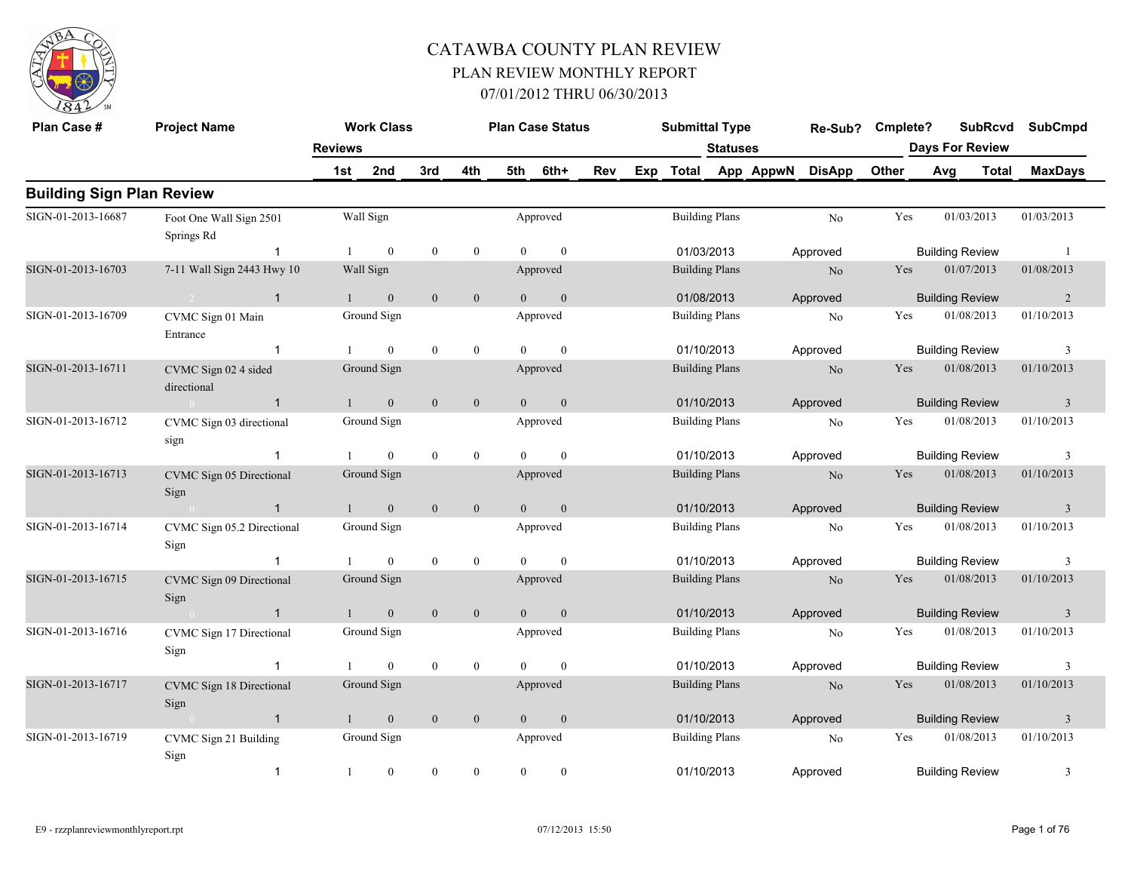

| Plan Case #                      | <b>Project Name</b>                   |                | <b>Work Class</b> |                |                  |                | <b>Plan Case Status</b> |     |     | <b>Submittal Type</b> |                 |           | Re-Sub?        | Cmplete? |                        | <b>SubRcvd</b> | <b>SubCmpd</b>          |
|----------------------------------|---------------------------------------|----------------|-------------------|----------------|------------------|----------------|-------------------------|-----|-----|-----------------------|-----------------|-----------|----------------|----------|------------------------|----------------|-------------------------|
|                                  |                                       | <b>Reviews</b> |                   |                |                  |                |                         |     |     |                       | <b>Statuses</b> |           |                |          | <b>Days For Review</b> |                |                         |
|                                  |                                       | 1st            | 2nd               | 3rd            | 4th              | 5th            | 6th+                    | Rev | Exp | <b>Total</b>          |                 | App AppwN | <b>DisApp</b>  | Other    | Avg                    | <b>Total</b>   | <b>MaxDays</b>          |
| <b>Building Sign Plan Review</b> |                                       |                |                   |                |                  |                |                         |     |     |                       |                 |           |                |          |                        |                |                         |
| SIGN-01-2013-16687               | Foot One Wall Sign 2501<br>Springs Rd |                | Wall Sign         |                |                  |                | Approved                |     |     | <b>Building Plans</b> |                 |           | No             | Yes      |                        | 01/03/2013     | 01/03/2013              |
|                                  | $\overline{1}$                        | $\mathbf{1}$   | $\mathbf{0}$      | $\bf{0}$       | $\boldsymbol{0}$ | $\overline{0}$ | $\mathbf{0}$            |     |     | 01/03/2013            |                 |           | Approved       |          | <b>Building Review</b> |                | $\overline{1}$          |
| SIGN-01-2013-16703               | 7-11 Wall Sign 2443 Hwy 10            |                | Wall Sign         |                |                  |                | Approved                |     |     | <b>Building Plans</b> |                 |           | N <sub>o</sub> | Yes      |                        | 01/07/2013     | 01/08/2013              |
|                                  | $\overline{1}$                        | 1              | $\mathbf{0}$      | $\overline{0}$ | $\mathbf{0}$     | $\Omega$       | $\mathbf{0}$            |     |     | 01/08/2013            |                 |           | Approved       |          | <b>Building Review</b> |                | 2                       |
| SIGN-01-2013-16709               | CVMC Sign 01 Main<br>Entrance         |                | Ground Sign       |                |                  |                | Approved                |     |     | <b>Building Plans</b> |                 |           | No             | Yes      |                        | 01/08/2013     | 01/10/2013              |
|                                  | $\overline{1}$                        | -1             | $\bf{0}$          | $\theta$       | $\boldsymbol{0}$ | $\Omega$       | $\bf{0}$                |     |     | 01/10/2013            |                 |           | Approved       |          | <b>Building Review</b> |                | 3                       |
| SIGN-01-2013-16711               | CVMC Sign 02 4 sided<br>directional   |                | Ground Sign       |                |                  |                | Approved                |     |     | <b>Building Plans</b> |                 |           | $\rm No$       | Yes      |                        | 01/08/2013     | 01/10/2013              |
|                                  | $\overline{1}$<br>$\sim$ 0            | $\mathbf{1}$   | $\mathbf{0}$      | $\mathbf{0}$   | $\mathbf{0}$     | $\overline{0}$ | $\mathbf{0}$            |     |     | 01/10/2013            |                 |           | Approved       |          | <b>Building Review</b> |                | $\overline{\mathbf{3}}$ |
| SIGN-01-2013-16712               | CVMC Sign 03 directional<br>sign      |                | Ground Sign       |                |                  |                | Approved                |     |     | <b>Building Plans</b> |                 |           | No             | Yes      |                        | 01/08/2013     | 01/10/2013              |
|                                  | $\overline{1}$                        |                | $\mathbf{0}$      | $\mathbf{0}$   | $\boldsymbol{0}$ | $\mathbf{0}$   | $\mathbf{0}$            |     |     | 01/10/2013            |                 |           | Approved       |          | <b>Building Review</b> |                | 3                       |
| SIGN-01-2013-16713               | CVMC Sign 05 Directional<br>Sign      |                | Ground Sign       |                |                  |                | Approved                |     |     | <b>Building Plans</b> |                 |           | $\rm No$       | Yes      |                        | 01/08/2013     | 01/10/2013              |
|                                  | $\overline{1}$<br>$\sim 0$            | $\mathbf{1}$   | $\mathbf{0}$      | $\mathbf{0}$   | $\mathbf{0}$     | $\overline{0}$ | $\mathbf{0}$            |     |     | 01/10/2013            |                 |           | Approved       |          | <b>Building Review</b> |                | $\overline{3}$          |
| SIGN-01-2013-16714               | CVMC Sign 05.2 Directional<br>Sign    |                | Ground Sign       |                |                  |                | Approved                |     |     | <b>Building Plans</b> |                 |           | No             | Yes      |                        | 01/08/2013     | 01/10/2013              |
|                                  | $\overline{1}$                        | -1             | $\mathbf{0}$      | $\mathbf{0}$   | $\boldsymbol{0}$ | $\theta$       | $\mathbf{0}$            |     |     | 01/10/2013            |                 |           | Approved       |          | <b>Building Review</b> |                | 3                       |
| SIGN-01-2013-16715               | CVMC Sign 09 Directional<br>Sign      |                | Ground Sign       |                |                  |                | Approved                |     |     | <b>Building Plans</b> |                 |           | N <sub>o</sub> | Yes      |                        | 01/08/2013     | 01/10/2013              |
|                                  | $\mathbf{1}$<br>$\sim 0$              | $\mathbf{1}$   | $\mathbf{0}$      | $\mathbf{0}$   | $\mathbf{0}$     | $\overline{0}$ | $\mathbf{0}$            |     |     | 01/10/2013            |                 |           | Approved       |          | <b>Building Review</b> |                | $\overline{3}$          |
| SIGN-01-2013-16716               | CVMC Sign 17 Directional<br>Sign      |                | Ground Sign       |                |                  |                | Approved                |     |     | <b>Building Plans</b> |                 |           | No             | Yes      |                        | 01/08/2013     | 01/10/2013              |
|                                  | $\overline{1}$                        |                | $\overline{0}$    | $\mathbf{0}$   | $\mathbf{0}$     | $\Omega$       | $\mathbf{0}$            |     |     | 01/10/2013            |                 |           | Approved       |          | <b>Building Review</b> |                | 3                       |
| SIGN-01-2013-16717               | CVMC Sign 18 Directional<br>Sign      |                | Ground Sign       |                |                  |                | Approved                |     |     | <b>Building Plans</b> |                 |           | N <sub>o</sub> | Yes      |                        | 01/08/2013     | 01/10/2013              |
|                                  | $\overline{1}$<br>$\sim 0$            | $\mathbf{1}$   | $\mathbf{0}$      | $\mathbf{0}$   | $\mathbf{0}$     | $\Omega$       | $\mathbf{0}$            |     |     | 01/10/2013            |                 |           | Approved       |          | <b>Building Review</b> |                | $\overline{\mathbf{3}}$ |
| SIGN-01-2013-16719               | CVMC Sign 21 Building<br>Sign         |                | Ground Sign       |                |                  |                | Approved                |     |     | <b>Building Plans</b> |                 |           | N <sub>0</sub> | Yes      |                        | 01/08/2013     | 01/10/2013              |
|                                  | $\overline{1}$                        | -1             | $\mathbf{0}$      | $\mathbf{0}$   | $\mathbf{0}$     | $\theta$       | $\mathbf{0}$            |     |     | 01/10/2013            |                 |           | Approved       |          | <b>Building Review</b> |                | 3                       |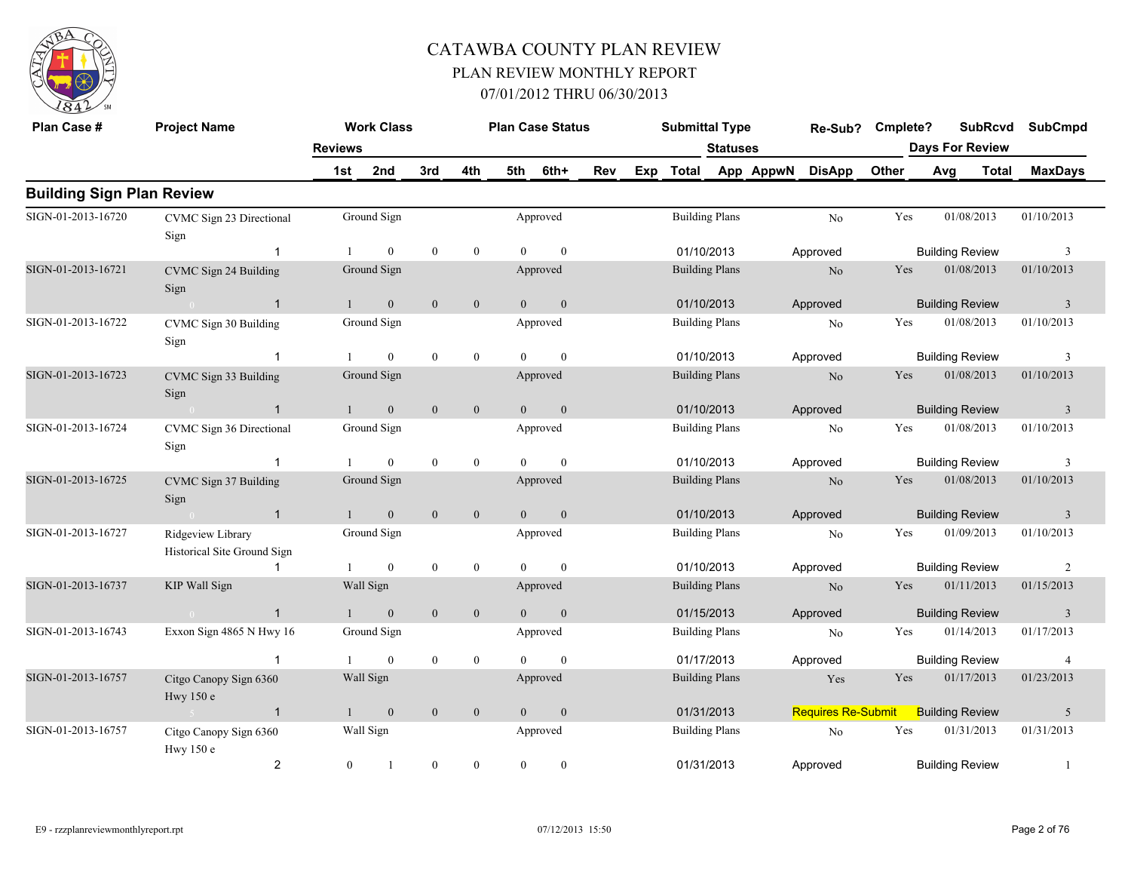

| Plan Case #                      | <b>Project Name</b>                              |                | <b>Work Class</b> |              |                  |          | <b>Plan Case Status</b> |     |     | <b>Submittal Type</b> |                       |           | Re-Sub?                   | Cmplete? |     | <b>SubRcvd</b>         | <b>SubCmpd</b>          |
|----------------------------------|--------------------------------------------------|----------------|-------------------|--------------|------------------|----------|-------------------------|-----|-----|-----------------------|-----------------------|-----------|---------------------------|----------|-----|------------------------|-------------------------|
|                                  |                                                  | <b>Reviews</b> |                   |              |                  |          |                         |     |     |                       | Statuses              |           |                           |          |     | <b>Days For Review</b> |                         |
|                                  |                                                  | 1st            | 2nd               | 3rd          | 4th              | 5th      | 6th+                    | Rev | Exp | <b>Total</b>          |                       | App AppwN | <b>DisApp</b>             | Other    | Avg | <b>Total</b>           | <b>MaxDays</b>          |
| <b>Building Sign Plan Review</b> |                                                  |                |                   |              |                  |          |                         |     |     |                       |                       |           |                           |          |     |                        |                         |
| SIGN-01-2013-16720               | CVMC Sign 23 Directional<br>Sign                 |                | Ground Sign       |              |                  |          | Approved                |     |     |                       | <b>Building Plans</b> |           | $\rm No$                  | Yes      |     | 01/08/2013             | 01/10/2013              |
|                                  | -1                                               | -1             | $\mathbf{0}$      | $\bf{0}$     | $\mathbf{0}$     | $\theta$ | $\mathbf{0}$            |     |     | 01/10/2013            |                       |           | Approved                  |          |     | <b>Building Review</b> | 3                       |
| SIGN-01-2013-16721               | CVMC Sign 24 Building<br>Sign                    |                | Ground Sign       |              |                  |          | Approved                |     |     |                       | <b>Building Plans</b> |           | N <sub>o</sub>            | Yes      |     | 01/08/2013             | 01/10/2013              |
|                                  | $\mathbf{1}$                                     |                | $\mathbf{0}$      | $\mathbf{0}$ | $\mathbf{0}$     | $\Omega$ | $\overline{0}$          |     |     | 01/10/2013            |                       |           | Approved                  |          |     | <b>Building Review</b> | $\overline{\mathbf{3}}$ |
| SIGN-01-2013-16722               | CVMC Sign 30 Building<br>Sign                    |                | Ground Sign       |              |                  |          | Approved                |     |     |                       | <b>Building Plans</b> |           | No                        | Yes      |     | 01/08/2013             | 01/10/2013              |
|                                  | -1                                               |                | $\theta$          | $\mathbf{0}$ | $\mathbf{0}$     | $\Omega$ | $\theta$                |     |     | 01/10/2013            |                       |           | Approved                  |          |     | <b>Building Review</b> | 3                       |
| SIGN-01-2013-16723               | CVMC Sign 33 Building<br>Sign                    |                | Ground Sign       |              |                  |          | Approved                |     |     |                       | <b>Building Plans</b> |           | N <sub>o</sub>            | Yes      |     | 01/08/2013             | 01/10/2013              |
|                                  | $\mathbf{1}$                                     |                | $\mathbf{0}$      | $\mathbf{0}$ | $\mathbf{0}$     | $\Omega$ | $\overline{0}$          |     |     | 01/10/2013            |                       |           | Approved                  |          |     | <b>Building Review</b> | 3                       |
| SIGN-01-2013-16724               | CVMC Sign 36 Directional<br>Sign                 |                | Ground Sign       |              |                  |          | Approved                |     |     | <b>Building Plans</b> |                       |           | No                        | Yes      |     | 01/08/2013             | 01/10/2013              |
|                                  | -1                                               |                | $\theta$          | $\bf{0}$     | $\mathbf{0}$     | $\Omega$ | $\theta$                |     |     | 01/10/2013            |                       |           | Approved                  |          |     | <b>Building Review</b> | 3                       |
| SIGN-01-2013-16725               | CVMC Sign 37 Building<br>Sign                    |                | Ground Sign       |              |                  |          | Approved                |     |     |                       | <b>Building Plans</b> |           | N <sub>o</sub>            | Yes      |     | 01/08/2013             | 01/10/2013              |
|                                  | $\overline{1}$                                   |                | $\mathbf{0}$      | $\mathbf{0}$ | $\mathbf{0}$     | $\Omega$ | $\theta$                |     |     | 01/10/2013            |                       |           | Approved                  |          |     | <b>Building Review</b> | 3                       |
| SIGN-01-2013-16727               | Ridgeview Library<br>Historical Site Ground Sign |                | Ground Sign       |              |                  |          | Approved                |     |     |                       | <b>Building Plans</b> |           | N <sub>o</sub>            | Yes      |     | 01/09/2013             | 01/10/2013              |
|                                  | $\mathbf 1$                                      |                | $\mathbf{0}$      | $\bf{0}$     | $\boldsymbol{0}$ | $\Omega$ | $\mathbf{0}$            |     |     | 01/10/2013            |                       |           | Approved                  |          |     | <b>Building Review</b> | $\overline{2}$          |
| SIGN-01-2013-16737               | KIP Wall Sign                                    |                | Wall Sign         |              |                  |          | Approved                |     |     |                       | <b>Building Plans</b> |           | No                        | Yes      |     | 01/11/2013             | 01/15/2013              |
|                                  | $\mathbf{1}$<br>$\bigcap$                        | $\mathbf{1}$   | $\mathbf{0}$      | $\mathbf{0}$ | $\mathbf{0}$     | $\theta$ | $\mathbf{0}$            |     |     | 01/15/2013            |                       |           | Approved                  |          |     | <b>Building Review</b> | 3                       |
| SIGN-01-2013-16743               | Exxon Sign 4865 N Hwy 16                         |                | Ground Sign       |              |                  |          | Approved                |     |     |                       | <b>Building Plans</b> |           | N <sub>0</sub>            | Yes      |     | 01/14/2013             | 01/17/2013              |
|                                  | $\mathbf{1}$                                     |                | $\theta$          | $\mathbf{0}$ | $\mathbf{0}$     | $\Omega$ | $\theta$                |     |     | 01/17/2013            |                       |           | Approved                  |          |     | <b>Building Review</b> | $\overline{4}$          |
| SIGN-01-2013-16757               | Citgo Canopy Sign 6360<br>Hwy 150 e              |                | Wall Sign         |              |                  |          | Approved                |     |     |                       | <b>Building Plans</b> |           | Yes                       | Yes      |     | 01/17/2013             | 01/23/2013              |
|                                  | $\overline{1}$                                   |                | $\mathbf{0}$      | $\mathbf{0}$ | $\mathbf{0}$     | $\theta$ | $\mathbf{0}$            |     |     | 01/31/2013            |                       |           | <b>Requires Re-Submit</b> |          |     | <b>Building Review</b> | 5                       |
| SIGN-01-2013-16757               | Citgo Canopy Sign 6360<br>Hwy 150 e              |                | Wall Sign         |              |                  |          | Approved                |     |     |                       | <b>Building Plans</b> |           | N <sub>o</sub>            | Yes      |     | 01/31/2013             | 01/31/2013              |
|                                  | $\overline{2}$                                   | $\overline{0}$ | -1                | $\mathbf{0}$ | $\theta$         | $\theta$ | $\mathbf{0}$            |     |     | 01/31/2013            |                       |           | Approved                  |          |     | <b>Building Review</b> | $\mathbf{1}$            |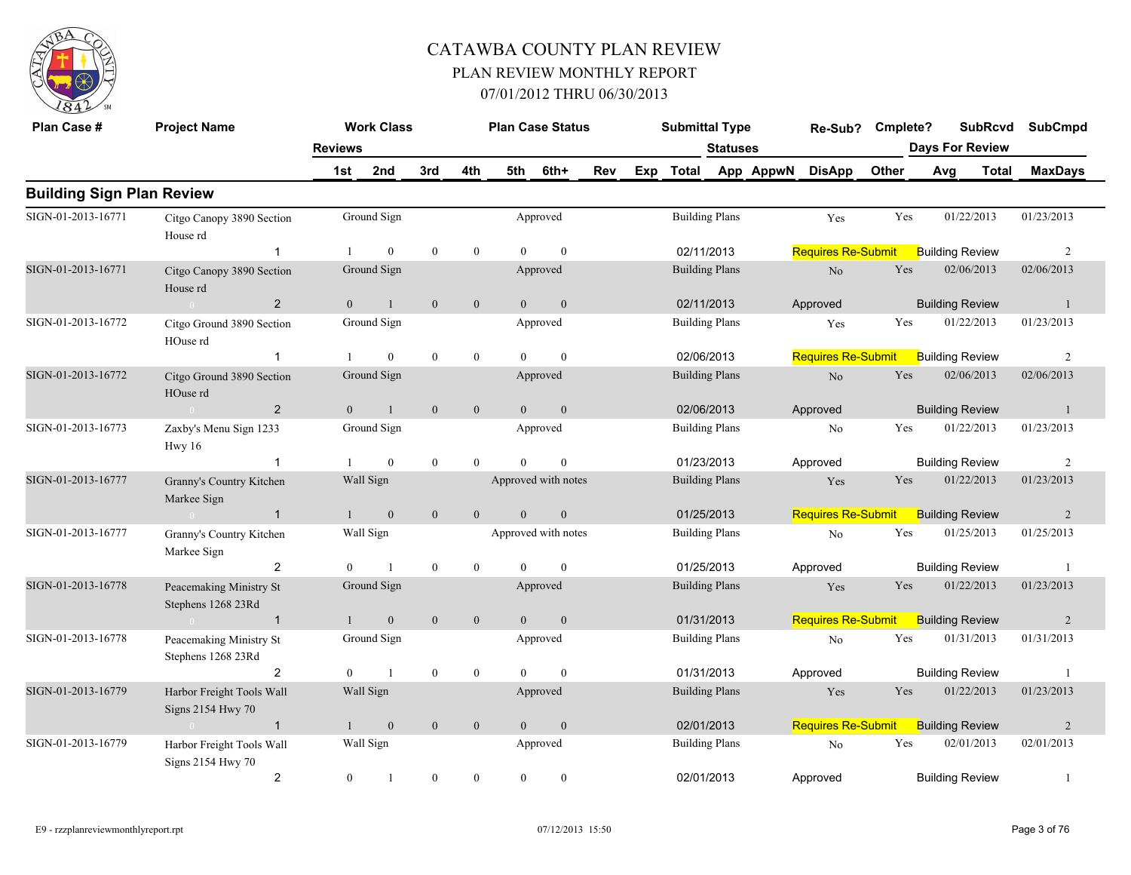

| Plan Case #                      | <b>Project Name</b>                            |                | <b>Work Class</b> |                  |                  |                | <b>Plan Case Status</b> |            |     | <b>Submittal Type</b> |                       |           | Re-Sub?                   | Cmplete?     |                        | <b>SubRcvd</b> | <b>SubCmpd</b> |
|----------------------------------|------------------------------------------------|----------------|-------------------|------------------|------------------|----------------|-------------------------|------------|-----|-----------------------|-----------------------|-----------|---------------------------|--------------|------------------------|----------------|----------------|
|                                  |                                                | <b>Reviews</b> |                   |                  |                  |                |                         |            |     |                       | <b>Statuses</b>       |           |                           |              | <b>Days For Review</b> |                |                |
|                                  |                                                | 1st            | 2nd               | 3rd              | 4th              | 5th            | 6th+                    | <b>Rev</b> | Exp | Total                 |                       | App AppwN | <b>DisApp</b>             | <b>Other</b> | Avg                    | Total          | <b>MaxDays</b> |
| <b>Building Sign Plan Review</b> |                                                |                |                   |                  |                  |                |                         |            |     |                       |                       |           |                           |              |                        |                |                |
| SIGN-01-2013-16771               | Citgo Canopy 3890 Section<br>House rd          |                | Ground Sign       |                  |                  |                | Approved                |            |     |                       | <b>Building Plans</b> |           | Yes                       | Yes          | 01/22/2013             |                | 01/23/2013     |
|                                  | $\overline{1}$                                 |                | $\mathbf{0}$      | $\mathbf{0}$     | $\overline{0}$   | $\Omega$       | $\mathbf{0}$            |            |     | 02/11/2013            |                       |           | <b>Requires Re-Submit</b> |              | <b>Building Review</b> |                | 2              |
| SIGN-01-2013-16771               | Citgo Canopy 3890 Section<br>House rd          |                | Ground Sign       |                  |                  |                | Approved                |            |     |                       | <b>Building Plans</b> |           | N <sub>o</sub>            | Yes          | 02/06/2013             |                | 02/06/2013     |
|                                  | $\overline{2}$<br>$\sim 0$                     | $\theta$       | $\overline{1}$    | $\mathbf{0}$     | $\overline{0}$   | $\theta$       | $\mathbf{0}$            |            |     |                       | 02/11/2013            |           | Approved                  |              | <b>Building Review</b> |                | -1             |
| SIGN-01-2013-16772               | Citgo Ground 3890 Section<br>HOuse rd          |                | Ground Sign       |                  |                  |                | Approved                |            |     |                       | <b>Building Plans</b> |           | Yes                       | Yes          | 01/22/2013             |                | 01/23/2013     |
|                                  | -1                                             |                | $\mathbf{0}$      | $\theta$         | $\overline{0}$   | $\Omega$       | $\mathbf{0}$            |            |     |                       | 02/06/2013            |           | <b>Requires Re-Submit</b> |              | <b>Building Review</b> |                | $\overline{2}$ |
| SIGN-01-2013-16772               | Citgo Ground 3890 Section<br>HOuse rd          |                | Ground Sign       |                  |                  |                | Approved                |            |     |                       | <b>Building Plans</b> |           | $\rm No$                  | Yes          | 02/06/2013             |                | 02/06/2013     |
|                                  | $\overline{2}$<br>$\sim 0$                     | $\theta$       | 1                 | $\mathbf{0}$     | $\mathbf{0}$     | $\theta$       | $\mathbf{0}$            |            |     |                       | 02/06/2013            |           | Approved                  |              | <b>Building Review</b> |                | -1             |
| SIGN-01-2013-16773               | Zaxby's Menu Sign 1233<br>HwV16                |                | Ground Sign       |                  |                  |                | Approved                |            |     |                       | <b>Building Plans</b> |           | No                        | Yes          | 01/22/2013             |                | 01/23/2013     |
|                                  | $\overline{1}$                                 |                | $\mathbf{0}$      | $\mathbf{0}$     | $\mathbf{0}$     | $\theta$       | $\mathbf{0}$            |            |     |                       | 01/23/2013            |           | Approved                  |              | <b>Building Review</b> |                | 2              |
| SIGN-01-2013-16777               | Granny's Country Kitchen<br>Markee Sign        |                | Wall Sign         |                  |                  |                | Approved with notes     |            |     |                       | <b>Building Plans</b> |           | Yes                       | Yes          | 01/22/2013             |                | 01/23/2013     |
|                                  | $\sim 0$<br>$\overline{1}$                     |                | $\mathbf{0}$      | $\mathbf{0}$     | $\mathbf{0}$     | $\overline{0}$ | $\mathbf{0}$            |            |     |                       | 01/25/2013            |           | <b>Requires Re-Submit</b> |              | <b>Building Review</b> |                | 2              |
| SIGN-01-2013-16777               | Granny's Country Kitchen<br>Markee Sign        |                | Wall Sign         |                  |                  |                | Approved with notes     |            |     |                       | <b>Building Plans</b> |           | No                        | Yes          | 01/25/2013             |                | 01/25/2013     |
|                                  | 2                                              | $\theta$       | $\mathbf{1}$      | $\mathbf{0}$     | $\mathbf{0}$     | $\theta$       | $\mathbf{0}$            |            |     |                       | 01/25/2013            |           | Approved                  |              | <b>Building Review</b> |                | -1             |
| SIGN-01-2013-16778               | Peacemaking Ministry St<br>Stephens 1268 23Rd  |                | Ground Sign       |                  |                  |                | Approved                |            |     |                       | <b>Building Plans</b> |           | Yes                       | Yes          | 01/22/2013             |                | 01/23/2013     |
|                                  | $\overline{1}$                                 |                | $\mathbf{0}$      | $\mathbf{0}$     | $\overline{0}$   | $\theta$       | $\mathbf{0}$            |            |     |                       | 01/31/2013            |           | <b>Requires Re-Submit</b> |              | <b>Building Review</b> |                | 2              |
| SIGN-01-2013-16778               | Peacemaking Ministry St<br>Stephens 1268 23Rd  |                | Ground Sign       |                  |                  |                | Approved                |            |     |                       | <b>Building Plans</b> |           | No                        | Yes          | 01/31/2013             |                | 01/31/2013     |
|                                  | $\overline{2}$                                 | $\Omega$       | $\overline{1}$    | $\mathbf{0}$     | $\overline{0}$   | $\Omega$       | $\mathbf{0}$            |            |     |                       | 01/31/2013            |           | Approved                  |              | <b>Building Review</b> |                | -1             |
| SIGN-01-2013-16779               | Harbor Freight Tools Wall<br>Signs 2154 Hwy 70 |                | Wall Sign         |                  |                  |                | Approved                |            |     |                       | <b>Building Plans</b> |           | Yes                       | Yes          | 01/22/2013             |                | 01/23/2013     |
|                                  | $\overline{1}$                                 |                | $\mathbf{0}$      | $\mathbf{0}$     | $\boldsymbol{0}$ | $\theta$       | $\boldsymbol{0}$        |            |     |                       | 02/01/2013            |           | <b>Requires Re-Submit</b> |              | <b>Building Review</b> |                | 2              |
| SIGN-01-2013-16779               | Harbor Freight Tools Wall<br>Signs 2154 Hwy 70 |                | Wall Sign         |                  |                  |                | Approved                |            |     |                       | <b>Building Plans</b> |           | No                        | Yes          | 02/01/2013             |                | 02/01/2013     |
|                                  | $\overline{2}$                                 | $\overline{0}$ | -1                | $\boldsymbol{0}$ | $\mathbf{0}$     | $\theta$       | $\mathbf{0}$            |            |     | 02/01/2013            |                       |           | Approved                  |              | <b>Building Review</b> |                | $\mathbf{1}$   |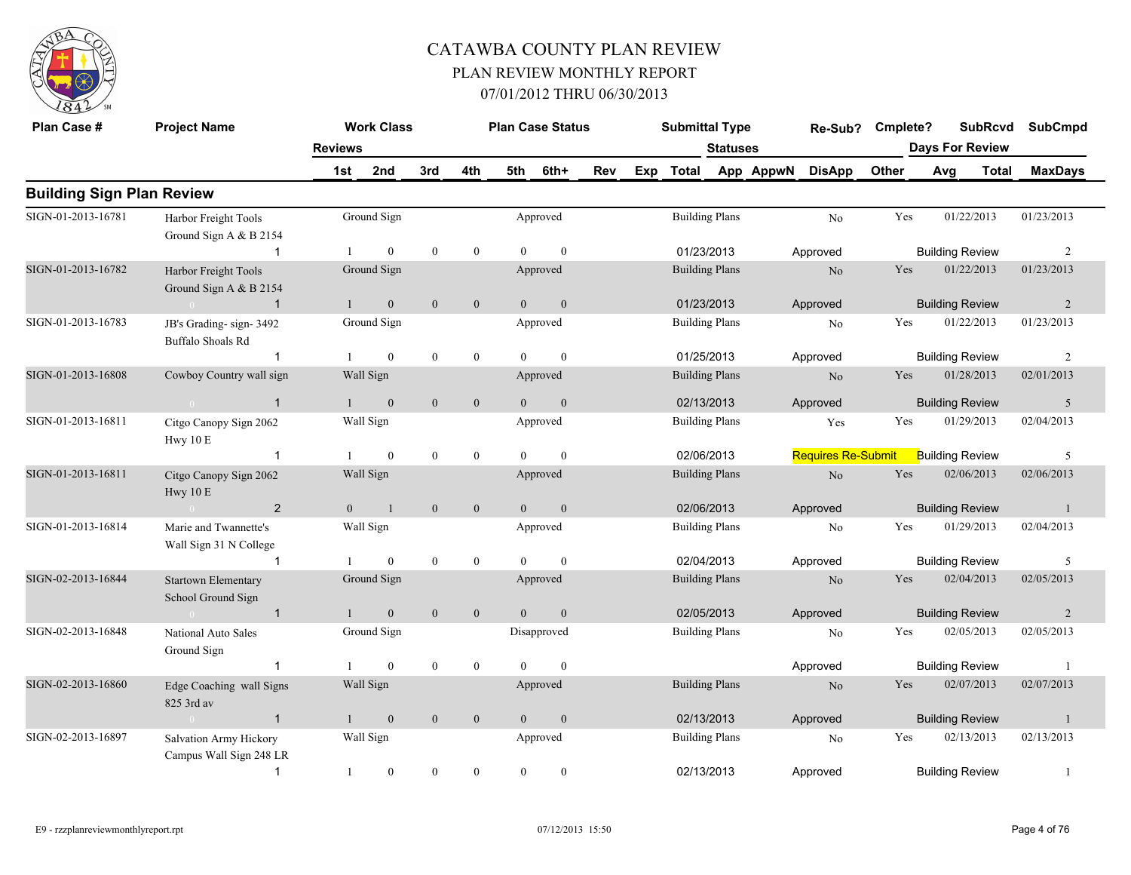

| Plan Case #                      | <b>Project Name</b>                                      |                | <b>Work Class</b> |                  |                  |                | <b>Plan Case Status</b> |     |     | <b>Submittal Type</b> |                 |           | Re-Sub?                   | Cmplete? |     | <b>SubRcvd</b>         | <b>SubCmpd</b> |
|----------------------------------|----------------------------------------------------------|----------------|-------------------|------------------|------------------|----------------|-------------------------|-----|-----|-----------------------|-----------------|-----------|---------------------------|----------|-----|------------------------|----------------|
|                                  |                                                          | <b>Reviews</b> |                   |                  |                  |                |                         |     |     |                       | <b>Statuses</b> |           |                           |          |     | <b>Days For Review</b> |                |
|                                  |                                                          | 1st            | 2nd               | 3rd              | 4th              | 5th            | 6th+                    | Rev | Exp | <b>Total</b>          |                 | App AppwN | <b>DisApp</b>             | Other    | Avg | <b>Total</b>           | <b>MaxDays</b> |
| <b>Building Sign Plan Review</b> |                                                          |                |                   |                  |                  |                |                         |     |     |                       |                 |           |                           |          |     |                        |                |
| SIGN-01-2013-16781               | Harbor Freight Tools<br>Ground Sign A & B 2154           |                | Ground Sign       |                  |                  |                | Approved                |     |     | <b>Building Plans</b> |                 |           | N <sub>o</sub>            | Yes      |     | 01/22/2013             | 01/23/2013     |
|                                  | $\overline{1}$                                           |                | $\mathbf{0}$      | $\bf{0}$         | $\boldsymbol{0}$ | $\theta$       | $\mathbf{0}$            |     |     | 01/23/2013            |                 |           | Approved                  |          |     | <b>Building Review</b> | $\overline{2}$ |
| SIGN-01-2013-16782               | Harbor Freight Tools<br>Ground Sign A & B 2154           |                | Ground Sign       |                  |                  |                | Approved                |     |     | <b>Building Plans</b> |                 |           | No                        | Yes      |     | 01/22/2013             | 01/23/2013     |
|                                  | $\overline{1}$<br>$\sim 0$                               |                | $\mathbf{0}$      | $\mathbf{0}$     | $\mathbf{0}$     | $\overline{0}$ | $\mathbf{0}$            |     |     | 01/23/2013            |                 |           | Approved                  |          |     | <b>Building Review</b> | $\overline{2}$ |
| SIGN-01-2013-16783               | JB's Grading-sign-3492<br><b>Buffalo Shoals Rd</b>       |                | Ground Sign       |                  |                  |                | Approved                |     |     | <b>Building Plans</b> |                 |           | N <sub>0</sub>            | Yes      |     | 01/22/2013             | 01/23/2013     |
|                                  | $\overline{1}$                                           |                | $\theta$          | $\mathbf{0}$     | $\mathbf{0}$     | $\Omega$       | $\theta$                |     |     | 01/25/2013            |                 |           | Approved                  |          |     | <b>Building Review</b> | 2              |
| SIGN-01-2013-16808               | Cowboy Country wall sign                                 |                | Wall Sign         |                  |                  |                | Approved                |     |     | <b>Building Plans</b> |                 |           | No                        | Yes      |     | 01/28/2013             | 02/01/2013     |
|                                  | $\overline{1}$<br>$\mathbf{0}$                           |                | $\overline{0}$    | $\boldsymbol{0}$ | $\mathbf{0}$     | $\Omega$       | $\mathbf{0}$            |     |     | 02/13/2013            |                 |           | Approved                  |          |     | <b>Building Review</b> | 5              |
| SIGN-01-2013-16811               | Citgo Canopy Sign 2062<br>Hwy 10 E                       |                | Wall Sign         |                  |                  |                | Approved                |     |     | <b>Building Plans</b> |                 |           | Yes                       | Yes      |     | 01/29/2013             | 02/04/2013     |
|                                  | $\overline{1}$                                           |                | $\mathbf{0}$      | $\boldsymbol{0}$ | $\mathbf{0}$     | $\Omega$       | $\theta$                |     |     | 02/06/2013            |                 |           | <b>Requires Re-Submit</b> |          |     | <b>Building Review</b> | -5             |
| SIGN-01-2013-16811               | Citgo Canopy Sign 2062<br>Hwy 10 E                       |                | Wall Sign         |                  |                  |                | Approved                |     |     | <b>Building Plans</b> |                 |           | No                        | Yes      |     | 02/06/2013             | 02/06/2013     |
|                                  | $\overline{2}$<br>$\sim 0$                               | $\overline{0}$ | $\overline{1}$    | $\mathbf{0}$     | $\mathbf{0}$     | $\overline{0}$ | $\mathbf{0}$            |     |     | 02/06/2013            |                 |           | Approved                  |          |     | <b>Building Review</b> | $\overline{1}$ |
| SIGN-01-2013-16814               | Marie and Twannette's<br>Wall Sign 31 N College          |                | Wall Sign         |                  |                  |                | Approved                |     |     | <b>Building Plans</b> |                 |           | No                        | Yes      |     | 01/29/2013             | 02/04/2013     |
|                                  | $\overline{\mathbf{1}}$                                  |                | $\mathbf{0}$      | $\bf{0}$         | $\boldsymbol{0}$ | $\Omega$       | $\mathbf{0}$            |     |     | 02/04/2013            |                 |           | Approved                  |          |     | <b>Building Review</b> | 5              |
| SIGN-02-2013-16844               | Startown Elementary<br>School Ground Sign                |                | Ground Sign       |                  |                  |                | Approved                |     |     | <b>Building Plans</b> |                 |           | No                        | Yes      |     | 02/04/2013             | 02/05/2013     |
|                                  | $\overline{1}$<br>$\overline{0}$                         | $\mathbf{1}$   | $\boldsymbol{0}$  | $\mathbf{0}$     | $\mathbf{0}$     | $\overline{0}$ | $\mathbf{0}$            |     |     | 02/05/2013            |                 |           | Approved                  |          |     | <b>Building Review</b> | 2              |
| SIGN-02-2013-16848               | National Auto Sales<br>Ground Sign                       |                | Ground Sign       |                  |                  |                | Disapproved             |     |     | <b>Building Plans</b> |                 |           | No                        | Yes      |     | 02/05/2013             | 02/05/2013     |
|                                  | $\mathbf{1}$                                             |                | $\mathbf{0}$      | $\boldsymbol{0}$ | $\mathbf{0}$     | $\Omega$       | $\mathbf{0}$            |     |     |                       |                 |           | Approved                  |          |     | <b>Building Review</b> | -1             |
| SIGN-02-2013-16860               | Edge Coaching wall Signs<br>825 3rd av                   |                | Wall Sign         |                  |                  |                | Approved                |     |     | <b>Building Plans</b> |                 |           | N <sub>o</sub>            | Yes      |     | 02/07/2013             | 02/07/2013     |
|                                  | $\overline{1}$<br>$\sim 0$                               |                | $\mathbf{0}$      | $\mathbf{0}$     | $\mathbf{0}$     | $\theta$       | $\mathbf{0}$            |     |     | 02/13/2013            |                 |           | Approved                  |          |     | <b>Building Review</b> | $\mathbf{1}$   |
| SIGN-02-2013-16897               | <b>Salvation Army Hickory</b><br>Campus Wall Sign 248 LR |                | Wall Sign         |                  |                  |                | Approved                |     |     | <b>Building Plans</b> |                 |           | N <sub>o</sub>            | Yes      |     | 02/13/2013             | 02/13/2013     |
|                                  | $\overline{1}$                                           | $\mathbf{1}$   | $\mathbf{0}$      | $\mathbf{0}$     | $\mathbf{0}$     | $\theta$       | $\mathbf{0}$            |     |     | 02/13/2013            |                 |           | Approved                  |          |     | <b>Building Review</b> | 1              |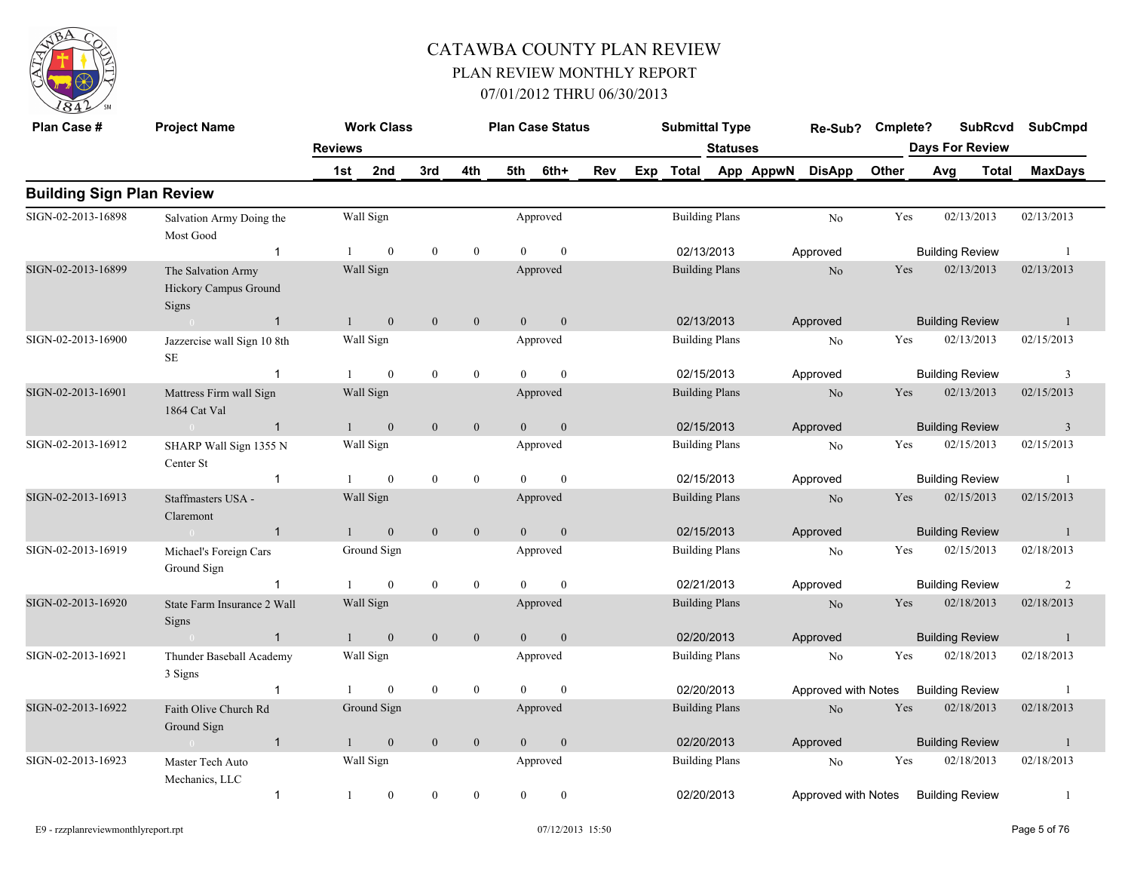

| Plan Case #                      | <b>Project Name</b>                                  |                | <b>Work Class</b> |                  |                  |                | <b>Plan Case Status</b> |            |     | <b>Submittal Type</b> |                       |                 | Re-Sub? Cmplete?    |       |     |                        | <b>SubRcvd</b> | <b>SubCmpd</b>          |  |
|----------------------------------|------------------------------------------------------|----------------|-------------------|------------------|------------------|----------------|-------------------------|------------|-----|-----------------------|-----------------------|-----------------|---------------------|-------|-----|------------------------|----------------|-------------------------|--|
|                                  |                                                      | <b>Reviews</b> |                   |                  |                  |                |                         |            |     |                       | <b>Statuses</b>       |                 |                     |       |     | <b>Days For Review</b> |                |                         |  |
|                                  |                                                      | 1st            | 2nd               | 3rd              | 4th              | 5th            | 6th+                    | <b>Rev</b> | Exp |                       |                       | Total App AppwN | <b>DisApp</b>       | Other | Avg |                        | <b>Total</b>   | <b>MaxDays</b>          |  |
| <b>Building Sign Plan Review</b> |                                                      |                |                   |                  |                  |                |                         |            |     |                       |                       |                 |                     |       |     |                        |                |                         |  |
| SIGN-02-2013-16898               | Salvation Army Doing the<br>Most Good                |                | Wall Sign         |                  |                  |                | Approved                |            |     |                       | <b>Building Plans</b> |                 | No                  | Yes   |     | 02/13/2013             |                | 02/13/2013              |  |
|                                  | $\overline{1}$                                       |                | $\mathbf{0}$      | $\mathbf{0}$     | $\mathbf{0}$     | $\Omega$       | $\mathbf{0}$            |            |     | 02/13/2013            |                       |                 | Approved            |       |     | <b>Building Review</b> |                | -1                      |  |
| SIGN-02-2013-16899               | The Salvation Army<br>Hickory Campus Ground<br>Signs |                | Wall Sign         |                  |                  |                | Approved                |            |     | <b>Building Plans</b> |                       |                 | $\rm No$            | Yes   |     | 02/13/2013             |                | 02/13/2013              |  |
|                                  | $\overline{1}$<br>$\Omega$                           | 1              | $\boldsymbol{0}$  | $\mathbf{0}$     | $\mathbf{0}$     | $\overline{0}$ | $\mathbf{0}$            |            |     | 02/13/2013            |                       |                 | Approved            |       |     | <b>Building Review</b> |                | $\mathbf{1}$            |  |
| SIGN-02-2013-16900               | Jazzercise wall Sign 10 8th<br>SE                    |                | Wall Sign         |                  |                  |                | Approved                |            |     | <b>Building Plans</b> |                       |                 | No                  | Yes   |     | 02/13/2013             |                | 02/15/2013              |  |
|                                  | $\overline{1}$                                       |                | $\mathbf{0}$      | $\mathbf{0}$     | $\mathbf{0}$     | $\Omega$       | $\theta$                |            |     | 02/15/2013            |                       |                 | Approved            |       |     | <b>Building Review</b> |                | 3                       |  |
| SIGN-02-2013-16901               | Mattress Firm wall Sign<br>1864 Cat Val              |                | Wall Sign         |                  |                  |                | Approved                |            |     | <b>Building Plans</b> |                       |                 | $\rm No$            | Yes   |     | 02/13/2013             |                | 02/15/2013              |  |
|                                  | $\overline{1}$<br>$\sim 0$                           | $\mathbf{1}$   | $\boldsymbol{0}$  | $\mathbf{0}$     | $\boldsymbol{0}$ | $\theta$       | $\mathbf{0}$            |            |     | 02/15/2013            |                       |                 | Approved            |       |     | <b>Building Review</b> |                | $\overline{\mathbf{3}}$ |  |
| SIGN-02-2013-16912               | SHARP Wall Sign 1355 N<br>Center St                  |                | Wall Sign         |                  |                  |                | Approved                |            |     | <b>Building Plans</b> |                       |                 | No                  | Yes   |     | 02/15/2013             |                | 02/15/2013              |  |
|                                  | $\overline{1}$                                       |                | $\mathbf{0}$      | $\bf{0}$         | $\boldsymbol{0}$ | $\overline{0}$ | $\overline{0}$          |            |     | 02/15/2013            |                       |                 | Approved            |       |     | <b>Building Review</b> |                | -1                      |  |
| SIGN-02-2013-16913               | Staffmasters USA -<br>Claremont                      |                | Wall Sign         |                  |                  |                | Approved                |            |     | <b>Building Plans</b> |                       |                 | N <sub>o</sub>      | Yes   |     | 02/15/2013             |                | 02/15/2013              |  |
|                                  | $\bigcap$<br>$\overline{1}$                          |                | $\mathbf{0}$      | $\mathbf{0}$     | $\mathbf{0}$     | $\overline{0}$ | $\mathbf{0}$            |            |     | 02/15/2013            |                       |                 | Approved            |       |     | <b>Building Review</b> |                | $\overline{1}$          |  |
| SIGN-02-2013-16919               | Michael's Foreign Cars<br>Ground Sign                |                | Ground Sign       |                  |                  |                | Approved                |            |     | <b>Building Plans</b> |                       |                 | No                  | Yes   |     | 02/15/2013             |                | 02/18/2013              |  |
|                                  |                                                      |                | $\overline{0}$    | $\mathbf{0}$     | $\overline{0}$   | $\Omega$       | $\theta$                |            |     | 02/21/2013            |                       |                 | Approved            |       |     | <b>Building Review</b> |                | 2                       |  |
| SIGN-02-2013-16920               | State Farm Insurance 2 Wall<br>Signs                 |                | Wall Sign         |                  |                  |                | Approved                |            |     | <b>Building Plans</b> |                       |                 | No                  | Yes   |     | 02/18/2013             |                | 02/18/2013              |  |
|                                  | $\sim 0$<br>$\overline{1}$                           | $\mathbf{1}$   | $\mathbf{0}$      | $\mathbf{0}$     | $\mathbf{0}$     | $\overline{0}$ | $\mathbf{0}$            |            |     | 02/20/2013            |                       |                 | Approved            |       |     | <b>Building Review</b> |                | $\overline{1}$          |  |
| SIGN-02-2013-16921               | Thunder Baseball Academy<br>3 Signs                  |                | Wall Sign         |                  |                  |                | Approved                |            |     |                       | <b>Building Plans</b> |                 | No                  | Yes   |     | 02/18/2013             |                | 02/18/2013              |  |
|                                  |                                                      |                | $\boldsymbol{0}$  | $\boldsymbol{0}$ | $\boldsymbol{0}$ | $\overline{0}$ | $\overline{0}$          |            |     | 02/20/2013            |                       |                 | Approved with Notes |       |     | <b>Building Review</b> |                | -1                      |  |
| SIGN-02-2013-16922               | Faith Olive Church Rd<br>Ground Sign                 |                | Ground Sign       |                  |                  |                | Approved                |            |     |                       | <b>Building Plans</b> |                 | N <sub>o</sub>      | Yes   |     | 02/18/2013             |                | 02/18/2013              |  |
|                                  | $\overline{1}$<br>$\sim$ 0 $\sim$ 0 $\sim$           |                | $\mathbf{0}$      | $\mathbf{0}$     | $\mathbf{0}$     | $\mathbf{0}$   | $\mathbf{0}$            |            |     | 02/20/2013            |                       |                 | Approved            |       |     | <b>Building Review</b> |                | -1                      |  |
| SIGN-02-2013-16923               | Master Tech Auto<br>Mechanics, LLC                   |                | Wall Sign         |                  |                  |                | Approved                |            |     | <b>Building Plans</b> |                       |                 | No                  | Yes   |     | 02/18/2013             |                | 02/18/2013              |  |
|                                  | $\mathbf{1}$                                         | -1             | $\boldsymbol{0}$  | $\mathbf{0}$     | $\mathbf{0}$     | $\overline{0}$ | $\mathbf{0}$            |            |     | 02/20/2013            |                       |                 | Approved with Notes |       |     | <b>Building Review</b> |                | -1                      |  |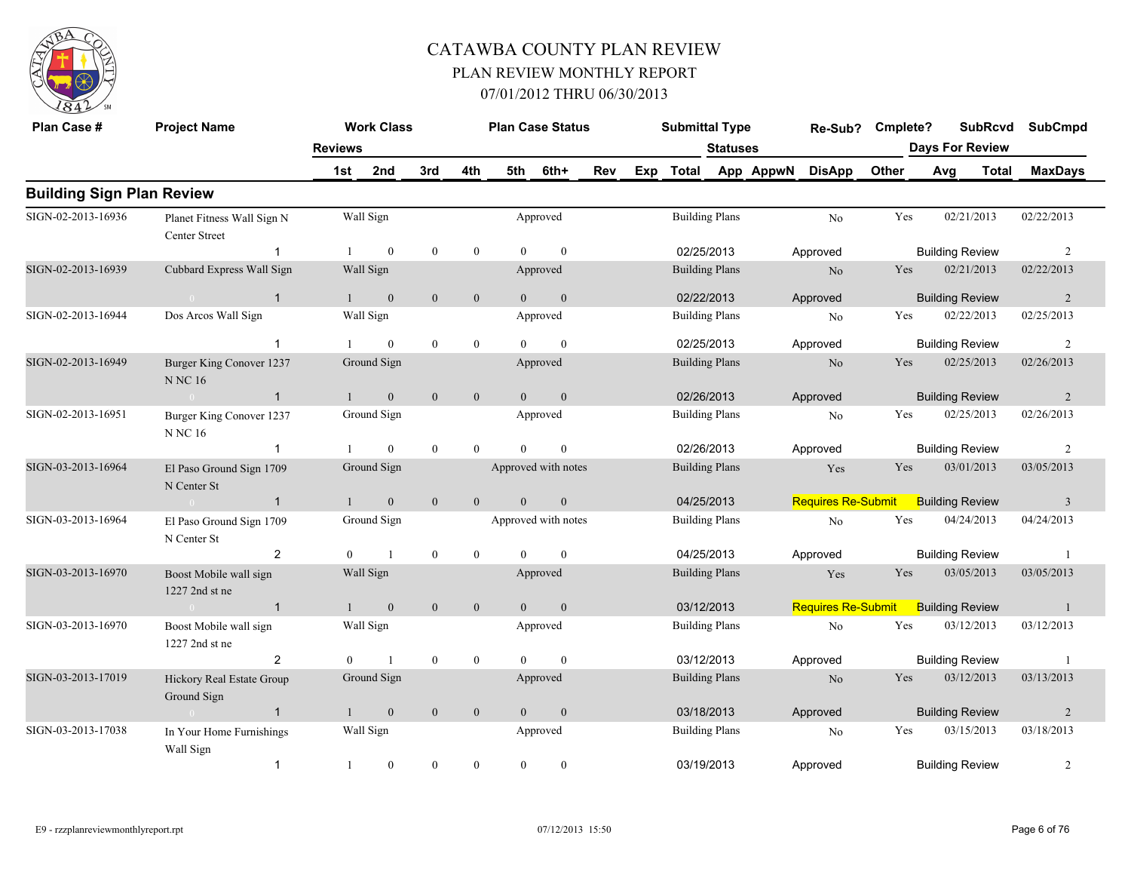

| Plan Case #                      | <b>Project Name</b>                           |                | <b>Work Class</b> |                |                  |                | <b>Plan Case Status</b> |     |     | <b>Submittal Type</b> |                       |           | Re-Sub?                   | Cmplete? |                        | <b>SubRcvd</b>         | <b>SubCmpd</b> |
|----------------------------------|-----------------------------------------------|----------------|-------------------|----------------|------------------|----------------|-------------------------|-----|-----|-----------------------|-----------------------|-----------|---------------------------|----------|------------------------|------------------------|----------------|
|                                  |                                               | <b>Reviews</b> |                   |                |                  |                |                         |     |     |                       | Statuses              |           |                           |          |                        | <b>Days For Review</b> |                |
|                                  |                                               | 1st            | 2nd               | 3rd            | 4th              | 5th            | 6th+                    | Rev | Exp | <b>Total</b>          |                       | App AppwN | <b>DisApp</b>             | Other    | Avg                    | <b>Total</b>           | <b>MaxDays</b> |
| <b>Building Sign Plan Review</b> |                                               |                |                   |                |                  |                |                         |     |     |                       |                       |           |                           |          |                        |                        |                |
| SIGN-02-2013-16936               | Planet Fitness Wall Sign N<br>Center Street   |                | Wall Sign         |                |                  |                | Approved                |     |     |                       | <b>Building Plans</b> |           | No                        | Yes      |                        | 02/21/2013             | 02/22/2013     |
|                                  | $\mathbf{1}$                                  | 1              | $\mathbf{0}$      | $\bf{0}$       | $\boldsymbol{0}$ | $\overline{0}$ | $\mathbf{0}$            |     |     |                       | 02/25/2013            |           | Approved                  |          | <b>Building Review</b> |                        | 2              |
| SIGN-02-2013-16939               | Cubbard Express Wall Sign                     |                | Wall Sign         |                |                  |                | Approved                |     |     | <b>Building Plans</b> |                       |           | No                        | Yes      |                        | 02/21/2013             | 02/22/2013     |
|                                  | $\sim 0$<br>$\overline{1}$                    | $\mathbf{1}$   | $\overline{0}$    | $\mathbf{0}$   | $\mathbf{0}$     | $\overline{0}$ | $\mathbf{0}$            |     |     |                       | 02/22/2013            |           | Approved                  |          | <b>Building Review</b> |                        | 2              |
| SIGN-02-2013-16944               | Dos Arcos Wall Sign                           |                | Wall Sign         |                |                  |                | Approved                |     |     |                       | <b>Building Plans</b> |           | No                        | Yes      |                        | 02/22/2013             | 02/25/2013     |
|                                  | $\overline{1}$                                |                | $\mathbf{0}$      | $\mathbf{0}$   | $\mathbf{0}$     | $\Omega$       | $\overline{0}$          |     |     | 02/25/2013            |                       |           | Approved                  |          | <b>Building Review</b> |                        | $\overline{2}$ |
| SIGN-02-2013-16949               | Burger King Conover 1237<br><b>N NC 16</b>    |                | Ground Sign       |                |                  |                | Approved                |     |     |                       | <b>Building Plans</b> |           | $\rm No$                  | Yes      |                        | 02/25/2013             | 02/26/2013     |
|                                  | $\overline{1}$<br>$\sim 0$                    |                | $\mathbf{0}$      | $\overline{0}$ | $\mathbf{0}$     | $\Omega$       | $\mathbf{0}$            |     |     | 02/26/2013            |                       |           | Approved                  |          | <b>Building Review</b> |                        | 2              |
| SIGN-02-2013-16951               | Burger King Conover 1237<br>$\,$ N NC 16 $\,$ |                | Ground Sign       |                |                  |                | Approved                |     |     |                       | <b>Building Plans</b> |           | No                        | Yes      |                        | 02/25/2013             | 02/26/2013     |
|                                  | $\overline{1}$                                |                | $\overline{0}$    | $\mathbf{0}$   | $\mathbf{0}$     | $\Omega$       | $\theta$                |     |     | 02/26/2013            |                       |           | Approved                  |          | <b>Building Review</b> |                        | 2              |
| SIGN-03-2013-16964               | El Paso Ground Sign 1709<br>N Center St       |                | Ground Sign       |                |                  |                | Approved with notes     |     |     | <b>Building Plans</b> |                       |           | Yes                       | Yes      |                        | 03/01/2013             | 03/05/2013     |
|                                  | $\overline{1}$<br>$\sim 0$                    | $\mathbf{1}$   | $\mathbf{0}$      | $\mathbf{0}$   | $\mathbf{0}$     | $\Omega$       | $\mathbf{0}$            |     |     | 04/25/2013            |                       |           | <b>Requires Re-Submit</b> |          | <b>Building Review</b> |                        | $\overline{3}$ |
| SIGN-03-2013-16964               | El Paso Ground Sign 1709<br>N Center St       |                | Ground Sign       |                |                  |                | Approved with notes     |     |     | <b>Building Plans</b> |                       |           | No                        | Yes      |                        | 04/24/2013             | 04/24/2013     |
|                                  | $\overline{2}$                                | $\theta$       |                   | $\bf{0}$       | $\mathbf{0}$     | $\Omega$       | $\mathbf{0}$            |     |     | 04/25/2013            |                       |           | Approved                  |          | <b>Building Review</b> |                        |                |
| SIGN-03-2013-16970               | Boost Mobile wall sign<br>1227 2nd st ne      |                | Wall Sign         |                |                  |                | Approved                |     |     | <b>Building Plans</b> |                       |           | Yes                       | Yes      |                        | 03/05/2013             | 03/05/2013     |
|                                  | $\overline{1}$<br>$\sim 0$                    | $\mathbf{1}$   | $\mathbf{0}$      | $\mathbf{0}$   | $\mathbf{0}$     | $\overline{0}$ | $\mathbf{0}$            |     |     | 03/12/2013            |                       |           | <b>Requires Re-Submit</b> |          | <b>Building Review</b> |                        | -1             |
| SIGN-03-2013-16970               | Boost Mobile wall sign<br>$1227$ 2nd st ne    |                | Wall Sign         |                |                  |                | Approved                |     |     | <b>Building Plans</b> |                       |           | No                        | Yes      |                        | 03/12/2013             | 03/12/2013     |
|                                  | $\overline{\mathbf{c}}$                       | $\theta$       |                   | $\bf{0}$       | $\boldsymbol{0}$ | $\theta$       | $\mathbf{0}$            |     |     | 03/12/2013            |                       |           | Approved                  |          | <b>Building Review</b> |                        |                |
| SIGN-03-2013-17019               | Hickory Real Estate Group<br>Ground Sign      |                | Ground Sign       |                |                  |                | Approved                |     |     | <b>Building Plans</b> |                       |           | N <sub>o</sub>            | Yes      |                        | 03/12/2013             | 03/13/2013     |
|                                  | $\overline{1}$<br>$\sim 0$                    | $\mathbf{1}$   | $\mathbf{0}$      | $\overline{0}$ | $\mathbf{0}$     | $\overline{0}$ | $\mathbf{0}$            |     |     | 03/18/2013            |                       |           | Approved                  |          | <b>Building Review</b> |                        | $\overline{2}$ |
| SIGN-03-2013-17038               | In Your Home Furnishings<br>Wall Sign         |                | Wall Sign         |                |                  |                | Approved                |     |     |                       | <b>Building Plans</b> |           | No                        | Yes      |                        | 03/15/2013             | 03/18/2013     |
|                                  | $\overline{1}$                                | -1             | $\mathbf{0}$      | $\theta$       | $\Omega$         | $\Omega$       | $\mathbf{0}$            |     |     | 03/19/2013            |                       |           | Approved                  |          | <b>Building Review</b> |                        | $\overline{c}$ |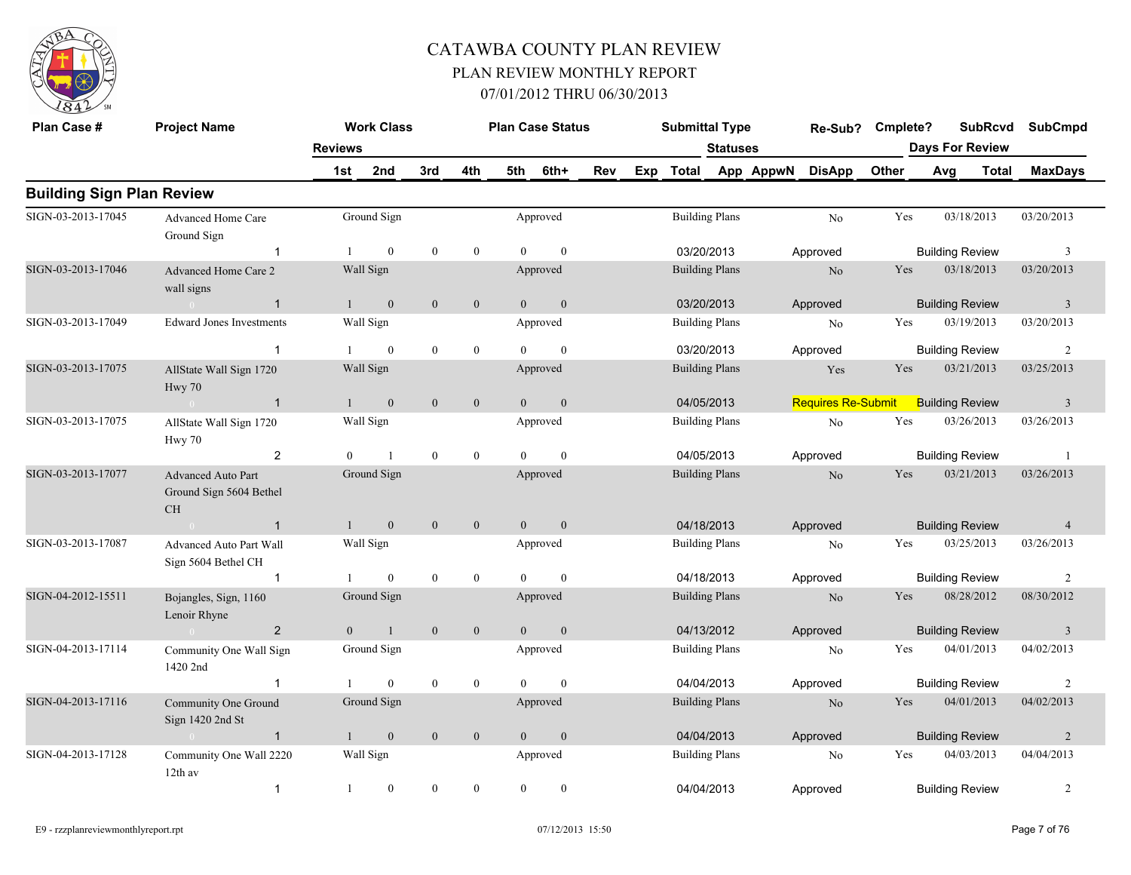

| Plan Case #                      | <b>Project Name</b>                                               |                | <b>Work Class</b> |                  |                  |                | <b>Plan Case Status</b> |     | <b>Submittal Type</b> |                 |           | Re-Sub?                   | Cmplete? |     | <b>SubRcvd</b>         | <b>SubCmpd</b> |
|----------------------------------|-------------------------------------------------------------------|----------------|-------------------|------------------|------------------|----------------|-------------------------|-----|-----------------------|-----------------|-----------|---------------------------|----------|-----|------------------------|----------------|
|                                  |                                                                   | <b>Reviews</b> |                   |                  |                  |                |                         |     |                       | <b>Statuses</b> |           |                           |          |     | <b>Days For Review</b> |                |
|                                  |                                                                   | 1st            | 2nd               | 3rd              | 4th              | 5th            | 6th+                    | Rev | Exp Total             |                 | App AppwN | <b>DisApp</b>             | Other    | Avg | <b>Total</b>           | <b>MaxDays</b> |
| <b>Building Sign Plan Review</b> |                                                                   |                |                   |                  |                  |                |                         |     |                       |                 |           |                           |          |     |                        |                |
| SIGN-03-2013-17045               | Advanced Home Care<br>Ground Sign                                 |                | Ground Sign       |                  |                  |                | Approved                |     | <b>Building Plans</b> |                 |           | No                        | Yes      |     | 03/18/2013             | 03/20/2013     |
|                                  | $\overline{1}$                                                    |                | $\mathbf{0}$      | $\mathbf{0}$     | $\mathbf{0}$     | $\Omega$       | $\mathbf{0}$            |     | 03/20/2013            |                 |           | Approved                  |          |     | <b>Building Review</b> | $\overline{3}$ |
| SIGN-03-2013-17046               | Advanced Home Care 2<br>wall signs                                |                | Wall Sign         |                  |                  |                | Approved                |     | <b>Building Plans</b> |                 |           | No                        | Yes      |     | 03/18/2013             | 03/20/2013     |
|                                  | $\sim 0$<br>$\mathbf{1}$                                          | $\mathbf{1}$   | $\mathbf{0}$      | $\mathbf{0}$     | $\mathbf{0}$     | $\overline{0}$ | $\boldsymbol{0}$        |     | 03/20/2013            |                 |           | Approved                  |          |     | <b>Building Review</b> | $\mathbf{3}$   |
| SIGN-03-2013-17049               | <b>Edward Jones Investments</b>                                   |                | Wall Sign         |                  |                  |                | Approved                |     | <b>Building Plans</b> |                 |           | No                        | Yes      |     | 03/19/2013             | 03/20/2013     |
|                                  | -1                                                                |                | $\mathbf{0}$      | $\boldsymbol{0}$ | $\boldsymbol{0}$ | $\Omega$       | $\theta$                |     | 03/20/2013            |                 |           | Approved                  |          |     | <b>Building Review</b> | 2              |
| SIGN-03-2013-17075               | AllState Wall Sign 1720<br>Hwy 70                                 |                | Wall Sign         |                  |                  |                | Approved                |     | <b>Building Plans</b> |                 |           | Yes                       | Yes      |     | 03/21/2013             | 03/25/2013     |
|                                  | $\overline{1}$                                                    |                | $\overline{0}$    | $\mathbf{0}$     | $\mathbf{0}$     | $\overline{0}$ | $\mathbf{0}$            |     | 04/05/2013            |                 |           | <b>Requires Re-Submit</b> |          |     | <b>Building Review</b> | $\overline{3}$ |
| SIGN-03-2013-17075               | AllState Wall Sign 1720<br>Hwy 70                                 |                | Wall Sign         |                  |                  |                | Approved                |     | <b>Building Plans</b> |                 |           | $\rm No$                  | Yes      |     | 03/26/2013             | 03/26/2013     |
|                                  | $\overline{2}$                                                    | $\overline{0}$ | $\mathbf{1}$      | $\mathbf{0}$     | $\boldsymbol{0}$ | $\theta$       | $\mathbf{0}$            |     | 04/05/2013            |                 |           | Approved                  |          |     | <b>Building Review</b> | -1             |
| SIGN-03-2013-17077               | <b>Advanced Auto Part</b><br>Ground Sign 5604 Bethel<br><b>CH</b> |                | Ground Sign       |                  |                  |                | Approved                |     | <b>Building Plans</b> |                 |           | N <sub>o</sub>            | Yes      |     | 03/21/2013             | 03/26/2013     |
|                                  | $\sim 0$<br>$\overline{1}$                                        | 1              | $\overline{0}$    | $\mathbf{0}$     | $\mathbf{0}$     | $\theta$       | $\mathbf{0}$            |     | 04/18/2013            |                 |           | Approved                  |          |     | <b>Building Review</b> | $\overline{4}$ |
| SIGN-03-2013-17087               | Advanced Auto Part Wall<br>Sign 5604 Bethel CH                    |                | Wall Sign         |                  |                  |                | Approved                |     | <b>Building Plans</b> |                 |           | No                        | Yes      |     | 03/25/2013             | 03/26/2013     |
|                                  | $\overline{1}$                                                    |                | $\boldsymbol{0}$  | $\mathbf{0}$     | $\boldsymbol{0}$ | $\Omega$       | $\mathbf{0}$            |     | 04/18/2013            |                 |           | Approved                  |          |     | <b>Building Review</b> | $\overline{2}$ |
| SIGN-04-2012-15511               | Bojangles, Sign, 1160<br>Lenoir Rhyne                             |                | Ground Sign       |                  |                  |                | Approved                |     | <b>Building Plans</b> |                 |           | N <sub>o</sub>            | Yes      |     | 08/28/2012             | 08/30/2012     |
|                                  | $\overline{2}$<br>$\sim 0$                                        | $\overline{0}$ | $\mathbf{1}$      | $\mathbf{0}$     | $\mathbf{0}$     | $\overline{0}$ | $\boldsymbol{0}$        |     | 04/13/2012            |                 |           | Approved                  |          |     | <b>Building Review</b> | $\mathbf{3}$   |
| SIGN-04-2013-17114               | Community One Wall Sign<br>1420 2nd                               |                | Ground Sign       |                  |                  |                | Approved                |     | <b>Building Plans</b> |                 |           | No                        | Yes      |     | 04/01/2013             | 04/02/2013     |
|                                  | $\overline{1}$                                                    |                | $\mathbf{0}$      | $\mathbf{0}$     | $\boldsymbol{0}$ | $\theta$       | $\mathbf{0}$            |     | 04/04/2013            |                 |           | Approved                  |          |     | <b>Building Review</b> | $\overline{c}$ |
| SIGN-04-2013-17116               | Community One Ground<br>Sign 1420 2nd St                          |                | Ground Sign       |                  |                  |                | Approved                |     | <b>Building Plans</b> |                 |           | N <sub>o</sub>            | Yes      |     | 04/01/2013             | 04/02/2013     |
|                                  | $\overline{1}$<br>$\sim 0$                                        | $\mathbf{1}$   | $\mathbf{0}$      | $\mathbf{0}$     | $\overline{0}$   | $\overline{0}$ | $\mathbf{0}$            |     | 04/04/2013            |                 |           | Approved                  |          |     | <b>Building Review</b> | $\overline{2}$ |
| SIGN-04-2013-17128               | Community One Wall 2220<br>12th av                                |                | Wall Sign         |                  |                  |                | Approved                |     | <b>Building Plans</b> |                 |           | $\rm No$                  | Yes      |     | 04/03/2013             | 04/04/2013     |
|                                  | $\overline{1}$                                                    | 1              | $\boldsymbol{0}$  | $\boldsymbol{0}$ | $\mathbf{0}$     | $\theta$       | $\boldsymbol{0}$        |     | 04/04/2013            |                 |           | Approved                  |          |     | <b>Building Review</b> | $\overline{2}$ |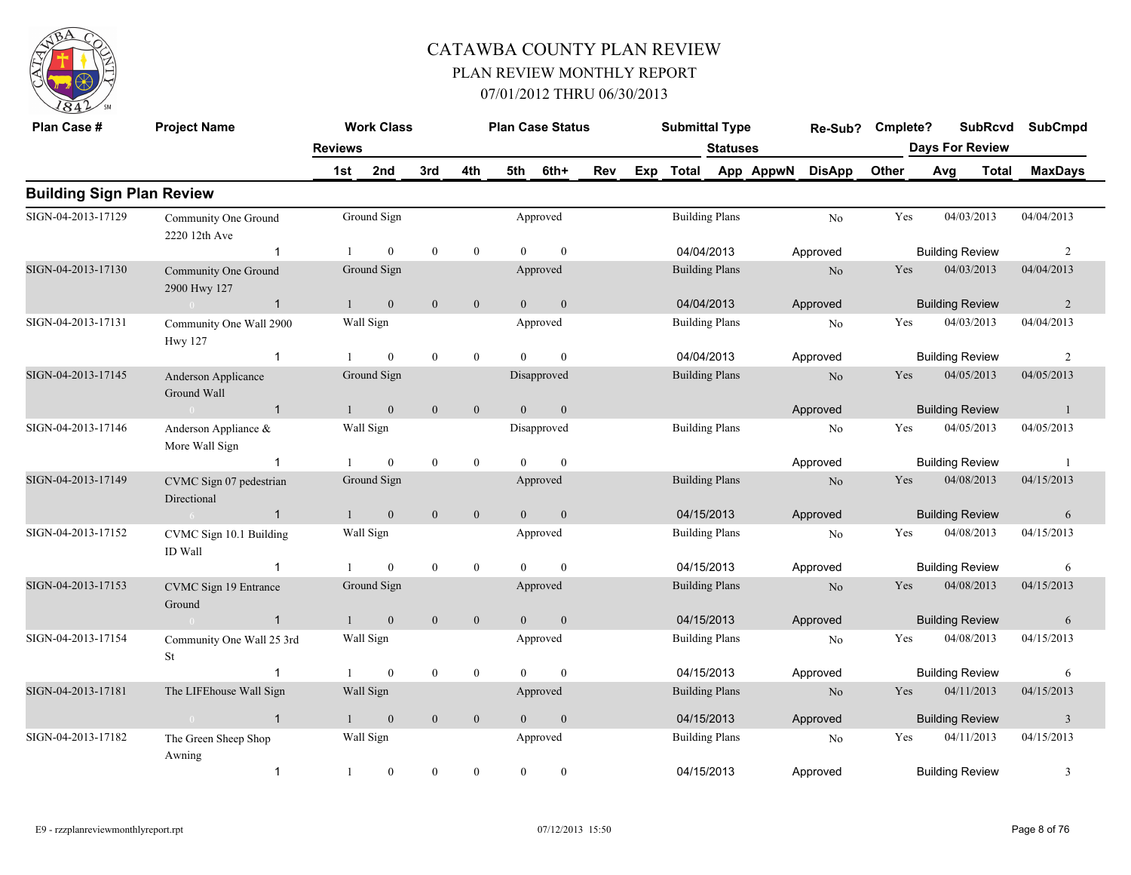

| Plan Case #                      | <b>Project Name</b>                       |                | <b>Work Class</b> |                  |                  |                | <b>Plan Case Status</b> |     | <b>Submittal Type</b> |                       |           | Re-Sub?        | Cmplete? |                        | <b>SubRcvd</b>         | <b>SubCmpd</b> |
|----------------------------------|-------------------------------------------|----------------|-------------------|------------------|------------------|----------------|-------------------------|-----|-----------------------|-----------------------|-----------|----------------|----------|------------------------|------------------------|----------------|
|                                  |                                           | <b>Reviews</b> |                   |                  |                  |                |                         |     |                       | <b>Statuses</b>       |           |                |          |                        | <b>Days For Review</b> |                |
|                                  |                                           | 1st i          | 2nd               | 3rd              | 4th              | 5th            | 6th+                    | Rev | Exp Total             |                       | App AppwN | <b>DisApp</b>  | Other    | Avg                    | Total                  | <b>MaxDays</b> |
| <b>Building Sign Plan Review</b> |                                           |                |                   |                  |                  |                |                         |     |                       |                       |           |                |          |                        |                        |                |
| SIGN-04-2013-17129               | Community One Ground<br>2220 12th Ave     |                | Ground Sign       |                  |                  |                | Approved                |     | <b>Building Plans</b> |                       |           | No             | Yes      |                        | 04/03/2013             | 04/04/2013     |
|                                  | $\overline{1}$                            |                | $\mathbf{0}$      | $\mathbf{0}$     | $\boldsymbol{0}$ | $\theta$       | $\mathbf{0}$            |     | 04/04/2013            |                       |           | Approved       |          | <b>Building Review</b> |                        | 2              |
| SIGN-04-2013-17130               | Community One Ground<br>2900 Hwy 127      |                | Ground Sign       |                  |                  |                | Approved                |     | <b>Building Plans</b> |                       |           | $\rm No$       | Yes      |                        | 04/03/2013             | 04/04/2013     |
|                                  | $\overline{1}$<br>$\sim 0$                |                | $\mathbf{0}$      | $\mathbf{0}$     | $\mathbf{0}$     | $\overline{0}$ | $\mathbf{0}$            |     | 04/04/2013            |                       |           | Approved       |          | <b>Building Review</b> |                        | 2              |
| SIGN-04-2013-17131               | Community One Wall 2900<br><b>Hwy 127</b> |                | Wall Sign         |                  |                  |                | Approved                |     |                       | <b>Building Plans</b> |           | No             | Yes      |                        | 04/03/2013             | 04/04/2013     |
|                                  | $\mathbf 1$                               |                | $\theta$          | $\mathbf{0}$     | $\overline{0}$   | $\Omega$       | $\theta$                |     | 04/04/2013            |                       |           | Approved       |          | <b>Building Review</b> |                        | 2              |
| SIGN-04-2013-17145               | Anderson Applicance<br>Ground Wall        |                | Ground Sign       |                  |                  |                | Disapproved             |     | <b>Building Plans</b> |                       |           | N <sub>o</sub> | Yes      |                        | 04/05/2013             | 04/05/2013     |
|                                  | $\overline{1}$<br>$\sim 0$                | 1              | $\overline{0}$    | $\mathbf{0}$     | $\overline{0}$   | $\overline{0}$ | $\mathbf{0}$            |     |                       |                       |           | Approved       |          | <b>Building Review</b> |                        | $\overline{1}$ |
| SIGN-04-2013-17146               | Anderson Appliance &<br>More Wall Sign    |                | Wall Sign         |                  |                  |                | Disapproved             |     | <b>Building Plans</b> |                       |           | No             | Yes      |                        | 04/05/2013             | 04/05/2013     |
|                                  | $\mathbf{1}$                              |                | $\mathbf{0}$      | $\boldsymbol{0}$ | $\mathbf{0}$     | $\theta$       | $\mathbf{0}$            |     |                       |                       |           | Approved       |          | <b>Building Review</b> |                        | $\overline{1}$ |
| SIGN-04-2013-17149               | CVMC Sign 07 pedestrian<br>Directional    |                | Ground Sign       |                  |                  |                | Approved                |     | <b>Building Plans</b> |                       |           | N <sub>o</sub> | Yes      |                        | 04/08/2013             | 04/15/2013     |
|                                  | $-6$<br>$\overline{1}$                    | $1 -$          | $\mathbf{0}$      | $\mathbf{0}$     | $\mathbf{0}$     | $\theta$       | $\mathbf{0}$            |     | 04/15/2013            |                       |           | Approved       |          | <b>Building Review</b> |                        | 6              |
| SIGN-04-2013-17152               | CVMC Sign 10.1 Building<br>ID Wall        |                | Wall Sign         |                  |                  |                | Approved                |     | <b>Building Plans</b> |                       |           | No             | Yes      |                        | 04/08/2013             | 04/15/2013     |
|                                  | $\overline{1}$                            |                | $\mathbf{0}$      | $\mathbf{0}$     | $\overline{0}$   | $\Omega$       | $\mathbf{0}$            |     | 04/15/2013            |                       |           | Approved       |          | <b>Building Review</b> |                        | 6              |
| SIGN-04-2013-17153               | CVMC Sign 19 Entrance<br>Ground           |                | Ground Sign       |                  |                  |                | Approved                |     | <b>Building Plans</b> |                       |           | $\rm No$       | Yes      |                        | 04/08/2013             | 04/15/2013     |
|                                  | $\sim 0$<br>$\overline{1}$                | $\mathbf{1}$   | $\mathbf{0}$      | $\overline{0}$   | $\overline{0}$   | $\overline{0}$ | $\mathbf{0}$            |     | 04/15/2013            |                       |           | Approved       |          | <b>Building Review</b> |                        | 6              |
| SIGN-04-2013-17154               | Community One Wall 25 3rd<br><b>St</b>    |                | Wall Sign         |                  |                  |                | Approved                |     | <b>Building Plans</b> |                       |           | No             | Yes      |                        | 04/08/2013             | 04/15/2013     |
|                                  | $\mathbf 1$                               |                | $\mathbf{0}$      | $\mathbf{0}$     | $\mathbf{0}$     | $\Omega$       | $\theta$                |     | 04/15/2013            |                       |           | Approved       |          | <b>Building Review</b> |                        | 6              |
| SIGN-04-2013-17181               | The LIFE house Wall Sign                  |                | Wall Sign         |                  |                  |                | Approved                |     | <b>Building Plans</b> |                       |           | No             | Yes      |                        | 04/11/2013             | 04/15/2013     |
|                                  | $\overline{1}$                            |                | $\mathbf{0}$      | $\mathbf{0}$     | $\overline{0}$   | $\theta$       | $\mathbf{0}$            |     | 04/15/2013            |                       |           | Approved       |          | <b>Building Review</b> |                        | $\overline{3}$ |
| SIGN-04-2013-17182               | The Green Sheep Shop<br>Awning            |                | Wall Sign         |                  |                  |                | Approved                |     | <b>Building Plans</b> |                       |           | N <sub>o</sub> | Yes      |                        | 04/11/2013             | 04/15/2013     |
|                                  | $\overline{1}$                            | 1              | $\bf{0}$          | $\mathbf{0}$     | $\mathbf{0}$     | $\theta$       | $\mathbf{0}$            |     | 04/15/2013            |                       |           | Approved       |          | <b>Building Review</b> |                        | 3              |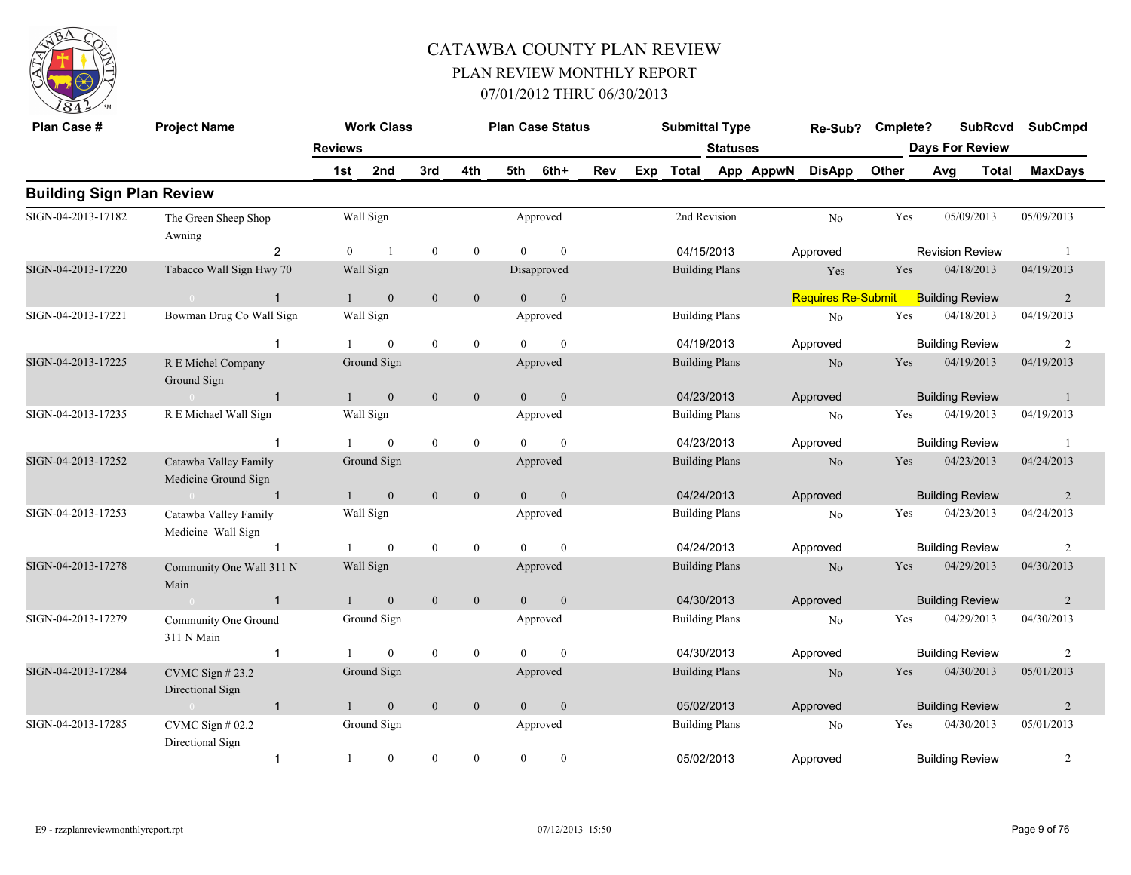

| Plan Case #                      | <b>Project Name</b>                           |                | <b>Work Class</b> |                  |                  |                | <b>Plan Case Status</b> |     |     | <b>Submittal Type</b> |                       |           | Re-Sub?                   | Cmplete? |     | <b>SubRcvd</b>         | <b>SubCmpd</b> |
|----------------------------------|-----------------------------------------------|----------------|-------------------|------------------|------------------|----------------|-------------------------|-----|-----|-----------------------|-----------------------|-----------|---------------------------|----------|-----|------------------------|----------------|
|                                  |                                               | <b>Reviews</b> |                   |                  |                  |                |                         |     |     |                       | <b>Statuses</b>       |           |                           |          |     | <b>Days For Review</b> |                |
|                                  |                                               | 1st            | 2nd               | 3rd              | 4th              | 5th            | 6th+                    | Rev | Exp | <b>Total</b>          |                       | App AppwN | <b>DisApp</b>             | Other    | Avg | <b>Total</b>           | <b>MaxDays</b> |
| <b>Building Sign Plan Review</b> |                                               |                |                   |                  |                  |                |                         |     |     |                       |                       |           |                           |          |     |                        |                |
| SIGN-04-2013-17182               | The Green Sheep Shop<br>Awning                |                | Wall Sign         |                  |                  |                | Approved                |     |     |                       | 2nd Revision          |           | $\rm No$                  | Yes      |     | 05/09/2013             | 05/09/2013     |
|                                  | 2                                             | $\theta$       | $\overline{1}$    | $\mathbf{0}$     | $\overline{0}$   | $\Omega$       | $\mathbf{0}$            |     |     | 04/15/2013            |                       |           | Approved                  |          |     | <b>Revision Review</b> |                |
| SIGN-04-2013-17220               | Tabacco Wall Sign Hwy 70                      |                | Wall Sign         |                  |                  |                | Disapproved             |     |     | <b>Building Plans</b> |                       |           | Yes                       | Yes      |     | 04/18/2013             | 04/19/2013     |
|                                  | $\mathbf{1}$<br>$\sim 0$ and $\sim 0$         | $\mathbf{1}$   | $\mathbf{0}$      | $\mathbf{0}$     | $\mathbf{0}$     | $\theta$       | $\mathbf{0}$            |     |     |                       |                       |           | <b>Requires Re-Submit</b> |          |     | <b>Building Review</b> | $\overline{2}$ |
| SIGN-04-2013-17221               | Bowman Drug Co Wall Sign                      |                | Wall Sign         |                  |                  |                | Approved                |     |     | <b>Building Plans</b> |                       |           | No                        | Yes      |     | 04/18/2013             | 04/19/2013     |
|                                  | $\mathbf{1}$                                  |                | $\overline{0}$    | $\boldsymbol{0}$ | $\mathbf{0}$     | $\Omega$       | $\mathbf{0}$            |     |     | 04/19/2013            |                       |           | Approved                  |          |     | <b>Building Review</b> | $\overline{2}$ |
| SIGN-04-2013-17225               | R E Michel Company<br>Ground Sign             |                | Ground Sign       |                  |                  |                | Approved                |     |     |                       | <b>Building Plans</b> |           | N <sub>o</sub>            | Yes      |     | 04/19/2013             | 04/19/2013     |
|                                  | $\overline{1}$<br>$\bigcap$                   |                | $\boldsymbol{0}$  | $\mathbf{0}$     | $\boldsymbol{0}$ | $\theta$       | $\boldsymbol{0}$        |     |     | 04/23/2013            |                       |           | Approved                  |          |     | <b>Building Review</b> | -1             |
| SIGN-04-2013-17235               | R E Michael Wall Sign                         |                | Wall Sign         |                  |                  |                | Approved                |     |     |                       | <b>Building Plans</b> |           | No                        | Yes      |     | 04/19/2013             | 04/19/2013     |
|                                  |                                               |                | $\overline{0}$    | $\boldsymbol{0}$ | $\mathbf{0}$     | $\Omega$       | $\theta$                |     |     | 04/23/2013            |                       |           | Approved                  |          |     | <b>Building Review</b> |                |
| SIGN-04-2013-17252               | Catawba Valley Family<br>Medicine Ground Sign |                | Ground Sign       |                  |                  |                | Approved                |     |     |                       | <b>Building Plans</b> |           | N <sub>0</sub>            | Yes      |     | 04/23/2013             | 04/24/2013     |
|                                  | $\overline{1}$<br>$\overline{0}$              |                | $\mathbf{0}$      | $\mathbf{0}$     | $\mathbf{0}$     | $\overline{0}$ | $\boldsymbol{0}$        |     |     | 04/24/2013            |                       |           | Approved                  |          |     | <b>Building Review</b> | 2              |
| SIGN-04-2013-17253               | Catawba Valley Family<br>Medicine Wall Sign   |                | Wall Sign         |                  |                  |                | Approved                |     |     |                       | <b>Building Plans</b> |           | N <sub>0</sub>            | Yes      |     | 04/23/2013             | 04/24/2013     |
|                                  |                                               |                | $\overline{0}$    | $\boldsymbol{0}$ | $\boldsymbol{0}$ | $\Omega$       | $\theta$                |     |     | 04/24/2013            |                       |           | Approved                  |          |     | <b>Building Review</b> | $\overline{c}$ |
| SIGN-04-2013-17278               | Community One Wall 311 N<br>Main              |                | Wall Sign         |                  |                  |                | Approved                |     |     | <b>Building Plans</b> |                       |           | N <sub>0</sub>            | Yes      |     | 04/29/2013             | 04/30/2013     |
|                                  | $\sim 0$ and $\sim 0.000$<br>$\overline{1}$   |                | $\overline{0}$    | $\mathbf{0}$     | $\overline{0}$   | $\Omega$       | $\mathbf{0}$            |     |     | 04/30/2013            |                       |           | Approved                  |          |     | <b>Building Review</b> | 2              |
| SIGN-04-2013-17279               | Community One Ground<br>311 N Main            |                | Ground Sign       |                  |                  |                | Approved                |     |     |                       | <b>Building Plans</b> |           | No                        | Yes      |     | 04/29/2013             | 04/30/2013     |
|                                  | $\mathbf{1}$                                  |                | $\theta$          | $\mathbf{0}$     | $\boldsymbol{0}$ | $\Omega$       | $\mathbf{0}$            |     |     | 04/30/2013            |                       |           | Approved                  |          |     | <b>Building Review</b> | 2              |
| SIGN-04-2013-17284               | CVMC Sign $#23.2$<br>Directional Sign         |                | Ground Sign       |                  |                  |                | Approved                |     |     |                       | <b>Building Plans</b> |           | N <sub>o</sub>            | Yes      |     | 04/30/2013             | 05/01/2013     |
|                                  | $\overline{1}$<br>$\sim 0$                    |                | $\overline{0}$    | $\mathbf{0}$     | $\mathbf{0}$     | $\theta$       | $\mathbf{0}$            |     |     | 05/02/2013            |                       |           | Approved                  |          |     | <b>Building Review</b> | 2              |
| SIGN-04-2013-17285               | CVMC Sign # 02.2<br>Directional Sign          |                | Ground Sign       |                  |                  |                | Approved                |     |     |                       | <b>Building Plans</b> |           | N <sub>o</sub>            | Yes      |     | 04/30/2013             | 05/01/2013     |
|                                  | $\mathbf{1}$                                  | $\overline{1}$ | $\overline{0}$    | $\theta$         | $\mathbf{0}$     | $\Omega$       | $\theta$                |     |     | 05/02/2013            |                       |           | Approved                  |          |     | <b>Building Review</b> | $\overline{2}$ |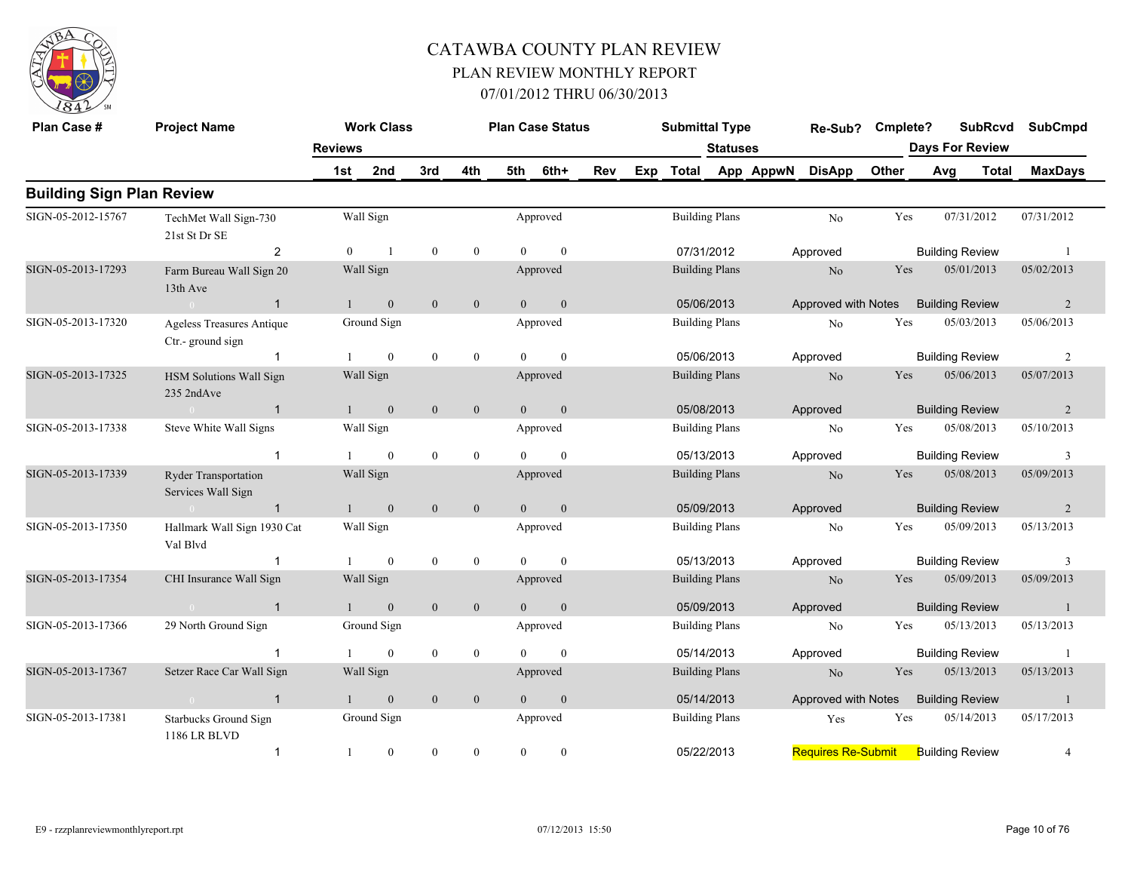

| Plan Case #                      | <b>Project Name</b>                               |                | <b>Work Class</b> |                  |                |                | <b>Plan Case Status</b> |     |     | <b>Submittal Type</b> |                       |           | Re-Sub?                   | Cmplete? |     | <b>SubRcvd</b>         |            | <b>SubCmpd</b> |
|----------------------------------|---------------------------------------------------|----------------|-------------------|------------------|----------------|----------------|-------------------------|-----|-----|-----------------------|-----------------------|-----------|---------------------------|----------|-----|------------------------|------------|----------------|
|                                  |                                                   | <b>Reviews</b> |                   |                  |                |                |                         |     |     |                       | <b>Statuses</b>       |           |                           |          |     | <b>Days For Review</b> |            |                |
|                                  |                                                   | 1st            | 2nd               | 3rd              | 4th            | 5th            | 6th+                    | Rev | Exp | <b>Total</b>          |                       | App AppwN | <b>DisApp</b>             | Other    | Avg | <b>Total</b>           |            | <b>MaxDays</b> |
| <b>Building Sign Plan Review</b> |                                                   |                |                   |                  |                |                |                         |     |     |                       |                       |           |                           |          |     |                        |            |                |
| SIGN-05-2012-15767               | TechMet Wall Sign-730<br>21st St Dr SE            |                | Wall Sign         |                  |                |                | Approved                |     |     |                       | <b>Building Plans</b> |           | No                        | Yes      |     | 07/31/2012             | 07/31/2012 |                |
|                                  | $\overline{2}$                                    | $\theta$       | $\overline{1}$    | $\boldsymbol{0}$ | $\mathbf{0}$   | $\Omega$       | $\theta$                |     |     |                       | 07/31/2012            |           | Approved                  |          |     | <b>Building Review</b> |            | $\overline{1}$ |
| SIGN-05-2013-17293               | Farm Bureau Wall Sign 20<br>13th Ave              |                | Wall Sign         |                  |                |                | Approved                |     |     | <b>Building Plans</b> |                       |           | No                        | Yes      |     | 05/01/2013             | 05/02/2013 |                |
|                                  | $\overline{1}$                                    |                | $\mathbf{0}$      | $\mathbf{0}$     | $\mathbf{0}$   | $\theta$       | $\mathbf{0}$            |     |     | 05/06/2013            |                       |           | Approved with Notes       |          |     | <b>Building Review</b> |            | 2              |
| SIGN-05-2013-17320               | Ageless Treasures Antique<br>Ctr.- ground sign    |                | Ground Sign       |                  |                |                | Approved                |     |     |                       | <b>Building Plans</b> |           | No                        | Yes      |     | 05/03/2013             | 05/06/2013 |                |
|                                  | $\mathbf{1}$                                      |                | $\mathbf{0}$      | $\boldsymbol{0}$ | $\overline{0}$ | $\Omega$       | $\mathbf{0}$            |     |     | 05/06/2013            |                       |           | Approved                  |          |     | <b>Building Review</b> |            | $\overline{2}$ |
| SIGN-05-2013-17325               | HSM Solutions Wall Sign<br>235 2ndAve             |                | Wall Sign         |                  |                |                | Approved                |     |     | <b>Building Plans</b> |                       |           | N <sub>o</sub>            | Yes      |     | 05/06/2013             | 05/07/2013 |                |
|                                  | $\overline{1}$<br>$\sim 0$                        |                | $\mathbf{0}$      | $\mathbf{0}$     | $\mathbf{0}$   | $\theta$       | $\mathbf{0}$            |     |     | 05/08/2013            |                       |           | Approved                  |          |     | <b>Building Review</b> |            | 2              |
| SIGN-05-2013-17338               | Steve White Wall Signs                            |                | Wall Sign         |                  |                |                | Approved                |     |     |                       | <b>Building Plans</b> |           | N <sub>o</sub>            | Yes      |     | 05/08/2013             | 05/10/2013 |                |
|                                  | $\overline{1}$                                    |                | $\mathbf{0}$      | $\mathbf{0}$     | $\bf{0}$       | $\Omega$       | $\mathbf{0}$            |     |     |                       | 05/13/2013            |           | Approved                  |          |     | <b>Building Review</b> |            | 3              |
| SIGN-05-2013-17339               | <b>Ryder Transportation</b><br>Services Wall Sign |                | Wall Sign         |                  |                |                | Approved                |     |     |                       | <b>Building Plans</b> |           | N <sub>o</sub>            | Yes      |     | 05/08/2013             | 05/09/2013 |                |
|                                  | $\overline{1}$                                    |                | $\overline{0}$    | $\mathbf{0}$     | $\mathbf{0}$   | $\Omega$       | $\mathbf{0}$            |     |     | 05/09/2013            |                       |           | Approved                  |          |     | <b>Building Review</b> |            | $\overline{2}$ |
| SIGN-05-2013-17350               | Hallmark Wall Sign 1930 Cat<br>Val Blvd           |                | Wall Sign         |                  |                |                | Approved                |     |     | <b>Building Plans</b> |                       |           | No                        | Yes      |     | 05/09/2013             | 05/13/2013 |                |
|                                  | -1                                                |                | $\theta$          | $\mathbf{0}$     | $\mathbf{0}$   | $\Omega$       | $\theta$                |     |     | 05/13/2013            |                       |           | Approved                  |          |     | <b>Building Review</b> |            | 3              |
| SIGN-05-2013-17354               | CHI Insurance Wall Sign                           |                | Wall Sign         |                  |                |                | Approved                |     |     | <b>Building Plans</b> |                       |           | N <sub>o</sub>            | Yes      |     | 05/09/2013             |            | 05/09/2013     |
|                                  | $\overline{1}$<br>$\sim$ 0                        | $\mathbf{1}$   | $\mathbf{0}$      | $\mathbf{0}$     | $\mathbf{0}$   | $\Omega$       | $\mathbf{0}$            |     |     | 05/09/2013            |                       |           | Approved                  |          |     | <b>Building Review</b> |            | -1             |
| SIGN-05-2013-17366               | 29 North Ground Sign                              |                | Ground Sign       |                  |                |                | Approved                |     |     | <b>Building Plans</b> |                       |           | No                        | Yes      |     | 05/13/2013             | 05/13/2013 |                |
|                                  | $\overline{1}$                                    |                | $\mathbf{0}$      | $\mathbf{0}$     | $\mathbf{0}$   | $\Omega$       | $\mathbf{0}$            |     |     | 05/14/2013            |                       |           | Approved                  |          |     | <b>Building Review</b> |            | $\overline{1}$ |
| SIGN-05-2013-17367               | Setzer Race Car Wall Sign                         |                | Wall Sign         |                  |                |                | Approved                |     |     |                       | <b>Building Plans</b> |           | No                        | Yes      |     | 05/13/2013             | 05/13/2013 |                |
|                                  | $\overline{1}$                                    |                | $\mathbf{0}$      | $\mathbf{0}$     | $\mathbf{0}$   | $\overline{0}$ | $\boldsymbol{0}$        |     |     | 05/14/2013            |                       |           | Approved with Notes       |          |     | <b>Building Review</b> |            | $\mathbf{1}$   |
| SIGN-05-2013-17381               | <b>Starbucks Ground Sign</b><br>1186 LR BLVD      |                | Ground Sign       |                  |                |                | Approved                |     |     | <b>Building Plans</b> |                       |           | Yes                       | Yes      |     | 05/14/2013             | 05/17/2013 |                |
|                                  | $\mathbf 1$                                       |                | $\boldsymbol{0}$  | $\boldsymbol{0}$ | $\mathbf{0}$   | $\theta$       | $\mathbf{0}$            |     |     | 05/22/2013            |                       |           | <b>Requires Re-Submit</b> |          |     | <b>Building Review</b> |            | $\overline{4}$ |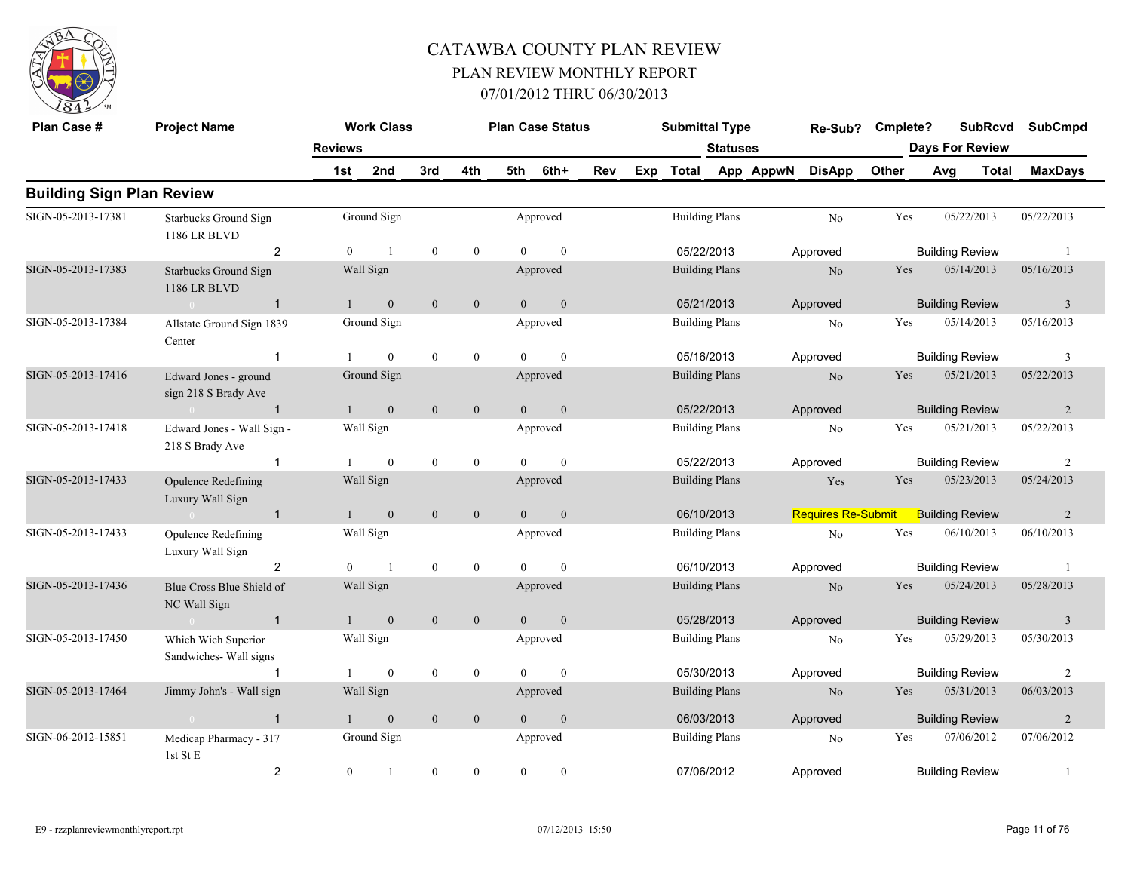

| Plan Case #                      | <b>Project Name</b>                           |                | <b>Work Class</b> |                  |                  |                | <b>Plan Case Status</b> |     |     | <b>Submittal Type</b> |                 |           | Re-Sub?                   | Cmplete? |     | <b>SubRcvd</b>         | <b>SubCmpd</b>          |
|----------------------------------|-----------------------------------------------|----------------|-------------------|------------------|------------------|----------------|-------------------------|-----|-----|-----------------------|-----------------|-----------|---------------------------|----------|-----|------------------------|-------------------------|
|                                  |                                               | <b>Reviews</b> |                   |                  |                  |                |                         |     |     |                       | <b>Statuses</b> |           |                           |          |     | <b>Days For Review</b> |                         |
|                                  |                                               | 1st            | 2nd               | 3rd              | 4th              | 5th            | 6th+                    | Rev | Exp | Total                 |                 | App AppwN | <b>DisApp</b>             | Other    | Avg | <b>Total</b>           | <b>MaxDays</b>          |
| <b>Building Sign Plan Review</b> |                                               |                |                   |                  |                  |                |                         |     |     |                       |                 |           |                           |          |     |                        |                         |
| SIGN-05-2013-17381               | <b>Starbucks Ground Sign</b><br>1186 LR BLVD  |                | Ground Sign       |                  |                  |                | Approved                |     |     | <b>Building Plans</b> |                 |           | No                        | Yes      |     | 05/22/2013             | 05/22/2013              |
|                                  | $\overline{2}$                                | $\Omega$       | $\overline{1}$    | $\boldsymbol{0}$ | $\mathbf{0}$     | $\Omega$       | $\theta$                |     |     | 05/22/2013            |                 |           | Approved                  |          |     | <b>Building Review</b> | $\overline{1}$          |
| SIGN-05-2013-17383               | <b>Starbucks Ground Sign</b><br>1186 LR BLVD  |                | Wall Sign         |                  |                  |                | Approved                |     |     | <b>Building Plans</b> |                 |           | N <sub>o</sub>            | Yes      |     | 05/14/2013             | 05/16/2013              |
|                                  | $\sim 0$<br>$\overline{1}$                    |                | $\mathbf{0}$      | $\mathbf{0}$     | $\mathbf{0}$     | $\overline{0}$ | $\mathbf{0}$            |     |     | 05/21/2013            |                 |           | Approved                  |          |     | <b>Building Review</b> | $\overline{3}$          |
| SIGN-05-2013-17384               | Allstate Ground Sign 1839<br>Center           |                | Ground Sign       |                  |                  |                | Approved                |     |     | <b>Building Plans</b> |                 |           | No                        | Yes      |     | 05/14/2013             | 05/16/2013              |
|                                  | $\mathbf{1}$                                  |                | $\theta$          | $\theta$         | $\overline{0}$   | $\Omega$       | $\theta$                |     |     | 05/16/2013            |                 |           | Approved                  |          |     | <b>Building Review</b> | 3                       |
| SIGN-05-2013-17416               | Edward Jones - ground<br>sign 218 S Brady Ave |                | Ground Sign       |                  |                  |                | Approved                |     |     | <b>Building Plans</b> |                 |           | $\rm No$                  | Yes      |     | 05/21/2013             | 05/22/2013              |
|                                  | $\mathbf{1}$<br>$\sim 0$                      |                | $\mathbf{0}$      | $\mathbf{0}$     | $\mathbf{0}$     | $\overline{0}$ | $\mathbf{0}$            |     |     | 05/22/2013            |                 |           | Approved                  |          |     | <b>Building Review</b> | 2                       |
| SIGN-05-2013-17418               | Edward Jones - Wall Sign -<br>218 S Brady Ave |                | Wall Sign         |                  |                  |                | Approved                |     |     | <b>Building Plans</b> |                 |           | $\rm No$                  | Yes      |     | 05/21/2013             | 05/22/2013              |
|                                  | $\mathbf{1}$                                  |                | $\overline{0}$    | $\mathbf{0}$     | $\mathbf{0}$     | $\Omega$       | $\mathbf{0}$            |     |     | 05/22/2013            |                 |           | Approved                  |          |     | <b>Building Review</b> | 2                       |
| SIGN-05-2013-17433               | Opulence Redefining<br>Luxury Wall Sign       |                | Wall Sign         |                  |                  |                | Approved                |     |     | <b>Building Plans</b> |                 |           | Yes                       | Yes      |     | 05/23/2013             | 05/24/2013              |
|                                  | $\overline{1}$<br>$\sim 0$                    | $\mathbf{1}$   | $\mathbf{0}$      | $\mathbf{0}$     | $\mathbf{0}$     | $\overline{0}$ | $\mathbf{0}$            |     |     | 06/10/2013            |                 |           | <b>Requires Re-Submit</b> |          |     | <b>Building Review</b> | 2                       |
| SIGN-05-2013-17433               | Opulence Redefining<br>Luxury Wall Sign       |                | Wall Sign         |                  |                  |                | Approved                |     |     | <b>Building Plans</b> |                 |           | $\rm No$                  | Yes      |     | 06/10/2013             | 06/10/2013              |
|                                  | 2                                             | $\Omega$       | $\overline{1}$    | $\mathbf{0}$     | $\boldsymbol{0}$ | $\Omega$       | $\mathbf{0}$            |     |     | 06/10/2013            |                 |           | Approved                  |          |     | <b>Building Review</b> | -1                      |
| SIGN-05-2013-17436               | Blue Cross Blue Shield of<br>NC Wall Sign     |                | Wall Sign         |                  |                  |                | Approved                |     |     | <b>Building Plans</b> |                 |           | No                        | Yes      |     | 05/24/2013             | 05/28/2013              |
|                                  | $\sim 0$<br>$\overline{1}$                    |                | $\mathbf{0}$      | $\mathbf{0}$     | $\mathbf{0}$     | $\overline{0}$ | $\boldsymbol{0}$        |     |     | 05/28/2013            |                 |           | Approved                  |          |     | <b>Building Review</b> | $\overline{\mathbf{3}}$ |
| SIGN-05-2013-17450               | Which Wich Superior<br>Sandwiches- Wall signs |                | Wall Sign         |                  |                  |                | Approved                |     |     | <b>Building Plans</b> |                 |           | No                        | Yes      |     | 05/29/2013             | 05/30/2013              |
|                                  | $\mathbf 1$                                   |                | $\mathbf{0}$      | $\mathbf{0}$     | $\boldsymbol{0}$ | $\Omega$       | $\mathbf{0}$            |     |     | 05/30/2013            |                 |           | Approved                  |          |     | <b>Building Review</b> | $\overline{2}$          |
| SIGN-05-2013-17464               | Jimmy John's - Wall sign                      |                | Wall Sign         |                  |                  |                | Approved                |     |     | <b>Building Plans</b> |                 |           | $\rm No$                  | Yes      |     | 05/31/2013             | 06/03/2013              |
|                                  | $\overline{1}$<br>$\sqrt{0}$                  |                | $\boldsymbol{0}$  | $\boldsymbol{0}$ | $\mathbf{0}$     | $\Omega$       | $\boldsymbol{0}$        |     |     | 06/03/2013            |                 |           | Approved                  |          |     | <b>Building Review</b> | $\overline{2}$          |
| SIGN-06-2012-15851               | Medicap Pharmacy - 317<br>1st St E            |                | Ground Sign       |                  |                  |                | Approved                |     |     | <b>Building Plans</b> |                 |           | No                        | Yes      |     | 07/06/2012             | 07/06/2012              |
|                                  | $\overline{\mathbf{c}}$                       | $\overline{0}$ | -1                | $\mathbf{0}$     | $\boldsymbol{0}$ | $\overline{0}$ | $\bf{0}$                |     |     | 07/06/2012            |                 |           | Approved                  |          |     | <b>Building Review</b> | -1                      |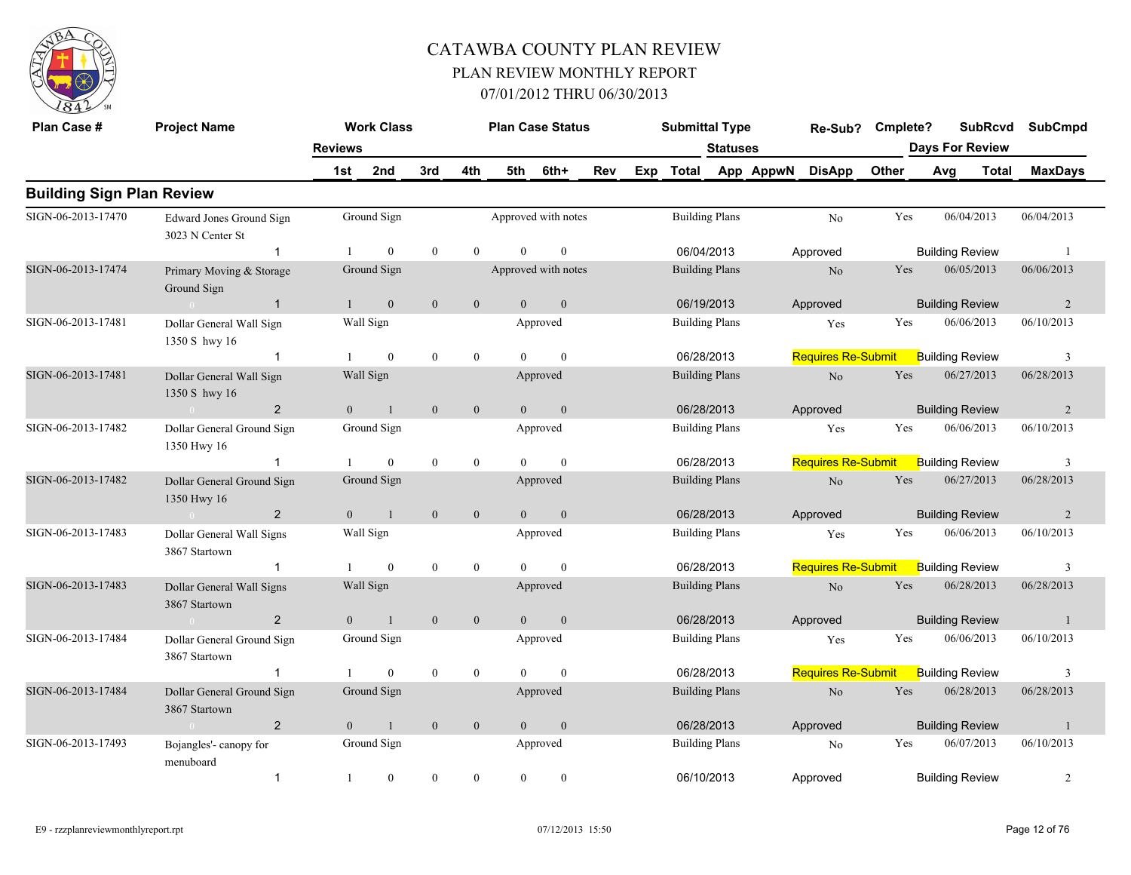

| Plan Case #                      | <b>Project Name</b>                          |                | <b>Work Class</b> |                  |                  |                | <b>Plan Case Status</b> |     |     | <b>Submittal Type</b> |                 |           | Re-Sub? Cmplete?          |       |     | <b>SubRcvd</b>         | <b>SubCmpd</b> |
|----------------------------------|----------------------------------------------|----------------|-------------------|------------------|------------------|----------------|-------------------------|-----|-----|-----------------------|-----------------|-----------|---------------------------|-------|-----|------------------------|----------------|
|                                  |                                              | <b>Reviews</b> |                   |                  |                  |                |                         |     |     |                       | <b>Statuses</b> |           |                           |       |     | <b>Days For Review</b> |                |
|                                  |                                              | 1st            | 2nd               | 3rd              | 4th              | 5th            | 6th+                    | Rev | Exp | Total                 |                 | App AppwN | <b>DisApp</b>             | Other | Avg | Total                  | <b>MaxDays</b> |
| <b>Building Sign Plan Review</b> |                                              |                |                   |                  |                  |                |                         |     |     |                       |                 |           |                           |       |     |                        |                |
| SIGN-06-2013-17470               | Edward Jones Ground Sign<br>3023 N Center St |                | Ground Sign       |                  |                  |                | Approved with notes     |     |     | <b>Building Plans</b> |                 |           | No                        | Yes   |     | 06/04/2013             | 06/04/2013     |
|                                  | $\mathbf{1}$                                 |                | $\overline{0}$    | $\mathbf{0}$     | $\mathbf{0}$     | $\Omega$       | $\mathbf{0}$            |     |     | 06/04/2013            |                 |           | Approved                  |       |     | <b>Building Review</b> | - 1            |
| SIGN-06-2013-17474               | Primary Moving & Storage<br>Ground Sign      |                | Ground Sign       |                  |                  |                | Approved with notes     |     |     | <b>Building Plans</b> |                 |           | $\rm No$                  | Yes   |     | 06/05/2013             | 06/06/2013     |
|                                  | $\overline{1}$<br>$\sim 0$                   |                | $\mathbf{0}$      | $\mathbf{0}$     | $\mathbf{0}$     | $\mathbf{0}$   | $\mathbf{0}$            |     |     | 06/19/2013            |                 |           | Approved                  |       |     | <b>Building Review</b> | 2              |
| SIGN-06-2013-17481               | Dollar General Wall Sign<br>1350 S hwy 16    |                | Wall Sign         |                  |                  |                | Approved                |     |     | <b>Building Plans</b> |                 |           | Yes                       | Yes   |     | 06/06/2013             | 06/10/2013     |
|                                  | $\mathbf{1}$                                 |                | $\mathbf{0}$      | $\mathbf{0}$     | $\mathbf{0}$     | $\theta$       | $\mathbf{0}$            |     |     | 06/28/2013            |                 |           | <b>Requires Re-Submit</b> |       |     | <b>Building Review</b> | 3              |
| SIGN-06-2013-17481               | Dollar General Wall Sign<br>1350 S hwy 16    |                | Wall Sign         |                  |                  |                | Approved                |     |     | <b>Building Plans</b> |                 |           | No                        | Yes   |     | 06/27/2013             | 06/28/2013     |
|                                  | $\overline{2}$<br>$\sim 0$                   | $\Omega$       | $\mathbf{1}$      | $\mathbf{0}$     | $\mathbf{0}$     | $\theta$       | $\mathbf{0}$            |     |     | 06/28/2013            |                 |           | Approved                  |       |     | <b>Building Review</b> | 2              |
| SIGN-06-2013-17482               | Dollar General Ground Sign<br>1350 Hwy 16    |                | Ground Sign       |                  |                  |                | Approved                |     |     | <b>Building Plans</b> |                 |           | Yes                       | Yes   |     | 06/06/2013             | 06/10/2013     |
|                                  | -1                                           |                | $\overline{0}$    | $\mathbf{0}$     | $\mathbf{0}$     | $\Omega$       | $\mathbf{0}$            |     |     | 06/28/2013            |                 |           | <b>Requires Re-Submit</b> |       |     | <b>Building Review</b> | 3              |
| SIGN-06-2013-17482               | Dollar General Ground Sign<br>1350 Hwy 16    |                | Ground Sign       |                  |                  |                | Approved                |     |     | <b>Building Plans</b> |                 |           | $\rm No$                  | Yes   |     | 06/27/2013             | 06/28/2013     |
|                                  | $\overline{2}$<br>$\sim 0$                   | $\overline{0}$ | $\mathbf{1}$      | $\overline{0}$   | $\overline{0}$   | $\overline{0}$ | $\mathbf{0}$            |     |     | 06/28/2013            |                 |           | Approved                  |       |     | <b>Building Review</b> | $\overline{2}$ |
| SIGN-06-2013-17483               | Dollar General Wall Signs<br>3867 Startown   |                | Wall Sign         |                  |                  |                | Approved                |     |     | <b>Building Plans</b> |                 |           | Yes                       | Yes   |     | 06/06/2013             | 06/10/2013     |
|                                  | $\mathbf{1}$                                 |                | $\theta$          | $\theta$         | $\mathbf{0}$     | $\Omega$       | $\theta$                |     |     | 06/28/2013            |                 |           | <b>Requires Re-Submit</b> |       |     | <b>Building Review</b> | 3              |
| SIGN-06-2013-17483               | Dollar General Wall Signs<br>3867 Startown   |                | Wall Sign         |                  |                  |                | Approved                |     |     | <b>Building Plans</b> |                 |           | No                        | Yes   |     | 06/28/2013             | 06/28/2013     |
|                                  | $\overline{2}$<br>$\overline{0}$             | $\overline{0}$ | $\mathbf{1}$      | $\mathbf{0}$     | $\mathbf{0}$     | $\overline{0}$ | $\mathbf{0}$            |     |     | 06/28/2013            |                 |           | Approved                  |       |     | <b>Building Review</b> | $\mathbf{1}$   |
| SIGN-06-2013-17484               | Dollar General Ground Sign<br>3867 Startown  |                | Ground Sign       |                  |                  |                | Approved                |     |     | <b>Building Plans</b> |                 |           | Yes                       | Yes   |     | 06/06/2013             | 06/10/2013     |
|                                  | $\mathbf 1$                                  |                | $\overline{0}$    | $\mathbf{0}$     | $\boldsymbol{0}$ | $\theta$       | $\mathbf{0}$            |     |     | 06/28/2013            |                 |           | <b>Requires Re-Submit</b> |       |     | <b>Building Review</b> | 3              |
| SIGN-06-2013-17484               | Dollar General Ground Sign<br>3867 Startown  |                | Ground Sign       |                  |                  |                | Approved                |     |     | <b>Building Plans</b> |                 |           | No                        | Yes   |     | 06/28/2013             | 06/28/2013     |
|                                  | $\overline{2}$<br>$\sim 0$                   | $\overline{0}$ | $\mathbf{1}$      | $\boldsymbol{0}$ | $\boldsymbol{0}$ | $\overline{0}$ | $\boldsymbol{0}$        |     |     | 06/28/2013            |                 |           | Approved                  |       |     | <b>Building Review</b> | $\overline{1}$ |
| SIGN-06-2013-17493               | Bojangles'-canopy for<br>menuboard           |                | Ground Sign       |                  |                  |                | Approved                |     |     | <b>Building Plans</b> |                 |           | No                        | Yes   |     | 06/07/2013             | 06/10/2013     |
|                                  | $\overline{1}$                               | -1             | $\overline{0}$    | $\theta$         | $\mathbf{0}$     | $\theta$       | $\theta$                |     |     | 06/10/2013            |                 |           | Approved                  |       |     | <b>Building Review</b> | $\overline{2}$ |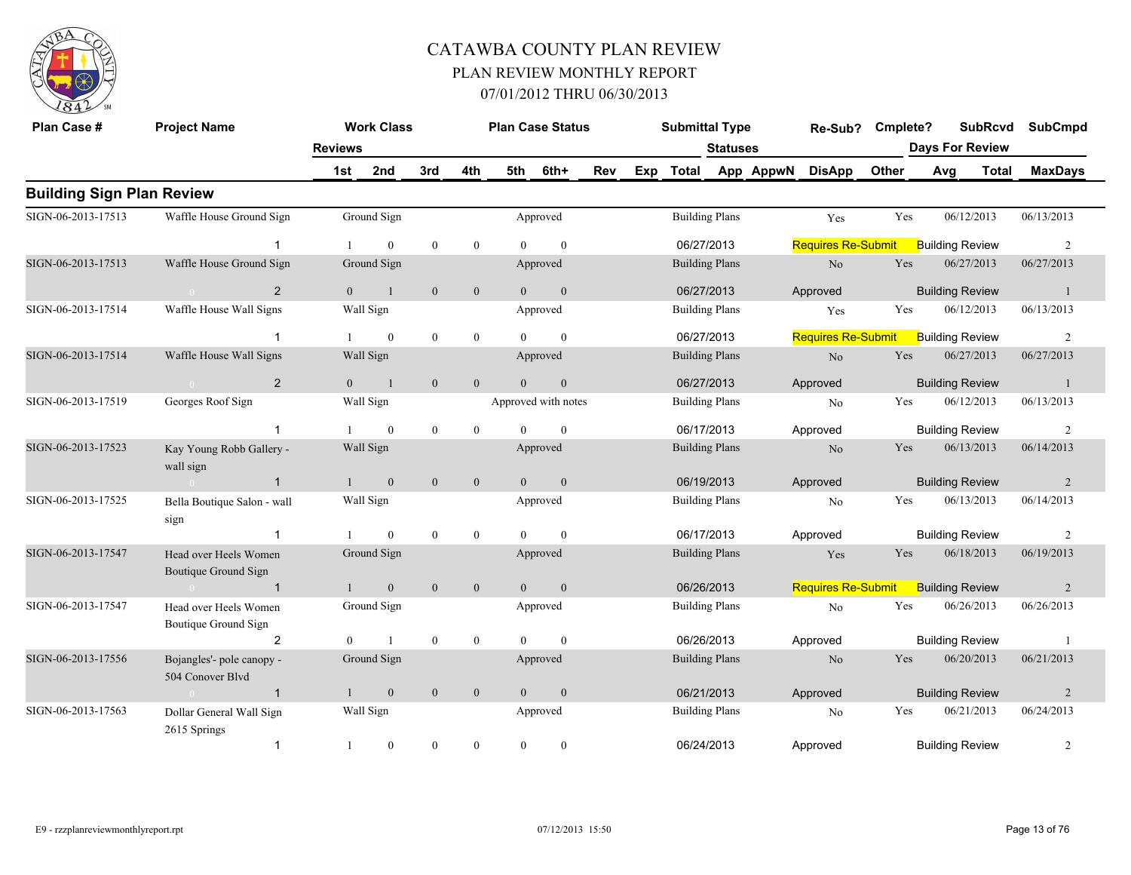

| Plan Case #                      | <b>Project Name</b>                           |                | <b>Work Class</b> |                  |                  |                | <b>Plan Case Status</b> |     |     | <b>Submittal Type</b> |                 |           | Re-Sub?                   | Cmplete?   |     | <b>SubRcvd</b>         | <b>SubCmpd</b> |
|----------------------------------|-----------------------------------------------|----------------|-------------------|------------------|------------------|----------------|-------------------------|-----|-----|-----------------------|-----------------|-----------|---------------------------|------------|-----|------------------------|----------------|
|                                  |                                               | <b>Reviews</b> |                   |                  |                  |                |                         |     |     |                       | <b>Statuses</b> |           |                           |            |     | <b>Days For Review</b> |                |
|                                  |                                               | 1st            | 2nd               | 3rd              | 4th              | 5th            | 6th+                    | Rev | Exp | <b>Total</b>          |                 | App AppwN | <b>DisApp</b>             | Other      | Avg | Total                  | <b>MaxDays</b> |
| <b>Building Sign Plan Review</b> |                                               |                |                   |                  |                  |                |                         |     |     |                       |                 |           |                           |            |     |                        |                |
| SIGN-06-2013-17513               | Waffle House Ground Sign                      |                | Ground Sign       |                  |                  |                | Approved                |     |     | <b>Building Plans</b> |                 |           | Yes                       | Yes        |     | 06/12/2013             | 06/13/2013     |
|                                  |                                               |                | $\theta$          | $\mathbf{0}$     | $\mathbf{0}$     | $\theta$       | $\mathbf{0}$            |     |     | 06/27/2013            |                 |           | <b>Requires Re-Submit</b> |            |     | <b>Building Review</b> | 2              |
| SIGN-06-2013-17513               | Waffle House Ground Sign                      |                | Ground Sign       |                  |                  |                | Approved                |     |     | <b>Building Plans</b> |                 |           | $\rm No$                  | Yes        |     | 06/27/2013             | 06/27/2013     |
|                                  | 2                                             | $\theta$       | $\mathbf{1}$      | $\mathbf{0}$     | $\mathbf{0}$     | $\Omega$       | $\mathbf{0}$            |     |     | 06/27/2013            |                 |           | Approved                  |            |     | <b>Building Review</b> | $\overline{1}$ |
| SIGN-06-2013-17514               | Waffle House Wall Signs                       |                | Wall Sign         |                  |                  |                | Approved                |     |     | <b>Building Plans</b> |                 |           | Yes                       | Yes        |     | 06/12/2013             | 06/13/2013     |
|                                  |                                               |                | $\overline{0}$    | $\boldsymbol{0}$ | $\mathbf{0}$     |                | $\theta$                |     |     | 06/27/2013            |                 |           | <b>Requires Re-Submit</b> |            |     | <b>Building Review</b> | 2              |
| SIGN-06-2013-17514               | Waffle House Wall Signs                       |                | Wall Sign         |                  |                  |                | Approved                |     |     | <b>Building Plans</b> |                 |           | No                        | <b>Yes</b> |     | 06/27/2013             | 06/27/2013     |
|                                  | 2<br>$\sim$ 0                                 | $\overline{0}$ | $\mathbf{1}$      | $\mathbf{0}$     | $\mathbf{0}$     | $\Omega$       | $\mathbf{0}$            |     |     | 06/27/2013            |                 |           | Approved                  |            |     | <b>Building Review</b> | -1             |
| SIGN-06-2013-17519               | Georges Roof Sign                             |                | Wall Sign         |                  |                  |                | Approved with notes     |     |     | <b>Building Plans</b> |                 |           | No                        | Yes        |     | 06/12/2013             | 06/13/2013     |
|                                  | $\mathbf 1$                                   |                | $\overline{0}$    | $\mathbf{0}$     | $\mathbf{0}$     | $\Omega$       | $\mathbf{0}$            |     |     | 06/17/2013            |                 |           | Approved                  |            |     | <b>Building Review</b> | $\overline{2}$ |
| SIGN-06-2013-17523               | Kay Young Robb Gallery -<br>wall sign         |                | Wall Sign         |                  |                  |                | Approved                |     |     | <b>Building Plans</b> |                 |           | No                        | Yes        |     | 06/13/2013             | 06/14/2013     |
|                                  | $\mathbf{1}$<br>$\sim 0$                      | $\mathbf{1}$   | $\mathbf{0}$      | $\mathbf{0}$     | $\mathbf{0}$     | $\overline{0}$ | $\mathbf{0}$            |     |     | 06/19/2013            |                 |           | Approved                  |            |     | <b>Building Review</b> | 2              |
| SIGN-06-2013-17525               | Bella Boutique Salon - wall<br>sign           |                | Wall Sign         |                  |                  |                | Approved                |     |     | <b>Building Plans</b> |                 |           | No                        | Yes        |     | 06/13/2013             | 06/14/2013     |
|                                  |                                               |                | $\theta$          | $\theta$         | $\mathbf{0}$     | $\theta$       | $\theta$                |     |     | 06/17/2013            |                 |           | Approved                  |            |     | <b>Building Review</b> | 2              |
| SIGN-06-2013-17547               | Head over Heels Women<br>Boutique Ground Sign |                | Ground Sign       |                  |                  |                | Approved                |     |     | <b>Building Plans</b> |                 |           | Yes                       | Yes        |     | 06/18/2013             | 06/19/2013     |
|                                  | $\mathbf{1}$                                  | -1             | $\mathbf{0}$      | $\mathbf{0}$     | $\boldsymbol{0}$ | $\overline{0}$ | $\mathbf{0}$            |     |     | 06/26/2013            |                 |           | <b>Requires Re-Submit</b> |            |     | <b>Building Review</b> | $\overline{2}$ |
| SIGN-06-2013-17547               | Head over Heels Women<br>Boutique Ground Sign |                | Ground Sign       |                  |                  |                | Approved                |     |     | <b>Building Plans</b> |                 |           | No                        | Yes        |     | 06/26/2013             | 06/26/2013     |
|                                  | 2                                             | $\overline{0}$ |                   | $\mathbf{0}$     | $\mathbf{0}$     | $\Omega$       | $\mathbf{0}$            |     |     | 06/26/2013            |                 |           | Approved                  |            |     | <b>Building Review</b> | $\overline{1}$ |
| SIGN-06-2013-17556               | Bojangles'- pole canopy -<br>504 Conover Blvd |                | Ground Sign       |                  |                  |                | Approved                |     |     | <b>Building Plans</b> |                 |           | N <sub>o</sub>            | Yes        |     | 06/20/2013             | 06/21/2013     |
|                                  | $\mathbf{1}$                                  | $\mathbf{1}$   | $\mathbf{0}$      | $\mathbf{0}$     | $\mathbf{0}$     | $\overline{0}$ | $\mathbf{0}$            |     |     | 06/21/2013            |                 |           | Approved                  |            |     | <b>Building Review</b> | $\overline{2}$ |
| SIGN-06-2013-17563               | Dollar General Wall Sign<br>2615 Springs      |                | Wall Sign         |                  |                  |                | Approved                |     |     | <b>Building Plans</b> |                 |           | No                        | Yes        |     | 06/21/2013             | 06/24/2013     |
|                                  | $\mathbf{1}$                                  |                | $\boldsymbol{0}$  | $\mathbf{0}$     | $\boldsymbol{0}$ | $\theta$       | $\boldsymbol{0}$        |     |     | 06/24/2013            |                 |           | Approved                  |            |     | <b>Building Review</b> | $\overline{c}$ |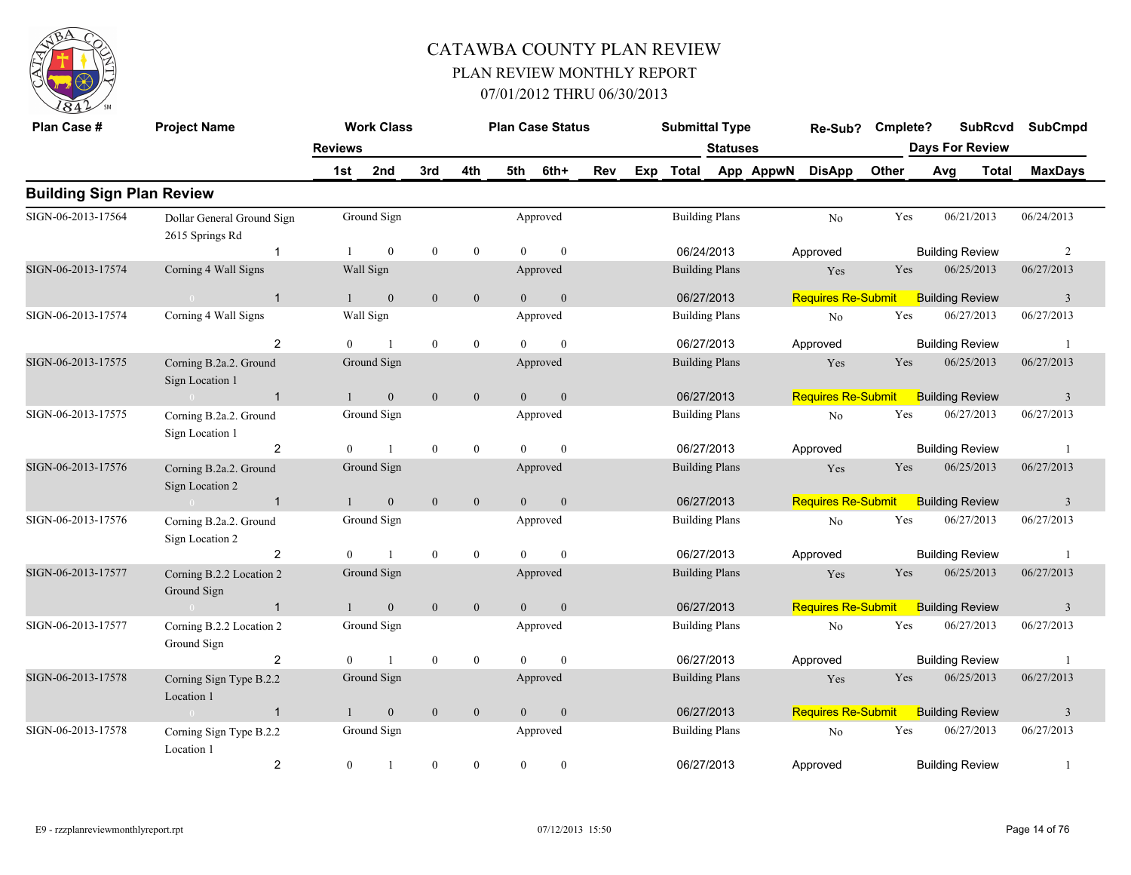

| Plan Case #                      | <b>Project Name</b>                           | <b>Reviews</b> | <b>Work Class</b> |                  |                  |          | <b>Plan Case Status</b> |     |     | <b>Submittal Type</b> | Statuses              |           | Re-Sub?                   | Cmplete? |     | <b>SubRcvd</b><br><b>Days For Review</b> |              | <b>SubCmpd</b> |
|----------------------------------|-----------------------------------------------|----------------|-------------------|------------------|------------------|----------|-------------------------|-----|-----|-----------------------|-----------------------|-----------|---------------------------|----------|-----|------------------------------------------|--------------|----------------|
|                                  |                                               | 1st            | 2nd               | 3rd              | 4th              | 5th      | 6th+                    | Rev | Exp | <b>Total</b>          |                       | App AppwN | <b>DisApp</b>             | Other    | Avg |                                          | <b>Total</b> | <b>MaxDays</b> |
| <b>Building Sign Plan Review</b> |                                               |                |                   |                  |                  |          |                         |     |     |                       |                       |           |                           |          |     |                                          |              |                |
| SIGN-06-2013-17564               | Dollar General Ground Sign<br>2615 Springs Rd |                | Ground Sign       |                  |                  |          | Approved                |     |     |                       | <b>Building Plans</b> |           | N <sub>o</sub>            | Yes      |     | 06/21/2013                               |              | 06/24/2013     |
|                                  | $\mathbf{1}$                                  | 1              | $\theta$          | $\overline{0}$   | $\mathbf{0}$     | $\theta$ | $\mathbf{0}$            |     |     | 06/24/2013            |                       |           | Approved                  |          |     | <b>Building Review</b>                   |              | 2              |
| SIGN-06-2013-17574               | Corning 4 Wall Signs                          |                | Wall Sign         |                  |                  |          | Approved                |     |     |                       | <b>Building Plans</b> |           | Yes                       | Yes      |     | 06/25/2013                               |              | 06/27/2013     |
|                                  | $\mathbf{1}$<br>$\overline{0}$                | $\mathbf{1}$   | $\mathbf{0}$      | $\overline{0}$   | $\mathbf{0}$     | $\theta$ | $\mathbf{0}$            |     |     | 06/27/2013            |                       |           | <b>Requires Re-Submit</b> |          |     | <b>Building Review</b>                   |              | $\mathfrak{Z}$ |
| SIGN-06-2013-17574               | Corning 4 Wall Signs                          |                | Wall Sign         |                  |                  |          | Approved                |     |     |                       | <b>Building Plans</b> |           | No                        | Yes      |     | 06/27/2013                               |              | 06/27/2013     |
|                                  | $\overline{2}$                                | $\Omega$       | $\mathbf{1}$      | $\mathbf{0}$     | $\mathbf{0}$     |          | $\theta$                |     |     | 06/27/2013            |                       |           | Approved                  |          |     | <b>Building Review</b>                   |              | -1             |
| SIGN-06-2013-17575               | Corning B.2a.2. Ground<br>Sign Location 1     |                | Ground Sign       |                  |                  |          | Approved                |     |     |                       | <b>Building Plans</b> |           | Yes                       | Yes      |     | 06/25/2013                               |              | 06/27/2013     |
|                                  | $\overline{1}$                                |                | $\mathbf{0}$      | $\overline{0}$   | $\mathbf{0}$     | $\Omega$ | $\mathbf{0}$            |     |     | 06/27/2013            |                       |           | <b>Requires Re-Submit</b> |          |     | <b>Building Review</b>                   |              | $\overline{3}$ |
| SIGN-06-2013-17575               | Corning B.2a.2. Ground<br>Sign Location 1     |                | Ground Sign       |                  |                  |          | Approved                |     |     |                       | <b>Building Plans</b> |           | N <sub>o</sub>            | Yes      |     | 06/27/2013                               |              | 06/27/2013     |
|                                  | $\overline{2}$                                | $\theta$       | $\overline{1}$    | $\mathbf{0}$     | $\mathbf{0}$     | $\Omega$ | $\theta$                |     |     | 06/27/2013            |                       |           | Approved                  |          |     | <b>Building Review</b>                   |              | -1             |
| SIGN-06-2013-17576               | Corning B.2a.2. Ground<br>Sign Location 2     |                | Ground Sign       |                  |                  |          | Approved                |     |     |                       | <b>Building Plans</b> |           | Yes                       | Yes      |     | 06/25/2013                               |              | 06/27/2013     |
|                                  | $\overline{1}$                                |                | $\mathbf{0}$      | $\overline{0}$   | $\mathbf{0}$     | $\Omega$ | $\mathbf{0}$            |     |     | 06/27/2013            |                       |           | <b>Requires Re-Submit</b> |          |     | <b>Building Review</b>                   |              | $\overline{3}$ |
| SIGN-06-2013-17576               | Corning B.2a.2. Ground<br>Sign Location 2     |                | Ground Sign       |                  |                  |          | Approved                |     |     |                       | <b>Building Plans</b> |           | N <sub>0</sub>            | Yes      |     | 06/27/2013                               |              | 06/27/2013     |
|                                  | $\overline{2}$                                | $\theta$       | $\overline{1}$    | $\boldsymbol{0}$ | $\boldsymbol{0}$ | $\Omega$ | $\mathbf{0}$            |     |     | 06/27/2013            |                       |           | Approved                  |          |     | <b>Building Review</b>                   |              | -1             |
| SIGN-06-2013-17577               | Corning B.2.2 Location 2<br>Ground Sign       |                | Ground Sign       |                  |                  |          | Approved                |     |     |                       | <b>Building Plans</b> |           | Yes                       | Yes      |     | 06/25/2013                               |              | 06/27/2013     |
|                                  | $\overline{1}$                                |                | $\mathbf{0}$      | $\mathbf{0}$     | $\mathbf{0}$     | $\theta$ | $\overline{0}$          |     |     | 06/27/2013            |                       |           | <b>Requires Re-Submit</b> |          |     | <b>Building Review</b>                   |              | $\overline{3}$ |
| SIGN-06-2013-17577               | Corning B.2.2 Location 2<br>Ground Sign       |                | Ground Sign       |                  |                  |          | Approved                |     |     |                       | <b>Building Plans</b> |           | No                        | Yes      |     | 06/27/2013                               |              | 06/27/2013     |
|                                  | $\overline{2}$                                | $\theta$       | $\mathbf{1}$      | $\mathbf{0}$     | $\mathbf{0}$     | $\Omega$ | $\mathbf{0}$            |     |     | 06/27/2013            |                       |           | Approved                  |          |     | <b>Building Review</b>                   |              | -1             |
| SIGN-06-2013-17578               | Corning Sign Type B.2.2<br>Location 1         |                | Ground Sign       |                  |                  |          | Approved                |     |     |                       | <b>Building Plans</b> |           | Yes                       | Yes      |     | 06/25/2013                               |              | 06/27/2013     |
|                                  | $\overline{1}$                                |                | $\mathbf{0}$      | $\overline{0}$   | $\mathbf{0}$     | $\theta$ | $\mathbf{0}$            |     |     | 06/27/2013            |                       |           | <b>Requires Re-Submit</b> |          |     | <b>Building Review</b>                   |              | $\overline{3}$ |
| SIGN-06-2013-17578               | Corning Sign Type B.2.2<br>Location 1         |                | Ground Sign       |                  |                  |          | Approved                |     |     |                       | <b>Building Plans</b> |           | N <sub>o</sub>            | Yes      |     | 06/27/2013                               |              | 06/27/2013     |
|                                  | $\overline{2}$                                | $\overline{0}$ | $\overline{1}$    | $\mathbf{0}$     | $\theta$         | $\theta$ | $\theta$                |     |     | 06/27/2013            |                       |           | Approved                  |          |     | <b>Building Review</b>                   |              | $\mathbf{1}$   |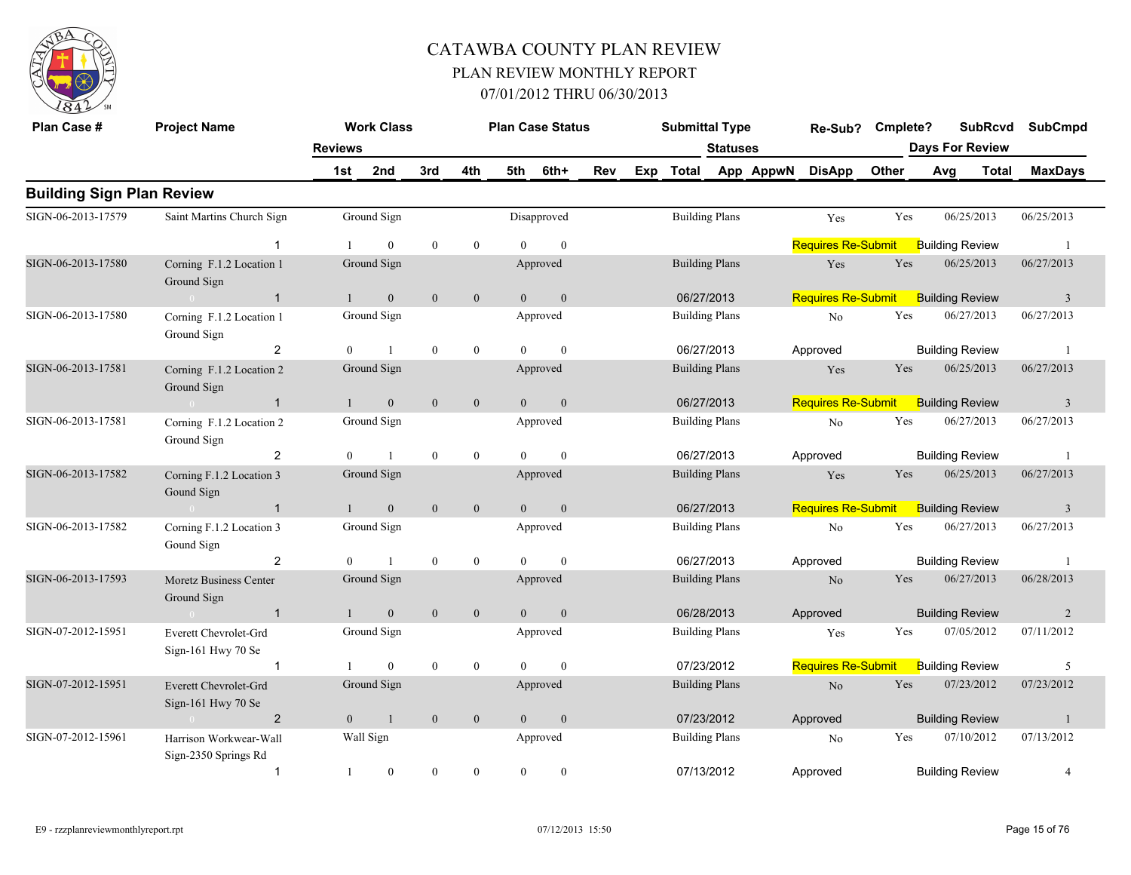

| Plan Case #                      | <b>Project Name</b>                                |                | <b>Work Class</b> |                  |                  |                | <b>Plan Case Status</b> |     |     | <b>Submittal Type</b> |                 |           | Re-Sub?                   | Cmplete? |                        | <b>SubRcvd</b> | <b>SubCmpd</b> |
|----------------------------------|----------------------------------------------------|----------------|-------------------|------------------|------------------|----------------|-------------------------|-----|-----|-----------------------|-----------------|-----------|---------------------------|----------|------------------------|----------------|----------------|
|                                  |                                                    | <b>Reviews</b> |                   |                  |                  |                |                         |     |     |                       | <b>Statuses</b> |           |                           |          | <b>Days For Review</b> |                |                |
|                                  |                                                    | 1st            | 2nd               | 3rd              | 4th              | 5th            | 6th+                    | Rev | Exp | Total                 |                 | App AppwN | <b>DisApp</b>             | Other    | Avg                    | Total          | <b>MaxDays</b> |
| <b>Building Sign Plan Review</b> |                                                    |                |                   |                  |                  |                |                         |     |     |                       |                 |           |                           |          |                        |                |                |
| SIGN-06-2013-17579               | Saint Martins Church Sign                          |                | Ground Sign       |                  |                  |                | Disapproved             |     |     | <b>Building Plans</b> |                 |           | Yes                       | Yes      | 06/25/2013             |                | 06/25/2013     |
|                                  | $\overline{1}$                                     |                | $\theta$          | $\bf{0}$         | $\boldsymbol{0}$ | $\Omega$       | $\boldsymbol{0}$        |     |     |                       |                 |           | <b>Requires Re-Submit</b> |          | <b>Building Review</b> |                | $\overline{1}$ |
| SIGN-06-2013-17580               | Corning F.1.2 Location 1<br>Ground Sign            |                | Ground Sign       |                  |                  |                | Approved                |     |     | <b>Building Plans</b> |                 |           | Yes                       | Yes      | 06/25/2013             |                | 06/27/2013     |
|                                  | $\overline{1}$<br>$\sim 0$ and $\sim 0$            |                | $\mathbf{0}$      | $\mathbf{0}$     | $\mathbf{0}$     | $\overline{0}$ | $\mathbf{0}$            |     |     | 06/27/2013            |                 |           | <b>Requires Re-Submit</b> |          | <b>Building Review</b> |                | $\overline{3}$ |
| SIGN-06-2013-17580               | Corning F.1.2 Location 1<br>Ground Sign            |                | Ground Sign       |                  |                  |                | Approved                |     |     | <b>Building Plans</b> |                 |           | No                        | Yes      | 06/27/2013             |                | 06/27/2013     |
|                                  | $\overline{2}$                                     | $\overline{0}$ | $\overline{1}$    | $\mathbf{0}$     | $\mathbf{0}$     | $\Omega$       | $\mathbf{0}$            |     |     | 06/27/2013            |                 |           | Approved                  |          | <b>Building Review</b> |                | -1             |
| SIGN-06-2013-17581               | Corning F.1.2 Location 2<br>Ground Sign            |                | Ground Sign       |                  |                  |                | Approved                |     |     | <b>Building Plans</b> |                 |           | Yes                       | Yes      | 06/25/2013             |                | 06/27/2013     |
|                                  | $\overline{1}$<br>$\sim$ 0                         |                | $\mathbf{0}$      | $\mathbf{0}$     | $\boldsymbol{0}$ | $\overline{0}$ | $\boldsymbol{0}$        |     |     | 06/27/2013            |                 |           | <b>Requires Re-Submit</b> |          | <b>Building Review</b> |                | $\overline{3}$ |
| SIGN-06-2013-17581               | Corning F.1.2 Location 2<br>Ground Sign            |                | Ground Sign       |                  |                  |                | Approved                |     |     | <b>Building Plans</b> |                 |           | N <sub>0</sub>            | Yes      | 06/27/2013             |                | 06/27/2013     |
|                                  | $\overline{2}$                                     | $\theta$       | $\overline{1}$    | $\mathbf{0}$     | $\mathbf{0}$     | $\theta$       | $\mathbf{0}$            |     |     | 06/27/2013            |                 |           | Approved                  |          | <b>Building Review</b> |                | -1             |
| SIGN-06-2013-17582               | Corning F.1.2 Location 3<br>Gound Sign             |                | Ground Sign       |                  |                  |                | Approved                |     |     | <b>Building Plans</b> |                 |           | Yes                       | Yes      | 06/25/2013             |                | 06/27/2013     |
|                                  | $\overline{1}$<br>$\sim 0$                         |                | $\mathbf{0}$      | $\mathbf{0}$     | $\boldsymbol{0}$ | $\overline{0}$ | $\boldsymbol{0}$        |     |     | 06/27/2013            |                 |           | <b>Requires Re-Submit</b> |          | <b>Building Review</b> |                | $\overline{3}$ |
| SIGN-06-2013-17582               | Corning F.1.2 Location 3<br>Gound Sign             |                | Ground Sign       |                  |                  |                | Approved                |     |     | <b>Building Plans</b> |                 |           | No                        | Yes      | 06/27/2013             |                | 06/27/2013     |
|                                  | $\overline{2}$                                     | $\Omega$       | $\overline{1}$    | $\boldsymbol{0}$ | $\boldsymbol{0}$ | $\Omega$       | $\mathbf{0}$            |     |     | 06/27/2013            |                 |           | Approved                  |          | <b>Building Review</b> |                | -1             |
| SIGN-06-2013-17593               | Moretz Business Center<br>Ground Sign              |                | Ground Sign       |                  |                  |                | Approved                |     |     | <b>Building Plans</b> |                 |           | $\rm No$                  | Yes      | 06/27/2013             |                | 06/28/2013     |
|                                  | $\overline{1}$<br>$\sim 0$                         | $\mathbf{1}$   | $\mathbf{0}$      | $\mathbf{0}$     | $\mathbf{0}$     | $\overline{0}$ | $\boldsymbol{0}$        |     |     | 06/28/2013            |                 |           | Approved                  |          | <b>Building Review</b> |                | 2              |
| SIGN-07-2012-15951               | Everett Chevrolet-Grd<br>Sign-161 Hwy 70 Se        |                | Ground Sign       |                  |                  |                | Approved                |     |     | <b>Building Plans</b> |                 |           | Yes                       | Yes      | 07/05/2012             |                | 07/11/2012     |
|                                  | $\overline{1}$                                     |                | $\overline{0}$    | $\mathbf{0}$     | $\boldsymbol{0}$ | $\theta$       | $\mathbf{0}$            |     |     | 07/23/2012            |                 |           | <b>Requires Re-Submit</b> |          | <b>Building Review</b> |                | 5              |
| SIGN-07-2012-15951               | Everett Chevrolet-Grd<br>Sign-161 Hwy 70 Se        |                | Ground Sign       |                  |                  |                | Approved                |     |     | <b>Building Plans</b> |                 |           | N <sub>o</sub>            | Yes      | 07/23/2012             |                | 07/23/2012     |
|                                  | $\overline{2}$<br>$\sim$ 0.000 $\sim$ 0.000 $\sim$ | $\Omega$       | $\overline{1}$    | $\mathbf{0}$     | $\mathbf{0}$     | $\overline{0}$ | $\mathbf{0}$            |     |     | 07/23/2012            |                 |           | Approved                  |          | <b>Building Review</b> |                | $\mathbf{1}$   |
| SIGN-07-2012-15961               | Harrison Workwear-Wall<br>Sign-2350 Springs Rd     |                | Wall Sign         |                  |                  |                | Approved                |     |     | <b>Building Plans</b> |                 |           | No                        | Yes      | 07/10/2012             |                | 07/13/2012     |
|                                  | $\overline{1}$                                     | $\mathbf{1}$   | $\overline{0}$    | $\mathbf{0}$     | $\mathbf{0}$     | $\mathbf{0}$   | $\mathbf{0}$            |     |     | 07/13/2012            |                 |           | Approved                  |          | <b>Building Review</b> |                | $\overline{4}$ |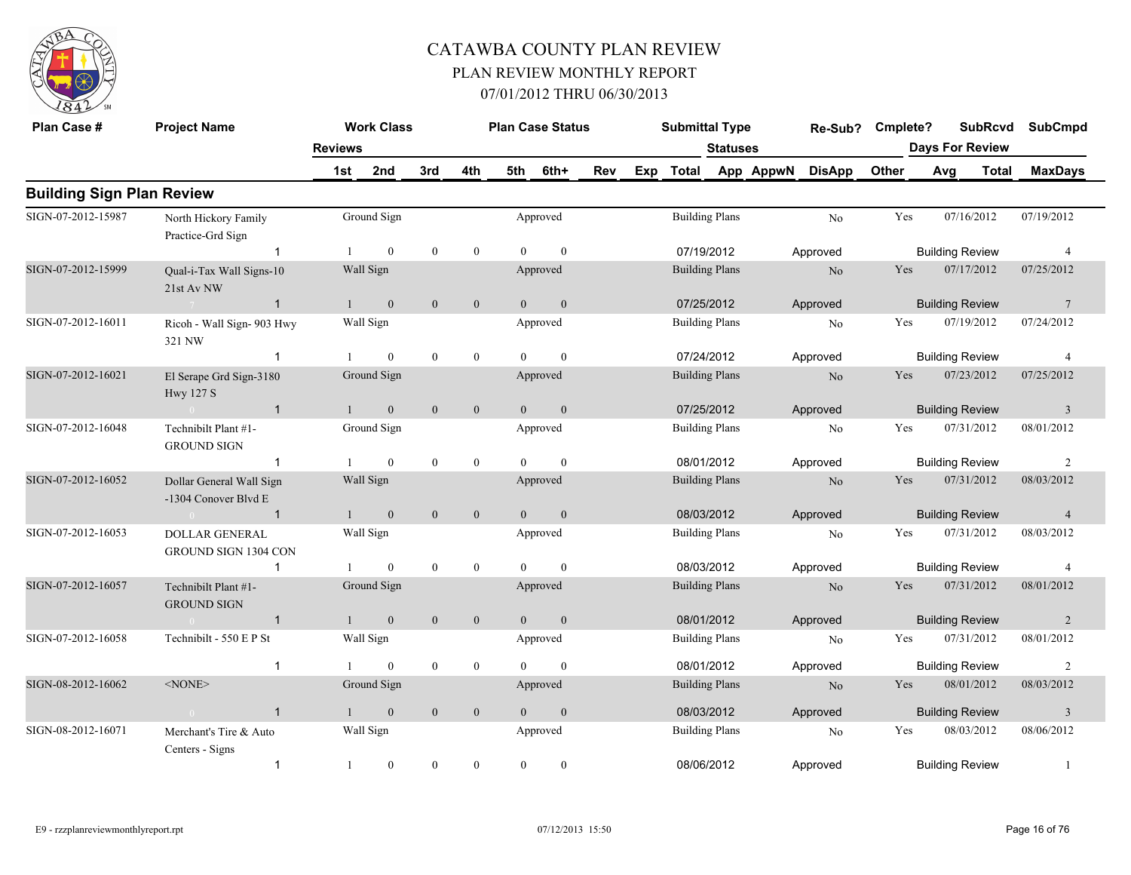

| Plan Case #                      | <b>Project Name</b>                              |                | <b>Work Class</b> |                  |                  |                | <b>Plan Case Status</b> |     |     | <b>Submittal Type</b> |                 |           | Re-Sub?        | Cmplete? |     | <b>SubRcvd</b>         | <b>SubCmpd</b>          |
|----------------------------------|--------------------------------------------------|----------------|-------------------|------------------|------------------|----------------|-------------------------|-----|-----|-----------------------|-----------------|-----------|----------------|----------|-----|------------------------|-------------------------|
|                                  |                                                  | <b>Reviews</b> |                   |                  |                  |                |                         |     |     |                       | <b>Statuses</b> |           |                |          |     | <b>Days For Review</b> |                         |
|                                  |                                                  | 1st            | 2nd               | 3rd              | 4th              | 5th            | 6th+                    | Rev | Exp | Total                 |                 | App AppwN | <b>DisApp</b>  | Other    | Avg | <b>Total</b>           | <b>MaxDays</b>          |
| <b>Building Sign Plan Review</b> |                                                  |                |                   |                  |                  |                |                         |     |     |                       |                 |           |                |          |     |                        |                         |
| SIGN-07-2012-15987               | North Hickory Family<br>Practice-Grd Sign        |                | Ground Sign       |                  |                  |                | Approved                |     |     | <b>Building Plans</b> |                 |           | No             | Yes      |     | 07/16/2012             | 07/19/2012              |
|                                  | $\overline{1}$                                   |                | $\overline{0}$    | $\bf{0}$         | $\mathbf{0}$     | $\Omega$       | $\mathbf{0}$            |     |     | 07/19/2012            |                 |           | Approved       |          |     | <b>Building Review</b> | $\overline{4}$          |
| SIGN-07-2012-15999               | Qual-i-Tax Wall Signs-10<br>21st Av NW           |                | Wall Sign         |                  |                  |                | Approved                |     |     | <b>Building Plans</b> |                 |           | N <sub>o</sub> | Yes      |     | 07/17/2012             | 07/25/2012              |
|                                  | $\mathbf{1}$                                     | $\mathbf{1}$   | $\overline{0}$    | $\mathbf{0}$     | $\mathbf{0}$     | $\overline{0}$ | $\mathbf{0}$            |     |     | 07/25/2012            |                 |           | Approved       |          |     | <b>Building Review</b> | $\overline{7}$          |
| SIGN-07-2012-16011               | Ricoh - Wall Sign- 903 Hwy<br>321 NW             |                | Wall Sign         |                  |                  |                | Approved                |     |     | <b>Building Plans</b> |                 |           | No             | Yes      |     | 07/19/2012             | 07/24/2012              |
|                                  | -1                                               |                | $\overline{0}$    | $\bf{0}$         | $\mathbf{0}$     | $\Omega$       | $\theta$                |     |     | 07/24/2012            |                 |           | Approved       |          |     | <b>Building Review</b> | 4                       |
| SIGN-07-2012-16021               | El Serape Grd Sign-3180<br><b>Hwy 127 S</b>      |                | Ground Sign       |                  |                  |                | Approved                |     |     | <b>Building Plans</b> |                 |           | N <sub>o</sub> | Yes      |     | 07/23/2012             | 07/25/2012              |
|                                  | $\overline{1}$                                   |                | $\mathbf{0}$      | $\mathbf{0}$     | $\mathbf{0}$     | $\overline{0}$ | $\mathbf{0}$            |     |     | 07/25/2012            |                 |           | Approved       |          |     | <b>Building Review</b> | $\overline{\mathbf{3}}$ |
| SIGN-07-2012-16048               | Technibilt Plant #1-<br><b>GROUND SIGN</b>       |                | Ground Sign       |                  |                  |                | Approved                |     |     | <b>Building Plans</b> |                 |           | No             | Yes      |     | 07/31/2012             | 08/01/2012              |
|                                  | $\mathbf{1}$                                     | -1             | $\overline{0}$    | $\boldsymbol{0}$ | $\mathbf{0}$     | $\theta$       | $\mathbf{0}$            |     |     | 08/01/2012            |                 |           | Approved       |          |     | <b>Building Review</b> | 2                       |
| SIGN-07-2012-16052               | Dollar General Wall Sign<br>-1304 Conover Blvd E |                | Wall Sign         |                  |                  |                | Approved                |     |     | <b>Building Plans</b> |                 |           | N <sub>o</sub> | Yes      |     | 07/31/2012             | 08/03/2012              |
|                                  | $\overline{1}$                                   |                | $\overline{0}$    | $\mathbf{0}$     | $\mathbf{0}$     | $\theta$       | $\mathbf{0}$            |     |     | 08/03/2012            |                 |           | Approved       |          |     | <b>Building Review</b> | $\overline{4}$          |
| SIGN-07-2012-16053               | <b>DOLLAR GENERAL</b><br>GROUND SIGN 1304 CON    |                | Wall Sign         |                  |                  |                | Approved                |     |     | <b>Building Plans</b> |                 |           | No             | Yes      |     | 07/31/2012             | 08/03/2012              |
|                                  | $\mathbf{1}$                                     |                | $\overline{0}$    | $\boldsymbol{0}$ | $\boldsymbol{0}$ | $\Omega$       | $\mathbf{0}$            |     |     | 08/03/2012            |                 |           | Approved       |          |     | <b>Building Review</b> | $\overline{4}$          |
| SIGN-07-2012-16057               | Technibilt Plant #1-<br><b>GROUND SIGN</b>       |                | Ground Sign       |                  |                  |                | Approved                |     |     | <b>Building Plans</b> |                 |           | No             | Yes      |     | 07/31/2012             | 08/01/2012              |
|                                  | $\overline{1}$                                   |                | $\overline{0}$    | $\mathbf{0}$     | $\boldsymbol{0}$ | $\overline{0}$ | $\mathbf{0}$            |     |     | 08/01/2012            |                 |           | Approved       |          |     | <b>Building Review</b> | 2                       |
| SIGN-07-2012-16058               | Technibilt - 550 E P St                          |                | Wall Sign         |                  |                  |                | Approved                |     |     | <b>Building Plans</b> |                 |           | No             | Yes      |     | 07/31/2012             | 08/01/2012              |
|                                  | -1                                               |                | $\overline{0}$    | $\bf{0}$         | $\mathbf{0}$     | $\Omega$       | $\mathbf{0}$            |     |     | 08/01/2012            |                 |           | Approved       |          |     | <b>Building Review</b> | $\overline{2}$          |
| SIGN-08-2012-16062               | $<$ NONE $>$                                     |                | Ground Sign       |                  |                  |                | Approved                |     |     | <b>Building Plans</b> |                 |           | N <sub>o</sub> | Yes      |     | 08/01/2012             | 08/03/2012              |
|                                  | $\mathbf{1}$                                     |                | $\boldsymbol{0}$  | $\mathbf{0}$     | $\mathbf{0}$     | $\Omega$       | $\mathbf{0}$            |     |     | 08/03/2012            |                 |           | Approved       |          |     | <b>Building Review</b> | $\overline{3}$          |
| SIGN-08-2012-16071               | Merchant's Tire & Auto<br>Centers - Signs        |                | Wall Sign         |                  |                  |                | Approved                |     |     | <b>Building Plans</b> |                 |           | $\rm No$       | Yes      |     | 08/03/2012             | 08/06/2012              |
|                                  | $\mathbf{1}$                                     | $\mathbf{1}$   | $\overline{0}$    | $\mathbf{0}$     | $\mathbf{0}$     | $\mathbf{0}$   | $\boldsymbol{0}$        |     |     | 08/06/2012            |                 |           | Approved       |          |     | <b>Building Review</b> | $\mathbf{1}$            |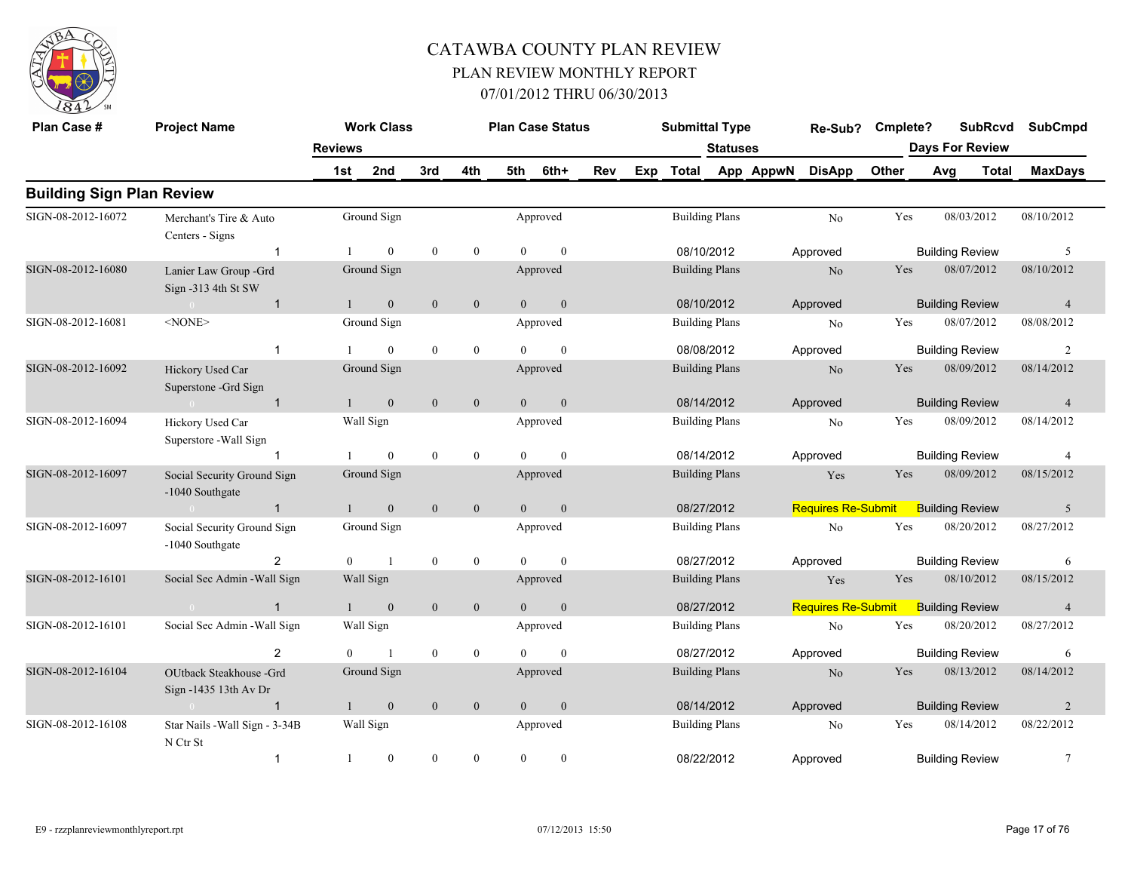

| Plan Case #                      | <b>Project Name</b>                              |                | <b>Work Class</b> |                  |                  |                | <b>Plan Case Status</b> |     |     | <b>Submittal Type</b> |                       |           | Re-Sub?                   | Cmplete? |                        | <b>SubRcvd</b>         | <b>SubCmpd</b> |
|----------------------------------|--------------------------------------------------|----------------|-------------------|------------------|------------------|----------------|-------------------------|-----|-----|-----------------------|-----------------------|-----------|---------------------------|----------|------------------------|------------------------|----------------|
|                                  |                                                  | <b>Reviews</b> |                   |                  |                  |                |                         |     |     |                       | <b>Statuses</b>       |           |                           |          |                        | <b>Days For Review</b> |                |
|                                  |                                                  | 1st            | 2nd               | 3rd              | 4th              | 5th            | 6th+                    | Rev | Exp | <b>Total</b>          |                       | App AppwN | <b>DisApp</b>             | Other    | Avg                    | <b>Total</b>           | <b>MaxDays</b> |
| <b>Building Sign Plan Review</b> |                                                  |                |                   |                  |                  |                |                         |     |     |                       |                       |           |                           |          |                        |                        |                |
| SIGN-08-2012-16072               | Merchant's Tire & Auto<br>Centers - Signs        |                | Ground Sign       |                  |                  |                | Approved                |     |     |                       | <b>Building Plans</b> |           | N <sub>o</sub>            | Yes      |                        | 08/03/2012             | 08/10/2012     |
|                                  | -1                                               |                | $\mathbf{0}$      | $\bf{0}$         | $\boldsymbol{0}$ | $\Omega$       | $\theta$                |     |     | 08/10/2012            |                       |           | Approved                  |          | <b>Building Review</b> |                        | 5              |
| SIGN-08-2012-16080               | Lanier Law Group -Grd<br>Sign -313 4th St SW     |                | Ground Sign       |                  |                  |                | Approved                |     |     |                       | <b>Building Plans</b> |           | N <sub>o</sub>            | Yes      |                        | 08/07/2012             | 08/10/2012     |
|                                  | $\overline{1}$<br>$\Omega$                       | $\mathbf{1}$   | $\mathbf{0}$      | $\mathbf{0}$     | $\mathbf{0}$     | $\overline{0}$ | $\mathbf{0}$            |     |     | 08/10/2012            |                       |           | Approved                  |          | <b>Building Review</b> |                        | $\overline{4}$ |
| SIGN-08-2012-16081               | <none></none>                                    |                | Ground Sign       |                  |                  |                | Approved                |     |     |                       | <b>Building Plans</b> |           | No                        | Yes      |                        | 08/07/2012             | 08/08/2012     |
|                                  | $\overline{1}$                                   |                | $\theta$          | $\mathbf{0}$     | $\mathbf{0}$     | $\Omega$       | $\theta$                |     |     | 08/08/2012            |                       |           | Approved                  |          | <b>Building Review</b> |                        | $\overline{2}$ |
| SIGN-08-2012-16092               | Hickory Used Car<br>Superstone -Grd Sign         |                | Ground Sign       |                  |                  |                | Approved                |     |     |                       | <b>Building Plans</b> |           | N <sub>o</sub>            | Yes      |                        | 08/09/2012             | 08/14/2012     |
|                                  | $\overline{1}$                                   |                | $\mathbf{0}$      | $\mathbf{0}$     | $\mathbf{0}$     | $\overline{0}$ | $\overline{0}$          |     |     | 08/14/2012            |                       |           | Approved                  |          | <b>Building Review</b> |                        | $\overline{4}$ |
| SIGN-08-2012-16094               | Hickory Used Car<br>Superstore - Wall Sign       |                | Wall Sign         |                  |                  |                | Approved                |     |     |                       | <b>Building Plans</b> |           | N <sub>o</sub>            | Yes      |                        | 08/09/2012             | 08/14/2012     |
|                                  |                                                  |                | $\mathbf{0}$      | $\mathbf{0}$     | $\mathbf{0}$     | $\Omega$       | $\theta$                |     |     | 08/14/2012            |                       |           | Approved                  |          | <b>Building Review</b> |                        | $\overline{4}$ |
| SIGN-08-2012-16097               | Social Security Ground Sign<br>-1040 Southgate   |                | Ground Sign       |                  |                  |                | Approved                |     |     | <b>Building Plans</b> |                       |           | Yes                       | Yes      |                        | 08/09/2012             | 08/15/2012     |
|                                  | $\mathbf{1}$<br>$\bigcap$                        |                | $\mathbf{0}$      | $\mathbf{0}$     | $\mathbf{0}$     | $\overline{0}$ | $\mathbf{0}$            |     |     | 08/27/2012            |                       |           | <b>Requires Re-Submit</b> |          | <b>Building Review</b> |                        | 5              |
| SIGN-08-2012-16097               | Social Security Ground Sign<br>-1040 Southgate   |                | Ground Sign       |                  |                  |                | Approved                |     |     |                       | <b>Building Plans</b> |           | $\rm No$                  | Yes      |                        | 08/20/2012             | 08/27/2012     |
|                                  | $\overline{2}$                                   | $\overline{0}$ | $\mathbf{1}$      | $\bf{0}$         | $\boldsymbol{0}$ | $\theta$       | $\mathbf{0}$            |     |     | 08/27/2012            |                       |           | Approved                  |          | <b>Building Review</b> |                        | 6              |
| SIGN-08-2012-16101               | Social Sec Admin - Wall Sign                     |                | Wall Sign         |                  |                  |                | Approved                |     |     | <b>Building Plans</b> |                       |           | Yes                       | Yes      |                        | 08/10/2012             | 08/15/2012     |
|                                  | $\overline{1}$<br>$\bigcap$                      | 1              | $\mathbf{0}$      | $\mathbf{0}$     | $\mathbf{0}$     | $\overline{0}$ | $\mathbf{0}$            |     |     | 08/27/2012            |                       |           | <b>Requires Re-Submit</b> |          | <b>Building Review</b> |                        | $\overline{4}$ |
| SIGN-08-2012-16101               | Social Sec Admin - Wall Sign                     |                | Wall Sign         |                  |                  |                | Approved                |     |     |                       | <b>Building Plans</b> |           | No                        | Yes      |                        | 08/20/2012             | 08/27/2012     |
|                                  | $\overline{2}$                                   | $\Omega$       | $\mathbf{1}$      | $\boldsymbol{0}$ | $\boldsymbol{0}$ |                | $\Omega$                |     |     | 08/27/2012            |                       |           | Approved                  |          | <b>Building Review</b> |                        | 6              |
| SIGN-08-2012-16104               | OUtback Steakhouse -Grd<br>Sign -1435 13th Av Dr |                | Ground Sign       |                  |                  |                | Approved                |     |     |                       | <b>Building Plans</b> |           | N <sub>o</sub>            | Yes      |                        | 08/13/2012             | 08/14/2012     |
|                                  | $\overline{1}$<br>$\sim$ 0                       | $\mathbf{1}$   | $\mathbf{0}$      | $\mathbf{0}$     | $\mathbf{0}$     | $\Omega$       | $\mathbf{0}$            |     |     | 08/14/2012            |                       |           | Approved                  |          | <b>Building Review</b> |                        | $\overline{2}$ |
| SIGN-08-2012-16108               | Star Nails - Wall Sign - 3-34B<br>N Ctr St       |                | Wall Sign         |                  |                  |                | Approved                |     |     |                       | <b>Building Plans</b> |           | N <sub>0</sub>            | Yes      |                        | 08/14/2012             | 08/22/2012     |
|                                  | $\mathbf{1}$                                     | 1              | $\mathbf{0}$      | $\mathbf{0}$     | $\theta$         | $\theta$       | $\theta$                |     |     | 08/22/2012            |                       |           | Approved                  |          | <b>Building Review</b> |                        | $\overline{7}$ |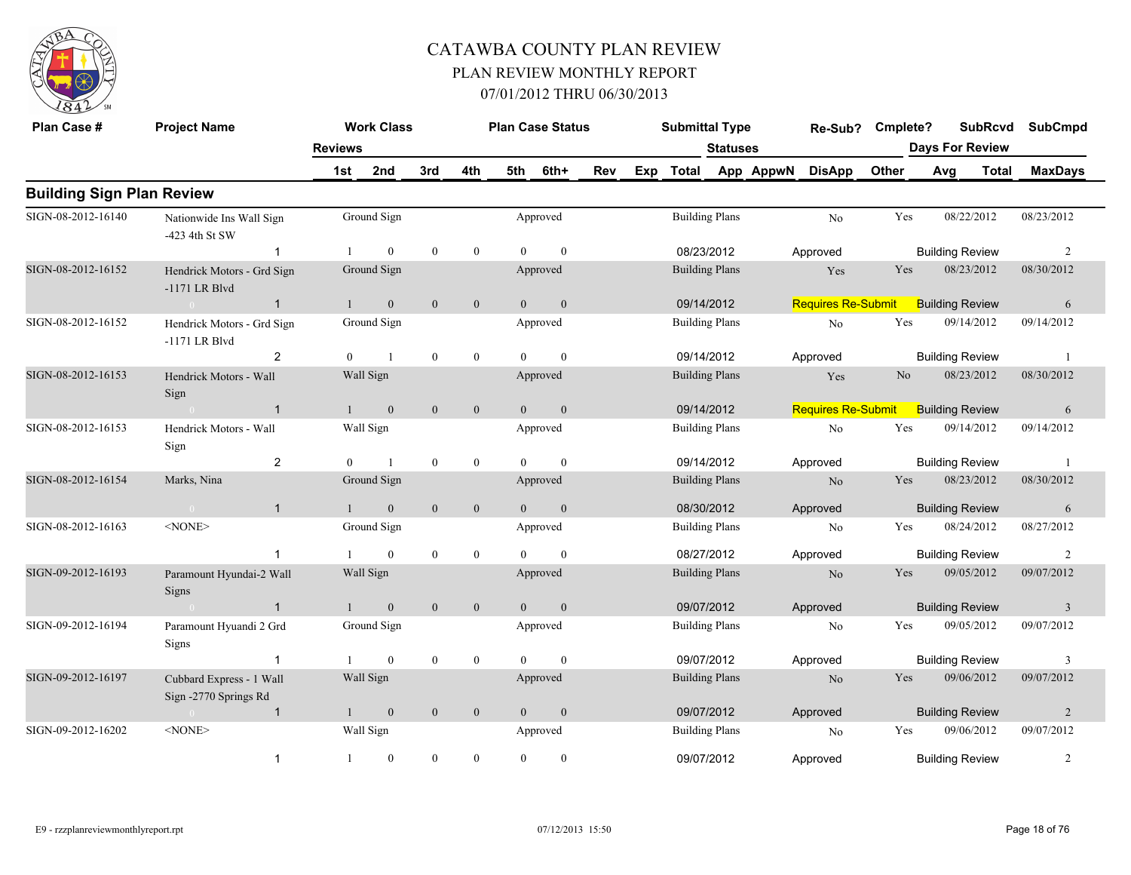

| Plan Case #                      | <b>Project Name</b>                               |                | <b>Work Class</b> |                  |                  |                | <b>Plan Case Status</b> |     |     | <b>Submittal Type</b> |                 |           | Re-Sub?                   | Cmplete?       |     | <b>SubRcvd</b>         |       | <b>SubCmpd</b>          |
|----------------------------------|---------------------------------------------------|----------------|-------------------|------------------|------------------|----------------|-------------------------|-----|-----|-----------------------|-----------------|-----------|---------------------------|----------------|-----|------------------------|-------|-------------------------|
|                                  |                                                   | <b>Reviews</b> |                   |                  |                  |                |                         |     |     |                       | <b>Statuses</b> |           |                           |                |     | <b>Days For Review</b> |       |                         |
|                                  |                                                   | 1st            | 2nd               | 3rd              | 4th              | 5th            | 6th+                    | Rev | Exp | <b>Total</b>          |                 | App AppwN | <b>DisApp</b>             | Other          | Avg |                        | Total | <b>MaxDays</b>          |
| <b>Building Sign Plan Review</b> |                                                   |                |                   |                  |                  |                |                         |     |     |                       |                 |           |                           |                |     |                        |       |                         |
| SIGN-08-2012-16140               | Nationwide Ins Wall Sign<br>-423 4th St SW        |                | Ground Sign       |                  |                  |                | Approved                |     |     | <b>Building Plans</b> |                 |           | N <sub>o</sub>            | Yes            |     | 08/22/2012             |       | 08/23/2012              |
|                                  | $\overline{1}$                                    |                | $\theta$          | $\theta$         | $\mathbf{0}$     | $\Omega$       | $\theta$                |     |     | 08/23/2012            |                 |           | Approved                  |                |     | <b>Building Review</b> |       | $\overline{2}$          |
| SIGN-08-2012-16152               | Hendrick Motors - Grd Sign<br>-1171 LR Blvd       |                | Ground Sign       |                  |                  |                | Approved                |     |     | <b>Building Plans</b> |                 |           | Yes                       | Yes            |     | 08/23/2012             |       | 08/30/2012              |
|                                  | $\mathbf{1}$<br>$\overline{0}$                    | $\mathbf{1}$   | $\mathbf{0}$      | $\boldsymbol{0}$ | $\boldsymbol{0}$ | $\overline{0}$ | $\boldsymbol{0}$        |     |     | 09/14/2012            |                 |           | <b>Requires Re-Submit</b> |                |     | <b>Building Review</b> |       | $\sqrt{6}$              |
| SIGN-08-2012-16152               | Hendrick Motors - Grd Sign<br>-1171 LR Blvd       |                | Ground Sign       |                  |                  |                | Approved                |     |     | <b>Building Plans</b> |                 |           | $\rm No$                  | Yes            |     | 09/14/2012             |       | 09/14/2012              |
|                                  | $\overline{2}$                                    | $\theta$       |                   | $\boldsymbol{0}$ | $\boldsymbol{0}$ | $\Omega$       | $\theta$                |     |     | 09/14/2012            |                 |           | Approved                  |                |     | <b>Building Review</b> |       | $\overline{1}$          |
| SIGN-08-2012-16153               | Hendrick Motors - Wall<br>Sign                    |                | Wall Sign         |                  |                  |                | Approved                |     |     | <b>Building Plans</b> |                 |           | Yes                       | N <sub>o</sub> |     | 08/23/2012             |       | 08/30/2012              |
|                                  | $\overline{1}$                                    |                | $\boldsymbol{0}$  | $\mathbf{0}$     | $\mathbf{0}$     | $\overline{0}$ | $\boldsymbol{0}$        |     |     | 09/14/2012            |                 |           | <b>Requires Re-Submit</b> |                |     | <b>Building Review</b> |       | 6                       |
| SIGN-08-2012-16153               | Hendrick Motors - Wall<br>Sign                    |                | Wall Sign         |                  |                  |                | Approved                |     |     | <b>Building Plans</b> |                 |           | No                        | Yes            |     | 09/14/2012             |       | 09/14/2012              |
|                                  | $\overline{2}$                                    | $\theta$       | $\mathbf{1}$      | $\mathbf{0}$     | $\boldsymbol{0}$ | $\Omega$       | $\mathbf{0}$            |     |     | 09/14/2012            |                 |           | Approved                  |                |     | <b>Building Review</b> |       | $\overline{1}$          |
| SIGN-08-2012-16154               | Marks, Nina                                       |                | Ground Sign       |                  |                  |                | Approved                |     |     | <b>Building Plans</b> |                 |           | N <sub>o</sub>            | Yes            |     | 08/23/2012             |       | 08/30/2012              |
|                                  | $\overline{1}$<br>$\bigcap$                       |                | $\overline{0}$    | $\mathbf{0}$     | $\boldsymbol{0}$ | $\overline{0}$ | $\mathbf{0}$            |     |     | 08/30/2012            |                 |           | Approved                  |                |     | <b>Building Review</b> |       | 6                       |
| SIGN-08-2012-16163               | $<$ NONE><br>-1                                   |                | Ground Sign       |                  |                  | $\Omega$       | Approved                |     |     | <b>Building Plans</b> |                 |           | No                        | Yes            |     | 08/24/2012             |       | 08/27/2012              |
|                                  |                                                   |                | $\mathbf{0}$      | $\mathbf{0}$     | $\boldsymbol{0}$ |                | $\mathbf{0}$            |     |     | 08/27/2012            |                 |           | Approved                  |                |     | <b>Building Review</b> |       | $\overline{c}$          |
| SIGN-09-2012-16193               | Paramount Hyundai-2 Wall<br><b>Signs</b>          |                | Wall Sign         |                  |                  |                | Approved                |     |     | <b>Building Plans</b> |                 |           | No                        | Yes            |     | 09/05/2012             |       | 09/07/2012              |
|                                  | $\overline{1}$<br>$\sim 0$                        |                | $\mathbf{0}$      | $\mathbf{0}$     | $\mathbf{0}$     | $\overline{0}$ | $\boldsymbol{0}$        |     |     | 09/07/2012            |                 |           | Approved                  |                |     | <b>Building Review</b> |       | $\overline{\mathbf{3}}$ |
| SIGN-09-2012-16194               | Paramount Hyuandi 2 Grd<br>Signs                  |                | Ground Sign       |                  |                  |                | Approved                |     |     | <b>Building Plans</b> |                 |           | $\rm No$                  | Yes            |     | 09/05/2012             |       | 09/07/2012              |
|                                  | $\mathbf 1$                                       |                | $\mathbf{0}$      | $\mathbf{0}$     | $\mathbf{0}$     | $\Omega$       | $\mathbf{0}$            |     |     | 09/07/2012            |                 |           | Approved                  |                |     | <b>Building Review</b> |       | 3                       |
| SIGN-09-2012-16197               | Cubbard Express - 1 Wall<br>Sign -2770 Springs Rd |                | Wall Sign         |                  |                  |                | Approved                |     |     | <b>Building Plans</b> |                 |           | $\rm No$                  | Yes            |     | 09/06/2012             |       | 09/07/2012              |
|                                  | $\overline{1}$<br>$\bigcap$                       | $\mathbf{1}$   | $\mathbf{0}$      | $\mathbf{0}$     | $\mathbf{0}$     | $\overline{0}$ | $\boldsymbol{0}$        |     |     | 09/07/2012            |                 |           | Approved                  |                |     | <b>Building Review</b> |       | $\sqrt{2}$              |
| SIGN-09-2012-16202               | $<$ NONE $>$                                      |                | Wall Sign         |                  |                  |                | Approved                |     |     | <b>Building Plans</b> |                 |           | N <sub>0</sub>            | Yes            |     | 09/06/2012             |       | 09/07/2012              |
|                                  | $\overline{1}$                                    | $\mathbf{1}$   | $\mathbf{0}$      | $\mathbf{0}$     | $\mathbf{0}$     | $\theta$       | $\theta$                |     |     | 09/07/2012            |                 |           | Approved                  |                |     | <b>Building Review</b> |       | $\overline{2}$          |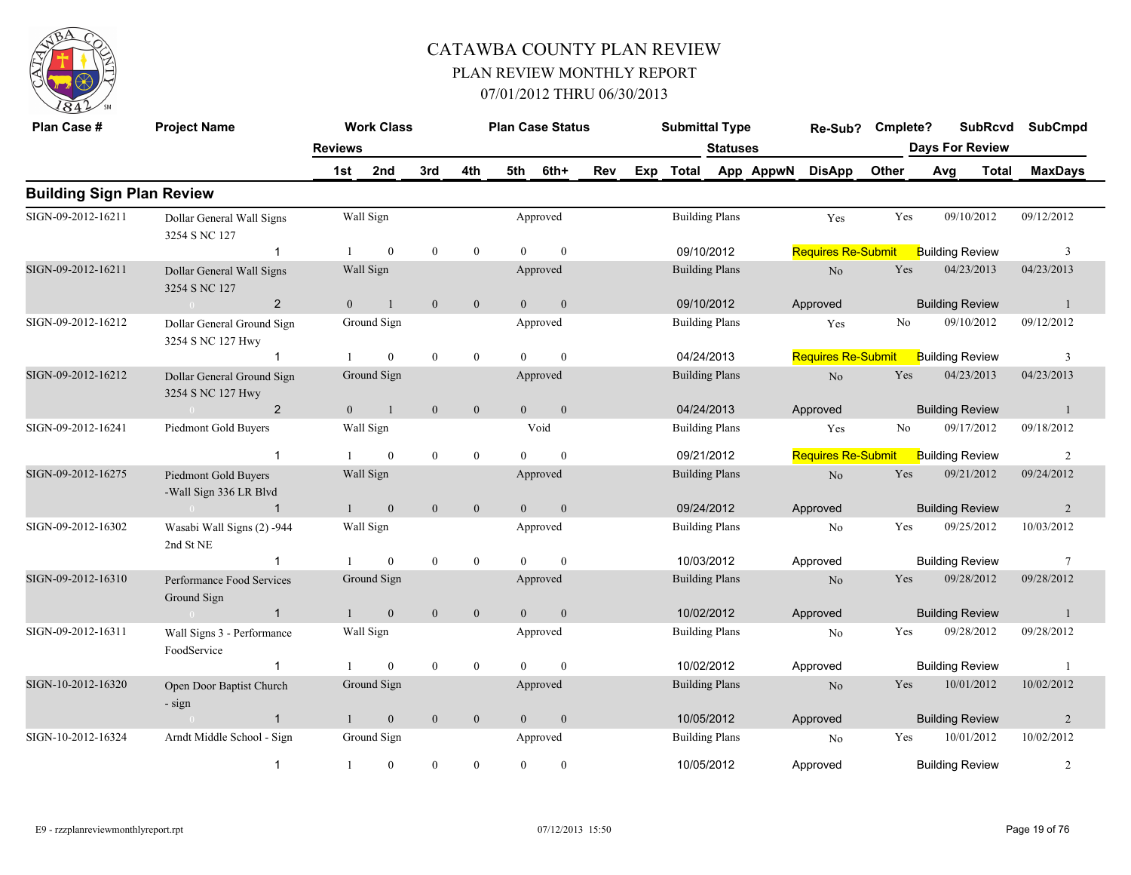

| Plan Case #                      | <b>Project Name</b>                             | <b>Reviews</b> | <b>Work Class</b> |                  |                  |                | <b>Plan Case Status</b> |     |     | <b>Submittal Type</b> | <b>Statuses</b>       |           | Re-Sub?                   | Cmplete? |     | <b>SubRcvd</b><br><b>Days For Review</b> |              | <b>SubCmpd</b> |
|----------------------------------|-------------------------------------------------|----------------|-------------------|------------------|------------------|----------------|-------------------------|-----|-----|-----------------------|-----------------------|-----------|---------------------------|----------|-----|------------------------------------------|--------------|----------------|
|                                  |                                                 | 1st            | 2nd               | 3rd              | 4th              | 5th            | 6th+                    | Rev | Exp | Total                 |                       | App AppwN | <b>DisApp</b>             | Other    | Avg |                                          | <b>Total</b> | <b>MaxDays</b> |
| <b>Building Sign Plan Review</b> |                                                 |                |                   |                  |                  |                |                         |     |     |                       |                       |           |                           |          |     |                                          |              |                |
| SIGN-09-2012-16211               | Dollar General Wall Signs<br>3254 S NC 127      |                | Wall Sign         |                  |                  |                | Approved                |     |     |                       | <b>Building Plans</b> |           | Yes                       | Yes      |     | 09/10/2012                               |              | 09/12/2012     |
|                                  | $\overline{1}$                                  | $\mathbf{1}$   | $\mathbf{0}$      | $\mathbf{0}$     | $\mathbf{0}$     | $\Omega$       | $\theta$                |     |     | 09/10/2012            |                       |           | <b>Requires Re-Submit</b> |          |     | <b>Building Review</b>                   |              | 3              |
| SIGN-09-2012-16211               | Dollar General Wall Signs<br>3254 S NC 127      |                | Wall Sign         |                  |                  |                | Approved                |     |     |                       | <b>Building Plans</b> |           | N <sub>o</sub>            | Yes      |     | 04/23/2013                               |              | 04/23/2013     |
|                                  | $\overline{2}$                                  | $\overline{0}$ | $\overline{1}$    | $\overline{0}$   | $\mathbf{0}$     | $\overline{0}$ | $\overline{0}$          |     |     | 09/10/2012            |                       |           | Approved                  |          |     | <b>Building Review</b>                   |              | -1             |
| SIGN-09-2012-16212               | Dollar General Ground Sign<br>3254 S NC 127 Hwy |                | Ground Sign       |                  |                  |                | Approved                |     |     | <b>Building Plans</b> |                       |           | Yes                       | No       |     | 09/10/2012                               |              | 09/12/2012     |
|                                  |                                                 |                | $\mathbf{0}$      | $\boldsymbol{0}$ | $\boldsymbol{0}$ | $\Omega$       | $\mathbf{0}$            |     |     | 04/24/2013            |                       |           | <b>Requires Re-Submit</b> |          |     | <b>Building Review</b>                   |              | 3              |
| SIGN-09-2012-16212               | Dollar General Ground Sign<br>3254 S NC 127 Hwy |                | Ground Sign       |                  |                  |                | Approved                |     |     |                       | <b>Building Plans</b> |           | No                        | Yes      |     | 04/23/2013                               |              | 04/23/2013     |
|                                  | $\overline{2}$                                  | $\mathbf{0}$   | $\overline{1}$    | $\mathbf{0}$     | $\boldsymbol{0}$ | $\overline{0}$ | $\mathbf{0}$            |     |     | 04/24/2013            |                       |           | Approved                  |          |     | <b>Building Review</b>                   |              | $\mathbf{1}$   |
| SIGN-09-2012-16241               | Piedmont Gold Buyers                            |                | Wall Sign         |                  |                  |                | Void                    |     |     | <b>Building Plans</b> |                       |           | Yes                       | No       |     | 09/17/2012                               |              | 09/18/2012     |
|                                  | $\overline{1}$                                  |                | $\mathbf{0}$      | $\mathbf{0}$     | $\boldsymbol{0}$ | $\theta$       | $\theta$                |     |     | 09/21/2012            |                       |           | <b>Requires Re-Submit</b> |          |     | <b>Building Review</b>                   |              | $\overline{2}$ |
| SIGN-09-2012-16275               | Piedmont Gold Buyers<br>-Wall Sign 336 LR Blvd  |                | Wall Sign         |                  |                  |                | Approved                |     |     | <b>Building Plans</b> |                       |           | No                        | Yes      |     | 09/21/2012                               |              | 09/24/2012     |
|                                  | $\sim 0$ and $\sim 0.00$<br>$\overline{1}$      | $\mathbf{1}$   | $\mathbf{0}$      | $\mathbf{0}$     | $\mathbf{0}$     | $\overline{0}$ | $\mathbf{0}$            |     |     | 09/24/2012            |                       |           | Approved                  |          |     | <b>Building Review</b>                   |              | $\overline{2}$ |
| SIGN-09-2012-16302               | Wasabi Wall Signs (2) -944<br>2nd St NE         |                | Wall Sign         |                  |                  |                | Approved                |     |     |                       | <b>Building Plans</b> |           | No                        | Yes      |     | 09/25/2012                               |              | 10/03/2012     |
|                                  |                                                 |                | $\theta$          | $\mathbf{0}$     | $\mathbf{0}$     | $\Omega$       | $\theta$                |     |     | 10/03/2012            |                       |           | Approved                  |          |     | <b>Building Review</b>                   |              | $\tau$         |
| SIGN-09-2012-16310               | Performance Food Services<br>Ground Sign        |                | Ground Sign       |                  |                  |                | Approved                |     |     | <b>Building Plans</b> |                       |           | No                        | Yes      |     | 09/28/2012                               |              | 09/28/2012     |
|                                  | $\overline{1}$<br>$\sim 0$                      | $\mathbf{1}$   | $\mathbf{0}$      | $\mathbf{0}$     | $\mathbf{0}$     | $\overline{0}$ | $\mathbf{0}$            |     |     | 10/02/2012            |                       |           | Approved                  |          |     | <b>Building Review</b>                   |              | $\mathbf{1}$   |
| SIGN-09-2012-16311               | Wall Signs 3 - Performance<br>FoodService       |                | Wall Sign         |                  |                  |                | Approved                |     |     |                       | <b>Building Plans</b> |           | N <sub>0</sub>            | Yes      |     | 09/28/2012                               |              | 09/28/2012     |
|                                  | -1                                              |                | $\theta$          | $\mathbf{0}$     | $\mathbf{0}$     | $\Omega$       | $\Omega$                |     |     | 10/02/2012            |                       |           | Approved                  |          |     | <b>Building Review</b>                   |              | -1             |
| SIGN-10-2012-16320               | Open Door Baptist Church<br>- sign              |                | Ground Sign       |                  |                  |                | Approved                |     |     | <b>Building Plans</b> |                       |           | No                        | Yes      |     | 10/01/2012                               |              | 10/02/2012     |
|                                  | $\overline{1}$                                  | $\mathbf{1}$   | $\mathbf{0}$      | $\overline{0}$   | $\mathbf{0}$     | $\overline{0}$ | $\mathbf{0}$            |     |     | 10/05/2012            |                       |           | Approved                  |          |     | <b>Building Review</b>                   |              | 2              |
| SIGN-10-2012-16324               | Arndt Middle School - Sign                      |                | Ground Sign       |                  |                  |                | Approved                |     |     | <b>Building Plans</b> |                       |           | N <sub>0</sub>            | Yes      |     | 10/01/2012                               |              | 10/02/2012     |
|                                  | $\overline{\mathbf{1}}$                         | 1              | $\mathbf{0}$      | $\mathbf{0}$     | $\theta$         | $\Omega$       | $\theta$                |     |     |                       | 10/05/2012            |           | Approved                  |          |     | <b>Building Review</b>                   |              | 2              |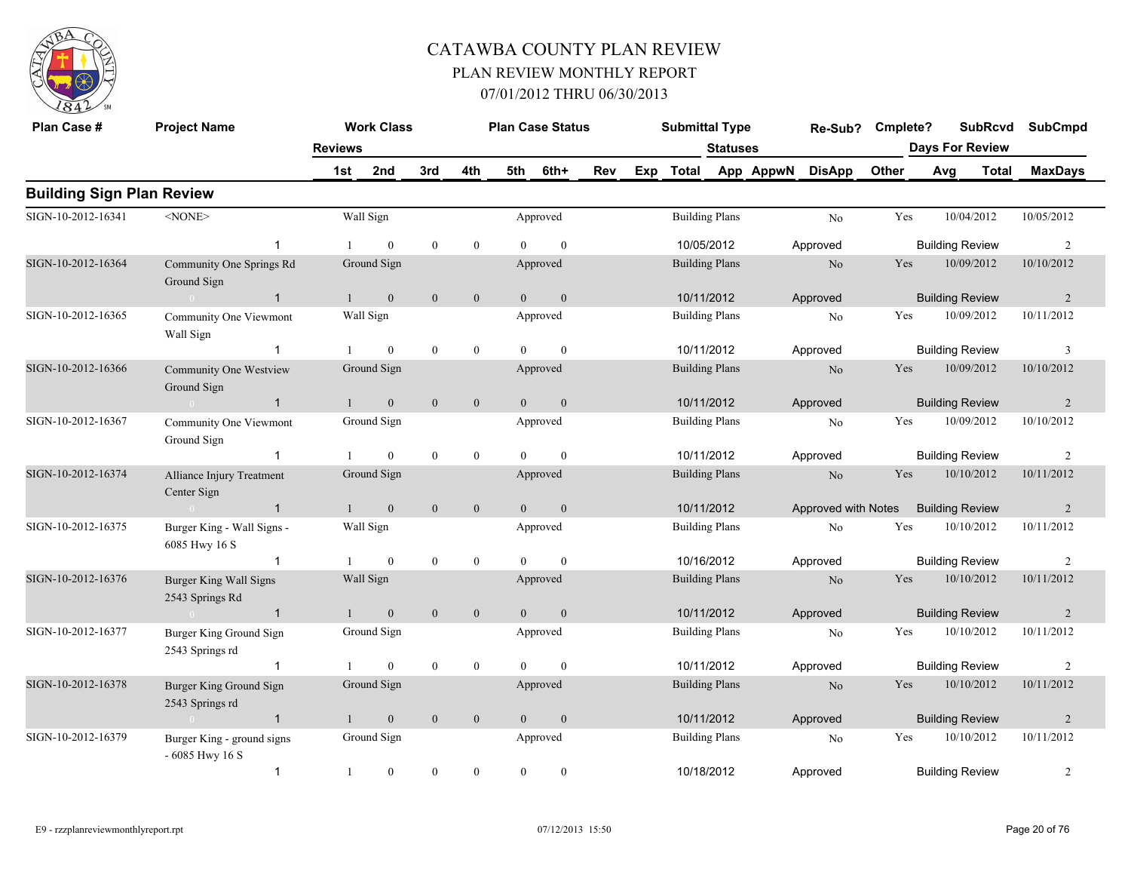

| Plan Case #                      | <b>Project Name</b>                                              |                | <b>Work Class</b> |                  |                  |                | <b>Plan Case Status</b> |     |     | <b>Submittal Type</b> |                 |           | Re-Sub?             | Cmplete? |                        | <b>SubRcvd</b> | <b>SubCmpd</b> |
|----------------------------------|------------------------------------------------------------------|----------------|-------------------|------------------|------------------|----------------|-------------------------|-----|-----|-----------------------|-----------------|-----------|---------------------|----------|------------------------|----------------|----------------|
|                                  |                                                                  | <b>Reviews</b> |                   |                  |                  |                |                         |     |     |                       | <b>Statuses</b> |           |                     |          | <b>Days For Review</b> |                |                |
|                                  |                                                                  | 1st            | 2nd               | 3rd              | 4th              | 5th            | 6th+                    | Rev | Exp | <b>Total</b>          |                 | App AppwN | <b>DisApp</b>       | Other    | Avg                    | <b>Total</b>   | <b>MaxDays</b> |
| <b>Building Sign Plan Review</b> |                                                                  |                |                   |                  |                  |                |                         |     |     |                       |                 |           |                     |          |                        |                |                |
| SIGN-10-2012-16341               | $<$ NONE $>$                                                     |                | Wall Sign         |                  |                  |                | Approved                |     |     | <b>Building Plans</b> |                 |           | N <sub>0</sub>      | Yes      | 10/04/2012             |                | 10/05/2012     |
|                                  | $\mathbf{1}$                                                     |                | $\overline{0}$    | $\mathbf{0}$     | $\mathbf{0}$     | $\Omega$       | $\mathbf{0}$            |     |     | 10/05/2012            |                 |           | Approved            |          | <b>Building Review</b> |                | 2              |
| SIGN-10-2012-16364               | Community One Springs Rd<br>Ground Sign                          |                | Ground Sign       |                  |                  |                | Approved                |     |     | <b>Building Plans</b> |                 |           | N <sub>o</sub>      | Yes      | 10/09/2012             |                | 10/10/2012     |
|                                  | $\overline{1}$<br>$\sim 0$                                       |                | $\mathbf{0}$      | $\mathbf{0}$     | $\mathbf{0}$     | $\Omega$       | $\mathbf{0}$            |     |     | 10/11/2012            |                 |           | Approved            |          | <b>Building Review</b> |                | 2              |
| SIGN-10-2012-16365               | Community One Viewmont<br>Wall Sign                              |                | Wall Sign         |                  |                  |                | Approved                |     |     | <b>Building Plans</b> |                 |           | No                  | Yes      | 10/09/2012             |                | 10/11/2012     |
|                                  | $\overline{1}$                                                   |                | $\overline{0}$    | $\mathbf{0}$     | $\mathbf{0}$     | $\theta$       | $\mathbf{0}$            |     |     | 10/11/2012            |                 |           | Approved            |          | <b>Building Review</b> |                | 3              |
| SIGN-10-2012-16366               | Community One Westview<br>Ground Sign                            |                | Ground Sign       |                  |                  |                | Approved                |     |     | <b>Building Plans</b> |                 |           | N <sub>o</sub>      | Yes      | 10/09/2012             |                | 10/10/2012     |
|                                  | $\overline{1}$<br>$\mathbf{0}$ and $\mathbf{0}$ and $\mathbf{0}$ |                | $\mathbf{0}$      | $\mathbf{0}$     | $\boldsymbol{0}$ | $\Omega$       | $\mathbf{0}$            |     |     | 10/11/2012            |                 |           | Approved            |          | <b>Building Review</b> |                | 2              |
| SIGN-10-2012-16367               | Community One Viewmont<br>Ground Sign                            |                | Ground Sign       |                  |                  |                | Approved                |     |     | <b>Building Plans</b> |                 |           | No                  | Yes      | 10/09/2012             |                | 10/10/2012     |
|                                  | $\overline{1}$                                                   |                | $\overline{0}$    | $\mathbf{0}$     | $\boldsymbol{0}$ | $\theta$       | $\mathbf{0}$            |     |     | 10/11/2012            |                 |           | Approved            |          | <b>Building Review</b> |                | $\overline{c}$ |
| SIGN-10-2012-16374               | Alliance Injury Treatment<br>Center Sign                         |                | Ground Sign       |                  |                  |                | Approved                |     |     | <b>Building Plans</b> |                 |           | N <sub>o</sub>      | Yes      | 10/10/2012             |                | 10/11/2012     |
|                                  | $\overline{1}$<br>$\sim 0$                                       |                | $\mathbf{0}$      | $\mathbf{0}$     | $\mathbf{0}$     | $\overline{0}$ | $\mathbf{0}$            |     |     | 10/11/2012            |                 |           | Approved with Notes |          | <b>Building Review</b> |                | 2              |
| SIGN-10-2012-16375               | Burger King - Wall Signs -<br>6085 Hwy 16 S                      |                | Wall Sign         |                  |                  |                | Approved                |     |     | <b>Building Plans</b> |                 |           | N <sub>0</sub>      | Yes      | 10/10/2012             |                | 10/11/2012     |
|                                  | $\mathbf{1}$                                                     |                | $\overline{0}$    | $\boldsymbol{0}$ | $\mathbf{0}$     | $\theta$       | $\mathbf{0}$            |     |     | 10/16/2012            |                 |           | Approved            |          | <b>Building Review</b> |                | 2              |
| SIGN-10-2012-16376               | <b>Burger King Wall Signs</b><br>2543 Springs Rd                 |                | Wall Sign         |                  |                  |                | Approved                |     |     | <b>Building Plans</b> |                 |           | No                  | Yes      | 10/10/2012             |                | 10/11/2012     |
|                                  | $\overline{1}$<br>$\sim 0$                                       |                | $\mathbf{0}$      | $\mathbf{0}$     | $\overline{0}$   | $\overline{0}$ | $\mathbf{0}$            |     |     | 10/11/2012            |                 |           | Approved            |          | <b>Building Review</b> |                | 2              |
| SIGN-10-2012-16377               | Burger King Ground Sign<br>2543 Springs rd                       |                | Ground Sign       |                  |                  |                | Approved                |     |     | <b>Building Plans</b> |                 |           | N <sub>o</sub>      | Yes      | 10/10/2012             |                | 10/11/2012     |
|                                  | $\overline{1}$                                                   |                | $\overline{0}$    | $\mathbf{0}$     | $\mathbf{0}$     | $\Omega$       | $\mathbf{0}$            |     |     | 10/11/2012            |                 |           | Approved            |          | <b>Building Review</b> |                | $\overline{c}$ |
| SIGN-10-2012-16378               | Burger King Ground Sign<br>2543 Springs rd                       |                | Ground Sign       |                  |                  |                | Approved                |     |     | <b>Building Plans</b> |                 |           | N <sub>o</sub>      | Yes      | 10/10/2012             |                | 10/11/2012     |
|                                  | $\overline{1}$<br>$\sim 0$                                       |                | $\mathbf{0}$      | $\boldsymbol{0}$ | $\mathbf{0}$     | $\theta$       | $\boldsymbol{0}$        |     |     | 10/11/2012            |                 |           | Approved            |          | <b>Building Review</b> |                | 2              |
| SIGN-10-2012-16379               | Burger King - ground signs<br>$-6085$ Hwy 16 S                   |                | Ground Sign       |                  |                  |                | Approved                |     |     | <b>Building Plans</b> |                 |           | N <sub>o</sub>      | Yes      | 10/10/2012             |                | 10/11/2012     |
|                                  | $\mathbf{1}$                                                     | $\overline{1}$ | $\overline{0}$    | $\mathbf{0}$     | $\mathbf{0}$     | $\theta$       | $\theta$                |     |     | 10/18/2012            |                 |           | Approved            |          | <b>Building Review</b> |                | $\overline{c}$ |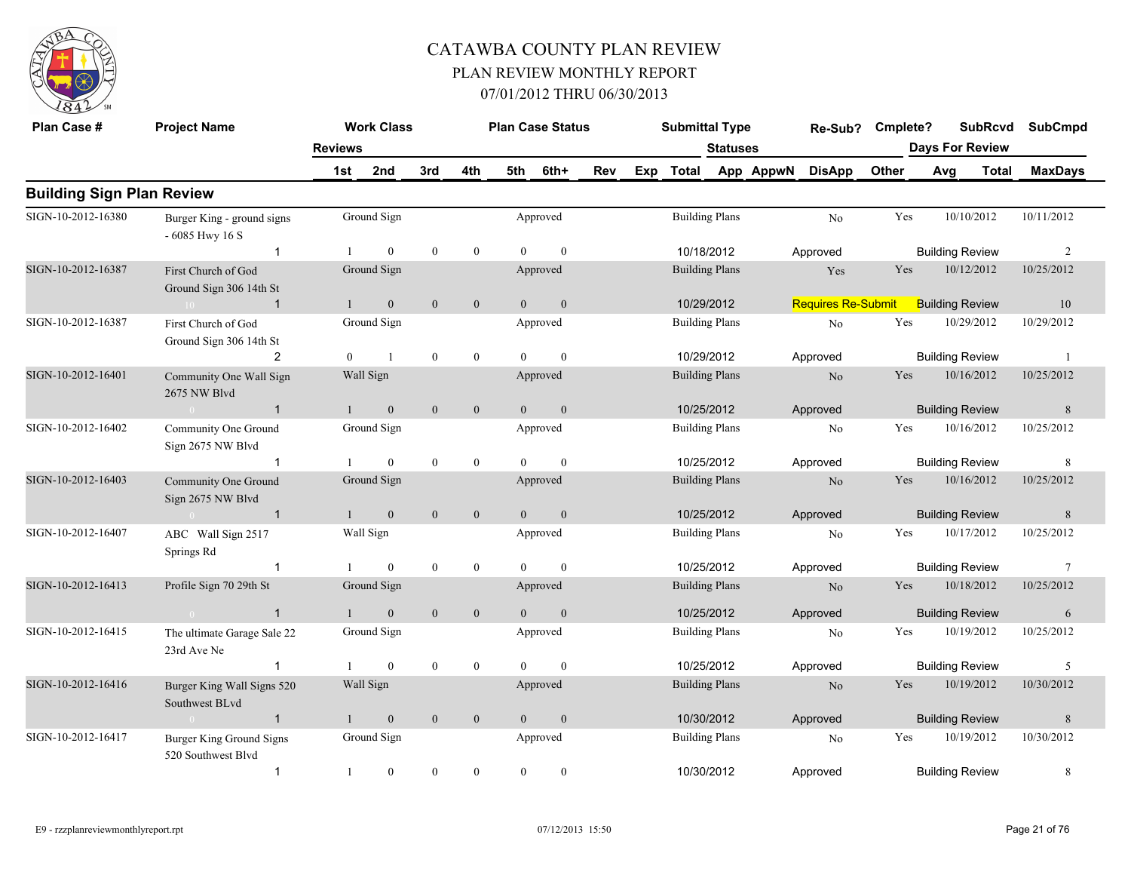

| Plan Case #                      | <b>Project Name</b>                            |                | <b>Work Class</b> |                  |                  |                | <b>Plan Case Status</b> |     |     | <b>Submittal Type</b> |                       |           | Re-Sub?                   | Cmplete? |     | <b>SubRcvd</b>         |       | <b>SubCmpd</b> |
|----------------------------------|------------------------------------------------|----------------|-------------------|------------------|------------------|----------------|-------------------------|-----|-----|-----------------------|-----------------------|-----------|---------------------------|----------|-----|------------------------|-------|----------------|
|                                  |                                                | <b>Reviews</b> |                   |                  |                  |                |                         |     |     |                       | <b>Statuses</b>       |           |                           |          |     | <b>Days For Review</b> |       |                |
|                                  |                                                | 1st            | 2nd               | 3rd              | 4th              | 5th            | 6th+                    | Rev | Exp | Total                 |                       | App AppwN | <b>DisApp</b>             | Other    | Avg |                        | Total | <b>MaxDays</b> |
| <b>Building Sign Plan Review</b> |                                                |                |                   |                  |                  |                |                         |     |     |                       |                       |           |                           |          |     |                        |       |                |
| SIGN-10-2012-16380               | Burger King - ground signs<br>- 6085 Hwy 16 S  |                | Ground Sign       |                  |                  |                | Approved                |     |     |                       | <b>Building Plans</b> |           | No                        | Yes      |     | 10/10/2012             |       | 10/11/2012     |
|                                  | $\mathbf{1}$                                   |                | $\mathbf{0}$      | $\mathbf{0}$     | $\boldsymbol{0}$ | $\theta$       | $\mathbf{0}$            |     |     |                       | 10/18/2012            |           | Approved                  |          |     | <b>Building Review</b> |       | $\overline{c}$ |
| SIGN-10-2012-16387               | First Church of God<br>Ground Sign 306 14th St |                | Ground Sign       |                  |                  |                | Approved                |     |     |                       | <b>Building Plans</b> |           | Yes                       | Yes      |     | 10/12/2012             |       | 10/25/2012     |
|                                  | $\overline{\mathbf{1}}$<br>$10 -$              |                | $\mathbf{0}$      | $\boldsymbol{0}$ | $\boldsymbol{0}$ | $\overline{0}$ | $\mathbf{0}$            |     |     |                       | 10/29/2012            |           | <b>Requires Re-Submit</b> |          |     | <b>Building Review</b> |       | 10             |
| SIGN-10-2012-16387               | First Church of God<br>Ground Sign 306 14th St |                | Ground Sign       |                  |                  |                | Approved                |     |     |                       | <b>Building Plans</b> |           | No                        | Yes      |     | 10/29/2012             |       | 10/29/2012     |
|                                  | $\overline{2}$                                 | $\Omega$       | $\overline{1}$    | $\boldsymbol{0}$ | $\boldsymbol{0}$ | $\Omega$       | $\mathbf{0}$            |     |     |                       | 10/29/2012            |           | Approved                  |          |     | <b>Building Review</b> |       | - 1            |
| SIGN-10-2012-16401               | Community One Wall Sign<br>2675 NW Blvd        |                | Wall Sign         |                  |                  |                | Approved                |     |     |                       | <b>Building Plans</b> |           | $\rm No$                  | Yes      |     | 10/16/2012             |       | 10/25/2012     |
|                                  | $\overline{1}$<br>$\sim 0$                     |                | $\mathbf{0}$      | $\mathbf{0}$     | $\mathbf{0}$     | $\overline{0}$ | $\mathbf{0}$            |     |     |                       | 10/25/2012            |           | Approved                  |          |     | <b>Building Review</b> |       | $\,$ 8 $\,$    |
| SIGN-10-2012-16402               | Community One Ground<br>Sign 2675 NW Blvd      |                | Ground Sign       |                  |                  |                | Approved                |     |     |                       | <b>Building Plans</b> |           | No                        | Yes      |     | 10/16/2012             |       | 10/25/2012     |
|                                  | $\mathbf{1}$                                   |                | $\theta$          | $\mathbf{0}$     | $\overline{0}$   | $\Omega$       | $\theta$                |     |     |                       | 10/25/2012            |           | Approved                  |          |     | <b>Building Review</b> |       | 8              |
| SIGN-10-2012-16403               | Community One Ground<br>Sign 2675 NW Blvd      |                | Ground Sign       |                  |                  |                | Approved                |     |     |                       | <b>Building Plans</b> |           | No                        | Yes      |     | 10/16/2012             |       | 10/25/2012     |
|                                  | $\sim 0$<br>$\overline{1}$                     |                | $\overline{0}$    | $\mathbf{0}$     | $\mathbf{0}$     | $\Omega$       | $\mathbf{0}$            |     |     |                       | 10/25/2012            |           | Approved                  |          |     | <b>Building Review</b> |       | 8              |
| SIGN-10-2012-16407               | ABC Wall Sign 2517<br>Springs Rd               |                | Wall Sign         |                  |                  |                | Approved                |     |     |                       | <b>Building Plans</b> |           | No                        | Yes      |     | 10/17/2012             |       | 10/25/2012     |
|                                  | $\mathbf 1$                                    |                | $\overline{0}$    | $\boldsymbol{0}$ | $\boldsymbol{0}$ | $\theta$       | $\mathbf{0}$            |     |     |                       | 10/25/2012            |           | Approved                  |          |     | <b>Building Review</b> |       | 7              |
| SIGN-10-2012-16413               | Profile Sign 70 29th St                        |                | Ground Sign       |                  |                  |                | Approved                |     |     |                       | <b>Building Plans</b> |           | N <sub>o</sub>            | Yes      |     | 10/18/2012             |       | 10/25/2012     |
|                                  | $\overline{1}$<br>$\sim 0$                     |                | $\overline{0}$    | $\mathbf{0}$     | $\overline{0}$   | $\Omega$       | $\mathbf{0}$            |     |     |                       | 10/25/2012            |           | Approved                  |          |     | <b>Building Review</b> |       | 6              |
| SIGN-10-2012-16415               | The ultimate Garage Sale 22<br>23rd Ave Ne     |                | Ground Sign       |                  |                  |                | Approved                |     |     |                       | <b>Building Plans</b> |           | No                        | Yes      |     | 10/19/2012             |       | 10/25/2012     |
|                                  | $\mathbf{1}$                                   |                | $\overline{0}$    | $\mathbf{0}$     | $\boldsymbol{0}$ | $\Omega$       | $\mathbf{0}$            |     |     |                       | 10/25/2012            |           | Approved                  |          |     | <b>Building Review</b> |       | 5              |
| SIGN-10-2012-16416               | Burger King Wall Signs 520<br>Southwest BLvd   |                | Wall Sign         |                  |                  |                | Approved                |     |     |                       | <b>Building Plans</b> |           | N <sub>o</sub>            | Yes      |     | 10/19/2012             |       | 10/30/2012     |
|                                  | $\overline{1}$<br>$\sim 0$                     |                | $\mathbf{0}$      | $\boldsymbol{0}$ | $\mathbf{0}$     | $\overline{0}$ | $\boldsymbol{0}$        |     |     |                       | 10/30/2012            |           | Approved                  |          |     | <b>Building Review</b> |       | $\,$ 8 $\,$    |
| SIGN-10-2012-16417               | Burger King Ground Signs<br>520 Southwest Blvd |                | Ground Sign       |                  |                  |                | Approved                |     |     |                       | <b>Building Plans</b> |           | No                        | Yes      |     | 10/19/2012             |       | 10/30/2012     |
|                                  | $\mathbf{1}$                                   | -1             | $\overline{0}$    | $\mathbf{0}$     | $\mathbf{0}$     | $\theta$       | $\boldsymbol{0}$        |     |     |                       | 10/30/2012            |           | Approved                  |          |     | <b>Building Review</b> |       | 8              |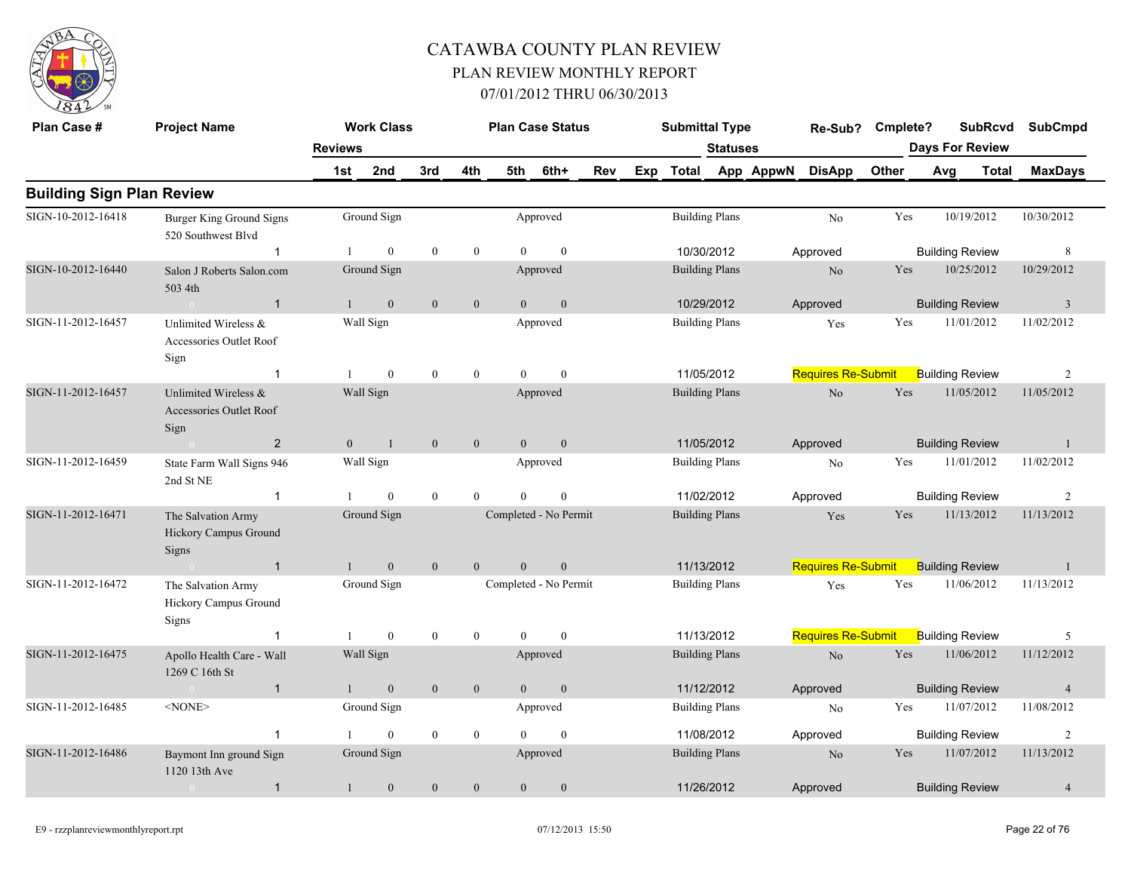

| Plan Case #                      | <b>Project Name</b>                                     |                | <b>Work Class</b> |              |                  |                | <b>Plan Case Status</b> |     | <b>Submittal Type</b> |                 |           | Re-Sub?                   | Cmplete? |                        | <b>SubRcvd</b> | <b>SubCmpd</b> |
|----------------------------------|---------------------------------------------------------|----------------|-------------------|--------------|------------------|----------------|-------------------------|-----|-----------------------|-----------------|-----------|---------------------------|----------|------------------------|----------------|----------------|
|                                  |                                                         | <b>Reviews</b> |                   |              |                  |                |                         |     |                       | <b>Statuses</b> |           |                           |          | <b>Days For Review</b> |                |                |
|                                  |                                                         | 1st            | 2nd               | 3rd          | 4th              | 5th            | 6th+                    | Rev | Exp Total             |                 | App AppwN | <b>DisApp</b>             | Other    | Avg                    | Total          | <b>MaxDays</b> |
| <b>Building Sign Plan Review</b> |                                                         |                |                   |              |                  |                |                         |     |                       |                 |           |                           |          |                        |                |                |
| SIGN-10-2012-16418               | Burger King Ground Signs<br>520 Southwest Blvd          |                | Ground Sign       |              |                  |                | Approved                |     | <b>Building Plans</b> |                 |           | No                        | Yes      |                        | 10/19/2012     | 10/30/2012     |
|                                  | $\mathbf 1$                                             |                | $\mathbf{0}$      | $\mathbf{0}$ | $\boldsymbol{0}$ | $\Omega$       | $\boldsymbol{0}$        |     | 10/30/2012            |                 |           | Approved                  |          | <b>Building Review</b> |                | 8              |
| SIGN-10-2012-16440               | Salon J Roberts Salon.com<br>503 4th                    |                | Ground Sign       |              |                  |                | Approved                |     | <b>Building Plans</b> |                 |           | N <sub>o</sub>            | Yes      |                        | 10/25/2012     | 10/29/2012     |
|                                  | $\sim 0$<br>$\overline{1}$                              | 1              | $\mathbf{0}$      | $\mathbf{0}$ | $\mathbf{0}$     | $\overline{0}$ | $\boldsymbol{0}$        |     | 10/29/2012            |                 |           | Approved                  |          | <b>Building Review</b> |                | $\mathfrak{Z}$ |
| SIGN-11-2012-16457               | Unlimited Wireless &<br>Accessories Outlet Roof<br>Sign |                | Wall Sign         |              |                  |                | Approved                |     | <b>Building Plans</b> |                 |           | Yes                       | Yes      |                        | 11/01/2012     | 11/02/2012     |
|                                  | $\overline{1}$                                          |                | $\mathbf{0}$      | $\mathbf{0}$ | $\mathbf{0}$     | $\theta$       | $\mathbf{0}$            |     | 11/05/2012            |                 |           | <b>Requires Re-Submit</b> |          | <b>Building Review</b> |                | 2              |
| SIGN-11-2012-16457               | Unlimited Wireless &<br>Accessories Outlet Roof<br>Sign |                | Wall Sign         |              |                  |                | Approved                |     | <b>Building Plans</b> |                 |           | No                        | Yes      |                        | 11/05/2012     | 11/05/2012     |
|                                  | $\overline{2}$                                          | $\overline{0}$ | $\overline{1}$    | $\mathbf{0}$ | $\mathbf{0}$     | $\overline{0}$ | $\boldsymbol{0}$        |     | 11/05/2012            |                 |           | Approved                  |          | <b>Building Review</b> |                | $\overline{1}$ |
| SIGN-11-2012-16459               | State Farm Wall Signs 946<br>2nd St NE                  |                | Wall Sign         |              |                  |                | Approved                |     | <b>Building Plans</b> |                 |           | No                        | Yes      |                        | 11/01/2012     | 11/02/2012     |
|                                  | $\mathbf{1}$                                            |                | $\mathbf{0}$      | $\mathbf{0}$ | $\mathbf{0}$     | $\Omega$       | $\theta$                |     | 11/02/2012            |                 |           | Approved                  |          | <b>Building Review</b> |                | $\overline{2}$ |
| SIGN-11-2012-16471               | The Salvation Army<br>Hickory Campus Ground<br>Signs    |                | Ground Sign       |              |                  |                | Completed - No Permit   |     | <b>Building Plans</b> |                 |           | Yes                       | Yes      |                        | 11/13/2012     | 11/13/2012     |
|                                  | $\overline{1}$                                          |                | $\overline{0}$    | $\mathbf{0}$ | $\overline{0}$   | $\Omega$       | $\mathbf{0}$            |     | 11/13/2012            |                 |           | <b>Requires Re-Submit</b> |          | <b>Building Review</b> |                | $\overline{1}$ |
| SIGN-11-2012-16472               | The Salvation Army<br>Hickory Campus Ground<br>Signs    |                | Ground Sign       |              |                  |                | Completed - No Permit   |     | <b>Building Plans</b> |                 |           | Yes                       | Yes      |                        | 11/06/2012     | 11/13/2012     |
|                                  | $\overline{1}$                                          |                | $\theta$          | $\mathbf{0}$ | $\mathbf{0}$     | $\theta$       | $\theta$                |     | 11/13/2012            |                 |           | <b>Requires Re-Submit</b> |          | <b>Building Review</b> |                | 5              |
| SIGN-11-2012-16475               | Apollo Health Care - Wall<br>1269 C 16th St             |                | Wall Sign         |              |                  |                | Approved                |     | <b>Building Plans</b> |                 |           | No                        | Yes      |                        | 11/06/2012     | 11/12/2012     |
|                                  | $\overline{1}$<br>$\overline{0}$                        |                | $\mathbf{0}$      | $\mathbf{0}$ | $\mathbf{0}$     | $\overline{0}$ | $\mathbf{0}$            |     | 11/12/2012            |                 |           | Approved                  |          | <b>Building Review</b> |                | $\overline{4}$ |
| SIGN-11-2012-16485               | $<$ NONE $>$                                            |                | Ground Sign       |              |                  |                | Approved                |     | <b>Building Plans</b> |                 |           | No                        | Yes      |                        | 11/07/2012     | 11/08/2012     |
|                                  | $\overline{1}$                                          |                | $\theta$          | $\mathbf{0}$ | $\mathbf{0}$     | $\Omega$       | $\theta$                |     | 11/08/2012            |                 |           | Approved                  |          | <b>Building Review</b> |                | 2              |
| SIGN-11-2012-16486               | Baymont Inn ground Sign<br>1120 13th Ave                |                | Ground Sign       |              |                  |                | Approved                |     | <b>Building Plans</b> |                 |           | N <sub>o</sub>            | Yes      |                        | 11/07/2012     | 11/13/2012     |
|                                  | $\mathbf{1}$<br>$\bigcirc$                              |                | $\mathbf{0}$      | $\mathbf{0}$ | $\mathbf{0}$     | $\mathbf{0}$   | $\mathbf{0}$            |     | 11/26/2012            |                 |           | Approved                  |          | <b>Building Review</b> |                | $\overline{4}$ |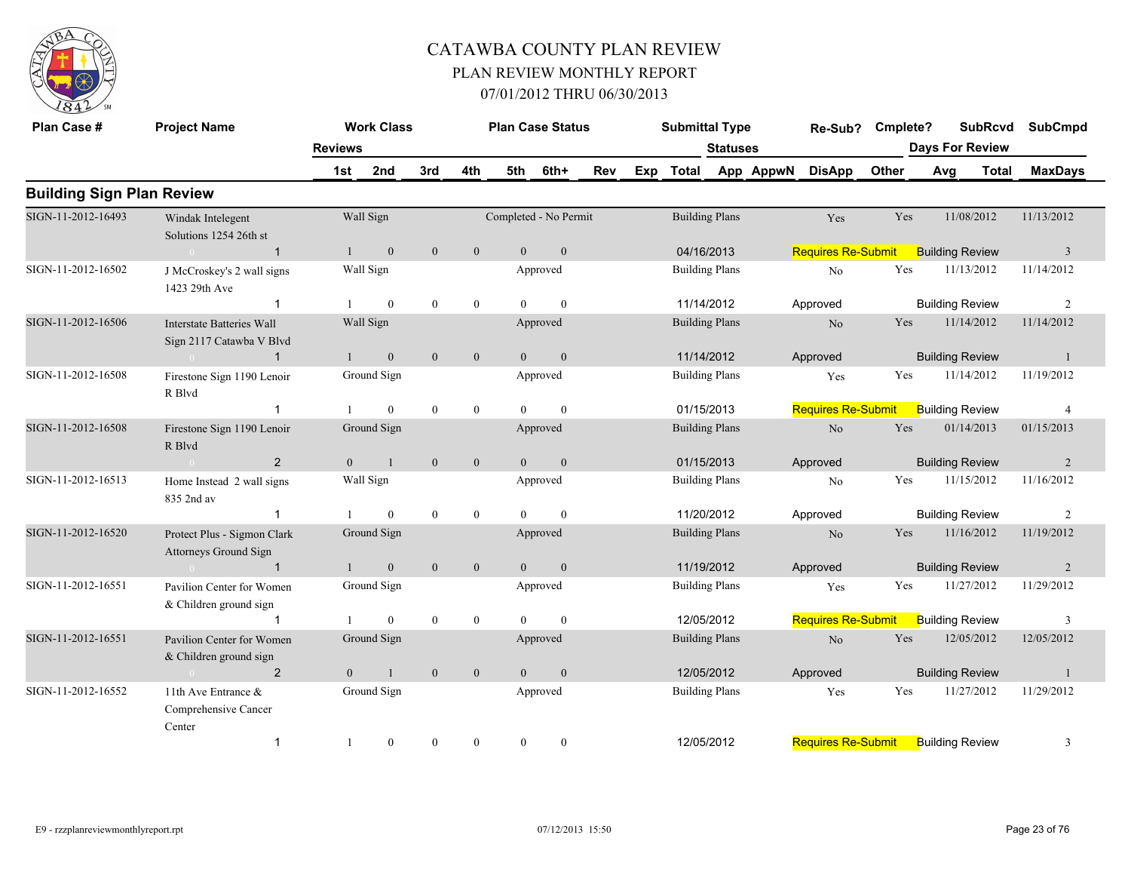

| Plan Case #                      | <b>Project Name</b>                                          |                | <b>Work Class</b> |                  |                  |                | <b>Plan Case Status</b> |     |     | <b>Submittal Type</b> |                       |           | Re-Sub?                   | Cmplete? |                        | <b>SubRcvd</b> | <b>SubCmpd</b> |
|----------------------------------|--------------------------------------------------------------|----------------|-------------------|------------------|------------------|----------------|-------------------------|-----|-----|-----------------------|-----------------------|-----------|---------------------------|----------|------------------------|----------------|----------------|
|                                  |                                                              | <b>Reviews</b> |                   |                  |                  |                |                         |     |     |                       | <b>Statuses</b>       |           |                           |          | <b>Days For Review</b> |                |                |
|                                  |                                                              | 1st            | 2nd               | 3rd              | 4th              | 5th            | 6th+                    | Rev | Exp | Total                 |                       | App AppwN | <b>DisApp</b>             | Other    | Avg                    | <b>Total</b>   | <b>MaxDays</b> |
| <b>Building Sign Plan Review</b> |                                                              |                |                   |                  |                  |                |                         |     |     |                       |                       |           |                           |          |                        |                |                |
| SIGN-11-2012-16493               | Windak Intelegent<br>Solutions 1254 26th st                  |                | Wall Sign         |                  |                  |                | Completed - No Permit   |     |     |                       | <b>Building Plans</b> |           | Yes                       | Yes      | 11/08/2012             |                | 11/13/2012     |
|                                  | $\overline{1}$<br>$\sim$ 0                                   |                | $\mathbf{0}$      | $\mathbf{0}$     | $\mathbf{0}$     | $\theta$       | $\mathbf{0}$            |     |     |                       | 04/16/2013            |           | <b>Requires Re-Submit</b> |          | <b>Building Review</b> |                | $\overline{3}$ |
| SIGN-11-2012-16502               | J McCroskey's 2 wall signs<br>1423 29th Ave                  |                | Wall Sign         |                  |                  |                | Approved                |     |     |                       | <b>Building Plans</b> |           | N <sub>0</sub>            | Yes      | 11/13/2012             |                | 11/14/2012     |
|                                  | $\overline{\mathbf{1}}$                                      |                | $\overline{0}$    | $\mathbf{0}$     | $\mathbf{0}$     | $\Omega$       | $\mathbf{0}$            |     |     |                       | 11/14/2012            |           | Approved                  |          | <b>Building Review</b> |                | 2              |
| SIGN-11-2012-16506               | <b>Interstate Batteries Wall</b><br>Sign 2117 Catawba V Blvd |                | Wall Sign         |                  |                  |                | Approved                |     |     |                       | <b>Building Plans</b> |           | N <sub>o</sub>            | Yes      | 11/14/2012             |                | 11/14/2012     |
|                                  | $\mathbf{1}$                                                 |                | $\boldsymbol{0}$  | $\mathbf{0}$     | $\boldsymbol{0}$ | $\theta$       | $\mathbf{0}$            |     |     |                       | 11/14/2012            |           | Approved                  |          | <b>Building Review</b> |                |                |
| SIGN-11-2012-16508               | Firestone Sign 1190 Lenoir<br>R Blvd                         |                | Ground Sign       |                  |                  |                | Approved                |     |     |                       | <b>Building Plans</b> |           | Yes                       | Yes      | 11/14/2012             |                | 11/19/2012     |
|                                  | $\mathbf 1$                                                  |                | $\overline{0}$    | $\theta$         | $\mathbf{0}$     | $\Omega$       | $\theta$                |     |     |                       | 01/15/2013            |           | <b>Requires Re-Submit</b> |          | <b>Building Review</b> |                | $\overline{4}$ |
| SIGN-11-2012-16508               | Firestone Sign 1190 Lenoir<br>R Blvd                         |                | Ground Sign       |                  |                  |                | Approved                |     |     |                       | <b>Building Plans</b> |           | $\rm No$                  | Yes      | 01/14/2013             |                | 01/15/2013     |
|                                  | $\overline{2}$<br>$\sim 0$                                   | $\mathbf{0}$   | 1                 | $\mathbf{0}$     | $\mathbf{0}$     | $\overline{0}$ | $\boldsymbol{0}$        |     |     |                       | 01/15/2013            |           | Approved                  |          | <b>Building Review</b> |                | $\overline{2}$ |
| SIGN-11-2012-16513               | Home Instead 2 wall signs<br>835 2nd av                      |                | Wall Sign         |                  |                  |                | Approved                |     |     |                       | <b>Building Plans</b> |           | N <sub>o</sub>            | Yes      | 11/15/2012             |                | 11/16/2012     |
|                                  |                                                              |                | $\overline{0}$    | $\mathbf{0}$     | $\mathbf{0}$     | $\Omega$       | $\mathbf{0}$            |     |     |                       | 11/20/2012            |           | Approved                  |          | <b>Building Review</b> |                | 2              |
| SIGN-11-2012-16520               | Protect Plus - Sigmon Clark<br>Attorneys Ground Sign         |                | Ground Sign       |                  |                  |                | Approved                |     |     |                       | <b>Building Plans</b> |           | N <sub>o</sub>            | Yes      | 11/16/2012             |                | 11/19/2012     |
|                                  | $\mathbf{1}$<br>$\sim$ 0                                     |                | $\mathbf{0}$      | $\mathbf{0}$     | $\mathbf{0}$     | $\overline{0}$ | $\mathbf{0}$            |     |     |                       | 11/19/2012            |           | Approved                  |          | <b>Building Review</b> |                | $\overline{2}$ |
| SIGN-11-2012-16551               | Pavilion Center for Women<br>& Children ground sign          |                | Ground Sign       |                  |                  |                | Approved                |     |     |                       | <b>Building Plans</b> |           | Yes                       | Yes      | 11/27/2012             |                | 11/29/2012     |
|                                  |                                                              |                | $\theta$          | $\mathbf{0}$     | $\boldsymbol{0}$ | $\Omega$       | $\theta$                |     |     |                       | 12/05/2012            |           | <b>Requires Re-Submit</b> |          | <b>Building Review</b> |                | 3              |
| SIGN-11-2012-16551               | Pavilion Center for Women<br>& Children ground sign          |                | Ground Sign       |                  |                  |                | Approved                |     |     |                       | <b>Building Plans</b> |           | $\rm No$                  | Yes      | 12/05/2012             |                | 12/05/2012     |
|                                  | $\overline{2}$                                               | $\overline{0}$ | $\mathbf{1}$      | $\mathbf{0}$     | $\mathbf{0}$     | $\overline{0}$ | $\mathbf{0}$            |     |     |                       | 12/05/2012            |           | Approved                  |          | <b>Building Review</b> |                | $\overline{1}$ |
| SIGN-11-2012-16552               | 11th Ave Entrance &<br>Comprehensive Cancer<br>Center        |                | Ground Sign       |                  |                  |                | Approved                |     |     |                       | <b>Building Plans</b> |           | Yes                       | Yes      | 11/27/2012             |                | 11/29/2012     |
|                                  | $\overline{1}$                                               | -1             | $\boldsymbol{0}$  | $\boldsymbol{0}$ | $\mathbf{0}$     | $\overline{0}$ | $\bf{0}$                |     |     |                       | 12/05/2012            |           | <b>Requires Re-Submit</b> |          | <b>Building Review</b> |                | 3              |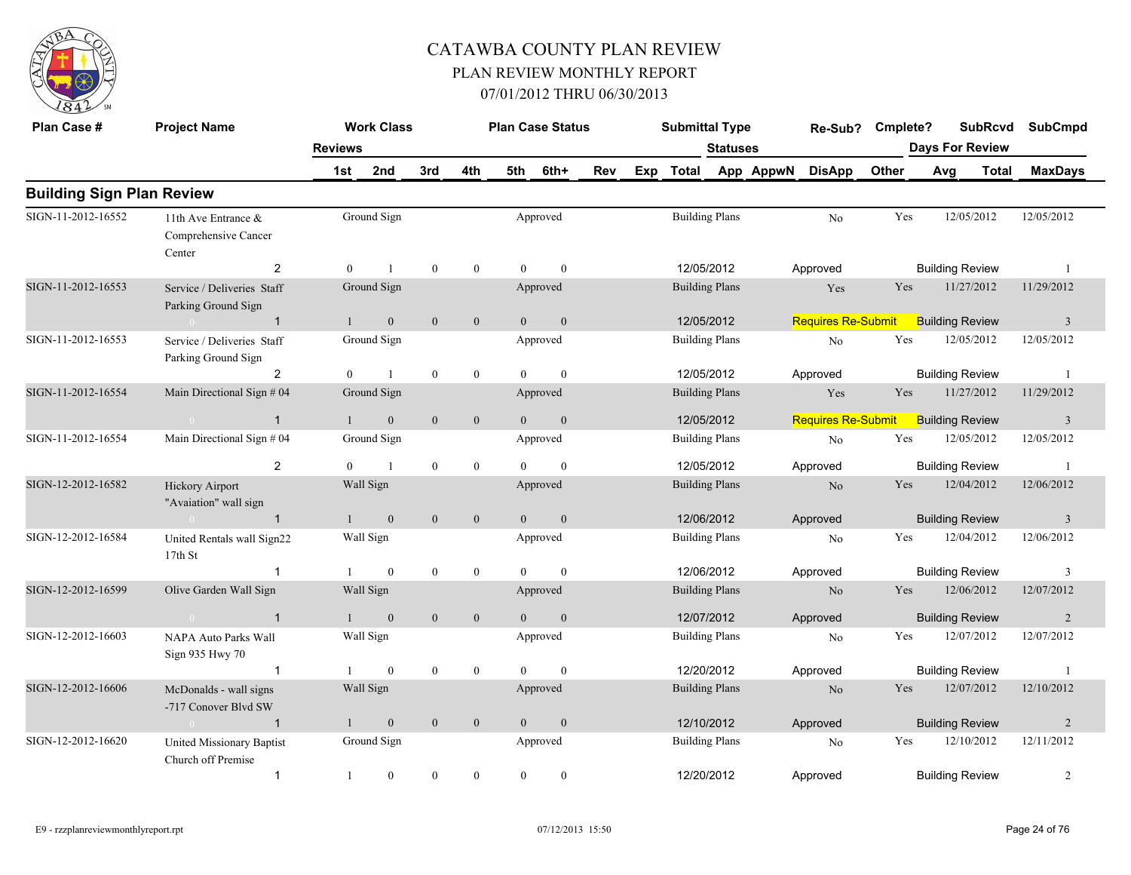

| Plan Case #                      | <b>Project Name</b>                                             |                | <b>Work Class</b> |              |                  |                | <b>Plan Case Status</b> |     | <b>Submittal Type</b> |                 |           | Re-Sub?                   | Cmplete? |     | <b>SubRcvd</b>         | <b>SubCmpd</b>          |
|----------------------------------|-----------------------------------------------------------------|----------------|-------------------|--------------|------------------|----------------|-------------------------|-----|-----------------------|-----------------|-----------|---------------------------|----------|-----|------------------------|-------------------------|
|                                  |                                                                 | <b>Reviews</b> |                   |              |                  |                |                         |     |                       | <b>Statuses</b> |           |                           |          |     | <b>Days For Review</b> |                         |
|                                  |                                                                 | 1st            | 2nd               | 3rd          | 4th              | 5th            | 6th+                    | Rev | Exp Total             |                 | App AppwN | <b>DisApp</b>             | Other    | Avg | Total                  | <b>MaxDays</b>          |
| <b>Building Sign Plan Review</b> |                                                                 |                |                   |              |                  |                |                         |     |                       |                 |           |                           |          |     |                        |                         |
| SIGN-11-2012-16552               | 11th Ave Entrance &<br>Comprehensive Cancer<br>Center           |                | Ground Sign       |              |                  |                | Approved                |     | <b>Building Plans</b> |                 |           | N <sub>o</sub>            | Yes      |     | 12/05/2012             | 12/05/2012              |
|                                  | $\overline{2}$                                                  | $\overline{0}$ | $\mathbf{1}$      | $\mathbf{0}$ | $\overline{0}$   | $\theta$       | $\mathbf{0}$            |     | 12/05/2012            |                 |           | Approved                  |          |     | <b>Building Review</b> | $\overline{1}$          |
| SIGN-11-2012-16553               | Service / Deliveries Staff<br>Parking Ground Sign               |                | Ground Sign       |              |                  |                | Approved                |     | <b>Building Plans</b> |                 |           | Yes                       | Yes      |     | 11/27/2012             | 11/29/2012              |
|                                  | $\sim 0$ and $\sim$<br>$\overline{1}$                           | $\mathbf{1}$   | $\overline{0}$    | $\theta$     | $\mathbf{0}$     | $\theta$       | $\overline{0}$          |     | 12/05/2012            |                 |           | <b>Requires Re-Submit</b> |          |     | <b>Building Review</b> | $\overline{\mathbf{3}}$ |
| SIGN-11-2012-16553               | Service / Deliveries Staff<br>Parking Ground Sign               |                | Ground Sign       |              |                  |                | Approved                |     | <b>Building Plans</b> |                 |           | No                        | Yes      |     | 12/05/2012             | 12/05/2012              |
|                                  | 2                                                               | $\theta$       | $\overline{1}$    | $\mathbf{0}$ | $\mathbf{0}$     | $\Omega$       | $\mathbf{0}$            |     | 12/05/2012            |                 |           | Approved                  |          |     | <b>Building Review</b> | -1                      |
| SIGN-11-2012-16554               | Main Directional Sign # 04                                      |                | Ground Sign       |              |                  |                | Approved                |     | <b>Building Plans</b> |                 |           | Yes                       | Yes      |     | 11/27/2012             | 11/29/2012              |
|                                  | $\overline{1}$                                                  |                | $\mathbf{0}$      | $\mathbf{0}$ | $\mathbf{0}$     | $\Omega$       | $\mathbf{0}$            |     | 12/05/2012            |                 |           | <b>Requires Re-Submit</b> |          |     | <b>Building Review</b> | $\overline{3}$          |
| SIGN-11-2012-16554               | Main Directional Sign # 04                                      |                | Ground Sign       |              |                  |                | Approved                |     | <b>Building Plans</b> |                 |           | No                        | Yes      |     | 12/05/2012             | 12/05/2012              |
|                                  | 2                                                               | $\theta$       | $\overline{1}$    | $\mathbf{0}$ | $\overline{0}$   | $\theta$       | $\theta$                |     | 12/05/2012            |                 |           | Approved                  |          |     | <b>Building Review</b> | -1                      |
| SIGN-12-2012-16582               | <b>Hickory Airport</b><br>"Avaiation" wall sign                 |                | Wall Sign         |              |                  |                | Approved                |     | <b>Building Plans</b> |                 |           | N <sub>o</sub>            | Yes      |     | 12/04/2012             | 12/06/2012              |
|                                  | $\sim 0$<br>$\overline{1}$                                      |                | $\mathbf{0}$      | $\mathbf{0}$ | $\mathbf{0}$     | $\overline{0}$ | $\mathbf{0}$            |     | 12/06/2012            |                 |           | Approved                  |          |     | <b>Building Review</b> | $\overline{\mathbf{3}}$ |
| SIGN-12-2012-16584               | United Rentals wall Sign22<br>17th St                           |                | Wall Sign         |              |                  |                | Approved                |     | <b>Building Plans</b> |                 |           | No                        | Yes      |     | 12/04/2012             | 12/06/2012              |
|                                  | $\overline{1}$                                                  |                | $\theta$          | $\mathbf{0}$ | $\mathbf{0}$     | $\Omega$       | $\theta$                |     | 12/06/2012            |                 |           | Approved                  |          |     | <b>Building Review</b> | $\overline{\mathbf{3}}$ |
| SIGN-12-2012-16599               | Olive Garden Wall Sign                                          |                | Wall Sign         |              |                  |                | Approved                |     | <b>Building Plans</b> |                 |           | $\rm No$                  | Yes      |     | 12/06/2012             | 12/07/2012              |
|                                  | $\overline{1}$<br>$\sim 0$                                      |                | $\mathbf{0}$      | $\mathbf{0}$ | $\mathbf{0}$     | $\overline{0}$ | $\mathbf{0}$            |     | 12/07/2012            |                 |           | Approved                  |          |     | <b>Building Review</b> | 2                       |
| SIGN-12-2012-16603               | NAPA Auto Parks Wall<br>Sign 935 Hwy 70                         |                | Wall Sign         |              |                  |                | Approved                |     | <b>Building Plans</b> |                 |           | No                        | Yes      |     | 12/07/2012             | 12/07/2012              |
|                                  | $\overline{1}$                                                  |                | $\boldsymbol{0}$  | $\mathbf{0}$ | $\boldsymbol{0}$ | $\Omega$       | $\mathbf{0}$            |     | 12/20/2012            |                 |           | Approved                  |          |     | <b>Building Review</b> | -1                      |
| SIGN-12-2012-16606               | McDonalds - wall signs<br>-717 Conover Blvd SW                  |                | Wall Sign         |              |                  |                | Approved                |     | <b>Building Plans</b> |                 |           | No                        | Yes      |     | 12/07/2012             | 12/10/2012              |
|                                  | $\overline{1}$<br>$\sim$ 0.000 $\sim$ 0.000 $\sim$ 0.000 $\sim$ |                | $\mathbf{0}$      | $\mathbf{0}$ | $\mathbf{0}$     | $\theta$       | $\mathbf{0}$            |     | 12/10/2012            |                 |           | Approved                  |          |     | <b>Building Review</b> | 2                       |
| SIGN-12-2012-16620               | United Missionary Baptist<br>Church off Premise                 |                | Ground Sign       |              |                  |                | Approved                |     | <b>Building Plans</b> |                 |           | No                        | Yes      |     | 12/10/2012             | 12/11/2012              |
|                                  | $\mathbf{1}$                                                    | 1              | $\boldsymbol{0}$  | $\mathbf{0}$ | $\boldsymbol{0}$ | $\overline{0}$ | $\boldsymbol{0}$        |     | 12/20/2012            |                 |           | Approved                  |          |     | <b>Building Review</b> | 2                       |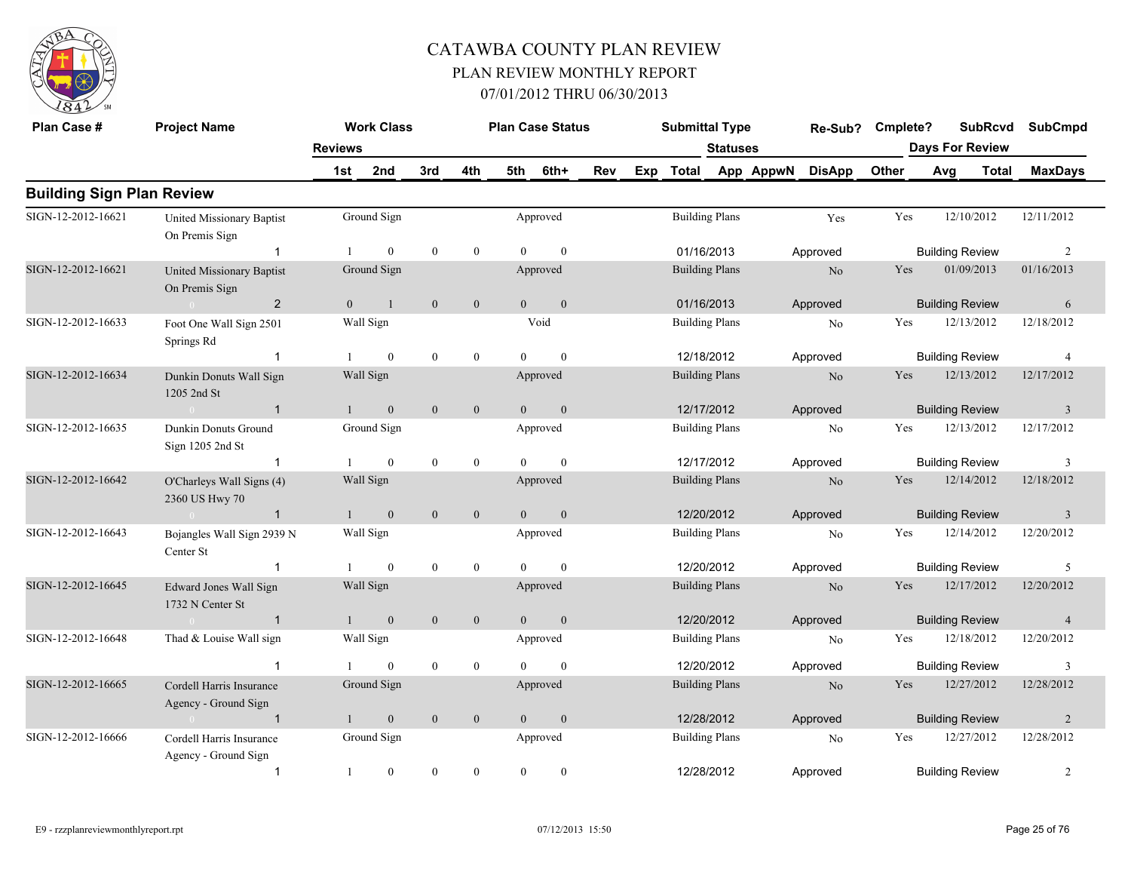

| Plan Case #                      | <b>Project Name</b>                                |                | <b>Work Class</b> |                  |                  |                | <b>Plan Case Status</b> |     | <b>Submittal Type</b> |                       |           | Re-Sub?        | Cmplete?   |                        | <b>SubRcvd</b> | <b>SubCmpd</b> |
|----------------------------------|----------------------------------------------------|----------------|-------------------|------------------|------------------|----------------|-------------------------|-----|-----------------------|-----------------------|-----------|----------------|------------|------------------------|----------------|----------------|
|                                  |                                                    | <b>Reviews</b> |                   |                  |                  |                |                         |     |                       | <b>Statuses</b>       |           |                |            | <b>Days For Review</b> |                |                |
|                                  |                                                    | 1st            | 2nd               | 3rd              | 4th              | 5th            | 6th+                    | Rev | Exp Total             |                       | App AppwN | <b>DisApp</b>  | Other      | Avg                    | <b>Total</b>   | <b>MaxDays</b> |
| <b>Building Sign Plan Review</b> |                                                    |                |                   |                  |                  |                |                         |     |                       |                       |           |                |            |                        |                |                |
| SIGN-12-2012-16621               | <b>United Missionary Baptist</b><br>On Premis Sign |                | Ground Sign       |                  |                  |                | Approved                |     |                       | <b>Building Plans</b> |           | Yes            | Yes        | 12/10/2012             |                | 12/11/2012     |
|                                  | $\mathbf{1}$                                       |                | $\theta$          | $\mathbf{0}$     | $\mathbf{0}$     | $\Omega$       | $\theta$                |     |                       | 01/16/2013            |           | Approved       |            | <b>Building Review</b> |                | 2              |
| SIGN-12-2012-16621               | <b>United Missionary Baptist</b><br>On Premis Sign |                | Ground Sign       |                  |                  |                | Approved                |     |                       | <b>Building Plans</b> |           | $\rm No$       | Yes        | 01/09/2013             |                | 01/16/2013     |
|                                  | $\overline{2}$<br>$\sim 0$                         | $\overline{0}$ | 1                 | $\mathbf{0}$     | $\mathbf{0}$     | $\overline{0}$ | $\boldsymbol{0}$        |     | 01/16/2013            |                       |           | Approved       |            | <b>Building Review</b> |                | 6              |
| SIGN-12-2012-16633               | Foot One Wall Sign 2501<br>Springs Rd              |                | Wall Sign         |                  |                  |                | Void                    |     |                       | <b>Building Plans</b> |           | $\rm No$       | Yes        | 12/13/2012             |                | 12/18/2012     |
|                                  | $\mathbf{1}$                                       |                | $\overline{0}$    | $\mathbf{0}$     | $\overline{0}$   | $\Omega$       | $\theta$                |     |                       | 12/18/2012            |           | Approved       |            | <b>Building Review</b> |                | $\overline{4}$ |
| SIGN-12-2012-16634               | Dunkin Donuts Wall Sign<br>1205 2nd St             |                | Wall Sign         |                  |                  |                | Approved                |     |                       | <b>Building Plans</b> |           | N <sub>o</sub> | <b>Yes</b> | 12/13/2012             |                | 12/17/2012     |
|                                  | $\overline{1}$<br>$\sim 0$                         |                | $\mathbf{0}$      | $\mathbf{0}$     | $\mathbf{0}$     | $\overline{0}$ | $\mathbf{0}$            |     |                       | 12/17/2012            |           | Approved       |            | <b>Building Review</b> |                | $\overline{3}$ |
| SIGN-12-2012-16635               | Dunkin Donuts Ground<br>Sign 1205 2nd St           |                | Ground Sign       |                  |                  |                | Approved                |     |                       | <b>Building Plans</b> |           | No             | Yes        | 12/13/2012             |                | 12/17/2012     |
|                                  | $\mathbf{1}$                                       |                | $\overline{0}$    | $\mathbf{0}$     | $\mathbf{0}$     | $\theta$       | $\mathbf{0}$            |     |                       | 12/17/2012            |           | Approved       |            | <b>Building Review</b> |                | 3              |
| SIGN-12-2012-16642               | O'Charleys Wall Signs (4)<br>2360 US Hwy 70        |                | Wall Sign         |                  |                  |                | Approved                |     |                       | <b>Building Plans</b> |           | N <sub>o</sub> | Yes        | 12/14/2012             |                | 12/18/2012     |
|                                  | $\overline{1}$<br>$\sim 0$ and $\sim 0$            | $\mathbf{1}$   | $\mathbf{0}$      | $\mathbf{0}$     | $\mathbf{0}$     | $\theta$       | $\mathbf{0}$            |     |                       | 12/20/2012            |           | Approved       |            | <b>Building Review</b> |                | $\overline{3}$ |
| SIGN-12-2012-16643               | Bojangles Wall Sign 2939 N<br>Center St            |                | Wall Sign         |                  |                  |                | Approved                |     |                       | <b>Building Plans</b> |           | No             | Yes        | 12/14/2012             |                | 12/20/2012     |
|                                  |                                                    |                | $\overline{0}$    | $\mathbf{0}$     | $\mathbf{0}$     | $\Omega$       | $\mathbf{0}$            |     |                       | 12/20/2012            |           | Approved       |            | <b>Building Review</b> |                | 5              |
| SIGN-12-2012-16645               | Edward Jones Wall Sign<br>1732 N Center St         |                | Wall Sign         |                  |                  |                | Approved                |     |                       | <b>Building Plans</b> |           | No             | Yes        | 12/17/2012             |                | 12/20/2012     |
|                                  | $\overline{1}$<br>$\sim 0$                         | $\overline{1}$ | $\boldsymbol{0}$  | $\mathbf{0}$     | $\boldsymbol{0}$ | $\mathbf{0}$   | $\boldsymbol{0}$        |     |                       | 12/20/2012            |           | Approved       |            | <b>Building Review</b> |                | $\overline{4}$ |
| SIGN-12-2012-16648               | Thad & Louise Wall sign                            |                | Wall Sign         |                  |                  |                | Approved                |     |                       | <b>Building Plans</b> |           | No             | Yes        | 12/18/2012             |                | 12/20/2012     |
|                                  |                                                    |                | $\theta$          | $\mathbf{0}$     | $\mathbf{0}$     |                | $\theta$                |     |                       | 12/20/2012            |           | Approved       |            | <b>Building Review</b> |                | 3              |
| SIGN-12-2012-16665               | Cordell Harris Insurance<br>Agency - Ground Sign   |                | Ground Sign       |                  |                  |                | Approved                |     |                       | <b>Building Plans</b> |           | $\rm No$       | Yes        | 12/27/2012             |                | 12/28/2012     |
|                                  | $\overline{1}$                                     |                | $\mathbf{0}$      | $\boldsymbol{0}$ | $\mathbf{0}$     | $\overline{0}$ | $\boldsymbol{0}$        |     |                       | 12/28/2012            |           | Approved       |            | <b>Building Review</b> |                | $\overline{2}$ |
| SIGN-12-2012-16666               | Cordell Harris Insurance<br>Agency - Ground Sign   |                | Ground Sign       |                  |                  |                | Approved                |     |                       | <b>Building Plans</b> |           | No             | Yes        | 12/27/2012             |                | 12/28/2012     |
|                                  | $\mathbf{1}$                                       | -1             | $\boldsymbol{0}$  | $\mathbf{0}$     | $\boldsymbol{0}$ | $\mathbf{0}$   | $\bf{0}$                |     | 12/28/2012            |                       |           | Approved       |            | <b>Building Review</b> |                | 2              |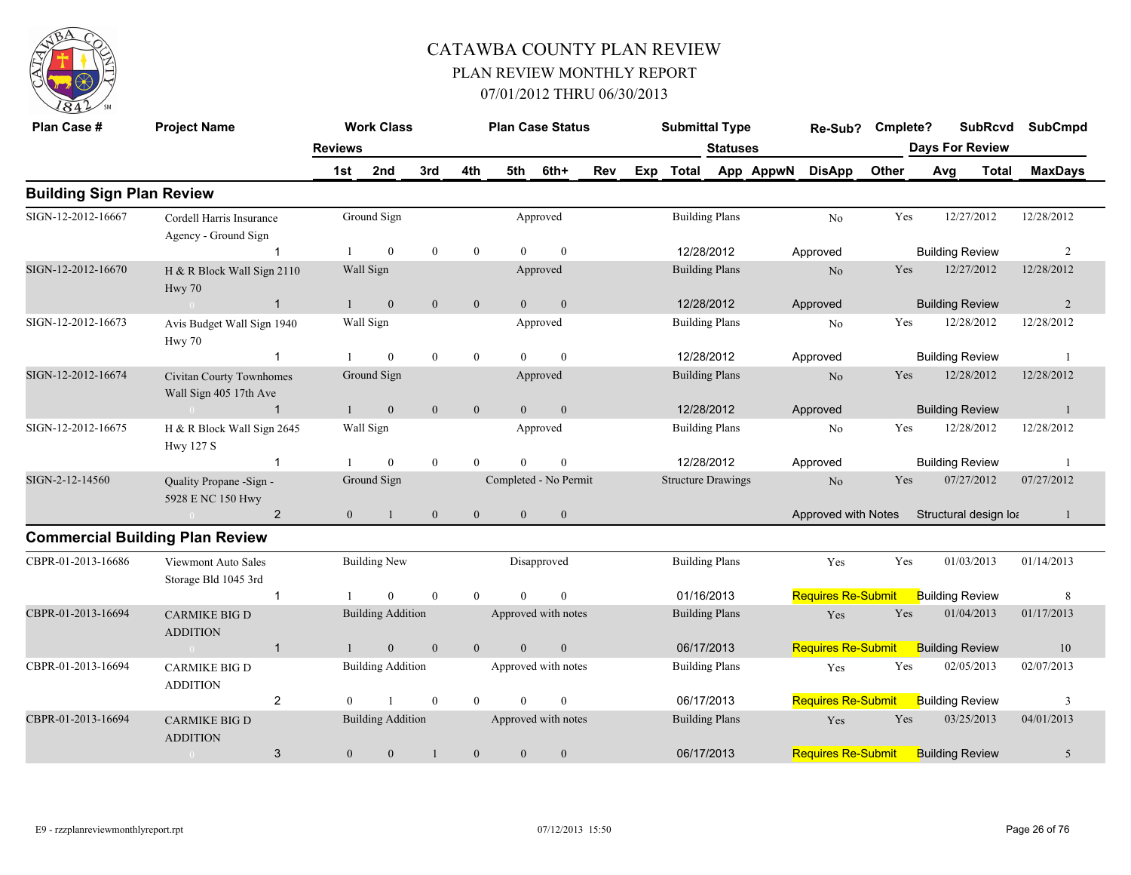

| Plan Case #                      | <b>Project Name</b>                                |                | <b>Work Class</b>        |                  |                  | <b>Plan Case Status</b> |                  |            |     | <b>Submittal Type</b>     |                       |           | Re-Sub?                   | Cmplete? | <b>SubRcvd</b>         |              | <b>SubCmpd</b> |
|----------------------------------|----------------------------------------------------|----------------|--------------------------|------------------|------------------|-------------------------|------------------|------------|-----|---------------------------|-----------------------|-----------|---------------------------|----------|------------------------|--------------|----------------|
|                                  |                                                    | <b>Reviews</b> |                          |                  |                  |                         |                  |            |     |                           | <b>Statuses</b>       |           |                           |          | <b>Days For Review</b> |              |                |
|                                  |                                                    | 1st            | 2nd                      | 3rd              | 4th              | 5th                     | 6th+             | <b>Rev</b> | Exp | <b>Total</b>              |                       | App AppwN | <b>DisApp</b>             | Other    | Avg                    | <b>Total</b> | <b>MaxDays</b> |
| <b>Building Sign Plan Review</b> |                                                    |                |                          |                  |                  |                         |                  |            |     |                           |                       |           |                           |          |                        |              |                |
| SIGN-12-2012-16667               | Cordell Harris Insurance<br>Agency - Ground Sign   |                | Ground Sign              |                  |                  |                         | Approved         |            |     |                           | <b>Building Plans</b> |           | No                        | Yes      | 12/27/2012             |              | 12/28/2012     |
|                                  |                                                    |                | $\theta$                 | $\mathbf{0}$     | $\mathbf{0}$     | $\Omega$                | $\theta$         |            |     |                           | 12/28/2012            |           | Approved                  |          | <b>Building Review</b> |              | 2              |
| SIGN-12-2012-16670               | H & R Block Wall Sign 2110<br>Hwy 70               |                | Wall Sign                |                  |                  |                         | Approved         |            |     |                           | <b>Building Plans</b> |           | N <sub>o</sub>            | Yes      | 12/27/2012             |              | 12/28/2012     |
|                                  | $\overline{1}$                                     |                | $\mathbf{0}$             | $\mathbf{0}$     | $\mathbf{0}$     | $\theta$                | $\mathbf{0}$     |            |     |                           | 12/28/2012            |           | Approved                  |          | <b>Building Review</b> |              | 2              |
| SIGN-12-2012-16673               | Avis Budget Wall Sign 1940<br>Hwy 70               |                | Wall Sign                |                  |                  |                         | Approved         |            |     |                           | <b>Building Plans</b> |           | N <sub>o</sub>            | Yes      | 12/28/2012             |              | 12/28/2012     |
|                                  | $\mathbf{1}$                                       |                | $\overline{0}$           | $\mathbf{0}$     | $\boldsymbol{0}$ | $\Omega$                | $\mathbf{0}$     |            |     |                           | 12/28/2012            |           | Approved                  |          | <b>Building Review</b> |              | $\overline{1}$ |
| SIGN-12-2012-16674               | Civitan Courty Townhomes<br>Wall Sign 405 17th Ave |                | Ground Sign              |                  |                  |                         | Approved         |            |     |                           | <b>Building Plans</b> |           | N <sub>o</sub>            | Yes      | 12/28/2012             |              | 12/28/2012     |
|                                  | $\overline{1}$<br>$\sim 0$                         |                | $\mathbf{0}$             | $\mathbf{0}$     | $\mathbf{0}$     | $\theta$                | $\mathbf{0}$     |            |     |                           | 12/28/2012            |           | Approved                  |          | <b>Building Review</b> |              | $\overline{1}$ |
| SIGN-12-2012-16675               | H & R Block Wall Sign 2645<br><b>Hwy 127 S</b>     |                | Wall Sign                |                  |                  |                         | Approved         |            |     |                           | <b>Building Plans</b> |           | N <sub>o</sub>            | Yes      | 12/28/2012             |              | 12/28/2012     |
|                                  | $\overline{1}$                                     |                | $\theta$                 | $\theta$         | $\theta$         | $\Omega$                | $\theta$         |            |     |                           | 12/28/2012            |           | Approved                  |          | <b>Building Review</b> |              |                |
| SIGN-2-12-14560                  | Quality Propane -Sign -<br>5928 E NC 150 Hwy       |                | Ground Sign              |                  |                  | Completed - No Permit   |                  |            |     | <b>Structure Drawings</b> |                       |           | No                        | Yes      | 07/27/2012             |              | 07/27/2012     |
|                                  | $\overline{2}$                                     | $\mathbf{0}$   | $\mathbf{1}$             | $\mathbf{0}$     | $\mathbf{0}$     | $\overline{0}$          | $\overline{0}$   |            |     |                           |                       |           | Approved with Notes       |          | Structural design loa  |              |                |
|                                  | <b>Commercial Building Plan Review</b>             |                |                          |                  |                  |                         |                  |            |     |                           |                       |           |                           |          |                        |              |                |
| CBPR-01-2013-16686               | Viewmont Auto Sales<br>Storage Bld 1045 3rd        |                | <b>Building New</b>      |                  |                  |                         | Disapproved      |            |     |                           | <b>Building Plans</b> |           | Yes                       | Yes      | 01/03/2013             |              | 01/14/2013     |
|                                  | $\overline{1}$                                     |                | $\theta$                 | $\theta$         | $\overline{0}$   | $\Omega$                | $\Omega$         |            |     | 01/16/2013                |                       |           | <b>Requires Re-Submit</b> |          | <b>Building Review</b> |              | 8              |
| CBPR-01-2013-16694               | <b>CARMIKE BIG D</b><br><b>ADDITION</b>            |                | <b>Building Addition</b> |                  |                  | Approved with notes     |                  |            |     |                           | <b>Building Plans</b> |           | Yes                       | Yes      | 01/04/2013             |              | 01/17/2013     |
|                                  | $\overline{1}$<br>$\sim$ 0                         |                | $\mathbf{0}$             | $\mathbf{0}$     | $\mathbf{0}$     | $\overline{0}$          | $\boldsymbol{0}$ |            |     | 06/17/2013                |                       |           | <b>Requires Re-Submit</b> |          | <b>Building Review</b> |              | 10             |
| CBPR-01-2013-16694               | <b>CARMIKE BIG D</b><br><b>ADDITION</b>            |                | <b>Building Addition</b> |                  |                  | Approved with notes     |                  |            |     |                           | <b>Building Plans</b> |           | Yes                       | Yes      | 02/05/2013             |              | 02/07/2013     |
|                                  | $\overline{c}$                                     | $\theta$       |                          | $\boldsymbol{0}$ | $\mathbf{0}$     | $\theta$                | $\Omega$         |            |     | 06/17/2013                |                       |           | <b>Requires Re-Submit</b> |          | <b>Building Review</b> |              | 3              |
| CBPR-01-2013-16694               | <b>CARMIKE BIG D</b><br><b>ADDITION</b>            |                | <b>Building Addition</b> |                  |                  | Approved with notes     |                  |            |     |                           | <b>Building Plans</b> |           | Yes                       | Yes      | 03/25/2013             |              | 04/01/2013     |
|                                  | 3<br>$\overline{0}$                                | $\overline{0}$ | $\mathbf{0}$             |                  | $\mathbf{0}$     | $\overline{0}$          | $\mathbf{0}$     |            |     | 06/17/2013                |                       |           | <b>Requires Re-Submit</b> |          | <b>Building Review</b> |              | 5              |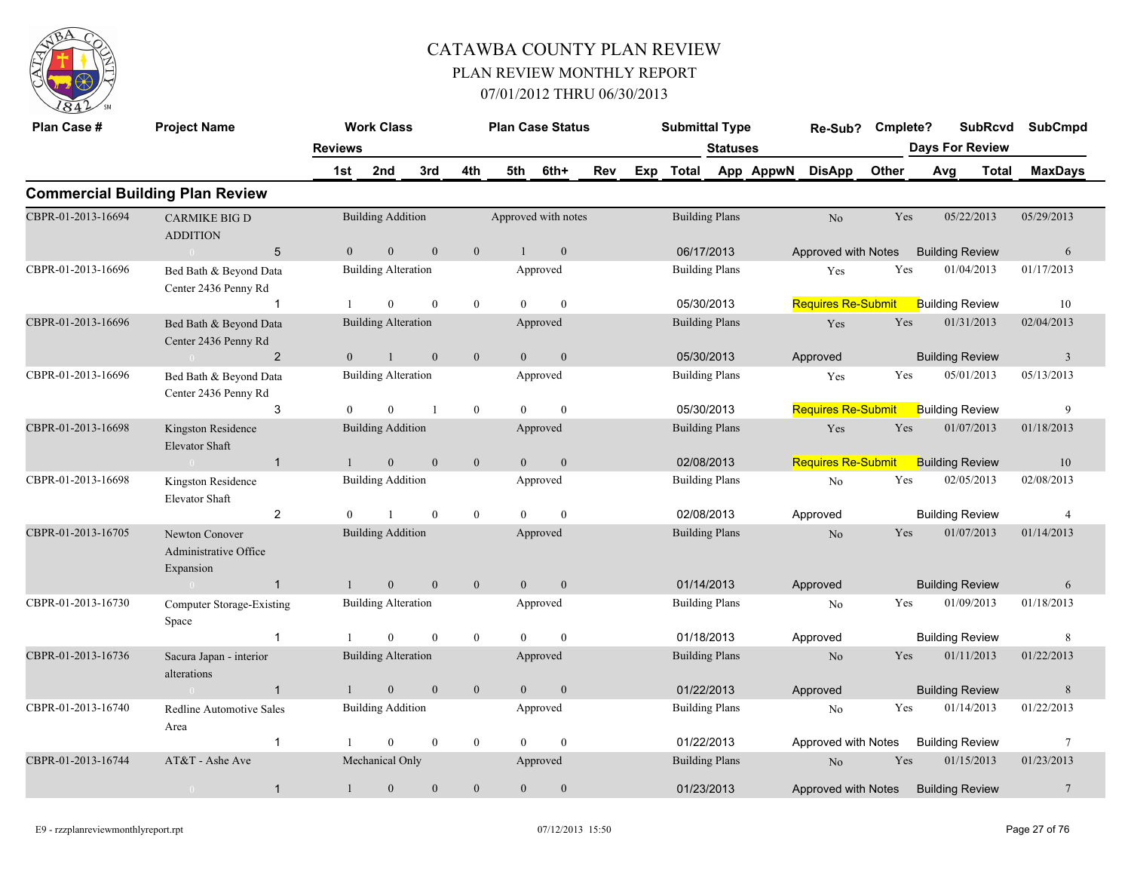

| Plan Case #        |                                                      | <b>Work Class</b> |                            |                |                  | <b>Plan Case Status</b> |                     | <b>Submittal Type</b> |                       |          | Re-Sub?   | Cmplete?                  |       | <b>SubRcvd</b>         | <b>SubCmpd</b> |                 |
|--------------------|------------------------------------------------------|-------------------|----------------------------|----------------|------------------|-------------------------|---------------------|-----------------------|-----------------------|----------|-----------|---------------------------|-------|------------------------|----------------|-----------------|
|                    |                                                      | <b>Reviews</b>    |                            |                |                  |                         |                     |                       |                       | Statuses |           |                           |       | <b>Days For Review</b> |                |                 |
|                    |                                                      | 1st               | 2nd                        | 3rd            | 4th              | 5th                     | 6th+                | Rev                   | Exp Total             |          | App AppwN | <b>DisApp</b>             | Other | Avg                    | Total          | <b>MaxDays</b>  |
|                    | <b>Commercial Building Plan Review</b>               |                   |                            |                |                  |                         |                     |                       |                       |          |           |                           |       |                        |                |                 |
| CBPR-01-2013-16694 | <b>CARMIKE BIG D</b><br><b>ADDITION</b>              |                   | <b>Building Addition</b>   |                |                  |                         | Approved with notes |                       | <b>Building Plans</b> |          |           | No                        | Yes   | 05/22/2013             |                | 05/29/2013      |
|                    | $5\phantom{.0}$<br>$\sim 0$                          | $\theta$          | $\mathbf{0}$               | $\mathbf{0}$   | $\mathbf{0}$     | $\mathbf{1}$            | $\mathbf{0}$        |                       | 06/17/2013            |          |           | Approved with Notes       |       | <b>Building Review</b> |                | 6               |
| CBPR-01-2013-16696 | Bed Bath & Beyond Data<br>Center 2436 Penny Rd       |                   | <b>Building Alteration</b> |                |                  |                         | Approved            |                       | <b>Building Plans</b> |          |           | Yes                       | Yes   | 01/04/2013             |                | 01/17/2013      |
|                    | $\mathbf 1$                                          |                   | $\mathbf{0}$               | $\theta$       | $\boldsymbol{0}$ | $\theta$                | $\mathbf{0}$        |                       | 05/30/2013            |          |           | <b>Requires Re-Submit</b> |       | <b>Building Review</b> |                | 10              |
| CBPR-01-2013-16696 | Bed Bath & Beyond Data<br>Center 2436 Penny Rd       |                   | <b>Building Alteration</b> |                |                  |                         | Approved            |                       | <b>Building Plans</b> |          |           | Yes                       | Yes   | 01/31/2013             |                | 02/04/2013      |
|                    | 2<br>$0 -$                                           | $\Omega$          | $\overline{1}$             | $\Omega$       | $\mathbf{0}$     | $\theta$                | $\mathbf{0}$        |                       | 05/30/2013            |          |           | Approved                  |       | <b>Building Review</b> |                | 3               |
| CBPR-01-2013-16696 | Bed Bath & Beyond Data<br>Center 2436 Penny Rd       |                   | <b>Building Alteration</b> |                |                  |                         | Approved            |                       | <b>Building Plans</b> |          |           | Yes                       | Yes   | 05/01/2013             |                | 05/13/2013      |
|                    | 3                                                    | $\Omega$          | $\theta$                   | $\overline{1}$ | $\overline{0}$   | $\theta$                | $\mathbf{0}$        |                       | 05/30/2013            |          |           | <b>Requires Re-Submit</b> |       | <b>Building Review</b> |                | 9               |
| CBPR-01-2013-16698 | Kingston Residence<br><b>Elevator Shaft</b>          |                   | <b>Building Addition</b>   |                |                  |                         | Approved            |                       | <b>Building Plans</b> |          |           | Yes                       | Yes   | 01/07/2013             |                | 01/18/2013      |
|                    | $\overline{1}$<br>$\sim 0$                           |                   | $\mathbf{0}$               | $\mathbf{0}$   | $\mathbf{0}$     | $\theta$                | $\mathbf{0}$        |                       | 02/08/2013            |          |           | Requires Re-Submit        |       | <b>Building Review</b> |                | 10              |
| CBPR-01-2013-16698 | Kingston Residence<br>Elevator Shaft                 |                   | <b>Building Addition</b>   |                |                  |                         | Approved            |                       | <b>Building Plans</b> |          |           | No                        | Yes   | 02/05/2013             |                | 02/08/2013      |
|                    | $\overline{2}$                                       | $\Omega$          |                            | $\theta$       | $\boldsymbol{0}$ | $\theta$                | $\theta$            |                       | 02/08/2013            |          |           | Approved                  |       | <b>Building Review</b> |                | $\overline{4}$  |
| CBPR-01-2013-16705 | Newton Conover<br>Administrative Office<br>Expansion |                   | <b>Building Addition</b>   |                |                  |                         | Approved            |                       | <b>Building Plans</b> |          |           | N <sub>o</sub>            | Yes   | 01/07/2013             |                | 01/14/2013      |
|                    | $\overline{1}$                                       |                   | $\mathbf{0}$               | $\mathbf{0}$   | $\boldsymbol{0}$ | $\overline{0}$          | $\mathbf{0}$        |                       | 01/14/2013            |          |           | Approved                  |       | <b>Building Review</b> |                | 6               |
| CBPR-01-2013-16730 | Computer Storage-Existing<br>Space                   |                   | <b>Building Alteration</b> |                |                  |                         | Approved            |                       | <b>Building Plans</b> |          |           | No                        | Yes   | 01/09/2013             |                | 01/18/2013      |
|                    | $\mathbf{1}$                                         |                   | $\theta$                   | $\theta$       | $\mathbf{0}$     | $\theta$                | $\theta$            |                       | 01/18/2013            |          |           | Approved                  |       | <b>Building Review</b> |                | 8               |
| CBPR-01-2013-16736 | Sacura Japan - interior<br>alterations               |                   | <b>Building Alteration</b> |                |                  |                         | Approved            |                       | <b>Building Plans</b> |          |           | $\rm No$                  | Yes   | 01/11/2013             |                | 01/22/2013      |
|                    | $\mathbf{1}$<br>$\sim 0$                             |                   | $\mathbf{0}$               | $\mathbf{0}$   | $\mathbf{0}$     | $\overline{0}$          | $\mathbf{0}$        |                       | 01/22/2013            |          |           | Approved                  |       | <b>Building Review</b> |                | $8\phantom{.}$  |
| CBPR-01-2013-16740 | Redline Automotive Sales<br>Area                     |                   | <b>Building Addition</b>   |                |                  |                         | Approved            |                       | <b>Building Plans</b> |          |           | No                        | Yes   | 01/14/2013             |                | 01/22/2013      |
|                    | $\mathbf{1}$                                         |                   | $\mathbf{0}$               | $\mathbf{0}$   | $\boldsymbol{0}$ | $\Omega$                | $\mathbf{0}$        |                       | 01/22/2013            |          |           | Approved with Notes       |       | <b>Building Review</b> |                | 7               |
| CBPR-01-2013-16744 | AT&T - Ashe Ave                                      |                   | Mechanical Only            |                |                  |                         | Approved            |                       | <b>Building Plans</b> |          |           | No                        | Yes   | 01/15/2013             |                | 01/23/2013      |
|                    | $\mathbf{1}$<br>$\overline{0}$                       | $\mathbf{1}$      | $\mathbf{0}$               | $\theta$       | $\mathbf{0}$     | $\overline{0}$          | $\mathbf{0}$        |                       | 01/23/2013            |          |           | Approved with Notes       |       | <b>Building Review</b> |                | $7\phantom{.0}$ |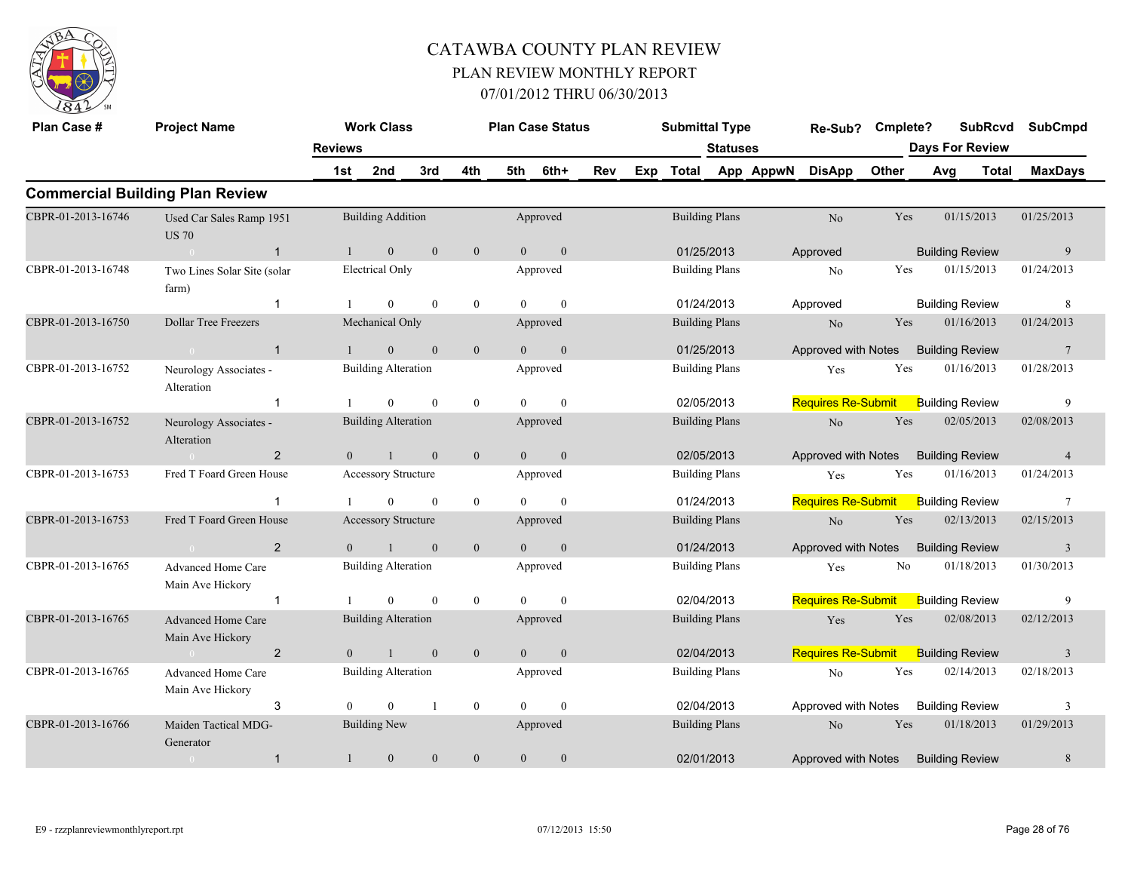

| Plan Case #        | <b>Project Name</b>                           |                | <b>Work Class</b>          |                  |                  |                | <b>Plan Case Status</b> |     |     | <b>Submittal Type</b> |                       |           | Re-Sub?                             | Cmplete?     |     | <b>SubRcvd</b>         | <b>SubCmpd</b>  |
|--------------------|-----------------------------------------------|----------------|----------------------------|------------------|------------------|----------------|-------------------------|-----|-----|-----------------------|-----------------------|-----------|-------------------------------------|--------------|-----|------------------------|-----------------|
|                    |                                               | <b>Reviews</b> |                            |                  |                  |                |                         |     |     |                       | <b>Statuses</b>       |           |                                     |              |     | <b>Days For Review</b> |                 |
|                    |                                               | 1st            | 2nd                        | 3rd              | 4th              | 5th            | 6th+                    | Rev | Exp | Total                 |                       | App AppwN | <b>DisApp</b>                       | <b>Other</b> | Avg | <b>Total</b>           | <b>MaxDays</b>  |
|                    | <b>Commercial Building Plan Review</b>        |                |                            |                  |                  |                |                         |     |     |                       |                       |           |                                     |              |     |                        |                 |
| CBPR-01-2013-16746 | Used Car Sales Ramp 1951<br><b>US 70</b>      |                | <b>Building Addition</b>   |                  |                  |                | Approved                |     |     |                       | <b>Building Plans</b> |           | No                                  | Yes          |     | 01/15/2013             | 01/25/2013      |
|                    | $\mathbf{1}$<br>$\sim 0$                      | $\mathbf{1}$   | $\mathbf{0}$               | $\mathbf{0}$     | $\mathbf{0}$     | $\overline{0}$ | $\mathbf{0}$            |     |     | 01/25/2013            |                       |           | Approved                            |              |     | <b>Building Review</b> | 9               |
| CBPR-01-2013-16748 | Two Lines Solar Site (solar<br>farm)          |                | <b>Electrical Only</b>     |                  |                  |                | Approved                |     |     | <b>Building Plans</b> |                       |           | No                                  | Yes          |     | 01/15/2013             | 01/24/2013      |
|                    | $\mathbf{1}$                                  |                | $\mathbf{0}$               | $\mathbf{0}$     | $\overline{0}$   | $\theta$       | $\mathbf{0}$            |     |     | 01/24/2013            |                       |           | Approved                            |              |     | <b>Building Review</b> | 8               |
| CBPR-01-2013-16750 | <b>Dollar Tree Freezers</b>                   |                | Mechanical Only            |                  |                  |                | Approved                |     |     | <b>Building Plans</b> |                       |           | No                                  | Yes          |     | 01/16/2013             | 01/24/2013      |
|                    | $\overline{1}$                                |                | $\mathbf{0}$               | $\theta$         | $\mathbf{0}$     | $\theta$       | $\mathbf{0}$            |     |     | 01/25/2013            |                       |           | Approved with Notes                 |              |     | <b>Building Review</b> | $7\phantom{.0}$ |
| CBPR-01-2013-16752 | Neurology Associates -<br>Alteration          |                | <b>Building Alteration</b> |                  |                  |                | Approved                |     |     | <b>Building Plans</b> |                       |           | Yes                                 | Yes          |     | 01/16/2013             | 01/28/2013      |
|                    | $\overline{1}$                                |                | $\Omega$                   | $\mathbf{0}$     | $\boldsymbol{0}$ | $\theta$       | $\mathbf{0}$            |     |     | 02/05/2013            |                       |           | <b>Requires Re-Submit</b>           |              |     | <b>Building Review</b> | 9               |
| CBPR-01-2013-16752 | Neurology Associates -<br>Alteration          |                | <b>Building Alteration</b> |                  |                  |                | Approved                |     |     | <b>Building Plans</b> |                       |           | N <sub>o</sub>                      | Yes          |     | 02/05/2013             | 02/08/2013      |
|                    | $\overline{2}$<br>$\sim 0$                    | $\overline{0}$ | $\overline{1}$             | $\mathbf{0}$     | $\mathbf{0}$     | $\overline{0}$ | $\mathbf{0}$            |     |     | 02/05/2013            |                       |           | Approved with Notes                 |              |     | <b>Building Review</b> | $\overline{4}$  |
| CBPR-01-2013-16753 | Fred T Foard Green House                      |                | Accessory Structure        |                  |                  |                | Approved                |     |     | <b>Building Plans</b> |                       |           | Yes                                 | Yes          |     | 01/16/2013             | 01/24/2013      |
|                    | -1                                            |                | $\overline{0}$             | $\mathbf{0}$     | $\mathbf{0}$     | $\Omega$       | $\mathbf{0}$            |     |     |                       | 01/24/2013            |           | <b>Requires Re-Submit</b>           |              |     | <b>Building Review</b> | $7\phantom{.0}$ |
| CBPR-01-2013-16753 | Fred T Foard Green House                      |                | Accessory Structure        |                  |                  |                | Approved                |     |     | <b>Building Plans</b> |                       |           | N <sub>o</sub>                      | Yes          |     | 02/13/2013             | 02/15/2013      |
|                    | $\overline{2}$<br>$\sim$ 0                    | $\overline{0}$ |                            | $\boldsymbol{0}$ | $\boldsymbol{0}$ | $\overline{0}$ | $\boldsymbol{0}$        |     |     | 01/24/2013            |                       |           | Approved with Notes                 |              |     | <b>Building Review</b> | $\mathfrak{Z}$  |
| CBPR-01-2013-16765 | <b>Advanced Home Care</b><br>Main Ave Hickory |                | <b>Building Alteration</b> |                  |                  |                | Approved                |     |     | <b>Building Plans</b> |                       |           | Yes                                 | No           |     | 01/18/2013             | 01/30/2013      |
|                    | 1                                             |                | $\overline{0}$             | $\mathbf{0}$     | $\boldsymbol{0}$ | $\Omega$       | $\theta$                |     |     | 02/04/2013            |                       |           | <b>Requires Re-Submit</b>           |              |     | <b>Building Review</b> | 9               |
| CBPR-01-2013-16765 | <b>Advanced Home Care</b><br>Main Ave Hickory |                | <b>Building Alteration</b> |                  |                  |                | Approved                |     |     | <b>Building Plans</b> |                       |           | Yes                                 | Yes          |     | 02/08/2013             | 02/12/2013      |
|                    | $\overline{2}$                                | $\theta$       | $\mathbf{1}$               | $\mathbf{0}$     | $\mathbf{0}$     | $\theta$       | $\mathbf{0}$            |     |     | 02/04/2013            |                       |           | <b>Requires Re-Submit</b>           |              |     | <b>Building Review</b> | $\overline{3}$  |
| CBPR-01-2013-16765 | <b>Advanced Home Care</b><br>Main Ave Hickory |                | <b>Building Alteration</b> |                  |                  |                | Approved                |     |     | <b>Building Plans</b> |                       |           | No                                  | Yes          |     | 02/14/2013             | 02/18/2013      |
|                    | 3                                             | $\Omega$       | $\mathbf{0}$               | $\mathbf{1}$     | $\boldsymbol{0}$ | $\theta$       | $\mathbf{0}$            |     |     | 02/04/2013            |                       |           | Approved with Notes                 |              |     | <b>Building Review</b> | 3               |
| CBPR-01-2013-16766 | Maiden Tactical MDG-<br>Generator             |                | <b>Building New</b>        |                  |                  |                | Approved                |     |     |                       | <b>Building Plans</b> |           | N <sub>o</sub>                      | Yes          |     | 01/18/2013             | 01/29/2013      |
|                    | $\mathbf{1}$<br>$\overline{0}$                | $\mathbf{1}$   | $\mathbf{0}$               | $\mathbf{0}$     | $\overline{0}$   | $\overline{0}$ | $\mathbf{0}$            |     |     | 02/01/2013            |                       |           | Approved with Notes Building Review |              |     |                        | 8               |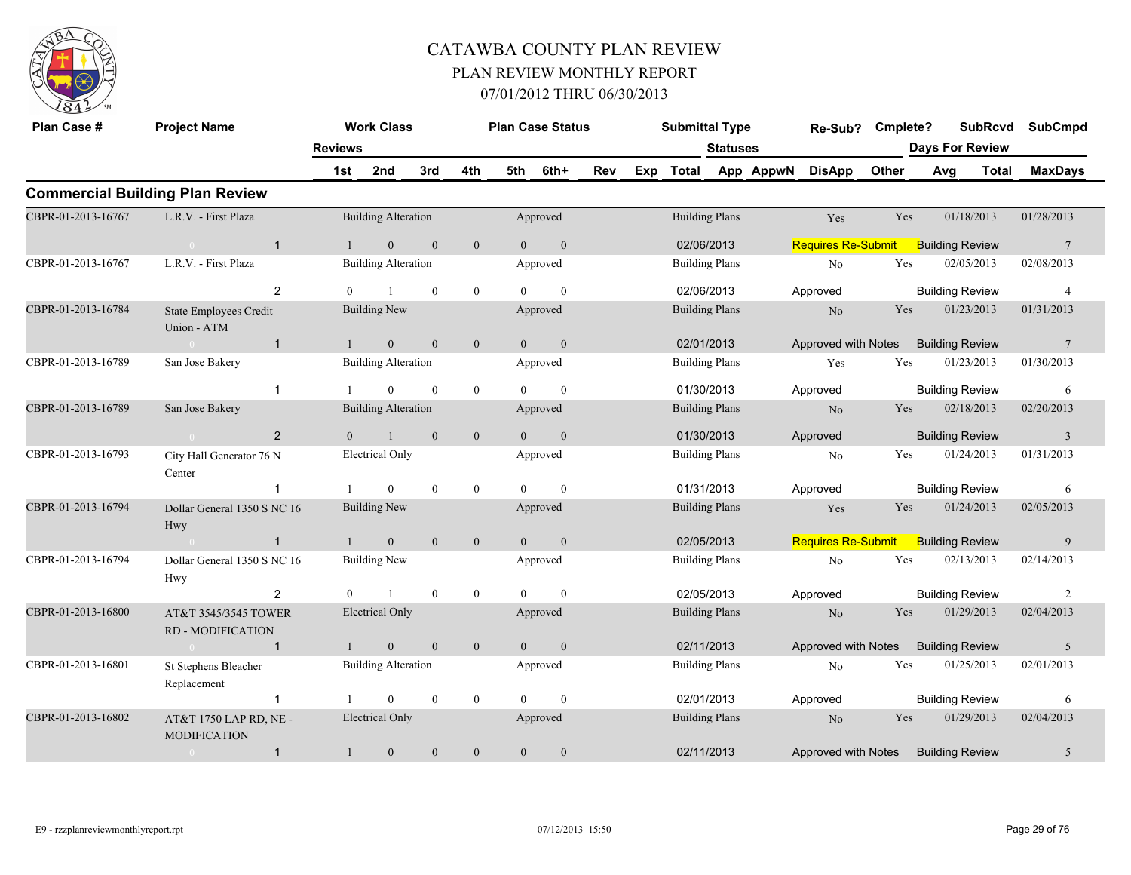

| Plan Case #        | <b>Project Name</b>                           |                | <b>Work Class</b>          |              |                  |                | <b>Plan Case Status</b> |            | <b>Submittal Type</b> |                       |           | Re-Sub?                             | Cmplete?   |     | <b>SubRcvd</b>         | <b>SubCmpd</b>  |
|--------------------|-----------------------------------------------|----------------|----------------------------|--------------|------------------|----------------|-------------------------|------------|-----------------------|-----------------------|-----------|-------------------------------------|------------|-----|------------------------|-----------------|
|                    |                                               | <b>Reviews</b> |                            |              |                  |                |                         |            |                       | <b>Statuses</b>       |           |                                     |            |     | <b>Days For Review</b> |                 |
|                    |                                               | 1st            | 2nd                        | 3rd          | 4th              | 5th            | 6th+                    | <b>Rev</b> | Exp Total             |                       | App AppwN | <b>DisApp</b>                       | Other      | Avg | <b>Total</b>           | <b>MaxDays</b>  |
|                    | <b>Commercial Building Plan Review</b>        |                |                            |              |                  |                |                         |            |                       |                       |           |                                     |            |     |                        |                 |
| CBPR-01-2013-16767 | L.R.V. - First Plaza                          |                | <b>Building Alteration</b> |              |                  |                | Approved                |            |                       | <b>Building Plans</b> |           | Yes                                 | Yes        |     | 01/18/2013             | 01/28/2013      |
|                    | $\overline{1}$<br>$\sim 0$                    |                | $\overline{0}$             | $\mathbf{0}$ | $\mathbf{0}$     | $\overline{0}$ | $\mathbf{0}$            |            |                       | 02/06/2013            |           | <b>Requires Re-Submit</b>           |            |     | <b>Building Review</b> | $\overline{7}$  |
| CBPR-01-2013-16767 | L.R.V. - First Plaza                          |                | <b>Building Alteration</b> |              |                  |                | Approved                |            |                       | <b>Building Plans</b> |           | N <sub>o</sub>                      | Yes        |     | 02/05/2013             | 02/08/2013      |
|                    | 2                                             | $\Omega$       | $\overline{1}$             | $\theta$     | $\mathbf{0}$     | $\Omega$       | $\theta$                |            |                       | 02/06/2013            |           | Approved                            |            |     | <b>Building Review</b> | $\overline{4}$  |
| CBPR-01-2013-16784 | State Employees Credit<br>Union - ATM         |                | Building New               |              |                  |                | Approved                |            |                       | <b>Building Plans</b> |           | N <sub>o</sub>                      | Yes        |     | 01/23/2013             | 01/31/2013      |
|                    | $\overline{1}$<br>$\sim 0$                    |                | $\mathbf{0}$               | $\mathbf{0}$ | $\mathbf{0}$     | $\overline{0}$ | $\mathbf{0}$            |            |                       | 02/01/2013            |           | Approved with Notes                 |            |     | <b>Building Review</b> | $7\phantom{.0}$ |
| CBPR-01-2013-16789 | San Jose Bakery                               |                | <b>Building Alteration</b> |              |                  |                | Approved                |            |                       | <b>Building Plans</b> |           | Yes                                 | Yes        |     | 01/23/2013             | 01/30/2013      |
|                    | $\mathbf{1}$                                  |                | $\mathbf{0}$               | $\mathbf{0}$ | $\boldsymbol{0}$ | $\Omega$       | $\mathbf{0}$            |            |                       | 01/30/2013            |           | Approved                            |            |     | <b>Building Review</b> | 6               |
| CBPR-01-2013-16789 | San Jose Bakery                               |                | <b>Building Alteration</b> |              |                  |                | Approved                |            |                       | <b>Building Plans</b> |           | N <sub>o</sub>                      | <b>Yes</b> |     | 02/18/2013             | 02/20/2013      |
|                    | 2<br>$\sim 0$                                 | $\Omega$       | $\overline{1}$             | $\mathbf{0}$ | $\mathbf{0}$     | $\overline{0}$ | $\overline{0}$          |            | 01/30/2013            |                       |           | Approved                            |            |     | <b>Building Review</b> | $\overline{3}$  |
| CBPR-01-2013-16793 | City Hall Generator 76 N<br>Center            |                | <b>Electrical Only</b>     |              |                  |                | Approved                |            |                       | <b>Building Plans</b> |           | N <sub>o</sub>                      | Yes        |     | 01/24/2013             | 01/31/2013      |
|                    | $\overline{1}$                                |                | $\mathbf{0}$               | $\mathbf{0}$ | $\boldsymbol{0}$ | $\theta$       | $\mathbf{0}$            |            | 01/31/2013            |                       |           | Approved                            |            |     | <b>Building Review</b> | 6               |
| CBPR-01-2013-16794 | Dollar General 1350 S NC 16<br>Hwy            |                | <b>Building New</b>        |              |                  |                | Approved                |            |                       | <b>Building Plans</b> |           | Yes                                 | Yes        |     | 01/24/2013             | 02/05/2013      |
|                    | $\mathbf{1}$                                  |                | $\overline{0}$             | $\mathbf{0}$ | $\mathbf{0}$     | $\theta$       | $\overline{0}$          |            | 02/05/2013            |                       |           | <b>Requires Re-Submit</b>           |            |     | <b>Building Review</b> | 9               |
| CBPR-01-2013-16794 | Dollar General 1350 S NC 16<br>Hwy            |                | <b>Building New</b>        |              |                  |                | Approved                |            |                       | <b>Building Plans</b> |           | No                                  | Yes        |     | 02/13/2013             | 02/14/2013      |
|                    | $\overline{2}$                                | $\theta$       |                            | $\mathbf{0}$ | $\mathbf{0}$     | $\Omega$       | $\theta$                |            |                       | 02/05/2013            |           | Approved                            |            |     | <b>Building Review</b> | 2               |
| CBPR-01-2013-16800 | AT&T 3545/3545 TOWER<br>RD - MODIFICATION     |                | <b>Electrical Only</b>     |              |                  |                | Approved                |            |                       | <b>Building Plans</b> |           | N <sub>o</sub>                      | Yes        |     | 01/29/2013             | 02/04/2013      |
|                    | $\mathbf{1}$<br>$\sim$ 0                      |                | $\mathbf{0}$               | $\mathbf{0}$ | $\mathbf{0}$     | $\overline{0}$ | $\mathbf{0}$            |            | 02/11/2013            |                       |           | Approved with Notes                 |            |     | <b>Building Review</b> | 5               |
| CBPR-01-2013-16801 | St Stephens Bleacher<br>Replacement           |                | <b>Building Alteration</b> |              |                  |                | Approved                |            |                       | <b>Building Plans</b> |           | No                                  | Yes        |     | 01/25/2013             | 02/01/2013      |
|                    | $\overline{1}$                                |                | $\mathbf{0}$               | $\mathbf{0}$ | $\boldsymbol{0}$ | $\Omega$       | $\theta$                |            |                       | 02/01/2013            |           | Approved                            |            |     | <b>Building Review</b> | 6               |
| CBPR-01-2013-16802 | AT&T 1750 LAP RD, NE -<br><b>MODIFICATION</b> |                | <b>Electrical Only</b>     |              |                  |                | Approved                |            |                       | <b>Building Plans</b> |           | N <sub>o</sub>                      | Yes        |     | 01/29/2013             | 02/04/2013      |
|                    | $\mathbf{1}$<br>$\overline{0}$                | $\mathbf{1}$   | $\mathbf{0}$               | $\theta$     | $\mathbf{0}$     | $\overline{0}$ | $\boldsymbol{0}$        |            | 02/11/2013            |                       |           | Approved with Notes Building Review |            |     |                        | 5               |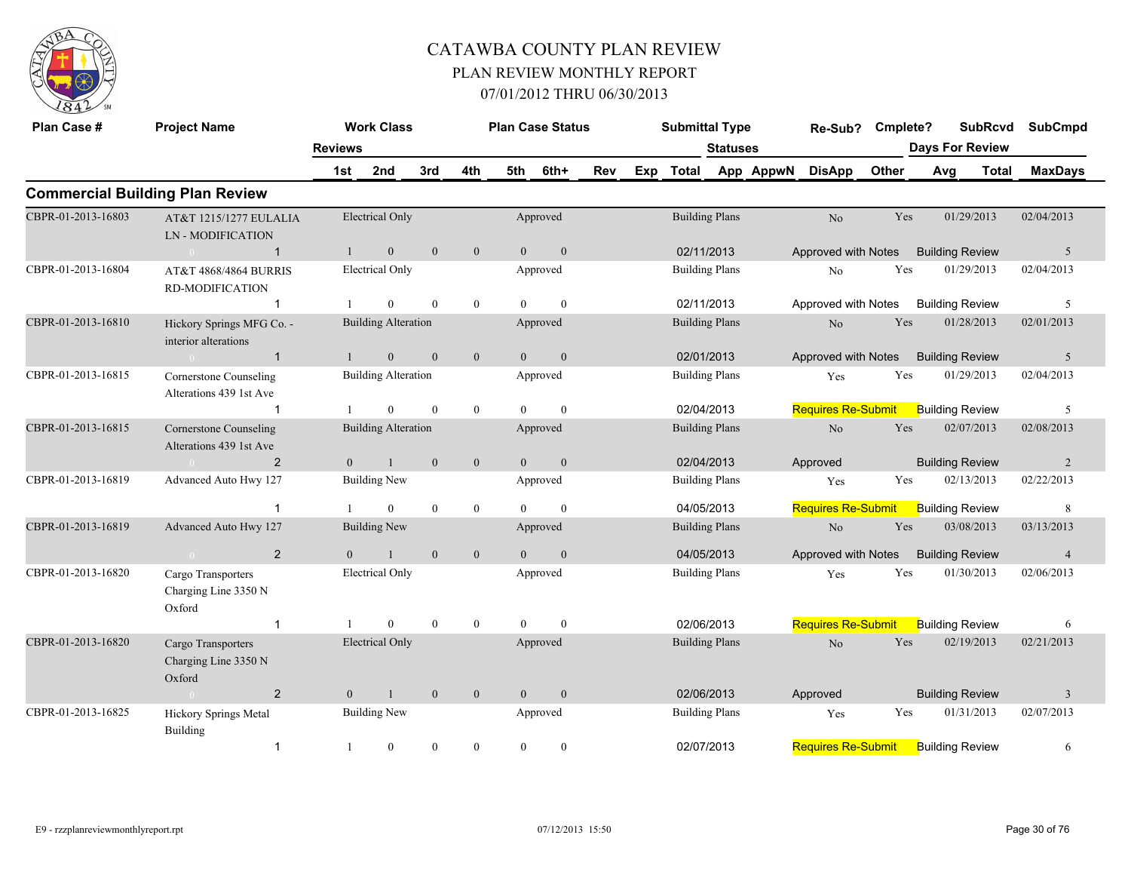

| Plan Case #        | <b>Project Name</b>                                  |                | <b>Work Class</b>          |                  |                  |                | <b>Plan Case Status</b> |     |     | <b>Submittal Type</b> |                       |           | Re-Sub?                   | Cmplete? |                        | <b>SubRcvd</b> | <b>SubCmpd</b> |
|--------------------|------------------------------------------------------|----------------|----------------------------|------------------|------------------|----------------|-------------------------|-----|-----|-----------------------|-----------------------|-----------|---------------------------|----------|------------------------|----------------|----------------|
|                    |                                                      | <b>Reviews</b> |                            |                  |                  |                |                         |     |     |                       | <b>Statuses</b>       |           |                           |          | <b>Days For Review</b> |                |                |
|                    |                                                      | 1st            | 2nd                        | 3rd              | 4th              | 5th            | 6th+                    | Rev | Exp | <b>Total</b>          |                       | App AppwN | <b>DisApp</b>             | Other    | Avg                    | <b>Total</b>   | <b>MaxDays</b> |
|                    | <b>Commercial Building Plan Review</b>               |                |                            |                  |                  |                |                         |     |     |                       |                       |           |                           |          |                        |                |                |
| CBPR-01-2013-16803 | AT&T 1215/1277 EULALIA<br><b>LN-MODIFICATION</b>     |                | <b>Electrical Only</b>     |                  |                  |                | Approved                |     |     |                       | <b>Building Plans</b> |           | N <sub>o</sub>            | Yes      |                        | 01/29/2013     | 02/04/2013     |
|                    | $\mathbf{1}$<br>$\bigcap$                            |                | $\overline{0}$             | $\mathbf{0}$     | $\overline{0}$   | $\theta$       | $\mathbf{0}$            |     |     |                       | 02/11/2013            |           | Approved with Notes       |          | <b>Building Review</b> |                | 5              |
| CBPR-01-2013-16804 | AT&T 4868/4864 BURRIS<br><b>RD-MODIFICATION</b>      |                | <b>Electrical Only</b>     |                  |                  |                | Approved                |     |     |                       | <b>Building Plans</b> |           | N <sub>o</sub>            | Yes      |                        | 01/29/2013     | 02/04/2013     |
|                    | $\mathbf{1}$                                         |                | $\Omega$                   | $\theta$         | $\mathbf{0}$     | $\Omega$       | $\theta$                |     |     |                       | 02/11/2013            |           | Approved with Notes       |          | <b>Building Review</b> |                | 5              |
| CBPR-01-2013-16810 | Hickory Springs MFG Co. -<br>interior alterations    |                | <b>Building Alteration</b> |                  |                  |                | Approved                |     |     |                       | <b>Building Plans</b> |           | N <sub>o</sub>            | Yes      |                        | 01/28/2013     | 02/01/2013     |
|                    | $\overline{1}$                                       |                | $\boldsymbol{0}$           | $\mathbf{0}$     | $\boldsymbol{0}$ | $\overline{0}$ | $\mathbf{0}$            |     |     |                       | 02/01/2013            |           | Approved with Notes       |          | <b>Building Review</b> |                | 5              |
| CBPR-01-2013-16815 | Cornerstone Counseling<br>Alterations 439 1st Ave    |                | <b>Building Alteration</b> |                  |                  |                | Approved                |     |     |                       | <b>Building Plans</b> |           | Yes                       | Yes      |                        | 01/29/2013     | 02/04/2013     |
|                    | $\overline{1}$                                       |                | $\theta$                   | $\mathbf{0}$     | $\overline{0}$   | $\theta$       | $\mathbf{0}$            |     |     |                       | 02/04/2013            |           | <b>Requires Re-Submit</b> |          | <b>Building Review</b> |                | 5              |
| CBPR-01-2013-16815 | Cornerstone Counseling<br>Alterations 439 1st Ave    |                | <b>Building Alteration</b> |                  |                  |                | Approved                |     |     |                       | <b>Building Plans</b> |           | No                        | Yes      |                        | 02/07/2013     | 02/08/2013     |
|                    | $\overline{2}$<br>$\overline{0}$                     | $\mathbf{0}$   | $\mathbf{1}$               | $\mathbf{0}$     | $\mathbf{0}$     | $\overline{0}$ | $\boldsymbol{0}$        |     |     |                       | 02/04/2013            |           | Approved                  |          | <b>Building Review</b> |                | $\overline{2}$ |
| CBPR-01-2013-16819 | Advanced Auto Hwy 127                                |                | Building New               |                  |                  |                | Approved                |     |     |                       | <b>Building Plans</b> |           | Yes                       | Yes      |                        | 02/13/2013     | 02/22/2013     |
|                    | 1                                                    |                | $\Omega$                   | $\theta$         | $\mathbf{0}$     | $\Omega$       | $\theta$                |     |     |                       | 04/05/2013            |           | <b>Requires Re-Submit</b> |          | <b>Building Review</b> |                | 8              |
| CBPR-01-2013-16819 | Advanced Auto Hwy 127                                |                | <b>Building New</b>        |                  |                  |                | Approved                |     |     |                       | <b>Building Plans</b> |           | $\rm No$                  | Yes      |                        | 03/08/2013     | 03/13/2013     |
|                    | 2<br>$\theta$                                        | $\overline{0}$ |                            | $\mathbf{0}$     | $\mathbf{0}$     | $\Omega$       | $\mathbf{0}$            |     |     |                       | 04/05/2013            |           | Approved with Notes       |          | <b>Building Review</b> |                | $\overline{4}$ |
| CBPR-01-2013-16820 | Cargo Transporters<br>Charging Line 3350 N<br>Oxford |                | <b>Electrical Only</b>     |                  |                  |                | Approved                |     |     |                       | <b>Building Plans</b> |           | Yes                       | Yes      |                        | 01/30/2013     | 02/06/2013     |
|                    | -1                                                   |                | $\theta$                   | $\theta$         | $\overline{0}$   | $\Omega$       | $\theta$                |     |     |                       | 02/06/2013            |           | <b>Requires Re-Submit</b> |          | <b>Building Review</b> |                | 6              |
| CBPR-01-2013-16820 | Cargo Transporters<br>Charging Line 3350 N<br>Oxford |                | <b>Electrical Only</b>     |                  |                  |                | Approved                |     |     |                       | <b>Building Plans</b> |           | N <sub>o</sub>            | Yes      |                        | 02/19/2013     | 02/21/2013     |
|                    | $\overline{2}$<br>$\sim 0$                           | $\overline{0}$ |                            | $\mathbf{0}$     | $\mathbf{0}$     | $\theta$       | $\mathbf{0}$            |     |     |                       | 02/06/2013            |           | Approved                  |          | <b>Building Review</b> |                | $\overline{3}$ |
| CBPR-01-2013-16825 | <b>Hickory Springs Metal</b><br>Building             |                | <b>Building New</b>        |                  |                  |                | Approved                |     |     |                       | <b>Building Plans</b> |           | Yes                       | Yes      |                        | 01/31/2013     | 02/07/2013     |
|                    | $\overline{1}$                                       | -1             | $\boldsymbol{0}$           | $\boldsymbol{0}$ | $\boldsymbol{0}$ | $\overline{0}$ | $\boldsymbol{0}$        |     |     |                       | 02/07/2013            |           | <b>Requires Re-Submit</b> |          | <b>Building Review</b> |                | 6              |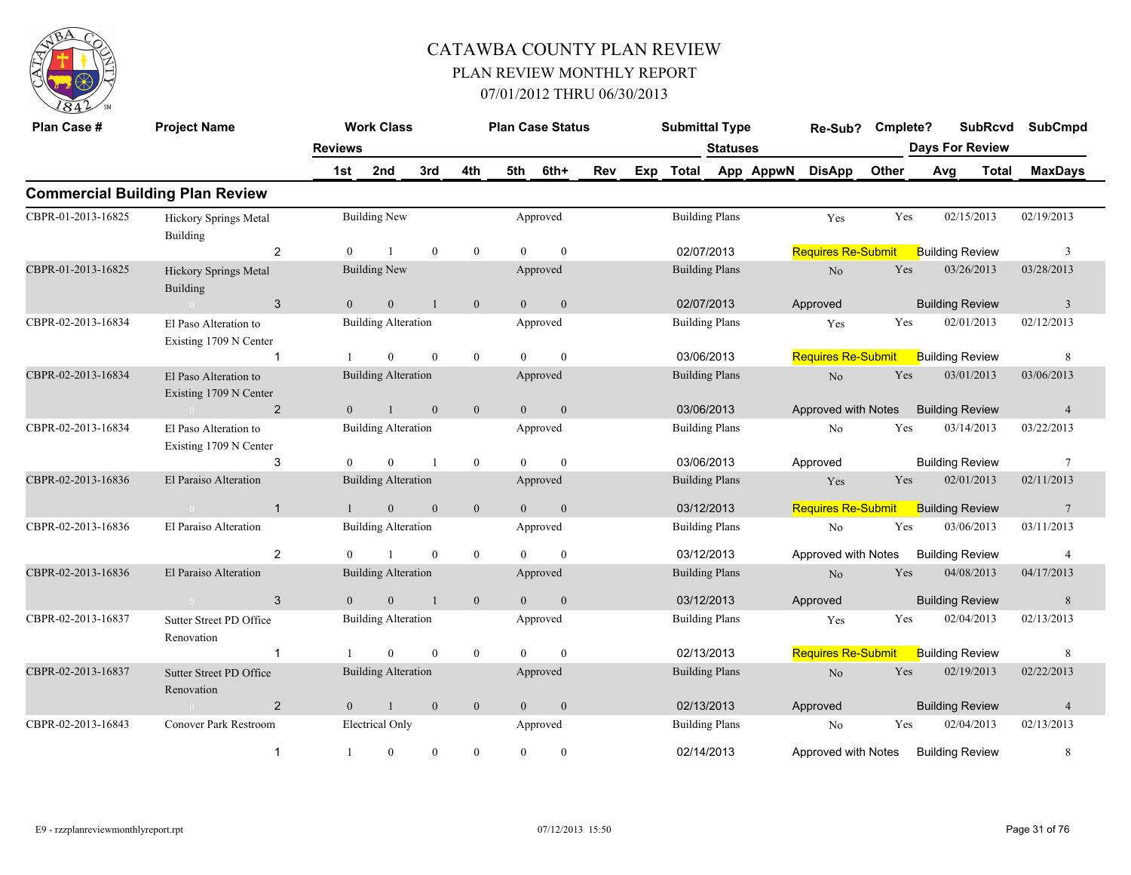

| Plan Case #        | <b>Project Name</b>                             |                | <b>Work Class</b>          |                |                |                | <b>Plan Case Status</b> |            |     | <b>Submittal Type</b> |                       |           | Re-Sub?                   | Cmplete? | <b>SubRcvd</b>         |       | <b>SubCmpd</b> |
|--------------------|-------------------------------------------------|----------------|----------------------------|----------------|----------------|----------------|-------------------------|------------|-----|-----------------------|-----------------------|-----------|---------------------------|----------|------------------------|-------|----------------|
|                    |                                                 | <b>Reviews</b> |                            |                |                |                |                         |            |     |                       | <b>Statuses</b>       |           |                           |          | <b>Days For Review</b> |       |                |
|                    |                                                 | 1st            | 2nd                        | 3rd            | 4th            | 5th            | 6th+                    | <b>Rev</b> | Exp | <b>Total</b>          |                       | App AppwN | <b>DisApp</b>             | Other    | Avg                    | Total | <b>MaxDays</b> |
|                    | <b>Commercial Building Plan Review</b>          |                |                            |                |                |                |                         |            |     |                       |                       |           |                           |          |                        |       |                |
| CBPR-01-2013-16825 | Hickory Springs Metal<br>Building               |                | <b>Building New</b>        |                |                |                | Approved                |            |     |                       | <b>Building Plans</b> |           | Yes                       | Yes      | 02/15/2013             |       | 02/19/2013     |
|                    | 2                                               | $\mathbf{0}$   |                            | $\mathbf{0}$   | $\mathbf{0}$   | $\Omega$       | $\mathbf{0}$            |            |     |                       | 02/07/2013            |           | <b>Requires Re-Submit</b> |          | <b>Building Review</b> |       | 3              |
| CBPR-01-2013-16825 | Hickory Springs Metal<br><b>Building</b>        |                | <b>Building New</b>        |                |                |                | Approved                |            |     |                       | <b>Building Plans</b> |           | N <sub>o</sub>            | Yes      | 03/26/2013             |       | 03/28/2013     |
|                    | 3<br>$\sim 0$                                   | $\theta$       | $\overline{0}$             | $\overline{1}$ | $\mathbf{0}$   | $\theta$       | $\mathbf{0}$            |            |     |                       | 02/07/2013            |           | Approved                  |          | <b>Building Review</b> |       | $\overline{3}$ |
| CBPR-02-2013-16834 | El Paso Alteration to<br>Existing 1709 N Center |                | <b>Building Alteration</b> |                |                |                | Approved                |            |     |                       | <b>Building Plans</b> |           | Yes                       | Yes      | 02/01/2013             |       | 02/12/2013     |
|                    | $\mathbf 1$                                     |                | $\theta$                   | $\theta$       | $\mathbf{0}$   | $\Omega$       | $\theta$                |            |     |                       | 03/06/2013            |           | <b>Requires Re-Submit</b> |          | <b>Building Review</b> |       | 8              |
| CBPR-02-2013-16834 | El Paso Alteration to<br>Existing 1709 N Center |                | <b>Building Alteration</b> |                |                |                | Approved                |            |     |                       | <b>Building Plans</b> |           | $\rm No$                  | Yes      | 03/01/2013             |       | 03/06/2013     |
|                    | $\overline{2}$<br>$\sim 0$                      | $\overline{0}$ | $\overline{1}$             | $\mathbf{0}$   | $\mathbf{0}$   | $\overline{0}$ | $\mathbf{0}$            |            |     |                       | 03/06/2013            |           | Approved with Notes       |          | <b>Building Review</b> |       | $\overline{4}$ |
| CBPR-02-2013-16834 | El Paso Alteration to<br>Existing 1709 N Center |                | <b>Building Alteration</b> |                |                |                | Approved                |            |     |                       | <b>Building Plans</b> |           | No                        | Yes      | 03/14/2013             |       | 03/22/2013     |
|                    | 3                                               | $\theta$       | $\Omega$                   | $\overline{1}$ | $\mathbf{0}$   | $\theta$       | $\mathbf{0}$            |            |     |                       | 03/06/2013            |           | Approved                  |          | <b>Building Review</b> |       | $\overline{7}$ |
| CBPR-02-2013-16836 | El Paraiso Alteration                           |                | <b>Building Alteration</b> |                |                |                | Approved                |            |     |                       | <b>Building Plans</b> |           | Yes                       | Yes      | 02/01/2013             |       | 02/11/2013     |
|                    | $\mathbf{1}$                                    | $\mathbf{1}$   | $\mathbf{0}$               | $\mathbf{0}$   | $\mathbf{0}$   | $\overline{0}$ | $\mathbf{0}$            |            |     |                       | 03/12/2013            |           | <b>Requires Re-Submit</b> |          | <b>Building Review</b> |       | $\overline{7}$ |
| CBPR-02-2013-16836 | El Paraiso Alteration                           |                | <b>Building Alteration</b> |                |                |                | Approved                |            |     |                       | <b>Building Plans</b> |           | $\rm No$                  | Yes      | 03/06/2013             |       | 03/11/2013     |
|                    | 2                                               | $\theta$       | $\mathbf{1}$               | $\theta$       | $\mathbf{0}$   | $\theta$       | $\theta$                |            |     |                       | 03/12/2013            |           | Approved with Notes       |          | <b>Building Review</b> |       | $\overline{4}$ |
| CBPR-02-2013-16836 | El Paraiso Alteration                           |                | <b>Building Alteration</b> |                |                |                | Approved                |            |     |                       | <b>Building Plans</b> |           | $\rm No$                  | Yes      | 04/08/2013             |       | 04/17/2013     |
|                    | 3<br>$\bigcap$                                  | $\overline{0}$ | $\overline{0}$             | $\overline{1}$ | $\mathbf{0}$   | $\theta$       | $\mathbf{0}$            |            |     |                       | 03/12/2013            |           | Approved                  |          | <b>Building Review</b> |       | 8              |
| CBPR-02-2013-16837 | Sutter Street PD Office<br>Renovation           |                | <b>Building Alteration</b> |                |                |                | Approved                |            |     |                       | <b>Building Plans</b> |           | Yes                       | Yes      | 02/04/2013             |       | 02/13/2013     |
|                    | $\mathbf{1}$                                    |                | $\overline{0}$             | $\mathbf{0}$   | $\mathbf{0}$   | $\theta$       | $\mathbf{0}$            |            |     |                       | 02/13/2013            |           | <b>Requires Re-Submit</b> |          | <b>Building Review</b> |       | 8              |
| CBPR-02-2013-16837 | Sutter Street PD Office<br>Renovation           |                | <b>Building Alteration</b> |                |                |                | Approved                |            |     |                       | <b>Building Plans</b> |           | N <sub>o</sub>            | Yes      | 02/19/2013             |       | 02/22/2013     |
|                    | $\overline{2}$                                  | $\overline{0}$ | $\mathbf{1}$               | $\mathbf{0}$   | $\mathbf{0}$   | $\overline{0}$ | $\mathbf{0}$            |            |     |                       | 02/13/2013            |           | Approved                  |          | <b>Building Review</b> |       | $\overline{4}$ |
| CBPR-02-2013-16843 | Conover Park Restroom                           |                | Electrical Only            |                |                |                | Approved                |            |     |                       | <b>Building Plans</b> |           | No                        | Yes      | 02/04/2013             |       | 02/13/2013     |
|                    | $\mathbf{1}$                                    | -1             | $\overline{0}$             | $\mathbf{0}$   | $\overline{0}$ | $\mathbf{0}$   | $\boldsymbol{0}$        |            |     |                       | 02/14/2013            |           | Approved with Notes       |          | <b>Building Review</b> |       | $\,8\,$        |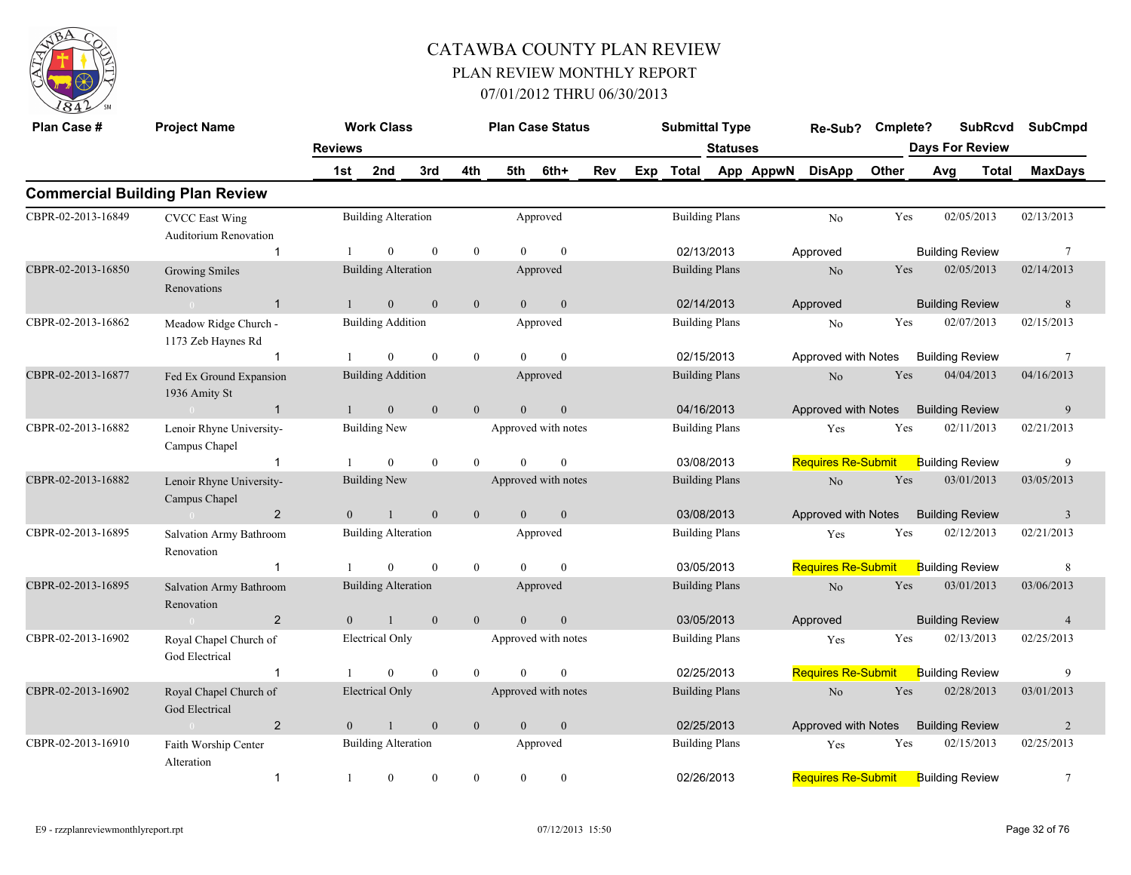

| Plan Case #        | <b>Project Name</b>                            |                | <b>Work Class</b>          |              |                |                | <b>Plan Case Status</b> |     | <b>Submittal Type</b> |                       |           | Re-Sub?                   | Cmplete?   |                        | <b>SubRcvd</b> | <b>SubCmpd</b>          |
|--------------------|------------------------------------------------|----------------|----------------------------|--------------|----------------|----------------|-------------------------|-----|-----------------------|-----------------------|-----------|---------------------------|------------|------------------------|----------------|-------------------------|
|                    |                                                | <b>Reviews</b> |                            |              |                |                |                         |     |                       | <b>Statuses</b>       |           |                           |            | <b>Days For Review</b> |                |                         |
|                    |                                                | 1st            | 2nd                        | 3rd          | 4th            | 5th            | 6th+                    | Rev | Exp Total             |                       | App AppwN | <b>DisApp</b>             | Other      | Avg                    | <b>Total</b>   | <b>MaxDays</b>          |
|                    | <b>Commercial Building Plan Review</b>         |                |                            |              |                |                |                         |     |                       |                       |           |                           |            |                        |                |                         |
| CBPR-02-2013-16849 | <b>CVCC</b> East Wing<br>Auditorium Renovation |                | <b>Building Alteration</b> |              |                |                | Approved                |     |                       | <b>Building Plans</b> |           | N <sub>o</sub>            | Yes        | 02/05/2013             |                | 02/13/2013              |
|                    | $\mathbf{1}$                                   |                | $\theta$                   | $\theta$     | $\overline{0}$ | $\Omega$       | $\theta$                |     | 02/13/2013            |                       |           | Approved                  |            | <b>Building Review</b> |                | $7\phantom{.0}$         |
| CBPR-02-2013-16850 | <b>Growing Smiles</b><br>Renovations           |                | <b>Building Alteration</b> |              |                |                | Approved                |     | <b>Building Plans</b> |                       |           | No                        | Yes        | 02/05/2013             |                | 02/14/2013              |
|                    | $\overline{1}$<br>$\sim 0$                     | $\mathbf{1}$   | $\overline{0}$             | $\mathbf{0}$ | $\overline{0}$ | $\theta$       | $\mathbf{0}$            |     | 02/14/2013            |                       |           | Approved                  |            | <b>Building Review</b> |                | 8                       |
| CBPR-02-2013-16862 | Meadow Ridge Church -<br>1173 Zeb Haynes Rd    |                | <b>Building Addition</b>   |              |                |                | Approved                |     | <b>Building Plans</b> |                       |           | $\rm No$                  | Yes        | 02/07/2013             |                | 02/15/2013              |
|                    | $\mathbf{1}$                                   |                | $\mathbf{0}$               | $\theta$     | $\overline{0}$ | $\Omega$       | $\theta$                |     | 02/15/2013            |                       |           | Approved with Notes       |            | <b>Building Review</b> |                | $7\phantom{.0}$         |
| CBPR-02-2013-16877 | Fed Ex Ground Expansion<br>1936 Amity St       |                | <b>Building Addition</b>   |              |                |                | Approved                |     |                       | <b>Building Plans</b> |           | N <sub>o</sub>            | Yes        | 04/04/2013             |                | 04/16/2013              |
|                    | $\sim 0$<br>$\overline{1}$                     | $\mathbf{1}$   | $\mathbf{0}$               | $\mathbf{0}$ | $\overline{0}$ | $\overline{0}$ | $\mathbf{0}$            |     | 04/16/2013            |                       |           | Approved with Notes       |            | <b>Building Review</b> |                | 9                       |
| CBPR-02-2013-16882 | Lenoir Rhyne University-<br>Campus Chapel      |                | Building New               |              |                |                | Approved with notes     |     |                       | <b>Building Plans</b> |           | Yes                       | Yes        | 02/11/2013             |                | 02/21/2013              |
|                    | $\mathbf{1}$                                   |                | $\overline{0}$             | $\mathbf{0}$ | $\theta$       | $\theta$       | $\mathbf{0}$            |     | 03/08/2013            |                       |           | <b>Requires Re-Submit</b> |            | <b>Building Review</b> |                | 9                       |
| CBPR-02-2013-16882 | Lenoir Rhyne University-<br>Campus Chapel      |                | <b>Building New</b>        |              |                |                | Approved with notes     |     | <b>Building Plans</b> |                       |           | $\rm No$                  | Yes        | 03/01/2013             |                | 03/05/2013              |
|                    | $\overline{2}$<br>$\sim 0$                     | $\overline{0}$ | $\mathbf{1}$               | $\mathbf{0}$ | $\mathbf{0}$   | $\overline{0}$ | $\mathbf{0}$            |     | 03/08/2013            |                       |           | Approved with Notes       |            | <b>Building Review</b> |                | $\overline{\mathbf{3}}$ |
| CBPR-02-2013-16895 | Salvation Army Bathroom<br>Renovation          |                | <b>Building Alteration</b> |              |                |                | Approved                |     | <b>Building Plans</b> |                       |           | Yes                       | Yes        | 02/12/2013             |                | 02/21/2013              |
|                    | $\mathbf{1}$                                   |                | $\overline{0}$             | $\theta$     | $\overline{0}$ | $\theta$       | $\mathbf{0}$            |     | 03/05/2013            |                       |           | <b>Requires Re-Submit</b> |            | <b>Building Review</b> |                | 8                       |
| CBPR-02-2013-16895 | Salvation Army Bathroom<br>Renovation          |                | <b>Building Alteration</b> |              |                |                | Approved                |     |                       | <b>Building Plans</b> |           | $\rm No$                  | <b>Yes</b> | 03/01/2013             |                | 03/06/2013              |
|                    | 2                                              | $\theta$       | $\mathbf{1}$               | $\mathbf{0}$ | $\overline{0}$ | $\theta$       | $\mathbf{0}$            |     | 03/05/2013            |                       |           | Approved                  |            | <b>Building Review</b> |                | $\overline{4}$          |
| CBPR-02-2013-16902 | Royal Chapel Church of<br>God Electrical       |                | Electrical Only            |              |                |                | Approved with notes     |     | <b>Building Plans</b> |                       |           | Yes                       | Yes        | 02/13/2013             |                | 02/25/2013              |
|                    | $\mathbf{1}$                                   |                | $\overline{0}$             | $\mathbf{0}$ | $\theta$       | $\Omega$       | $\mathbf{0}$            |     | 02/25/2013            |                       |           | <b>Requires Re-Submit</b> |            | <b>Building Review</b> |                | 9                       |
| CBPR-02-2013-16902 | Royal Chapel Church of<br>God Electrical       |                | <b>Electrical Only</b>     |              |                |                | Approved with notes     |     | <b>Building Plans</b> |                       |           | N <sub>o</sub>            | Yes        | 02/28/2013             |                | 03/01/2013              |
|                    | $\overline{2}$<br>$\sim 0$                     | $\overline{0}$ | $\mathbf{1}$               | $\mathbf{0}$ | $\overline{0}$ | $\overline{0}$ | $\mathbf{0}$            |     | 02/25/2013            |                       |           | Approved with Notes       |            | <b>Building Review</b> |                | 2                       |
| CBPR-02-2013-16910 | Faith Worship Center<br>Alteration             |                | <b>Building Alteration</b> |              |                |                | Approved                |     |                       | <b>Building Plans</b> |           | Yes                       | Yes        | 02/15/2013             |                | 02/25/2013              |
|                    | $\mathbf{1}$                                   |                | $\mathbf{0}$               | $\theta$     | $\mathbf{0}$   | $\overline{0}$ | $\mathbf{0}$            |     | 02/26/2013            |                       |           | <b>Requires Re-Submit</b> |            | <b>Building Review</b> |                | $\overline{7}$          |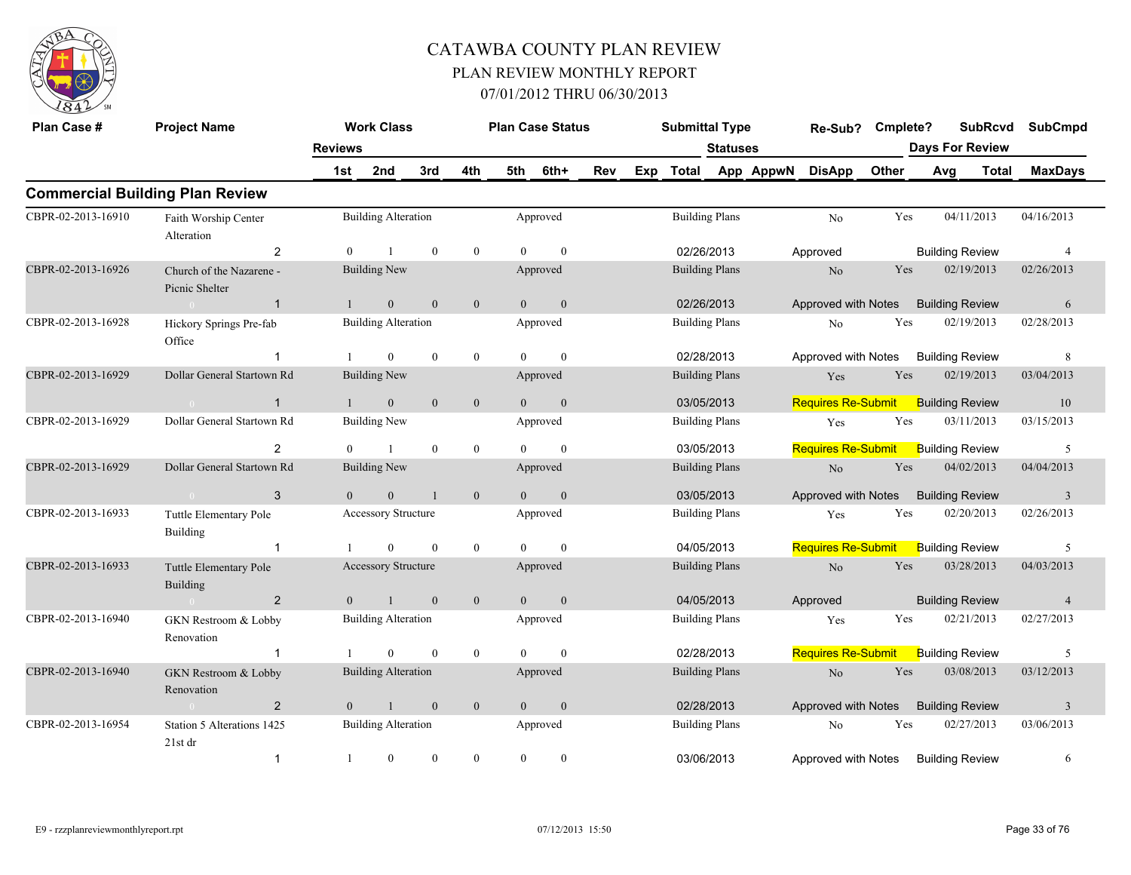

| Plan Case #        | <b>Project Name</b>                        |                | <b>Work Class</b>          |                  |                  |                | <b>Plan Case Status</b> |     |     | <b>Submittal Type</b> |                 |           | Re-Sub?                   | Cmplete? |     | <b>SubRcvd</b>         | <b>SubCmpd</b>          |
|--------------------|--------------------------------------------|----------------|----------------------------|------------------|------------------|----------------|-------------------------|-----|-----|-----------------------|-----------------|-----------|---------------------------|----------|-----|------------------------|-------------------------|
|                    |                                            | <b>Reviews</b> |                            |                  |                  |                |                         |     |     |                       | <b>Statuses</b> |           |                           |          |     | <b>Days For Review</b> |                         |
|                    |                                            | 1st            | 2nd                        | 3rd              | 4th              | 5th            | 6th+                    | Rev | Exp | <b>Total</b>          |                 | App AppwN | <b>DisApp</b>             | Other    | Avg | <b>Total</b>           | <b>MaxDays</b>          |
|                    | <b>Commercial Building Plan Review</b>     |                |                            |                  |                  |                |                         |     |     |                       |                 |           |                           |          |     |                        |                         |
| CBPR-02-2013-16910 | Faith Worship Center<br>Alteration         |                | <b>Building Alteration</b> |                  |                  |                | Approved                |     |     | <b>Building Plans</b> |                 |           | No                        | Yes      |     | 04/11/2013             | 04/16/2013              |
|                    | 2                                          | $\theta$       |                            | $\mathbf{0}$     | $\overline{0}$   | $\Omega$       | $\mathbf{0}$            |     |     | 02/26/2013            |                 |           | Approved                  |          |     | <b>Building Review</b> | $\overline{4}$          |
| CBPR-02-2013-16926 | Church of the Nazarene -<br>Picnic Shelter |                | <b>Building New</b>        |                  |                  |                | Approved                |     |     | <b>Building Plans</b> |                 |           | N <sub>o</sub>            | Yes      |     | 02/19/2013             | 02/26/2013              |
|                    | $\overline{1}$                             | $\mathbf{1}$   | $\mathbf{0}$               | $\mathbf{0}$     | $\mathbf{0}$     | $\overline{0}$ | $\mathbf{0}$            |     |     | 02/26/2013            |                 |           | Approved with Notes       |          |     | <b>Building Review</b> | 6                       |
| CBPR-02-2013-16928 | Hickory Springs Pre-fab<br>Office          |                | <b>Building Alteration</b> |                  |                  |                | Approved                |     |     | <b>Building Plans</b> |                 |           | No                        | Yes      |     | 02/19/2013             | 02/28/2013              |
|                    |                                            |                | $\overline{0}$             | $\boldsymbol{0}$ | $\mathbf{0}$     | $\theta$       | $\theta$                |     |     | 02/28/2013            |                 |           | Approved with Notes       |          |     | <b>Building Review</b> | $\,8\,$                 |
| CBPR-02-2013-16929 | Dollar General Startown Rd                 |                | <b>Building New</b>        |                  |                  |                | Approved                |     |     | <b>Building Plans</b> |                 |           | Yes                       | Yes      |     | 02/19/2013             | 03/04/2013              |
|                    | $\mathbf{1}$                               | $\mathbf{1}$   | $\mathbf{0}$               | $\mathbf{0}$     | $\mathbf{0}$     | $\overline{0}$ | $\mathbf{0}$            |     |     | 03/05/2013            |                 |           | <b>Requires Re-Submit</b> |          |     | <b>Building Review</b> | 10                      |
| CBPR-02-2013-16929 | Dollar General Startown Rd                 |                | <b>Building New</b>        |                  |                  |                | Approved                |     |     | <b>Building Plans</b> |                 |           | Yes                       | Yes      |     | 03/11/2013             | 03/15/2013              |
|                    | $\overline{2}$                             | $\overline{0}$ | $\mathbf{1}$               | $\mathbf{0}$     | $\overline{0}$   | $\theta$       | $\mathbf{0}$            |     |     | 03/05/2013            |                 |           | <b>Requires Re-Submit</b> |          |     | <b>Building Review</b> | 5                       |
| CBPR-02-2013-16929 | Dollar General Startown Rd                 |                | <b>Building New</b>        |                  |                  |                | Approved                |     |     | <b>Building Plans</b> |                 |           | N <sub>o</sub>            | Yes      |     | 04/02/2013             | 04/04/2013              |
|                    | 3<br>$\sim$ 0 $\sim$                       | $\mathbf{0}$   | $\mathbf{0}$               | $\mathbf{1}$     | $\mathbf{0}$     | $\overline{0}$ | $\mathbf{0}$            |     |     | 03/05/2013            |                 |           | Approved with Notes       |          |     | <b>Building Review</b> | $\overline{\mathbf{3}}$ |
| CBPR-02-2013-16933 | Tuttle Elementary Pole<br><b>Building</b>  |                | <b>Accessory Structure</b> |                  |                  |                | Approved                |     |     | <b>Building Plans</b> |                 |           | Yes                       | Yes      |     | 02/20/2013             | 02/26/2013              |
|                    | $\overline{1}$                             |                | $\Omega$                   | $\mathbf{0}$     | $\overline{0}$   | $\Omega$       | $\theta$                |     |     | 04/05/2013            |                 |           | <b>Requires Re-Submit</b> |          |     | <b>Building Review</b> | 5                       |
| CBPR-02-2013-16933 | Tuttle Elementary Pole<br><b>Building</b>  |                | Accessory Structure        |                  |                  |                | Approved                |     |     | <b>Building Plans</b> |                 |           | $\rm No$                  | Yes      |     | 03/28/2013             | 04/03/2013              |
|                    | $\overline{2}$                             | $\mathbf{0}$   | $\mathbf{1}$               | $\boldsymbol{0}$ | $\boldsymbol{0}$ | $\overline{0}$ | $\mathbf{0}$            |     |     | 04/05/2013            |                 |           | Approved                  |          |     | <b>Building Review</b> | $\overline{4}$          |
| CBPR-02-2013-16940 | GKN Restroom & Lobby<br>Renovation         |                | <b>Building Alteration</b> |                  |                  |                | Approved                |     |     | <b>Building Plans</b> |                 |           | Yes                       | Yes      |     | 02/21/2013             | 02/27/2013              |
|                    | -1                                         |                | $\mathbf{0}$               | $\mathbf{0}$     | $\bf{0}$         | $\theta$       | $\mathbf{0}$            |     |     | 02/28/2013            |                 |           | <b>Requires Re-Submit</b> |          |     | <b>Building Review</b> | 5                       |
| CBPR-02-2013-16940 | GKN Restroom & Lobby<br>Renovation         |                | <b>Building Alteration</b> |                  |                  |                | Approved                |     |     | <b>Building Plans</b> |                 |           | $\rm No$                  | Yes      |     | 03/08/2013             | 03/12/2013              |
|                    | $\overline{2}$                             | $\theta$       | $\mathbf{1}$               | $\mathbf{0}$     | $\mathbf{0}$     | $\theta$       | $\mathbf{0}$            |     |     | 02/28/2013            |                 |           | Approved with Notes       |          |     | <b>Building Review</b> | $\overline{3}$          |
| CBPR-02-2013-16954 | Station 5 Alterations 1425<br>21st dr      |                | <b>Building Alteration</b> |                  |                  |                | Approved                |     |     | <b>Building Plans</b> |                 |           | No                        | Yes      |     | 02/27/2013             | 03/06/2013              |
|                    | $\mathbf{1}$                               | $\mathbf{1}$   | $\overline{0}$             | $\theta$         | $\overline{0}$   | $\overline{0}$ | $\mathbf{0}$            |     |     | 03/06/2013            |                 |           | Approved with Notes       |          |     | <b>Building Review</b> | 6                       |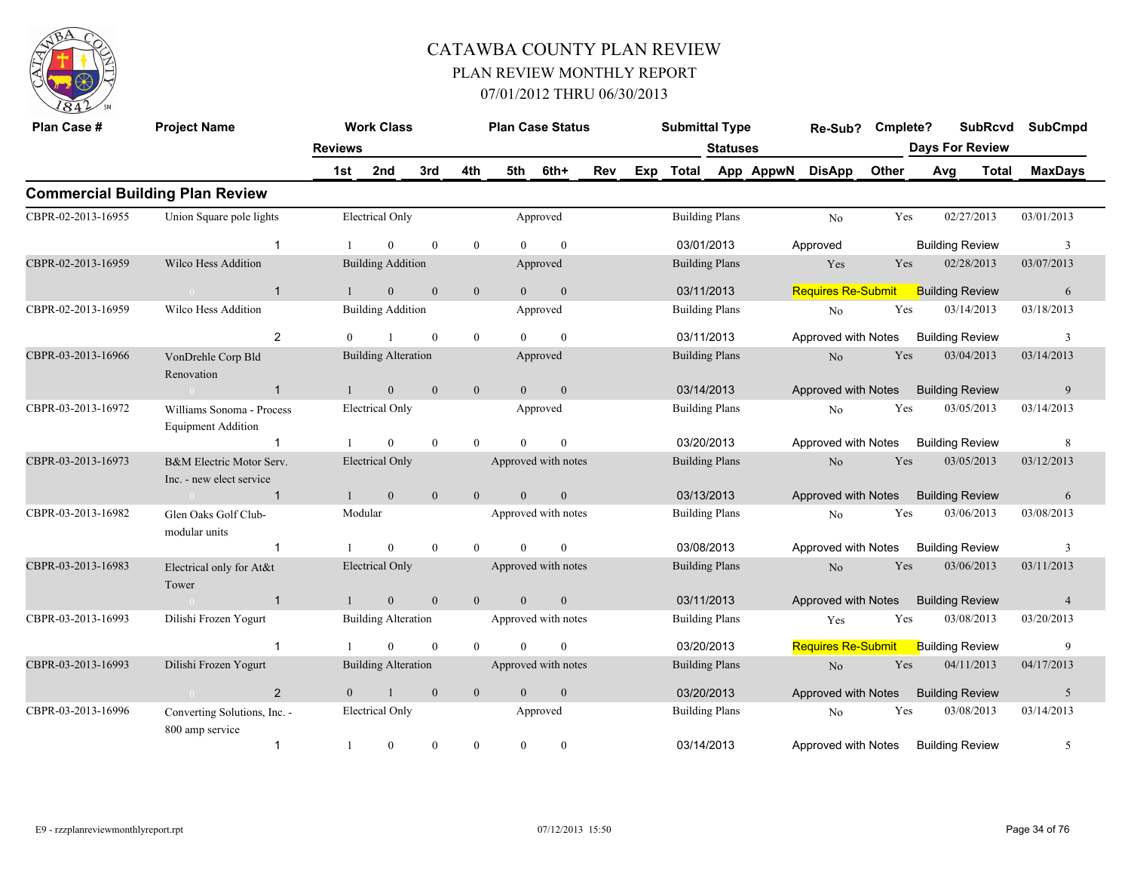

| Plan Case #        | <b>Project Name</b>                                    | <b>Reviews</b> | <b>Work Class</b>          |                  |                  |                  | <b>Plan Case Status</b> |     |     | <b>Submittal Type</b> | <b>Statuses</b>       |           | Re-Sub?                             | Cmplete? |     | <b>SubRcvd</b><br><b>Days For Review</b> | <b>SubCmpd</b> |
|--------------------|--------------------------------------------------------|----------------|----------------------------|------------------|------------------|------------------|-------------------------|-----|-----|-----------------------|-----------------------|-----------|-------------------------------------|----------|-----|------------------------------------------|----------------|
|                    |                                                        | 1st            | 2nd                        | 3rd              | 4th              | 5th              | 6th+                    | Rev | Exp | Total                 |                       | App AppwN | <b>DisApp</b>                       | Other    | Avg | Total                                    | <b>MaxDays</b> |
|                    | <b>Commercial Building Plan Review</b>                 |                |                            |                  |                  |                  |                         |     |     |                       |                       |           |                                     |          |     |                                          |                |
| CBPR-02-2013-16955 | Union Square pole lights                               |                | <b>Electrical Only</b>     |                  |                  |                  | Approved                |     |     | <b>Building Plans</b> |                       |           | No                                  | Yes      |     | 02/27/2013                               | 03/01/2013     |
|                    | $\mathbf 1$                                            |                | $\Omega$                   | $\theta$         | $\theta$         | $\theta$         | $\theta$                |     |     | 03/01/2013            |                       |           | Approved                            |          |     | <b>Building Review</b>                   | 3              |
| CBPR-02-2013-16959 | Wilco Hess Addition                                    |                | <b>Building Addition</b>   |                  |                  |                  | Approved                |     |     |                       | <b>Building Plans</b> |           | Yes                                 | Yes      |     | 02/28/2013                               | 03/07/2013     |
|                    | $\mathbf{1}$<br>$\sim$ 0                               |                | $\overline{0}$             | $\mathbf{0}$     | $\overline{0}$   | $\theta$         | $\overline{0}$          |     |     | 03/11/2013            |                       |           | <b>Requires Re-Submit</b>           |          |     | <b>Building Review</b>                   | 6              |
| CBPR-02-2013-16959 | Wilco Hess Addition                                    |                | <b>Building Addition</b>   |                  |                  |                  | Approved                |     |     |                       | <b>Building Plans</b> |           | No                                  | Yes      |     | 03/14/2013                               | 03/18/2013     |
|                    | 2                                                      |                |                            | $\theta$         | $\mathbf{0}$     | $\Omega$         | $\theta$                |     |     | 03/11/2013            |                       |           | Approved with Notes                 |          |     | <b>Building Review</b>                   | 3              |
| CBPR-03-2013-16966 | VonDrehle Corp Bld<br>Renovation                       |                | <b>Building Alteration</b> |                  |                  |                  | Approved                |     |     |                       | <b>Building Plans</b> |           | N <sub>o</sub>                      | Yes      |     | 03/04/2013                               | 03/14/2013     |
|                    | $\mathbf{1}$<br>$\sim 0$                               |                | $\overline{0}$             | $\overline{0}$   | $\overline{0}$   | $\theta$         | $\overline{0}$          |     |     | 03/14/2013            |                       |           | Approved with Notes Building Review |          |     |                                          | 9              |
| CBPR-03-2013-16972 | Williams Sonoma - Process<br><b>Equipment Addition</b> |                | <b>Electrical Only</b>     |                  |                  |                  | Approved                |     |     | <b>Building Plans</b> |                       |           | No                                  | Yes      |     | 03/05/2013                               | 03/14/2013     |
|                    | $\mathbf{1}$                                           |                | $\theta$                   | $\theta$         | $\theta$         | $\theta$         | $\theta$                |     |     | 03/20/2013            |                       |           | Approved with Notes                 |          |     | <b>Building Review</b>                   | 8              |
| CBPR-03-2013-16973 | B&M Electric Motor Serv.<br>Inc. - new elect service   |                | <b>Electrical Only</b>     |                  |                  |                  | Approved with notes     |     |     |                       | <b>Building Plans</b> |           | No                                  | Yes      |     | 03/05/2013                               | 03/12/2013     |
|                    | $\mathbf{1}$<br>$\sim$ 0                               |                | $\overline{0}$             | $\mathbf{0}$     | $\overline{0}$   | $\theta$         | $\mathbf{0}$            |     |     | 03/13/2013            |                       |           | Approved with Notes                 |          |     | <b>Building Review</b>                   | 6              |
| CBPR-03-2013-16982 | Glen Oaks Golf Club-<br>modular units                  |                | Modular                    |                  |                  |                  | Approved with notes     |     |     |                       | <b>Building Plans</b> |           | No                                  | Yes      |     | 03/06/2013                               | 03/08/2013     |
|                    | $\mathbf{1}$                                           |                | $\theta$                   | $\theta$         | $\theta$         | $\Omega$         | $\theta$                |     |     | 03/08/2013            |                       |           | Approved with Notes                 |          |     | <b>Building Review</b>                   | 3              |
| CBPR-03-2013-16983 | Electrical only for At&t<br>Tower                      |                | <b>Electrical Only</b>     |                  |                  |                  | Approved with notes     |     |     |                       | <b>Building Plans</b> |           | No                                  | Yes      |     | 03/06/2013                               | 03/11/2013     |
|                    | $\sim 0$<br>$\overline{1}$                             | $\mathbf{1}$   | $\overline{0}$             | $\mathbf{0}$     | $\overline{0}$   | $\overline{0}$   | $\mathbf{0}$            |     |     | 03/11/2013            |                       |           | Approved with Notes                 |          |     | <b>Building Review</b>                   | $\overline{4}$ |
| CBPR-03-2013-16993 | Dilishi Frozen Yogurt                                  |                | <b>Building Alteration</b> |                  |                  |                  | Approved with notes     |     |     |                       | <b>Building Plans</b> |           | Yes                                 | Yes      |     | 03/08/2013                               | 03/20/2013     |
|                    | $\mathbf{1}$                                           |                | $\theta$                   | $\theta$         | $\theta$         | $\Omega$         | $\theta$                |     |     | 03/20/2013            |                       |           | <b>Requires Re-Submit</b>           |          |     | <b>Building Review</b>                   | 9              |
| CBPR-03-2013-16993 | Dilishi Frozen Yogurt                                  |                | <b>Building Alteration</b> |                  |                  |                  | Approved with notes     |     |     |                       | <b>Building Plans</b> |           | No                                  | Yes      |     | 04/11/2013                               | 04/17/2013     |
|                    | 2<br>$\sim 0$                                          | $\Omega$       | $\mathbf{1}$               | $\mathbf{0}$     | $\mathbf{0}$     | $\theta$         | $\mathbf{0}$            |     |     | 03/20/2013            |                       |           | Approved with Notes                 |          |     | <b>Building Review</b>                   | 5              |
| CBPR-03-2013-16996 | Converting Solutions, Inc. -<br>800 amp service        |                | <b>Electrical Only</b>     |                  |                  |                  | Approved                |     |     | <b>Building Plans</b> |                       |           | No                                  | Yes      |     | 03/08/2013                               | 03/14/2013     |
|                    | $\mathbf{1}$                                           |                | $\mathbf{0}$               | $\boldsymbol{0}$ | $\boldsymbol{0}$ | $\boldsymbol{0}$ | $\boldsymbol{0}$        |     |     | 03/14/2013            |                       |           | Approved with Notes                 |          |     | <b>Building Review</b>                   | 5              |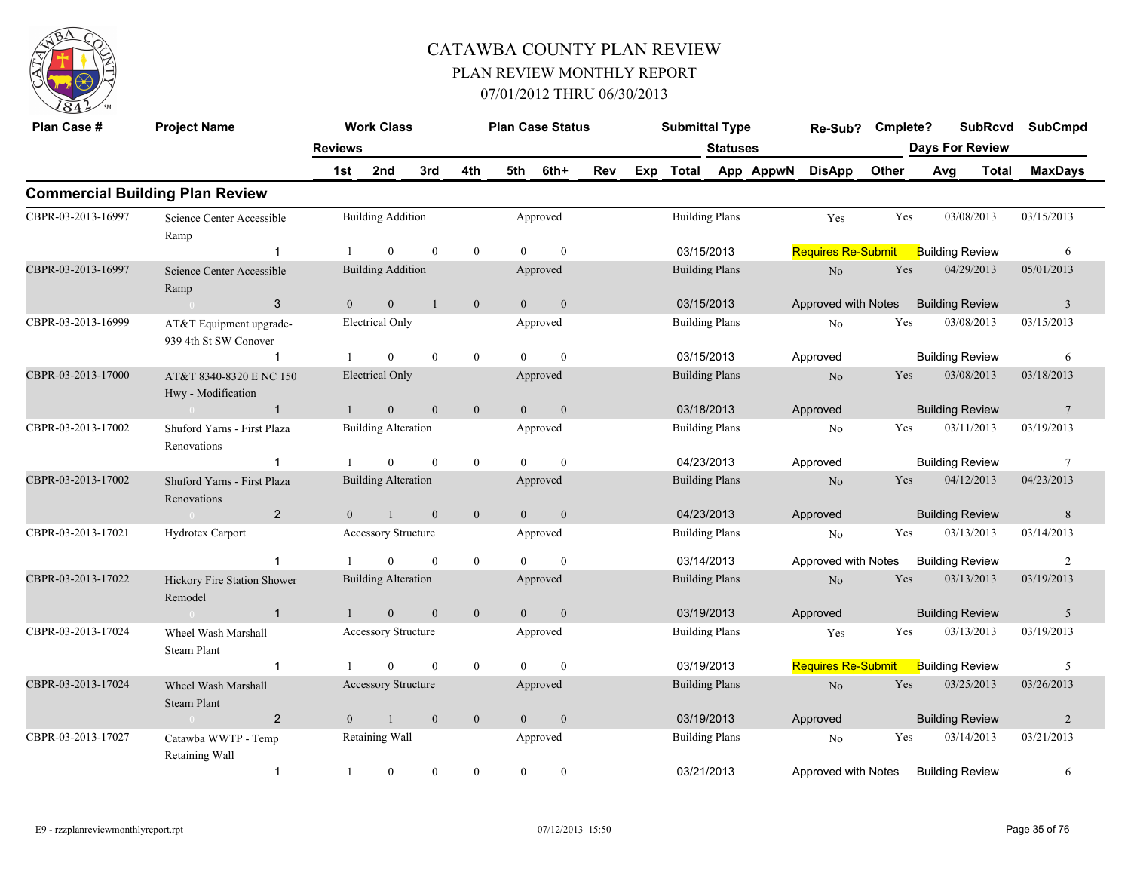

| Plan Case #                                                 | <b>Project Name</b>                              |                | <b>Work Class</b>          |              |                  |                | <b>Plan Case Status</b> |     |     | <b>Submittal Type</b> |                       |           | Re-Sub?                   | Cmplete? |     |                        | <b>SubRcvd</b> | <b>SubCmpd</b>          |
|-------------------------------------------------------------|--------------------------------------------------|----------------|----------------------------|--------------|------------------|----------------|-------------------------|-----|-----|-----------------------|-----------------------|-----------|---------------------------|----------|-----|------------------------|----------------|-------------------------|
|                                                             |                                                  | <b>Reviews</b> |                            |              |                  |                |                         |     |     |                       | <b>Statuses</b>       |           |                           |          |     | <b>Days For Review</b> |                |                         |
|                                                             |                                                  | 1st            | 2nd                        | 3rd          | 4th              | 5th            | 6th+                    | Rev | Exp | <b>Total</b>          |                       | App AppwN | <b>DisApp</b>             | Other    | Avg |                        | <b>Total</b>   | <b>MaxDays</b>          |
|                                                             | <b>Commercial Building Plan Review</b>           |                |                            |              |                  |                |                         |     |     |                       |                       |           |                           |          |     |                        |                |                         |
| CBPR-03-2013-16997                                          | Science Center Accessible<br>Ramp                |                | <b>Building Addition</b>   |              |                  |                | Approved                |     |     | <b>Building Plans</b> |                       |           | Yes                       | Yes      |     | 03/08/2013             |                | 03/15/2013              |
|                                                             |                                                  |                | $\overline{0}$             | $\Omega$     | $\mathbf{0}$     | $\theta$       | $\mathbf{0}$            |     |     | 03/15/2013            |                       |           | <b>Requires Re-Submit</b> |          |     | <b>Building Review</b> |                | 6                       |
| CBPR-03-2013-16997                                          | Science Center Accessible<br>Ramp                |                | <b>Building Addition</b>   |              |                  |                | Approved                |     |     | <b>Building Plans</b> |                       |           | $\rm No$                  | Yes      |     | 04/29/2013             |                | 05/01/2013              |
|                                                             | 3                                                | $\mathbf{0}$   | $\boldsymbol{0}$           | $\mathbf{1}$ | $\boldsymbol{0}$ | $\overline{0}$ | $\boldsymbol{0}$        |     |     | 03/15/2013            |                       |           | Approved with Notes       |          |     | <b>Building Review</b> |                | $\overline{\mathbf{3}}$ |
| CBPR-03-2013-16999                                          | AT&T Equipment upgrade-<br>939 4th St SW Conover |                | <b>Electrical Only</b>     |              |                  |                | Approved                |     |     | <b>Building Plans</b> |                       |           | No                        | Yes      |     | 03/08/2013             |                | 03/15/2013              |
|                                                             | $\overline{1}$                                   |                | $\theta$                   | $\mathbf{0}$ | $\mathbf{0}$     | $\theta$       | $\theta$                |     |     | 03/15/2013            |                       |           | Approved                  |          |     | <b>Building Review</b> |                | 6                       |
| CBPR-03-2013-17000                                          | AT&T 8340-8320 E NC 150<br>Hwy - Modification    |                | <b>Electrical Only</b>     |              |                  |                | Approved                |     |     | <b>Building Plans</b> |                       |           | No                        | Yes      |     | 03/08/2013             |                | 03/18/2013              |
|                                                             | $\mathbf{1}$                                     |                | $\overline{0}$             | $\mathbf{0}$ | $\overline{0}$   | $\Omega$       | $\mathbf{0}$            |     |     | 03/18/2013            |                       |           | Approved                  |          |     | <b>Building Review</b> |                | 7                       |
| CBPR-03-2013-17002                                          | Shuford Yarns - First Plaza<br>Renovations       |                | <b>Building Alteration</b> |              |                  |                | Approved                |     |     |                       | <b>Building Plans</b> |           | No                        | Yes      |     | 03/11/2013             |                | 03/19/2013              |
|                                                             |                                                  |                | $\theta$                   | $\theta$     | $\mathbf{0}$     | $\theta$       | $\mathbf{0}$            |     |     | 04/23/2013            |                       |           | Approved                  |          |     | <b>Building Review</b> |                | $7\phantom{.0}$         |
| CBPR-03-2013-17002                                          | Shuford Yarns - First Plaza<br>Renovations       |                | <b>Building Alteration</b> |              |                  |                | Approved                |     |     | <b>Building Plans</b> |                       |           | No                        | Yes      |     | 04/12/2013             |                | 04/23/2013              |
|                                                             | 2<br>$\sim 0$                                    | $\Omega$       | $\overline{1}$             | $\Omega$     | $\mathbf{0}$     | $\overline{0}$ | $\mathbf{0}$            |     |     | 04/23/2013            |                       |           | Approved                  |          |     | <b>Building Review</b> |                | 8                       |
| CBPR-03-2013-17021                                          | Hydrotex Carport                                 |                | <b>Accessory Structure</b> |              |                  |                | Approved                |     |     | <b>Building Plans</b> |                       |           | No                        | Yes      |     | 03/13/2013             |                | 03/14/2013              |
|                                                             | 1                                                |                | $\theta$                   | $\mathbf{0}$ | $\mathbf{0}$     | $\Omega$       | $\mathbf{0}$            |     |     | 03/14/2013            |                       |           | Approved with Notes       |          |     | <b>Building Review</b> |                | $\overline{2}$          |
| CBPR-03-2013-17022                                          | Hickory Fire Station Shower<br>Remodel           |                | <b>Building Alteration</b> |              |                  |                | Approved                |     |     | <b>Building Plans</b> |                       |           | No                        | Yes      |     | 03/13/2013             |                | 03/19/2013              |
|                                                             | $\mathbf{1}$<br>$\sim 0$                         |                | $\overline{0}$             | $\mathbf{0}$ | $\mathbf{0}$     | $\overline{0}$ | $\mathbf{0}$            |     |     | 03/19/2013            |                       |           | Approved                  |          |     | <b>Building Review</b> |                | 5                       |
| CBPR-03-2013-17024                                          | Wheel Wash Marshall<br>Steam Plant               |                | <b>Accessory Structure</b> |              |                  |                | Approved                |     |     |                       | <b>Building Plans</b> |           | Yes                       | Yes      |     | 03/13/2013             |                | 03/19/2013              |
|                                                             | 1                                                |                | $\Omega$                   | $\mathbf{0}$ | $\boldsymbol{0}$ | $\Omega$       | $\mathbf{0}$            |     |     | 03/19/2013            |                       |           | <b>Requires Re-Submit</b> |          |     | <b>Building Review</b> |                | 5                       |
| CBPR-03-2013-17024                                          | Wheel Wash Marshall<br><b>Steam Plant</b>        |                | Accessory Structure        |              |                  |                | Approved                |     |     |                       | <b>Building Plans</b> |           | No                        | Yes      |     | 03/25/2013             |                | 03/26/2013              |
|                                                             | $\overline{2}$<br>$\sim 0$                       | $\theta$       | $\overline{1}$             | $\mathbf{0}$ | $\mathbf{0}$     | $\overline{0}$ | $\boldsymbol{0}$        |     |     | 03/19/2013            |                       |           | Approved                  |          |     | <b>Building Review</b> |                | $\overline{2}$          |
| CBPR-03-2013-17027<br>Catawba WWTP - Temp<br>Retaining Wall |                                                  |                | Retaining Wall             |              |                  |                | Approved                |     |     | <b>Building Plans</b> |                       |           | No                        | Yes      |     | 03/14/2013             |                | 03/21/2013              |
|                                                             | $\mathbf{1}$                                     | $\mathbf{1}$   | $\mathbf{0}$               | $\mathbf{0}$ | $\mathbf{0}$     | $\mathbf{0}$   | $\mathbf{0}$            |     |     | 03/21/2013            |                       |           | Approved with Notes       |          |     | <b>Building Review</b> |                | 6                       |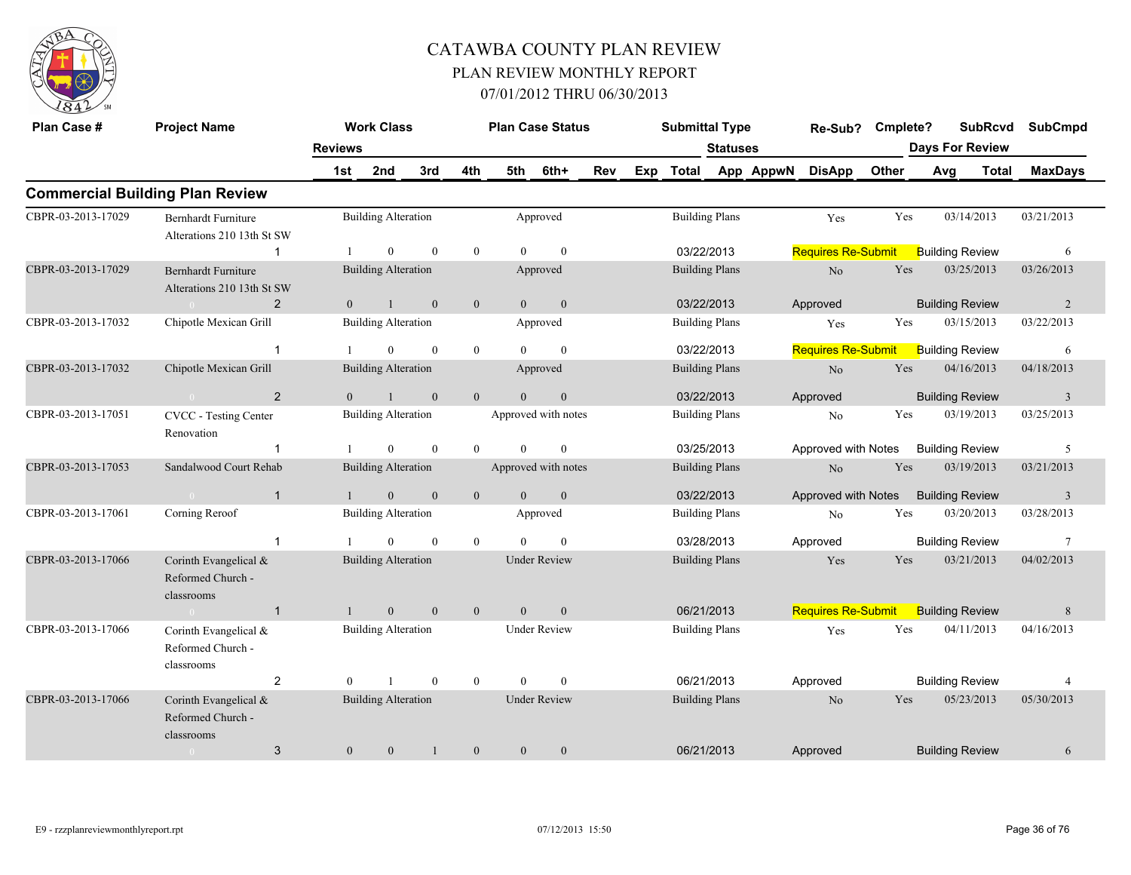

| Plan Case #        | <b>Project Name</b>                                      |                | <b>Work Class</b>          |              |                |                | <b>Plan Case Status</b> |     |     | <b>Submittal Type</b> |                       |           | Re-Sub?                   | Cmplete? | <b>SubRcvd</b>         |            | <b>SubCmpd</b>          |
|--------------------|----------------------------------------------------------|----------------|----------------------------|--------------|----------------|----------------|-------------------------|-----|-----|-----------------------|-----------------------|-----------|---------------------------|----------|------------------------|------------|-------------------------|
|                    |                                                          | <b>Reviews</b> |                            |              |                |                |                         |     |     |                       | <b>Statuses</b>       |           |                           |          | <b>Days For Review</b> |            |                         |
|                    |                                                          | 1st            | 2nd                        | 3rd          | 4th            | 5th            | 6th+                    | Rev | Exp | Total                 |                       | App AppwN | <b>DisApp</b>             | Other    | <b>Total</b><br>Avg    |            | <b>MaxDays</b>          |
|                    | <b>Commercial Building Plan Review</b>                   |                |                            |              |                |                |                         |     |     |                       |                       |           |                           |          |                        |            |                         |
| CBPR-03-2013-17029 | Bernhardt Furniture<br>Alterations 210 13th St SW        |                | <b>Building Alteration</b> |              |                |                | Approved                |     |     |                       | <b>Building Plans</b> |           | Yes                       | Yes      | 03/14/2013             | 03/21/2013 |                         |
|                    | $\mathbf{1}$                                             |                | $\overline{0}$             | $\mathbf{0}$ | $\overline{0}$ | $\Omega$       | $\theta$                |     |     |                       | 03/22/2013            |           | <b>Requires Re-Submit</b> |          | <b>Building Review</b> |            | 6                       |
| CBPR-03-2013-17029 | <b>Bernhardt Furniture</b><br>Alterations 210 13th St SW |                | <b>Building Alteration</b> |              |                |                | Approved                |     |     |                       | <b>Building Plans</b> |           | N <sub>o</sub>            | Yes      | 03/25/2013             | 03/26/2013 |                         |
|                    | 2                                                        | $\theta$       | $\mathbf{1}$               | $\mathbf{0}$ | $\mathbf{0}$   | $\theta$       | $\mathbf{0}$            |     |     |                       | 03/22/2013            |           | Approved                  |          | <b>Building Review</b> |            | $\overline{2}$          |
| CBPR-03-2013-17032 | Chipotle Mexican Grill                                   |                | <b>Building Alteration</b> |              |                |                | Approved                |     |     |                       | <b>Building Plans</b> |           | Yes                       | Yes      | 03/15/2013             | 03/22/2013 |                         |
|                    | $\mathbf{1}$                                             |                | $\overline{0}$             | $\mathbf{0}$ | $\bf{0}$       | $\Omega$       | $\mathbf{0}$            |     |     |                       | 03/22/2013            |           | <b>Requires Re-Submit</b> |          | <b>Building Review</b> |            | 6                       |
| CBPR-03-2013-17032 | Chipotle Mexican Grill                                   |                | <b>Building Alteration</b> |              |                |                | Approved                |     |     |                       | <b>Building Plans</b> |           | N <sub>o</sub>            | Yes      | 04/16/2013             | 04/18/2013 |                         |
|                    | $\overline{2}$<br>$\sim 0$                               | $\overline{0}$ | $\mathbf{1}$               | $\mathbf{0}$ | $\mathbf{0}$   | $\mathbf{0}$   | $\boldsymbol{0}$        |     |     |                       | 03/22/2013            |           | Approved                  |          | <b>Building Review</b> |            | $\overline{\mathbf{3}}$ |
| CBPR-03-2013-17051 | CVCC - Testing Center<br>Renovation                      |                | <b>Building Alteration</b> |              |                |                | Approved with notes     |     |     |                       | <b>Building Plans</b> |           | N <sub>o</sub>            | Yes      | 03/19/2013             | 03/25/2013 |                         |
|                    | -1                                                       |                | $\mathbf{0}$               | $\mathbf{0}$ | $\theta$       | $\theta$       | $\mathbf{0}$            |     |     |                       | 03/25/2013            |           | Approved with Notes       |          | <b>Building Review</b> |            | 5                       |
| CBPR-03-2013-17053 | Sandalwood Court Rehab                                   |                | <b>Building Alteration</b> |              |                |                | Approved with notes     |     |     |                       | <b>Building Plans</b> |           | No                        | Yes      | 03/19/2013             | 03/21/2013 |                         |
|                    | $\mathbf{1}$<br>$\sim 0$                                 |                | $\overline{0}$             | $\mathbf{0}$ | $\mathbf{0}$   | $\overline{0}$ | $\mathbf{0}$            |     |     |                       | 03/22/2013            |           | Approved with Notes       |          | <b>Building Review</b> |            | $\overline{3}$          |
| CBPR-03-2013-17061 | Corning Reroof                                           |                | <b>Building Alteration</b> |              |                |                | Approved                |     |     |                       | <b>Building Plans</b> |           | No                        | Yes      | 03/20/2013             | 03/28/2013 |                         |
|                    | $\mathbf{1}$                                             |                | $\Omega$                   | $\theta$     | $\mathbf{0}$   | $\Omega$       | $\theta$                |     |     |                       | 03/28/2013            |           | Approved                  |          | <b>Building Review</b> |            | $7\phantom{.0}$         |
| CBPR-03-2013-17066 | Corinth Evangelical &<br>Reformed Church -<br>classrooms |                | <b>Building Alteration</b> |              |                |                | <b>Under Review</b>     |     |     |                       | <b>Building Plans</b> |           | Yes                       | Yes      | 03/21/2013             | 04/02/2013 |                         |
|                    | $\mathbf{1}$<br>$\sim$ 0                                 | $\mathbf{1}$   | $\mathbf{0}$               | $\mathbf{0}$ | $\mathbf{0}$   | $\overline{0}$ | $\mathbf{0}$            |     |     |                       | 06/21/2013            |           | <b>Requires Re-Submit</b> |          | <b>Building Review</b> |            | $\,8\,$                 |
| CBPR-03-2013-17066 | Corinth Evangelical &<br>Reformed Church -<br>classrooms |                | <b>Building Alteration</b> |              |                |                | <b>Under Review</b>     |     |     |                       | <b>Building Plans</b> |           | Yes                       | Yes      | 04/11/2013             | 04/16/2013 |                         |
|                    | $\overline{2}$                                           | $\theta$       |                            | $\theta$     | $\overline{0}$ | $\theta$       | $\theta$                |     |     |                       | 06/21/2013            |           | Approved                  |          | <b>Building Review</b> |            | $\overline{4}$          |
| CBPR-03-2013-17066 | Corinth Evangelical &<br>Reformed Church -<br>classrooms |                | <b>Building Alteration</b> |              |                |                | <b>Under Review</b>     |     |     |                       | <b>Building Plans</b> |           | N <sub>o</sub>            | Yes      | 05/23/2013             | 05/30/2013 |                         |
|                    | 3<br>$\overline{0}$                                      | $\mathbf{0}$   | $\mathbf{0}$               | $\mathbf{1}$ | $\overline{0}$ | $\overline{0}$ | $\mathbf{0}$            |     |     |                       | 06/21/2013            |           | Approved                  |          | <b>Building Review</b> |            | 6                       |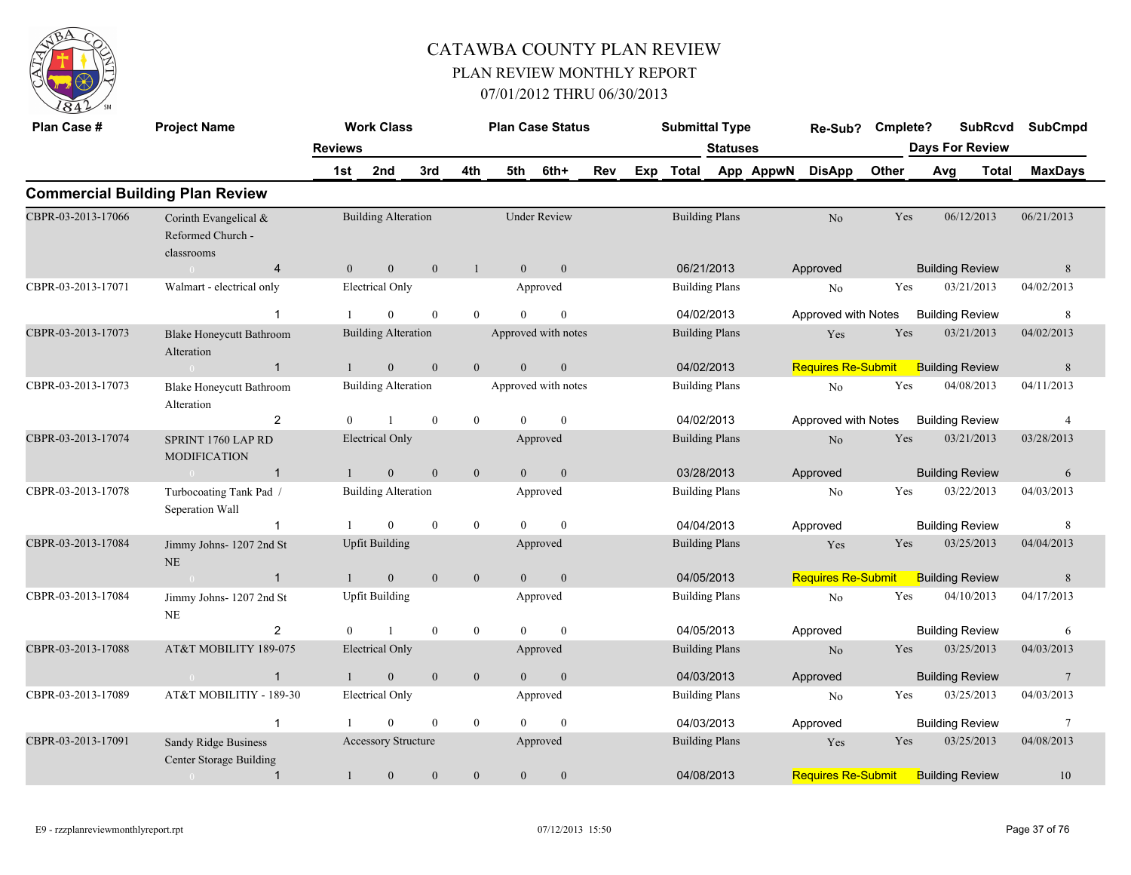

| Plan Case #        | <b>Project Name</b>                                      |                       | <b>Work Class</b>          |                  |                  |                | <b>Plan Case Status</b> |     |     | <b>Submittal Type</b> |                 |           | Re-Sub?                   | Cmplete? |     | <b>Days For Review</b> | <b>SubRcvd</b> | <b>SubCmpd</b>  |
|--------------------|----------------------------------------------------------|-----------------------|----------------------------|------------------|------------------|----------------|-------------------------|-----|-----|-----------------------|-----------------|-----------|---------------------------|----------|-----|------------------------|----------------|-----------------|
|                    |                                                          | <b>Reviews</b><br>1st | 2nd                        | 3rd              | 4th              | 5th            | 6th+                    | Rev | Exp | Total                 | <b>Statuses</b> | App AppwN | <b>DisApp</b>             | Other    | Avg |                        | Total          | <b>MaxDays</b>  |
|                    | <b>Commercial Building Plan Review</b>                   |                       |                            |                  |                  |                |                         |     |     |                       |                 |           |                           |          |     |                        |                |                 |
| CBPR-03-2013-17066 | Corinth Evangelical &<br>Reformed Church -<br>classrooms |                       | <b>Building Alteration</b> |                  |                  |                | <b>Under Review</b>     |     |     | <b>Building Plans</b> |                 |           | N <sub>o</sub>            | Yes      |     | 06/12/2013             |                | 06/21/2013      |
|                    | $\overline{4}$<br>$\sim 0$                               | $\theta$              | $\mathbf{0}$               | $\mathbf{0}$     | $\mathbf{1}$     | $\overline{0}$ | $\mathbf{0}$            |     |     | 06/21/2013            |                 |           | Approved                  |          |     | <b>Building Review</b> |                | 8               |
| CBPR-03-2013-17071 | Walmart - electrical only                                |                       | <b>Electrical Only</b>     |                  |                  |                | Approved                |     |     | <b>Building Plans</b> |                 |           | No                        | Yes      |     | 03/21/2013             |                | 04/02/2013      |
|                    | $\mathbf{1}$                                             |                       | $\Omega$                   | $\mathbf{0}$     | $\overline{0}$   | $\Omega$       | $\theta$                |     |     | 04/02/2013            |                 |           | Approved with Notes       |          |     | <b>Building Review</b> |                | 8               |
| CBPR-03-2013-17073 | <b>Blake Honeycutt Bathroom</b><br>Alteration            |                       | <b>Building Alteration</b> |                  |                  |                | Approved with notes     |     |     | <b>Building Plans</b> |                 |           | Yes                       | Yes      |     | 03/21/2013             |                | 04/02/2013      |
|                    | $\mathbf{1}$                                             |                       | $\mathbf{0}$               | $\mathbf{0}$     | $\overline{0}$   | $\theta$       | $\mathbf{0}$            |     |     | 04/02/2013            |                 |           | Requires Re-Submit        |          |     | <b>Building Review</b> |                | 8               |
| CBPR-03-2013-17073 | <b>Blake Honeycutt Bathroom</b><br>Alteration            |                       | <b>Building Alteration</b> |                  |                  |                | Approved with notes     |     |     | <b>Building Plans</b> |                 |           | No                        | Yes      |     | 04/08/2013             |                | 04/11/2013      |
|                    | $\overline{2}$                                           | $\Omega$              |                            | $\mathbf{0}$     | $\overline{0}$   | $\theta$       | $\theta$                |     |     | 04/02/2013            |                 |           | Approved with Notes       |          |     | <b>Building Review</b> |                | 4               |
| CBPR-03-2013-17074 | SPRINT 1760 LAP RD<br><b>MODIFICATION</b>                |                       | <b>Electrical Only</b>     |                  |                  |                | Approved                |     |     | <b>Building Plans</b> |                 |           | $\rm No$                  | Yes      |     | 03/21/2013             |                | 03/28/2013      |
|                    | $\mathbf{1}$                                             |                       | $\mathbf{0}$               | $\mathbf{0}$     | $\boldsymbol{0}$ | $\theta$       | $\mathbf{0}$            |     |     | 03/28/2013            |                 |           | Approved                  |          |     | <b>Building Review</b> |                | 6               |
| CBPR-03-2013-17078 | Turbocoating Tank Pad /<br>Seperation Wall               |                       | <b>Building Alteration</b> |                  |                  |                | Approved                |     |     | <b>Building Plans</b> |                 |           | No                        | Yes      |     | 03/22/2013             |                | 04/03/2013      |
|                    | -1                                                       |                       | $\overline{0}$             | $\boldsymbol{0}$ | $\mathbf{0}$     | $\theta$       | $\mathbf{0}$            |     |     | 04/04/2013            |                 |           | Approved                  |          |     | <b>Building Review</b> |                | $\,8\,$         |
| CBPR-03-2013-17084 | Jimmy Johns-1207 2nd St<br>$\rm NE$                      |                       | <b>Upfit Building</b>      |                  |                  |                | Approved                |     |     | <b>Building Plans</b> |                 |           | Yes                       | Yes      |     | 03/25/2013             |                | 04/04/2013      |
|                    | $\mathbf{1}$                                             |                       | $\mathbf{0}$               | $\mathbf{0}$     | $\mathbf{0}$     | $\overline{0}$ | $\mathbf{0}$            |     |     | 04/05/2013            |                 |           | <b>Requires Re-Submit</b> |          |     | <b>Building Review</b> |                | $\,$ 8 $\,$     |
| CBPR-03-2013-17084 | Jimmy Johns-1207 2nd St<br>NE                            |                       | <b>Upfit Building</b>      |                  |                  |                | Approved                |     |     | <b>Building Plans</b> |                 |           | $\rm No$                  | Yes      |     | 04/10/2013             |                | 04/17/2013      |
|                    | 2                                                        | $\mathbf{0}$          |                            | $\mathbf{0}$     | $\overline{0}$   | $\theta$       | $\mathbf{0}$            |     |     | 04/05/2013            |                 |           | Approved                  |          |     | <b>Building Review</b> |                | 6               |
| CBPR-03-2013-17088 | AT&T MOBILITY 189-075                                    |                       | <b>Electrical Only</b>     |                  |                  |                | Approved                |     |     | <b>Building Plans</b> |                 |           | N <sub>o</sub>            | Yes      |     | 03/25/2013             |                | 04/03/2013      |
|                    | $\mathbf{1}$<br>$\sim 0$                                 | $\mathbf{1}$          | $\boldsymbol{0}$           | $\mathbf{0}$     | $\mathbf{0}$     | $\overline{0}$ | $\mathbf{0}$            |     |     | 04/03/2013            |                 |           | Approved                  |          |     | <b>Building Review</b> |                | $7\phantom{.0}$ |
| CBPR-03-2013-17089 | AT&T MOBILITIY - 189-30                                  |                       | Electrical Only            |                  |                  |                | Approved                |     |     | <b>Building Plans</b> |                 |           | N <sub>0</sub>            | Yes      |     | 03/25/2013             |                | 04/03/2013      |
|                    | $\overline{1}$                                           |                       | $\mathbf{0}$               | $\boldsymbol{0}$ | $\bf{0}$         | $\Omega$       | $\mathbf{0}$            |     |     | 04/03/2013            |                 |           | Approved                  |          |     | <b>Building Review</b> |                | $7\phantom{.0}$ |
| CBPR-03-2013-17091 | Sandy Ridge Business<br>Center Storage Building          |                       | Accessory Structure        |                  |                  |                | Approved                |     |     | <b>Building Plans</b> |                 |           | Yes                       | Yes      |     | 03/25/2013             |                | 04/08/2013      |
|                    | $\mathbf{1}$                                             | $\mathbf{1}$          | $\mathbf{0}$               | $\boldsymbol{0}$ | $\mathbf{0}$     | $\overline{0}$ | $\boldsymbol{0}$        |     |     | 04/08/2013            |                 |           | <b>Requires Re-Submit</b> |          |     | <b>Building Review</b> |                | 10              |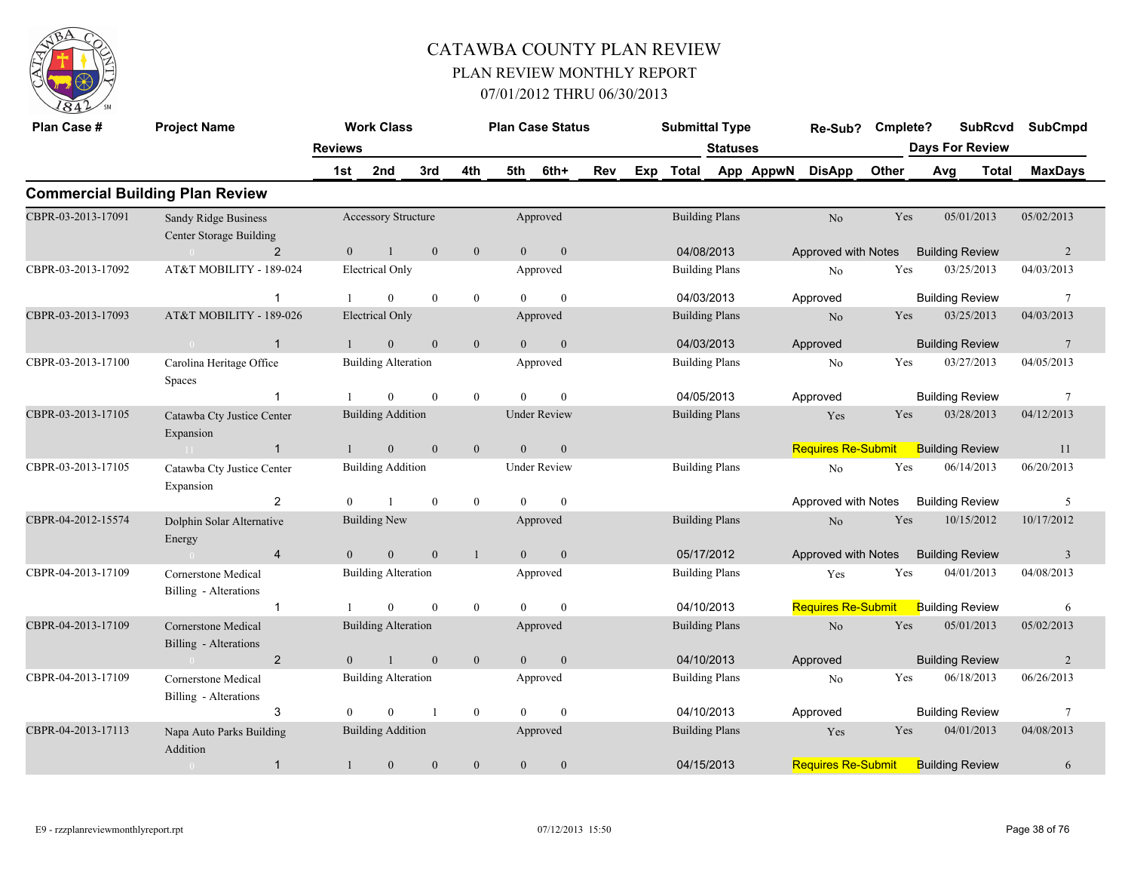

| Plan Case #        | <b>Project Name</b>                             | <b>Reviews</b> | <b>Work Class</b>          |                |                  |                | <b>Plan Case Status</b> |     |     | <b>Submittal Type</b> | Statuses |           | Re-Sub?                   | Cmplete? |     | <b>SubRcvd</b><br><b>Days For Review</b> | <b>SubCmpd</b>  |
|--------------------|-------------------------------------------------|----------------|----------------------------|----------------|------------------|----------------|-------------------------|-----|-----|-----------------------|----------|-----------|---------------------------|----------|-----|------------------------------------------|-----------------|
|                    |                                                 | 1st            | 2nd                        | 3rd            | 4th              | 5th            | 6th+                    | Rev | Exp | <b>Total</b>          |          | App AppwN | <b>DisApp</b>             | Other    | Avg | <b>Total</b>                             | <b>MaxDays</b>  |
|                    | <b>Commercial Building Plan Review</b>          |                |                            |                |                  |                |                         |     |     |                       |          |           |                           |          |     |                                          |                 |
| CBPR-03-2013-17091 | Sandy Ridge Business<br>Center Storage Building |                | <b>Accessory Structure</b> |                |                  |                | Approved                |     |     | <b>Building Plans</b> |          |           | No                        | Yes      |     | 05/01/2013                               | 05/02/2013      |
|                    | 2                                               | $\theta$       | $\mathbf{1}$               | $\mathbf{0}$   | $\mathbf{0}$     | $\Omega$       | $\mathbf{0}$            |     |     | 04/08/2013            |          |           | Approved with Notes       |          |     | <b>Building Review</b>                   | $\overline{2}$  |
| CBPR-03-2013-17092 | AT&T MOBILITY - 189-024                         |                | <b>Electrical Only</b>     |                |                  |                | Approved                |     |     | <b>Building Plans</b> |          |           | No                        | Yes      |     | 03/25/2013                               | 04/03/2013      |
|                    | $\overline{1}$                                  |                | $\mathbf{0}$               | $\theta$       | $\mathbf{0}$     | $\Omega$       | $\theta$                |     |     | 04/03/2013            |          |           | Approved                  |          |     | <b>Building Review</b>                   | $7\phantom{.0}$ |
| CBPR-03-2013-17093 | AT&T MOBILITY - 189-026                         |                | <b>Electrical Only</b>     |                |                  |                | Approved                |     |     | <b>Building Plans</b> |          |           | No                        | Yes      |     | 03/25/2013                               | 04/03/2013      |
|                    | $\overline{1}$                                  |                | $\overline{0}$             | $\mathbf{0}$   | $\mathbf{0}$     | $\Omega$       | $\mathbf{0}$            |     |     | 04/03/2013            |          |           | Approved                  |          |     | <b>Building Review</b>                   | 7               |
| CBPR-03-2013-17100 | Carolina Heritage Office<br><b>Spaces</b>       |                | <b>Building Alteration</b> |                |                  |                | Approved                |     |     | <b>Building Plans</b> |          |           | No                        | Yes      |     | 03/27/2013                               | 04/05/2013      |
|                    | $\mathbf{1}$                                    |                | $\mathbf{0}$               | $\mathbf{0}$   | $\mathbf{0}$     | $\theta$       | $\mathbf{0}$            |     |     | 04/05/2013            |          |           | Approved                  |          |     | <b>Building Review</b>                   | $7\phantom{.0}$ |
| CBPR-03-2013-17105 | Catawba Cty Justice Center<br>Expansion         |                | <b>Building Addition</b>   |                |                  |                | <b>Under Review</b>     |     |     | <b>Building Plans</b> |          |           | Yes                       | Yes      |     | 03/28/2013                               | 04/12/2013      |
|                    | $\overline{1}$                                  |                | $\mathbf{0}$               | $\mathbf{0}$   | $\mathbf{0}$     | $\overline{0}$ | $\boldsymbol{0}$        |     |     |                       |          |           | <b>Requires Re-Submit</b> |          |     | <b>Building Review</b>                   | 11              |
| CBPR-03-2013-17105 | Catawba Cty Justice Center<br>Expansion         |                | <b>Building Addition</b>   |                |                  |                | <b>Under Review</b>     |     |     | <b>Building Plans</b> |          |           | No                        | Yes      |     | 06/14/2013                               | 06/20/2013      |
|                    | $\overline{2}$                                  | $\theta$       |                            | $\mathbf{0}$   | $\boldsymbol{0}$ | $\theta$       | $\mathbf{0}$            |     |     |                       |          |           | Approved with Notes       |          |     | <b>Building Review</b>                   | 5               |
| CBPR-04-2012-15574 | Dolphin Solar Alternative<br>Energy             |                | <b>Building New</b>        |                |                  |                | Approved                |     |     | <b>Building Plans</b> |          |           | No                        | Yes      |     | 10/15/2012                               | 10/17/2012      |
|                    | $\overline{4}$                                  | $\Omega$       | $\Omega$                   | $\Omega$       | $\mathbf{1}$     | $\theta$       | $\mathbf{0}$            |     |     | 05/17/2012            |          |           | Approved with Notes       |          |     | <b>Building Review</b>                   | 3               |
| CBPR-04-2013-17109 | Cornerstone Medical<br>Billing - Alterations    |                | <b>Building Alteration</b> |                |                  |                | Approved                |     |     | <b>Building Plans</b> |          |           | Yes                       | Yes      |     | 04/01/2013                               | 04/08/2013      |
|                    | $\mathbf{1}$                                    |                | $\mathbf{0}$               | $\mathbf{0}$   | $\boldsymbol{0}$ | $\theta$       | $\mathbf{0}$            |     |     | 04/10/2013            |          |           | <b>Requires Re-Submit</b> |          |     | <b>Building Review</b>                   | 6               |
| CBPR-04-2013-17109 | Cornerstone Medical<br>Billing - Alterations    |                | <b>Building Alteration</b> |                |                  |                | Approved                |     |     | <b>Building Plans</b> |          |           | No                        | Yes      |     | 05/01/2013                               | 05/02/2013      |
|                    | $\overline{2}$                                  | $\Omega$       | $\overline{1}$             | $\mathbf{0}$   | $\mathbf{0}$     | $\overline{0}$ | $\boldsymbol{0}$        |     |     | 04/10/2013            |          |           | Approved                  |          |     | <b>Building Review</b>                   | 2               |
| CBPR-04-2013-17109 | Cornerstone Medical<br>Billing - Alterations    |                | <b>Building Alteration</b> |                |                  |                | Approved                |     |     | <b>Building Plans</b> |          |           | No                        | Yes      |     | 06/18/2013                               | 06/26/2013      |
|                    | 3                                               | $\theta$       | $\mathbf{0}$               | $\overline{1}$ | $\mathbf{0}$     | $\theta$       | $\mathbf{0}$            |     |     | 04/10/2013            |          |           | Approved                  |          |     | <b>Building Review</b>                   | 7               |
| CBPR-04-2013-17113 | Napa Auto Parks Building<br>Addition            |                | <b>Building Addition</b>   |                |                  |                | Approved                |     |     | <b>Building Plans</b> |          |           | Yes                       | Yes      |     | 04/01/2013                               | 04/08/2013      |
|                    | $\mathbf{1}$                                    | $\mathbf{1}$   | $\overline{0}$             | $\theta$       | $\boldsymbol{0}$ | $\mathbf{0}$   | $\mathbf{0}$            |     |     | 04/15/2013            |          |           | <b>Requires Re-Submit</b> |          |     | <b>Building Review</b>                   | 6               |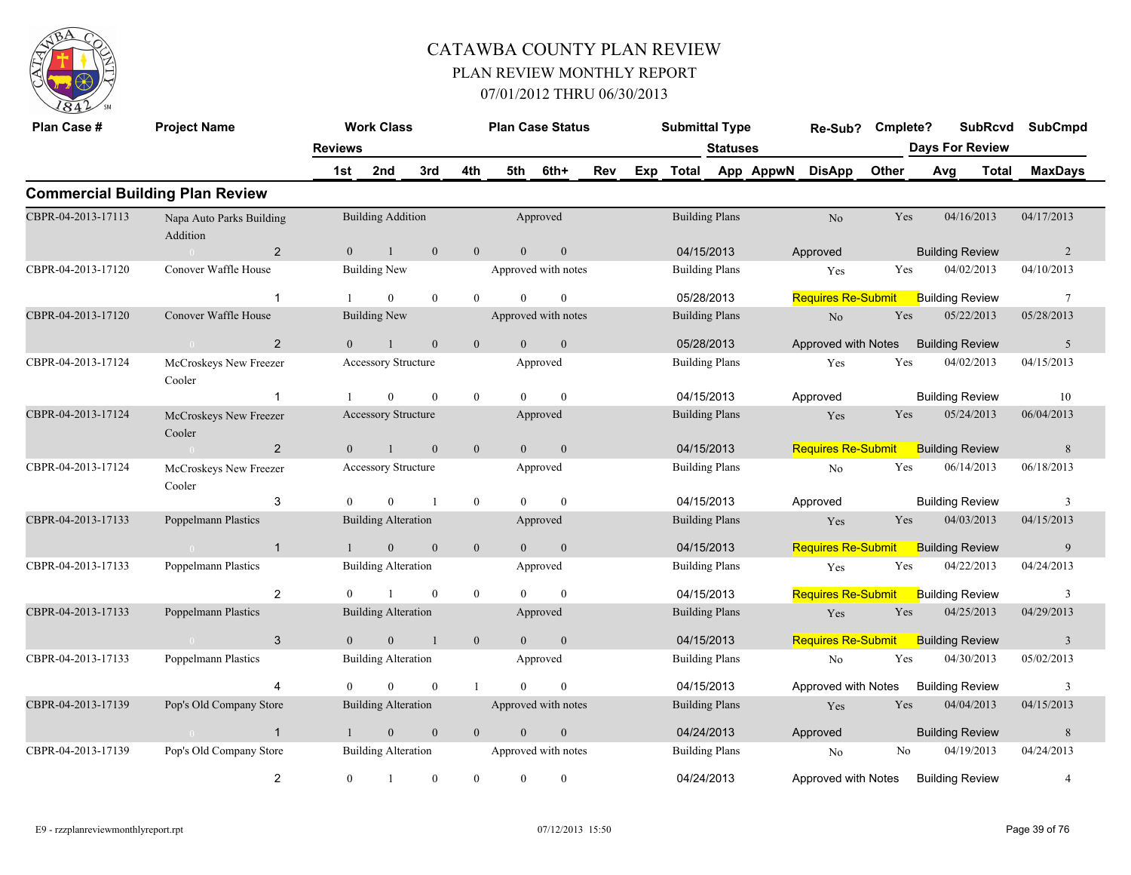

| Plan Case #        | <b>Project Name</b>                    | <b>Reviews</b> | <b>Work Class</b>          |                  |                  |                | <b>Plan Case Status</b> |     |     | <b>Submittal Type</b> | <b>Statuses</b>       |           | Re-Sub?                   | Cmplete? | <b>Days For Review</b> | <b>SubRcvd</b> | <b>SubCmpd</b>  |
|--------------------|----------------------------------------|----------------|----------------------------|------------------|------------------|----------------|-------------------------|-----|-----|-----------------------|-----------------------|-----------|---------------------------|----------|------------------------|----------------|-----------------|
|                    |                                        | 1st            | 2nd                        | 3rd              | 4th              | 5th            | 6th+                    | Rev | Exp | Total                 |                       | App AppwN | <b>DisApp</b>             | Other    | Avg                    | <b>Total</b>   | <b>MaxDays</b>  |
|                    | <b>Commercial Building Plan Review</b> |                |                            |                  |                  |                |                         |     |     |                       |                       |           |                           |          |                        |                |                 |
| CBPR-04-2013-17113 | Napa Auto Parks Building<br>Addition   |                | <b>Building Addition</b>   |                  |                  |                | Approved                |     |     |                       | <b>Building Plans</b> |           | No                        | Yes      | 04/16/2013             |                | 04/17/2013      |
|                    | $\overline{2}$<br>$\sim 0$             | $\theta$       | $\mathbf{1}$               | $\mathbf{0}$     | $\overline{0}$   | $\overline{0}$ | $\mathbf{0}$            |     |     | 04/15/2013            |                       |           | Approved                  |          | <b>Building Review</b> |                | 2               |
| CBPR-04-2013-17120 | Conover Waffle House                   |                | <b>Building New</b>        |                  |                  |                | Approved with notes     |     |     |                       | <b>Building Plans</b> |           | Yes                       | Yes      | 04/02/2013             |                | 04/10/2013      |
|                    | $\overline{1}$                         |                | $\overline{0}$             | $\mathbf{0}$     | $\overline{0}$   | $\theta$       | $\mathbf{0}$            |     |     | 05/28/2013            |                       |           | <b>Requires Re-Submit</b> |          | <b>Building Review</b> |                | $7\phantom{.0}$ |
| CBPR-04-2013-17120 | Conover Waffle House                   |                | <b>Building New</b>        |                  |                  |                | Approved with notes     |     |     |                       | <b>Building Plans</b> |           | No.                       | Yes      | 05/22/2013             |                | 05/28/2013      |
|                    | $\overline{2}$<br>$\overline{0}$       |                |                            | $\mathbf{0}$     | $\mathbf{0}$     | $\overline{0}$ | $\mathbf{0}$            |     |     | 05/28/2013            |                       |           | Approved with Notes       |          | <b>Building Review</b> |                | 5               |
| CBPR-04-2013-17124 | McCroskeys New Freezer<br>Cooler       |                | Accessory Structure        |                  |                  |                | Approved                |     |     |                       | <b>Building Plans</b> |           | Yes                       | Yes      | 04/02/2013             |                | 04/15/2013      |
|                    | $\overline{1}$                         |                | $\theta$                   | $\theta$         | $\boldsymbol{0}$ | $\Omega$       | $\theta$                |     |     | 04/15/2013            |                       |           | Approved                  |          | <b>Building Review</b> |                | 10              |
| CBPR-04-2013-17124 | McCroskeys New Freezer<br>Cooler       |                | Accessory Structure        |                  |                  |                | Approved                |     |     |                       | <b>Building Plans</b> |           | Yes                       | Yes      | 05/24/2013             |                | 06/04/2013      |
|                    | 2<br>$\overline{0}$                    | $\theta$       | $\overline{1}$             | $\mathbf{0}$     | $\mathbf{0}$     | $\overline{0}$ | $\mathbf{0}$            |     |     | 04/15/2013            |                       |           | <b>Requires Re-Submit</b> |          | <b>Building Review</b> |                | 8               |
| CBPR-04-2013-17124 | McCroskeys New Freezer<br>Cooler       |                | Accessory Structure        |                  |                  |                | Approved                |     |     |                       | <b>Building Plans</b> |           | No                        | Yes      | 06/14/2013             |                | 06/18/2013      |
|                    | 3                                      | $\theta$       | $\theta$                   | $\mathbf{1}$     | $\mathbf{0}$     | $\Omega$       | $\mathbf{0}$            |     |     |                       | 04/15/2013            |           | Approved                  |          | <b>Building Review</b> |                | 3               |
| CBPR-04-2013-17133 | Poppelmann Plastics                    |                | <b>Building Alteration</b> |                  |                  |                | Approved                |     |     |                       | <b>Building Plans</b> |           | Yes                       | Yes      | 04/03/2013             |                | 04/15/2013      |
|                    | $\overline{1}$<br>$\sim 0$             |                | $\mathbf{0}$               | $\mathbf{0}$     | $\mathbf{0}$     | $\overline{0}$ | $\mathbf{0}$            |     |     | 04/15/2013            |                       |           | <b>Requires Re-Submit</b> |          | <b>Building Review</b> |                | 9               |
| CBPR-04-2013-17133 | Poppelmann Plastics                    |                | <b>Building Alteration</b> |                  |                  |                | Approved                |     |     |                       | <b>Building Plans</b> |           | Yes                       | Yes      | 04/22/2013             |                | 04/24/2013      |
|                    | 2                                      | $\theta$       |                            | $\mathbf{0}$     | $\mathbf{0}$     | $\Omega$       | $\theta$                |     |     | 04/15/2013            |                       |           | <b>Requires Re-Submit</b> |          | <b>Building Review</b> |                | 3               |
| CBPR-04-2013-17133 | <b>Poppelmann Plastics</b>             |                | <b>Building Alteration</b> |                  |                  |                | Approved                |     |     |                       | <b>Building Plans</b> |           | Yes                       | Yes      | 04/25/2013             |                | 04/29/2013      |
|                    | 3<br>0 <sup>1</sup>                    | $\theta$       | $\overline{0}$             | $\overline{1}$   | $\mathbf{0}$     | $\Omega$       | $\mathbf{0}$            |     |     | 04/15/2013            |                       |           | <b>Requires Re-Submit</b> |          | <b>Building Review</b> |                | $\overline{3}$  |
| CBPR-04-2013-17133 | Poppelmann Plastics                    |                | <b>Building Alteration</b> |                  |                  |                | Approved                |     |     |                       | <b>Building Plans</b> |           | No.                       | Yes      | 04/30/2013             |                | 05/02/2013      |
|                    | $\overline{4}$                         |                | $\theta$                   | $\theta$         |                  | $\Omega$       | $\theta$                |     |     |                       | 04/15/2013            |           | Approved with Notes       |          | <b>Building Review</b> |                | 3               |
| CBPR-04-2013-17139 | Pop's Old Company Store                |                | <b>Building Alteration</b> |                  |                  |                | Approved with notes     |     |     |                       | <b>Building Plans</b> |           | Yes                       | Yes      | 04/04/2013             |                | 04/15/2013      |
|                    | $\overline{1}$<br>$\sim$ 0 $\sim$      | $\bigcirc$     | $\mathbf{0}$               | $\mathbf{0}$     | $\mathbf{0}$     | $\overline{0}$ | $\boldsymbol{0}$        |     |     |                       | 04/24/2013            |           | Approved                  |          | <b>Building Review</b> |                | $8\phantom{.}$  |
| CBPR-04-2013-17139 | Pop's Old Company Store                |                | <b>Building Alteration</b> |                  |                  |                | Approved with notes     |     |     |                       | <b>Building Plans</b> |           | No                        | No       | 04/19/2013             |                | 04/24/2013      |
|                    | $\overline{2}$                         | $\overline{0}$ | $\overline{1}$             | $\boldsymbol{0}$ | $\overline{0}$   | $\overline{0}$ | $\boldsymbol{0}$        |     |     | 04/24/2013            |                       |           | Approved with Notes       |          | <b>Building Review</b> |                | $\overline{4}$  |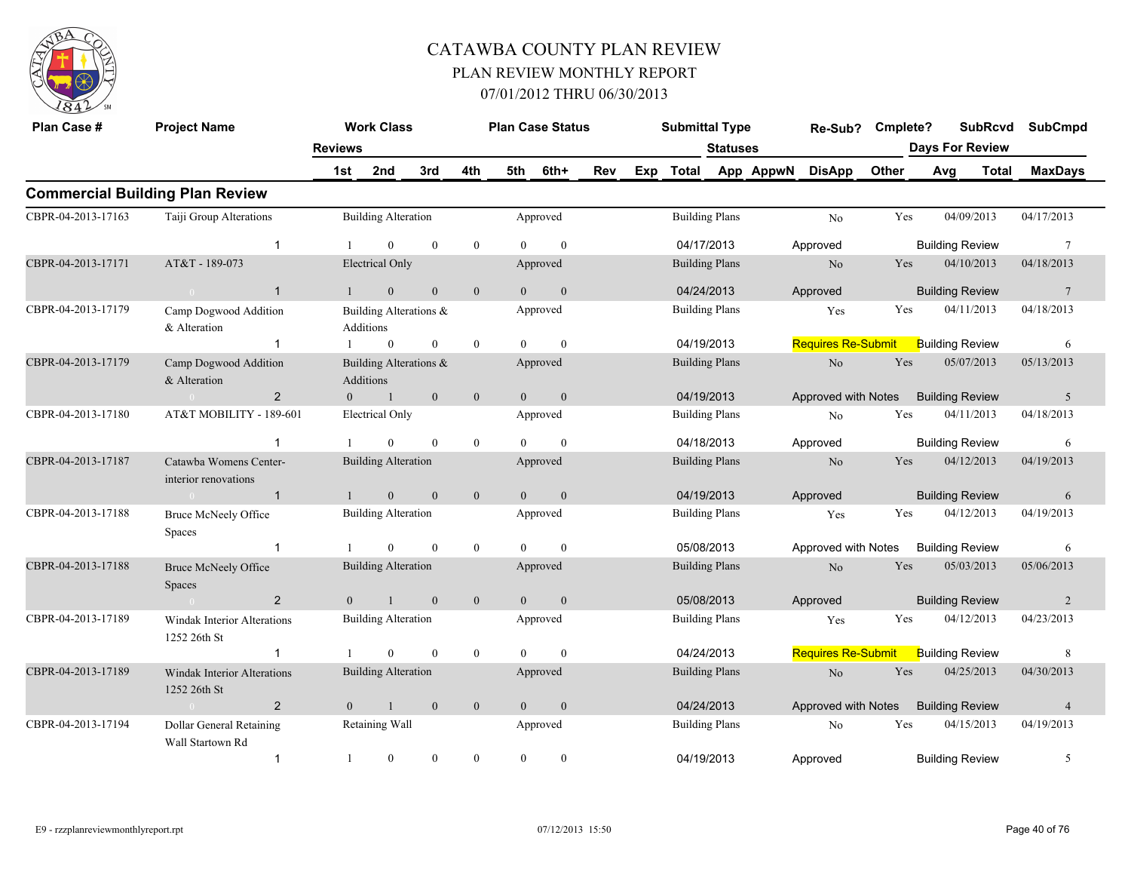

| Plan Case #        | <b>Project Name</b>                                |                | <b>Work Class</b>                   |                  |                |                | <b>Plan Case Status</b> |     |     | <b>Submittal Type</b> |                 |           | Re-Sub?                   | Cmplete? | <b>SubRcvd</b>         |       | <b>SubCmpd</b>  |
|--------------------|----------------------------------------------------|----------------|-------------------------------------|------------------|----------------|----------------|-------------------------|-----|-----|-----------------------|-----------------|-----------|---------------------------|----------|------------------------|-------|-----------------|
|                    |                                                    | <b>Reviews</b> |                                     |                  |                |                |                         |     |     |                       | <b>Statuses</b> |           |                           |          | <b>Days For Review</b> |       |                 |
|                    |                                                    | 1st            | 2nd                                 | 3rd              | 4th            | 5th            | 6th+                    | Rev | Exp | <b>Total</b>          |                 | App AppwN | <b>DisApp</b>             | Other    | Avg                    | Total | <b>MaxDays</b>  |
|                    | <b>Commercial Building Plan Review</b>             |                |                                     |                  |                |                |                         |     |     |                       |                 |           |                           |          |                        |       |                 |
| CBPR-04-2013-17163 | Taiji Group Alterations                            |                | <b>Building Alteration</b>          |                  |                |                | Approved                |     |     | <b>Building Plans</b> |                 |           | No                        | Yes      | 04/09/2013             |       | 04/17/2013      |
|                    | $\mathbf 1$                                        |                | $\theta$                            | $\mathbf{0}$     | $\mathbf{0}$   | $\theta$       | $\mathbf{0}$            |     |     | 04/17/2013            |                 |           | Approved                  |          | <b>Building Review</b> |       | $7\phantom{.0}$ |
| CBPR-04-2013-17171 | AT&T - 189-073                                     |                | <b>Electrical Only</b>              |                  |                |                | Approved                |     |     | <b>Building Plans</b> |                 |           | N <sub>o</sub>            | Yes      | 04/10/2013             |       | 04/18/2013      |
|                    | $\mathbf{1}$<br>$\bigcap$                          | $\mathbf{1}$   | $\mathbf{0}$                        | $\mathbf{0}$     | $\mathbf{0}$   | $\theta$       | $\mathbf{0}$            |     |     | 04/24/2013            |                 |           | Approved                  |          | <b>Building Review</b> |       | 7               |
| CBPR-04-2013-17179 | Camp Dogwood Addition<br>& Alteration              |                | Building Alterations &<br>Additions |                  |                |                | Approved                |     |     | <b>Building Plans</b> |                 |           | Yes                       | Yes      | 04/11/2013             |       | 04/18/2013      |
|                    | $\overline{1}$                                     |                | $\mathbf{0}$                        | $\boldsymbol{0}$ | $\mathbf{0}$   | $\theta$       | $\mathbf{0}$            |     |     | 04/19/2013            |                 |           | <b>Requires Re-Submit</b> |          | <b>Building Review</b> |       | 6               |
| CBPR-04-2013-17179 | Camp Dogwood Addition<br>& Alteration              |                | Building Alterations &<br>Additions |                  |                |                | Approved                |     |     | <b>Building Plans</b> |                 |           | $\rm No$                  | Yes      | 05/07/2013             |       | 05/13/2013      |
|                    | 2                                                  | $\Omega$       | $\bigoplus$                         | $\mathbf{0}$     | $\mathbf{0}$   | $\overline{0}$ | $\mathbf{0}$            |     |     | 04/19/2013            |                 |           | Approved with Notes       |          | <b>Building Review</b> |       | 5               |
| CBPR-04-2013-17180 | AT&T MOBILITY - 189-601                            |                | <b>Electrical Only</b>              |                  |                |                | Approved                |     |     | <b>Building Plans</b> |                 |           | No                        | Yes      | 04/11/2013             |       | 04/18/2013      |
|                    | $\mathbf 1$                                        |                | $\Omega$                            | $\theta$         | $\mathbf{0}$   | $\Omega$       | $\theta$                |     |     | 04/18/2013            |                 |           | Approved                  |          | <b>Building Review</b> |       | 6               |
| CBPR-04-2013-17187 | Catawba Womens Center-<br>interior renovations     |                | <b>Building Alteration</b>          |                  |                |                | Approved                |     |     | <b>Building Plans</b> |                 |           | N <sub>o</sub>            | Yes      | 04/12/2013             |       | 04/19/2013      |
|                    | $\overline{1}$<br>$\sim$ 0                         | $\mathbf{1}$   | $\mathbf{0}$                        | $\mathbf{0}$     | $\mathbf{0}$   | $\overline{0}$ | $\mathbf{0}$            |     |     | 04/19/2013            |                 |           | Approved                  |          | <b>Building Review</b> |       | 6               |
| CBPR-04-2013-17188 | <b>Bruce McNeely Office</b><br>Spaces              |                | <b>Building Alteration</b>          |                  |                |                | Approved                |     |     | <b>Building Plans</b> |                 |           | Yes                       | Yes      | 04/12/2013             |       | 04/19/2013      |
|                    | $\mathbf{1}$                                       |                | $\theta$                            | $\mathbf{0}$     | $\mathbf{0}$   | $\Omega$       | $\mathbf{0}$            |     |     | 05/08/2013            |                 |           | Approved with Notes       |          | <b>Building Review</b> |       | 6               |
| CBPR-04-2013-17188 | <b>Bruce McNeely Office</b><br>Spaces              |                | <b>Building Alteration</b>          |                  |                |                | Approved                |     |     | <b>Building Plans</b> |                 |           | N <sub>o</sub>            | Yes      | 05/03/2013             |       | 05/06/2013      |
|                    | 2<br>$\bigcirc$ 0                                  | $\theta$       | $\overline{1}$                      | $\mathbf{0}$     | $\overline{0}$ | $\theta$       | $\mathbf{0}$            |     |     | 05/08/2013            |                 |           | Approved                  |          | <b>Building Review</b> |       | 2               |
| CBPR-04-2013-17189 | <b>Windak Interior Alterations</b><br>1252 26th St |                | <b>Building Alteration</b>          |                  |                |                | Approved                |     |     | <b>Building Plans</b> |                 |           | Yes                       | Yes      | 04/12/2013             |       | 04/23/2013      |
|                    | $\overline{1}$                                     |                | $\theta$                            | $\theta$         | $\mathbf{0}$   | $\Omega$       | $\mathbf{0}$            |     |     | 04/24/2013            |                 |           | <b>Requires Re-Submit</b> |          | <b>Building Review</b> |       | 8               |
| CBPR-04-2013-17189 | <b>Windak Interior Alterations</b><br>1252 26th St |                | <b>Building Alteration</b>          |                  |                |                | Approved                |     |     | <b>Building Plans</b> |                 |           | No                        | Yes      | 04/25/2013             |       | 04/30/2013      |
|                    | $\overline{2}$<br>$\sim 0$                         | $\overline{0}$ | $\mathbf{1}$                        | $\mathbf{0}$     | $\mathbf{0}$   | $\overline{0}$ | $\mathbf{0}$            |     |     | 04/24/2013            |                 |           | Approved with Notes       |          | <b>Building Review</b> |       | $\overline{4}$  |
| CBPR-04-2013-17194 | Dollar General Retaining<br>Wall Startown Rd       |                | Retaining Wall                      |                  |                |                | Approved                |     |     | <b>Building Plans</b> |                 |           | No                        | Yes      | 04/15/2013             |       | 04/19/2013      |
|                    | $\mathbf{1}$                                       | -1             | $\overline{0}$                      | $\theta$         | $\theta$       | $\theta$       | $\mathbf{0}$            |     |     | 04/19/2013            |                 |           | Approved                  |          | <b>Building Review</b> |       | 5               |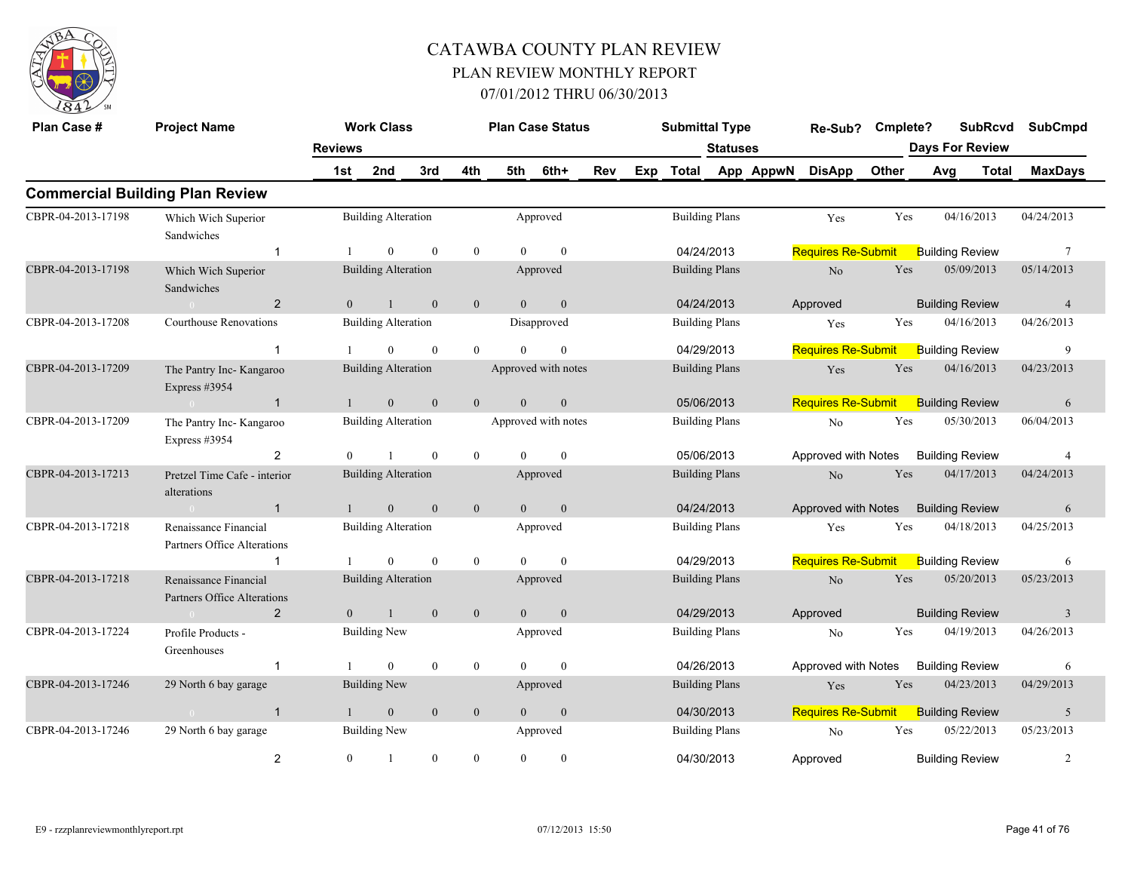

| Plan Case #        | <b>Project Name</b>                                  |                | <b>Work Class</b>          |              |                  |                | <b>Plan Case Status</b> |     |     | <b>Submittal Type</b> |                       |           | Re-Sub?                   | Cmplete? | <b>SubRcvd</b>         |              | <b>SubCmpd</b>  |
|--------------------|------------------------------------------------------|----------------|----------------------------|--------------|------------------|----------------|-------------------------|-----|-----|-----------------------|-----------------------|-----------|---------------------------|----------|------------------------|--------------|-----------------|
|                    |                                                      | <b>Reviews</b> |                            |              |                  |                |                         |     |     |                       | <b>Statuses</b>       |           |                           |          | <b>Days For Review</b> |              |                 |
|                    |                                                      | 1st            | 2nd                        | 3rd          | 4th              | 5th            | 6th+                    | Rev | Exp | <b>Total</b>          |                       | App AppwN | <b>DisApp</b>             | Other    | Avg                    | <b>Total</b> | <b>MaxDays</b>  |
|                    | <b>Commercial Building Plan Review</b>               |                |                            |              |                  |                |                         |     |     |                       |                       |           |                           |          |                        |              |                 |
| CBPR-04-2013-17198 | Which Wich Superior<br>Sandwiches                    |                | <b>Building Alteration</b> |              |                  |                | Approved                |     |     |                       | <b>Building Plans</b> |           | Yes                       | Yes      | 04/16/2013             |              | 04/24/2013      |
|                    | $\overline{1}$                                       |                | $\theta$                   | $\mathbf{0}$ | $\overline{0}$   | $\Omega$       | $\theta$                |     |     | 04/24/2013            |                       |           | <b>Requires Re-Submit</b> |          | <b>Building Review</b> |              | $7\phantom{.0}$ |
| CBPR-04-2013-17198 | Which Wich Superior<br>Sandwiches                    |                | <b>Building Alteration</b> |              |                  |                | Approved                |     |     |                       | <b>Building Plans</b> |           | $\rm No$                  | Yes      | 05/09/2013             |              | 05/14/2013      |
|                    | $\overline{2}$                                       | $\overline{0}$ | $\mathbf{1}$               | $\mathbf{0}$ | $\mathbf{0}$     | $\overline{0}$ | $\mathbf{0}$            |     |     |                       | 04/24/2013            |           | Approved                  |          | <b>Building Review</b> |              | $\overline{4}$  |
| CBPR-04-2013-17208 | Courthouse Renovations                               |                | <b>Building Alteration</b> |              |                  |                | Disapproved             |     |     |                       | <b>Building Plans</b> |           | Yes                       | Yes      | 04/16/2013             |              | 04/26/2013      |
|                    | $\mathbf{1}$                                         |                | $\Omega$                   | $\theta$     | $\theta$         | $\theta$       | $\theta$                |     |     | 04/29/2013            |                       |           | <b>Requires Re-Submit</b> |          | <b>Building Review</b> |              | 9               |
| CBPR-04-2013-17209 | The Pantry Inc- Kangaroo<br>Express #3954            |                | <b>Building Alteration</b> |              |                  |                | Approved with notes     |     |     |                       | <b>Building Plans</b> |           | Yes                       | Yes      | 04/16/2013             |              | 04/23/2013      |
|                    | $\mathbf{1}$                                         |                | $\mathbf{0}$               | $\theta$     | $\overline{0}$   | $\theta$       | $\mathbf{0}$            |     |     | 05/06/2013            |                       |           | <b>Requires Re-Submit</b> |          | <b>Building Review</b> |              | 6               |
| CBPR-04-2013-17209 | The Pantry Inc- Kangaroo<br>Express #3954            |                | <b>Building Alteration</b> |              |                  |                | Approved with notes     |     |     |                       | <b>Building Plans</b> |           | $\rm No$                  | Yes      | 05/30/2013             |              | 06/04/2013      |
|                    | 2                                                    | $\Omega$       |                            | $\Omega$     | $\theta$         | $\Omega$       | $\theta$                |     |     | 05/06/2013            |                       |           | Approved with Notes       |          | <b>Building Review</b> |              | $\overline{4}$  |
| CBPR-04-2013-17213 | Pretzel Time Cafe - interior<br>alterations          |                | <b>Building Alteration</b> |              |                  |                | Approved                |     |     |                       | <b>Building Plans</b> |           | N <sub>o</sub>            | Yes      | 04/17/2013             |              | 04/24/2013      |
|                    | $\mathbf{1}$<br>$\sim 0$                             |                | $\overline{0}$             | $\mathbf{0}$ | $\mathbf{0}$     | $\overline{0}$ | $\mathbf{0}$            |     |     | 04/24/2013            |                       |           | Approved with Notes       |          | <b>Building Review</b> |              | 6               |
| CBPR-04-2013-17218 | Renaissance Financial<br>Partners Office Alterations |                | <b>Building Alteration</b> |              |                  |                | Approved                |     |     |                       | <b>Building Plans</b> |           | Yes                       | Yes      | 04/18/2013             |              | 04/25/2013      |
|                    | $\mathbf 1$                                          |                | $\Omega$                   | $\theta$     | $\overline{0}$   | $\Omega$       | $\theta$                |     |     | 04/29/2013            |                       |           | <b>Requires Re-Submit</b> |          | <b>Building Review</b> |              | 6               |
| CBPR-04-2013-17218 | Renaissance Financial<br>Partners Office Alterations |                | <b>Building Alteration</b> |              |                  |                | Approved                |     |     |                       | <b>Building Plans</b> |           | No                        | Yes      | 05/20/2013             |              | 05/23/2013      |
|                    | 2                                                    | $\overline{0}$ | $\mathbf{1}$               | $\mathbf{0}$ | $\mathbf{0}$     | $\overline{0}$ | $\mathbf{0}$            |     |     | 04/29/2013            |                       |           | Approved                  |          | <b>Building Review</b> |              | $\mathfrak{Z}$  |
| CBPR-04-2013-17224 | Profile Products -<br>Greenhouses                    |                | <b>Building New</b>        |              |                  |                | Approved                |     |     |                       | <b>Building Plans</b> |           | N <sub>o</sub>            | Yes      | 04/19/2013             |              | 04/26/2013      |
|                    | $\mathbf{1}$                                         |                | $\mathbf{0}$               | $\mathbf{0}$ | $\boldsymbol{0}$ | $\Omega$       | $\theta$                |     |     |                       | 04/26/2013            |           | Approved with Notes       |          | <b>Building Review</b> |              | 6               |
| CBPR-04-2013-17246 | 29 North 6 bay garage                                |                | <b>Building New</b>        |              |                  |                | Approved                |     |     |                       | <b>Building Plans</b> |           | Yes                       | Yes      | 04/23/2013             |              | 04/29/2013      |
|                    | $\mathbf{1}$<br>$\bigcap$                            | $\mathbf{1}$   | $\mathbf{0}$               | $\mathbf{0}$ | $\mathbf{0}$     | $\overline{0}$ | $\mathbf{0}$            |     |     | 04/30/2013            |                       |           | <b>Requires Re-Submit</b> |          | <b>Building Review</b> |              | 5               |
| CBPR-04-2013-17246 | 29 North 6 bay garage                                |                | <b>Building New</b>        |              |                  |                | Approved                |     |     |                       | <b>Building Plans</b> |           | No                        | Yes      | 05/22/2013             |              | 05/23/2013      |
|                    | $\overline{2}$                                       | $\overline{0}$ | $\mathbf{1}$               | $\mathbf{0}$ | $\overline{0}$   | $\Omega$       | $\mathbf{0}$            |     |     | 04/30/2013            |                       |           | Approved                  |          | <b>Building Review</b> |              | $\overline{c}$  |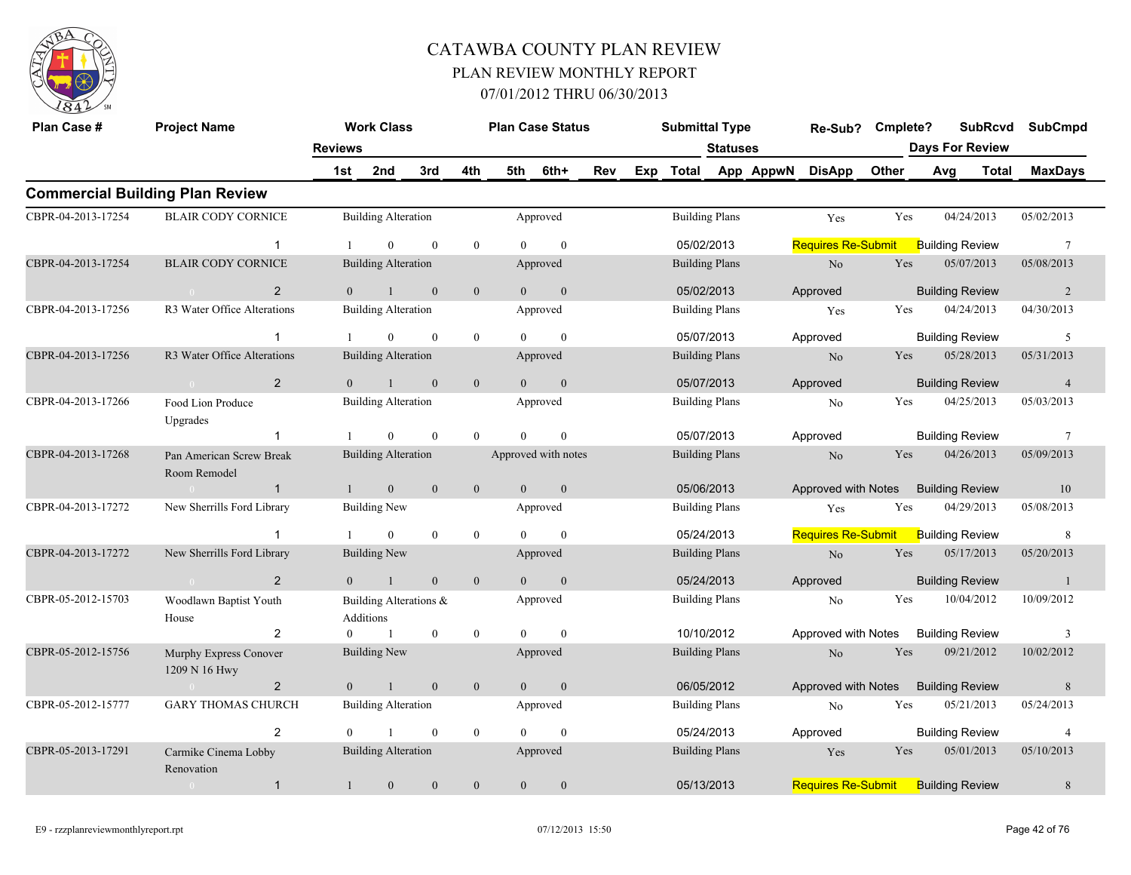

| Plan Case #        | <b>Project Name</b>                      |                | <b>Work Class</b>                   |              |              |                | <b>Plan Case Status</b> |     |     | <b>Submittal Type</b> |                 |           | Re-Sub?                   | Cmplete? |                        | <b>SubRcvd</b> | <b>SubCmpd</b>  |
|--------------------|------------------------------------------|----------------|-------------------------------------|--------------|--------------|----------------|-------------------------|-----|-----|-----------------------|-----------------|-----------|---------------------------|----------|------------------------|----------------|-----------------|
|                    |                                          | <b>Reviews</b> |                                     |              |              |                |                         |     |     |                       | <b>Statuses</b> |           |                           |          | <b>Days For Review</b> |                |                 |
|                    |                                          | 1st            | 2nd                                 | 3rd          | 4th          | 5th            | 6th+                    | Rev | Exp | <b>Total</b>          |                 | App AppwN | <b>DisApp</b>             | Other    | Avg                    | <b>Total</b>   | <b>MaxDays</b>  |
|                    | <b>Commercial Building Plan Review</b>   |                |                                     |              |              |                |                         |     |     |                       |                 |           |                           |          |                        |                |                 |
| CBPR-04-2013-17254 | <b>BLAIR CODY CORNICE</b>                |                | <b>Building Alteration</b>          |              |              |                | Approved                |     |     | <b>Building Plans</b> |                 |           | Yes                       | Yes      | 04/24/2013             |                | 05/02/2013      |
|                    | $\mathbf{1}$                             |                | $\Omega$                            | $\theta$     | $\mathbf{0}$ |                | $\theta$                |     |     | 05/02/2013            |                 |           | <b>Requires Re-Submit</b> |          | <b>Building Review</b> |                | $7\phantom{.0}$ |
| CBPR-04-2013-17254 | <b>BLAIR CODY CORNICE</b>                |                | <b>Building Alteration</b>          |              |              |                | Approved                |     |     | <b>Building Plans</b> |                 |           | N <sub>o</sub>            | Yes      | 05/07/2013             |                | 05/08/2013      |
|                    | $\overline{2}$<br>$\Omega$               | $\overline{0}$ | $\mathbf{1}$                        | $\mathbf{0}$ | $\mathbf{0}$ | $\overline{0}$ | $\mathbf{0}$            |     |     | 05/02/2013            |                 |           | Approved                  |          | <b>Building Review</b> |                | 2               |
| CBPR-04-2013-17256 | R3 Water Office Alterations              |                | <b>Building Alteration</b>          |              |              |                | Approved                |     |     | <b>Building Plans</b> |                 |           | Yes                       | Yes      | 04/24/2013             |                | 04/30/2013      |
|                    | $\mathbf 1$                              |                | $\Omega$                            | $\mathbf{0}$ | $\mathbf{0}$ | $\Omega$       | $\mathbf{0}$            |     |     | 05/07/2013            |                 |           | Approved                  |          | <b>Building Review</b> |                | 5               |
| CBPR-04-2013-17256 | R3 Water Office Alterations              |                | <b>Building Alteration</b>          |              |              |                | Approved                |     |     | <b>Building Plans</b> |                 |           | N <sub>o</sub>            | Yes      | 05/28/2013             |                | 05/31/2013      |
|                    | 2                                        | $\theta$       |                                     | $\mathbf{0}$ | $\mathbf{0}$ | $\Omega$       | $\mathbf{0}$            |     |     | 05/07/2013            |                 |           | Approved                  |          | <b>Building Review</b> |                | $\overline{4}$  |
| CBPR-04-2013-17266 | Food Lion Produce<br>Upgrades            |                | <b>Building Alteration</b>          |              |              |                | Approved                |     |     | <b>Building Plans</b> |                 |           | No                        | Yes      | 04/25/2013             |                | 05/03/2013      |
|                    | $\mathbf{1}$                             |                | $\Omega$                            | $\mathbf{0}$ | $\theta$     | $\Omega$       | $\mathbf{0}$            |     |     | 05/07/2013            |                 |           | Approved                  |          | <b>Building Review</b> |                | $7\phantom{.0}$ |
| CBPR-04-2013-17268 | Pan American Screw Break<br>Room Remodel |                | <b>Building Alteration</b>          |              |              |                | Approved with notes     |     |     | <b>Building Plans</b> |                 |           | $\rm No$                  | Yes      | 04/26/2013             |                | 05/09/2013      |
|                    | $\mathbf{1}$<br>$\sim 0$                 | 1              | $\mathbf{0}$                        | $\mathbf{0}$ | $\mathbf{0}$ | $\overline{0}$ | $\mathbf{0}$            |     |     | 05/06/2013            |                 |           | Approved with Notes       |          | <b>Building Review</b> |                | 10              |
| CBPR-04-2013-17272 | New Sherrills Ford Library               |                | <b>Building New</b>                 |              |              |                | Approved                |     |     | <b>Building Plans</b> |                 |           | Yes                       | Yes      | 04/29/2013             |                | 05/08/2013      |
|                    | $\mathbf{1}$                             |                | $\overline{0}$                      | $\theta$     | $\mathbf{0}$ | $\Omega$       | $\theta$                |     |     | 05/24/2013            |                 |           | <b>Requires Re-Submit</b> |          | <b>Building Review</b> |                | 8               |
| CBPR-04-2013-17272 | New Sherrills Ford Library               |                | <b>Building New</b>                 |              |              |                | Approved                |     |     | <b>Building Plans</b> |                 |           | $\rm No$                  | Yes      | 05/17/2013             |                | 05/20/2013      |
|                    | 2<br>$\sim$                              | $\overline{0}$ | $\overline{1}$                      | $\mathbf{0}$ | $\mathbf{0}$ | $\overline{0}$ | $\mathbf{0}$            |     |     | 05/24/2013            |                 |           | Approved                  |          | <b>Building Review</b> |                | -1              |
| CBPR-05-2012-15703 | Woodlawn Baptist Youth<br>House          |                | Building Alterations &<br>Additions |              |              |                | Approved                |     |     | <b>Building Plans</b> |                 |           | N <sub>0</sub>            | Yes      | 10/04/2012             |                | 10/09/2012      |
|                    | 2                                        | $\theta$       | $\overline{1}$                      | $\mathbf{0}$ | $\mathbf{0}$ | $\theta$       | $\mathbf{0}$            |     |     | 10/10/2012            |                 |           | Approved with Notes       |          | <b>Building Review</b> |                | 3               |
| CBPR-05-2012-15756 | Murphy Express Conover<br>1209 N 16 Hwy  |                | <b>Building New</b>                 |              |              |                | Approved                |     |     | <b>Building Plans</b> |                 |           | N <sub>o</sub>            | Yes      | 09/21/2012             |                | 10/02/2012      |
|                    | $\overline{2}$<br>$\sim 0$               | $\theta$       | $\overline{1}$                      | $\mathbf{0}$ | $\mathbf{0}$ | $\overline{0}$ | $\mathbf{0}$            |     |     | 06/05/2012            |                 |           | Approved with Notes       |          | <b>Building Review</b> |                | $8\phantom{.}8$ |
| CBPR-05-2012-15777 | <b>GARY THOMAS CHURCH</b>                |                | <b>Building Alteration</b>          |              |              |                | Approved                |     |     | <b>Building Plans</b> |                 |           | N <sub>0</sub>            | Yes      | 05/21/2013             |                | 05/24/2013      |
|                    | 2                                        | $\Omega$       |                                     | $\theta$     | $\mathbf{0}$ |                | $\mathbf{0}$            |     |     | 05/24/2013            |                 |           | Approved                  |          | <b>Building Review</b> |                | 4               |
| CBPR-05-2013-17291 | Carmike Cinema Lobby<br>Renovation       |                | <b>Building Alteration</b>          |              |              |                | Approved                |     |     | <b>Building Plans</b> |                 |           | Yes                       | Yes      | 05/01/2013             |                | 05/10/2013      |
|                    | $\mathbf{1}$<br>$\overline{0}$           | $\mathbf{1}$   | $\mathbf{0}$                        | $\mathbf{0}$ | $\mathbf{0}$ | $\mathbf{0}$   | $\mathbf{0}$            |     |     | 05/13/2013            |                 |           | <b>Requires Re-Submit</b> |          | <b>Building Review</b> |                | $\,$ 8 $\,$     |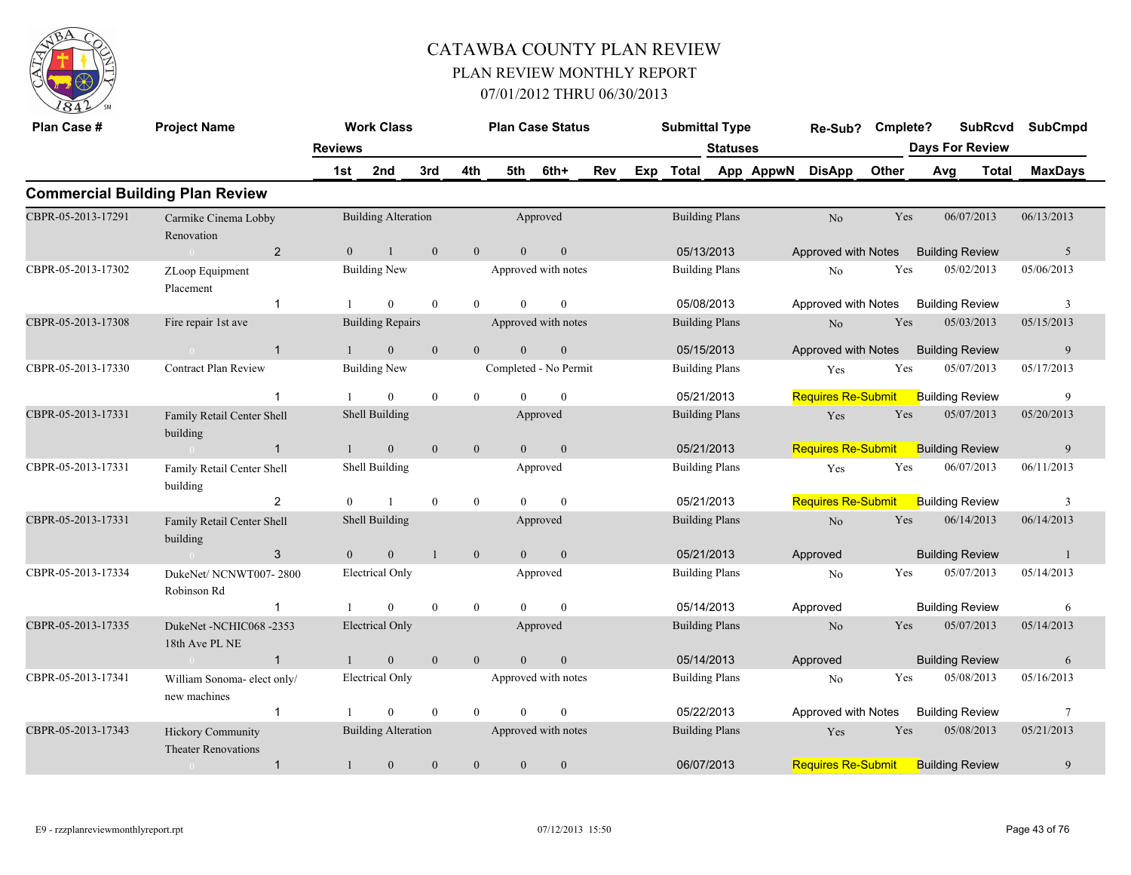

| Plan Case #        | <b>Project Name</b>                             |                | <b>Work Class</b>          |              |                | <b>Plan Case Status</b> |                  |     |     | <b>Submittal Type</b> |                       |           | Re-Sub?                   | Cmplete? |                        | <b>SubRcvd</b> | <b>SubCmpd</b>          |  |
|--------------------|-------------------------------------------------|----------------|----------------------------|--------------|----------------|-------------------------|------------------|-----|-----|-----------------------|-----------------------|-----------|---------------------------|----------|------------------------|----------------|-------------------------|--|
|                    |                                                 | <b>Reviews</b> |                            |              |                |                         |                  |     |     |                       | <b>Statuses</b>       |           |                           |          | <b>Days For Review</b> |                |                         |  |
|                    |                                                 | 1st            | 2nd                        | 3rd          | 4th            | 5th                     | 6th+             | Rev | Exp | Total                 |                       | App AppwN | <b>DisApp</b>             | Other    | Avg                    | <b>Total</b>   | <b>MaxDays</b>          |  |
|                    | <b>Commercial Building Plan Review</b>          |                |                            |              |                |                         |                  |     |     |                       |                       |           |                           |          |                        |                |                         |  |
| CBPR-05-2013-17291 | Carmike Cinema Lobby<br>Renovation              |                | <b>Building Alteration</b> |              |                |                         | Approved         |     |     |                       | <b>Building Plans</b> |           | $\rm No$                  | Yes      |                        | 06/07/2013     | 06/13/2013              |  |
|                    | $\overline{2}$<br>$\sim 0$                      | $\overline{0}$ | $\mathbf{1}$               | $\mathbf{0}$ | $\mathbf{0}$   | $\overline{0}$          | $\mathbf{0}$     |     |     |                       | 05/13/2013            |           | Approved with Notes       |          | <b>Building Review</b> |                | $\overline{5}$          |  |
| CBPR-05-2013-17302 | ZLoop Equipment<br>Placement                    |                | <b>Building New</b>        |              |                | Approved with notes     |                  |     |     |                       | <b>Building Plans</b> |           | No                        | Yes      |                        | 05/02/2013     | 05/06/2013              |  |
|                    | $\mathbf{1}$                                    |                | $\overline{0}$             | $\mathbf{0}$ | $\overline{0}$ | $\theta$                | $\mathbf{0}$     |     |     |                       | 05/08/2013            |           | Approved with Notes       |          | <b>Building Review</b> |                | $\overline{\mathbf{3}}$ |  |
| CBPR-05-2013-17308 | Fire repair 1st ave                             |                | <b>Building Repairs</b>    |              |                | Approved with notes     |                  |     |     |                       | <b>Building Plans</b> |           | $\rm No$                  | Yes      |                        | 05/03/2013     | 05/15/2013              |  |
|                    | $\sim 0$<br>$\mathbf{1}$                        | $\overline{1}$ | $\mathbf{0}$               | $\mathbf{0}$ | $\overline{0}$ | $\overline{0}$          | $\boldsymbol{0}$ |     |     |                       | 05/15/2013            |           | Approved with Notes       |          | <b>Building Review</b> |                | 9                       |  |
| CBPR-05-2013-17330 | <b>Contract Plan Review</b>                     |                | <b>Building New</b>        |              |                | Completed - No Permit   |                  |     |     |                       | <b>Building Plans</b> |           | Yes                       | Yes      |                        | 05/07/2013     | 05/17/2013              |  |
|                    | $\overline{1}$                                  |                | $\overline{0}$             | $\theta$     | $\overline{0}$ | $\Omega$                | $\mathbf{0}$     |     |     |                       | 05/21/2013            |           | <b>Requires Re-Submit</b> |          | <b>Building Review</b> |                | 9                       |  |
| CBPR-05-2013-17331 | Family Retail Center Shell<br>building          |                | Shell Building             |              |                |                         | Approved         |     |     |                       | <b>Building Plans</b> |           | Yes                       | Yes      |                        | 05/07/2013     | 05/20/2013              |  |
|                    | $\overline{1}$<br>$\sim 0$                      | $\mathbf{1}$   | $\overline{0}$             | $\theta$     | $\overline{0}$ | $\overline{0}$          | $\overline{0}$   |     |     |                       | 05/21/2013            |           | <b>Requires Re-Submit</b> |          | <b>Building Review</b> |                | 9                       |  |
| CBPR-05-2013-17331 | Family Retail Center Shell<br>building          |                | Shell Building             |              |                |                         | Approved         |     |     |                       | <b>Building Plans</b> |           | Yes                       | Yes      |                        | 06/07/2013     | 06/11/2013              |  |
|                    | $\overline{2}$                                  | $\theta$       |                            | $\theta$     | $\overline{0}$ | $\Omega$                | $\mathbf{0}$     |     |     |                       | 05/21/2013            |           | <b>Requires Re-Submit</b> |          | <b>Building Review</b> |                | 3                       |  |
| CBPR-05-2013-17331 | Family Retail Center Shell<br>building          |                | Shell Building             |              |                |                         | Approved         |     |     |                       | <b>Building Plans</b> |           | $\rm No$                  | Yes      |                        | 06/14/2013     | 06/14/2013              |  |
|                    | 3<br>$\sim 0$                                   | $\overline{0}$ | $\mathbf{0}$               | $\mathbf{1}$ | $\overline{0}$ | $\overline{0}$          | $\overline{0}$   |     |     |                       | 05/21/2013            |           | Approved                  |          | <b>Building Review</b> |                | -1                      |  |
| CBPR-05-2013-17334 | DukeNet/NCNWT007-2800<br>Robinson Rd            |                | Electrical Only            |              |                |                         | Approved         |     |     |                       | <b>Building Plans</b> |           | No                        | Yes      |                        | 05/07/2013     | 05/14/2013              |  |
|                    | $\mathbf{1}$                                    |                | $\theta$                   | $\theta$     | $\overline{0}$ | $\Omega$                | $\mathbf{0}$     |     |     |                       | 05/14/2013            |           | Approved                  |          | <b>Building Review</b> |                | 6                       |  |
| CBPR-05-2013-17335 | DukeNet -NCHIC068 -2353<br>18th Ave PL NE       |                | <b>Electrical Only</b>     |              |                |                         | Approved         |     |     |                       | <b>Building Plans</b> |           | N <sub>o</sub>            | Yes      |                        | 05/07/2013     | 05/14/2013              |  |
|                    | $\overline{1}$<br>$\overline{0}$                |                | $\mathbf{0}$               | $\theta$     | $\overline{0}$ | $\theta$                | $\mathbf{0}$     |     |     |                       | 05/14/2013            |           | Approved                  |          | <b>Building Review</b> |                | 6                       |  |
| CBPR-05-2013-17341 | William Sonoma- elect only/<br>new machines     |                | Electrical Only            |              |                | Approved with notes     |                  |     |     |                       | <b>Building Plans</b> |           | No                        | Yes      |                        | 05/08/2013     | 05/16/2013              |  |
|                    | $\mathbf{1}$                                    |                | $\theta$                   | $\mathbf{0}$ | $\overline{0}$ | $\theta$                | $\mathbf{0}$     |     |     |                       | 05/22/2013            |           | Approved with Notes       |          | <b>Building Review</b> |                | $7\phantom{.0}$         |  |
| CBPR-05-2013-17343 | Hickory Community<br><b>Theater Renovations</b> |                | <b>Building Alteration</b> |              |                | Approved with notes     |                  |     |     |                       | <b>Building Plans</b> |           | Yes                       | Yes      |                        | 05/08/2013     | 05/21/2013              |  |
|                    | $\mathbf{1}$<br>$\overline{0}$                  | $\mathbf{1}$   | $\mathbf{0}$               | $\mathbf{0}$ | $\mathbf{0}$   | $\mathbf{0}$            | $\boldsymbol{0}$ |     |     |                       | 06/07/2013            |           | <b>Requires Re-Submit</b> |          | <b>Building Review</b> |                | 9                       |  |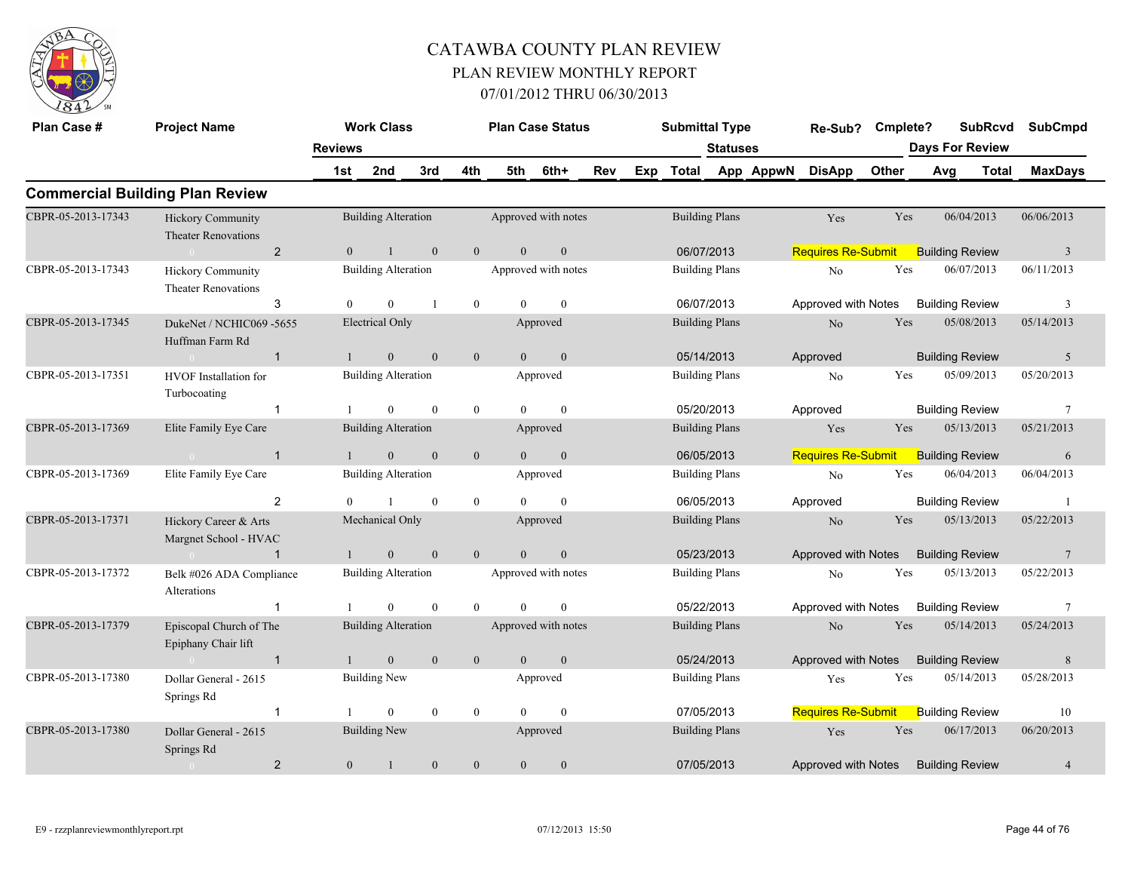

| Plan Case #        | <b>Project Name</b>                                    |                | <b>Work Class</b>          |                |                | <b>Plan Case Status</b> |              |     | <b>Submittal Type</b> |                       |           | Re-Sub?                   | Cmplete? |                        | <b>SubRcvd</b> | <b>SubCmpd</b>          |
|--------------------|--------------------------------------------------------|----------------|----------------------------|----------------|----------------|-------------------------|--------------|-----|-----------------------|-----------------------|-----------|---------------------------|----------|------------------------|----------------|-------------------------|
|                    |                                                        | <b>Reviews</b> |                            |                |                |                         |              |     |                       | <b>Statuses</b>       |           |                           |          | <b>Days For Review</b> |                |                         |
|                    |                                                        | 1st            | 2nd                        | 3rd            | 4th            | 5th                     | 6th+         | Rev | Exp Total             |                       | App AppwN | <b>DisApp</b>             | Other    | Avg                    | <b>Total</b>   | <b>MaxDays</b>          |
|                    | <b>Commercial Building Plan Review</b>                 |                |                            |                |                |                         |              |     |                       |                       |           |                           |          |                        |                |                         |
| CBPR-05-2013-17343 | <b>Hickory Community</b><br><b>Theater Renovations</b> |                | <b>Building Alteration</b> |                |                | Approved with notes     |              |     |                       | <b>Building Plans</b> |           | Yes                       | Yes      |                        | 06/04/2013     | 06/06/2013              |
|                    | $\overline{2}$<br>$\bigcap$                            | $\overline{0}$ | $\mathbf{1}$               | $\mathbf{0}$   | $\overline{0}$ | $\overline{0}$          | $\mathbf{0}$ |     | 06/07/2013            |                       |           | <b>Requires Re-Submit</b> |          | <b>Building Review</b> |                | $\overline{\mathbf{3}}$ |
| CBPR-05-2013-17343 | <b>Hickory Community</b><br><b>Theater Renovations</b> |                | <b>Building Alteration</b> |                |                | Approved with notes     |              |     |                       | <b>Building Plans</b> |           | N <sub>o</sub>            | Yes      |                        | 06/07/2013     | 06/11/2013              |
|                    | 3                                                      | $\theta$       | $\mathbf{0}$               | $\overline{1}$ | $\mathbf{0}$   | $\theta$                | $\theta$     |     |                       | 06/07/2013            |           | Approved with Notes       |          | <b>Building Review</b> |                | 3                       |
| CBPR-05-2013-17345 | DukeNet / NCHIC069 -5655<br>Huffman Farm Rd            |                | <b>Electrical Only</b>     |                |                |                         | Approved     |     |                       | <b>Building Plans</b> |           | $\rm No$                  | Yes      |                        | 05/08/2013     | 05/14/2013              |
|                    | $\mathbf{1}$<br>$0 -$                                  | $\mathbf{1}$   | $\mathbf{0}$               | $\mathbf{0}$   | $\mathbf{0}$   | $\mathbf{0}$            | $\mathbf{0}$ |     |                       | 05/14/2013            |           | Approved                  |          | <b>Building Review</b> |                | 5                       |
| CBPR-05-2013-17351 | <b>HVOF</b> Installation for<br>Turbocoating           |                | <b>Building Alteration</b> |                |                |                         | Approved     |     |                       | <b>Building Plans</b> |           | No                        | Yes      |                        | 05/09/2013     | 05/20/2013              |
|                    | $\overline{1}$                                         |                | $\theta$                   | $\theta$       | $\overline{0}$ | $\theta$                | $\theta$     |     | 05/20/2013            |                       |           | Approved                  |          | <b>Building Review</b> |                | $\tau$                  |
| CBPR-05-2013-17369 | Elite Family Eye Care                                  |                | <b>Building Alteration</b> |                |                |                         | Approved     |     | <b>Building Plans</b> |                       |           | Yes                       | Yes      |                        | 05/13/2013     | 05/21/2013              |
|                    | $\mathbf{1}$<br>$\sim 0$                               | $\mathbf{1}$   | $\boldsymbol{0}$           | $\mathbf{0}$   | $\mathbf{0}$   | $\theta$                | $\mathbf{0}$ |     | 06/05/2013            |                       |           | <b>Requires Re-Submit</b> |          | <b>Building Review</b> |                | 6                       |
| CBPR-05-2013-17369 | Elite Family Eye Care                                  |                | <b>Building Alteration</b> |                |                |                         | Approved     |     |                       | <b>Building Plans</b> |           | No                        | Yes      |                        | 06/04/2013     | 06/04/2013              |
|                    | 2                                                      |                | $\mathbf{1}$               | $\theta$       | $\mathbf{0}$   | $\Omega$                | $\Omega$     |     |                       | 06/05/2013            |           | Approved                  |          | <b>Building Review</b> |                | $\overline{1}$          |
| CBPR-05-2013-17371 | Hickory Career & Arts<br>Margnet School - HVAC         |                | Mechanical Only            |                |                |                         | Approved     |     |                       | <b>Building Plans</b> |           | N <sub>o</sub>            | Yes      |                        | 05/13/2013     | 05/22/2013              |
|                    | $\mathbf{1}$<br>$\sim$ 0 $\sim$ $\sim$ $\sim$ $\sim$   |                | $\mathbf{0}$               | $\theta$       | $\mathbf{0}$   | $\theta$                | $\mathbf{0}$ |     | 05/23/2013            |                       |           | Approved with Notes       |          | <b>Building Review</b> |                | $7\phantom{.0}$         |
| CBPR-05-2013-17372 | Belk #026 ADA Compliance<br>Alterations                |                | <b>Building Alteration</b> |                |                | Approved with notes     |              |     |                       | <b>Building Plans</b> |           | N <sub>o</sub>            | Yes      |                        | 05/13/2013     | 05/22/2013              |
|                    | $\mathbf{1}$                                           |                | $\theta$                   | $\overline{0}$ | $\theta$       | $\Omega$                | $\theta$     |     |                       | 05/22/2013            |           | Approved with Notes       |          | <b>Building Review</b> |                | $\overline{7}$          |
| CBPR-05-2013-17379 | Episcopal Church of The<br>Epiphany Chair lift         |                | <b>Building Alteration</b> |                |                | Approved with notes     |              |     |                       | <b>Building Plans</b> |           | $\rm No$                  | Yes      |                        | 05/14/2013     | 05/24/2013              |
|                    | $\overline{1}$<br>$\sim$ 0.000 $\sim$                  |                | $\mathbf{0}$               | $\mathbf{0}$   | $\mathbf{0}$   | $\overline{0}$          | $\mathbf{0}$ |     |                       | 05/24/2013            |           | Approved with Notes       |          | <b>Building Review</b> |                | $8\phantom{.}$          |
| CBPR-05-2013-17380 | Dollar General - 2615<br>Springs Rd                    |                | <b>Building New</b>        |                |                |                         | Approved     |     |                       | <b>Building Plans</b> |           | Yes                       | Yes      |                        | 05/14/2013     | 05/28/2013              |
|                    | $\mathbf{1}$                                           |                | $\theta$                   | $\theta$       | $\mathbf{0}$   | $\Omega$                | $\theta$     |     |                       | 07/05/2013            |           | Requires Re-Submit        |          | <b>Building Review</b> |                | 10                      |
| CBPR-05-2013-17380 | Dollar General - 2615<br>Springs Rd                    |                | <b>Building New</b>        |                |                |                         | Approved     |     |                       | <b>Building Plans</b> |           | Yes                       | Yes      |                        | 06/17/2013     | 06/20/2013              |
|                    | $\overline{2}$<br>$\overline{0}$                       | $\overline{0}$ | 1                          | $\mathbf{0}$   | $\overline{0}$ | $\overline{0}$          | $\mathbf{0}$ |     | 07/05/2013            |                       |           | Approved with Notes       |          | <b>Building Review</b> |                | $\overline{4}$          |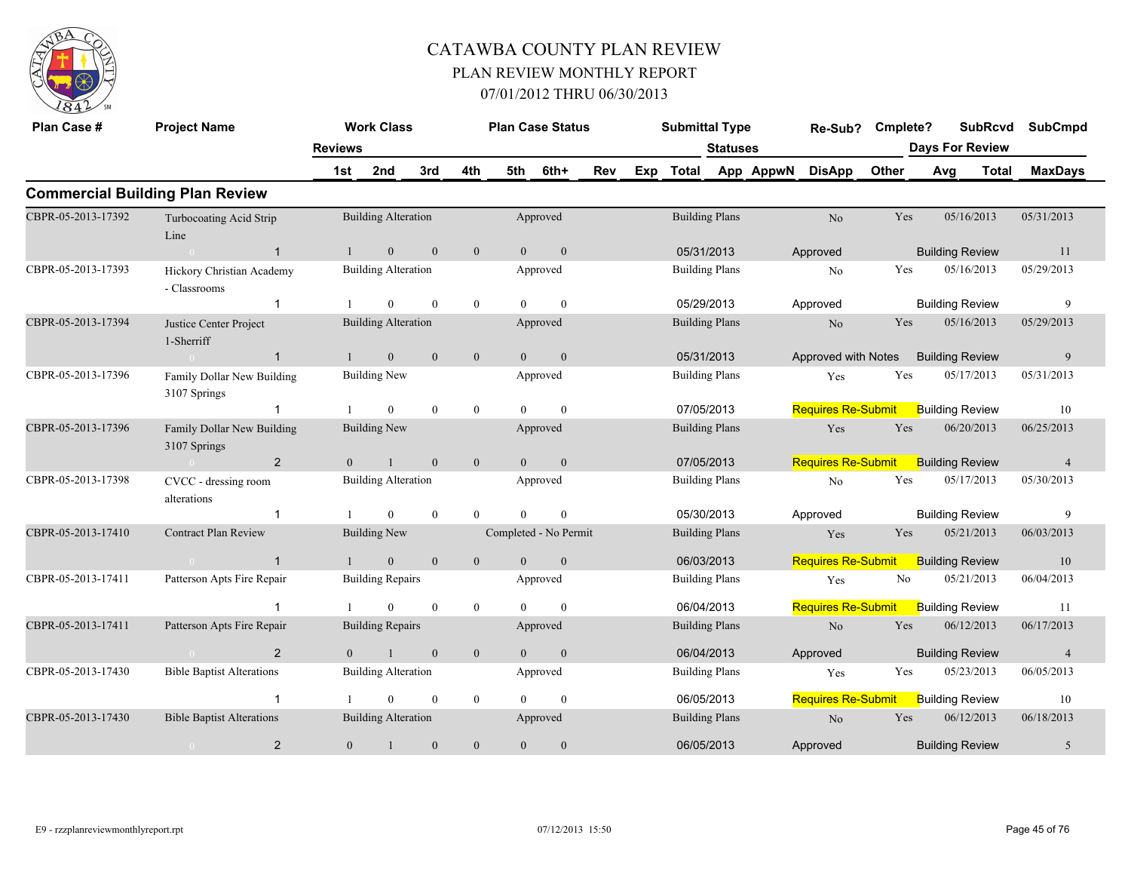

| Plan Case #        | <b>Project Name</b>                        |                | <b>Work Class</b>          |              |                  | <b>Plan Case Status</b> |                  |     |     | <b>Submittal Type</b> |                       |           | Re-Sub?                   | Cmplete? |                        | <b>SubRcvd</b> | <b>SubCmpd</b> |
|--------------------|--------------------------------------------|----------------|----------------------------|--------------|------------------|-------------------------|------------------|-----|-----|-----------------------|-----------------------|-----------|---------------------------|----------|------------------------|----------------|----------------|
|                    |                                            | <b>Reviews</b> |                            |              |                  |                         |                  |     |     |                       | <b>Statuses</b>       |           |                           |          | <b>Days For Review</b> |                |                |
|                    |                                            | 1st            | 2nd                        | 3rd          | 4th              | 5th                     | 6th+             | Rev | Exp | Total                 |                       | App AppwN | <b>DisApp</b>             | Other    | Avg                    | <b>Total</b>   | <b>MaxDays</b> |
|                    | <b>Commercial Building Plan Review</b>     |                |                            |              |                  |                         |                  |     |     |                       |                       |           |                           |          |                        |                |                |
| CBPR-05-2013-17392 | Turbocoating Acid Strip<br>Line            |                | <b>Building Alteration</b> |              |                  |                         | Approved         |     |     |                       | <b>Building Plans</b> |           | N <sub>o</sub>            | Yes      |                        | 05/16/2013     | 05/31/2013     |
|                    | $\overline{1}$<br>$\sim 0$                 | $\mathbf{1}$   | $\overline{0}$             | $\mathbf{0}$ | $\mathbf{0}$     | $\theta$                | $\mathbf{0}$     |     |     |                       | 05/31/2013            |           | Approved                  |          | <b>Building Review</b> |                | 11             |
| CBPR-05-2013-17393 | Hickory Christian Academy<br>- Classrooms  |                | <b>Building Alteration</b> |              |                  |                         | Approved         |     |     |                       | <b>Building Plans</b> |           | No                        | Yes      |                        | 05/16/2013     | 05/29/2013     |
|                    | $\overline{1}$                             |                | $\Omega$                   | $\theta$     | $\mathbf{0}$     | $\theta$                | $\theta$         |     |     |                       | 05/29/2013            |           | Approved                  |          | <b>Building Review</b> |                | 9              |
| CBPR-05-2013-17394 | Justice Center Project<br>1-Sherriff       |                | <b>Building Alteration</b> |              |                  |                         | Approved         |     |     |                       | <b>Building Plans</b> |           | N <sub>o</sub>            | Yes      |                        | 05/16/2013     | 05/29/2013     |
|                    | $\overline{1}$<br>$\sim 0$                 |                | $\overline{0}$             | $\mathbf{0}$ | $\boldsymbol{0}$ | $\overline{0}$          | $\boldsymbol{0}$ |     |     |                       | 05/31/2013            |           | Approved with Notes       |          | <b>Building Review</b> |                | 9              |
| CBPR-05-2013-17396 | Family Dollar New Building<br>3107 Springs |                | <b>Building New</b>        |              |                  |                         | Approved         |     |     |                       | <b>Building Plans</b> |           | Yes                       | Yes      |                        | 05/17/2013     | 05/31/2013     |
|                    | $\mathbf 1$                                |                | $\mathbf{0}$               | $\mathbf{0}$ | $\boldsymbol{0}$ | $\theta$                | $\mathbf{0}$     |     |     |                       | 07/05/2013            |           | <b>Requires Re-Submit</b> |          | <b>Building Review</b> |                | 10             |
| CBPR-05-2013-17396 | Family Dollar New Building<br>3107 Springs |                | <b>Building New</b>        |              |                  |                         | Approved         |     |     |                       | <b>Building Plans</b> |           | Yes                       | Yes      |                        | 06/20/2013     | 06/25/2013     |
|                    | $\overline{2}$<br>$\sim 0$                 | $\overline{0}$ |                            | $\mathbf{0}$ | $\mathbf{0}$     | $\Omega$                | $\mathbf{0}$     |     |     |                       | 07/05/2013            |           | <b>Requires Re-Submit</b> |          | <b>Building Review</b> |                | $\overline{4}$ |
| CBPR-05-2013-17398 | CVCC - dressing room<br>alterations        |                | <b>Building Alteration</b> |              |                  |                         | Approved         |     |     |                       | <b>Building Plans</b> |           | No                        | Yes      |                        | 05/17/2013     | 05/30/2013     |
|                    |                                            |                | $\theta$                   | $\theta$     | $\theta$         | $\theta$                | $\mathbf{0}$     |     |     |                       | 05/30/2013            |           | Approved                  |          | <b>Building Review</b> |                | 9              |
| CBPR-05-2013-17410 | <b>Contract Plan Review</b>                |                | <b>Building New</b>        |              |                  | Completed - No Permit   |                  |     |     |                       | <b>Building Plans</b> |           | Yes                       | Yes      |                        | 05/21/2013     | 06/03/2013     |
|                    | $\overline{1}$<br>$\sim$ 0                 |                | $\theta$                   | $\mathbf{0}$ | $\mathbf{0}$     | $\Omega$                | $\mathbf{0}$     |     |     |                       | 06/03/2013            |           | <b>Requires Re-Submit</b> |          | <b>Building Review</b> |                | 10             |
| CBPR-05-2013-17411 | Patterson Apts Fire Repair                 |                | <b>Building Repairs</b>    |              |                  |                         | Approved         |     |     |                       | <b>Building Plans</b> |           | Yes                       | No       |                        | 05/21/2013     | 06/04/2013     |
|                    |                                            |                | $\theta$                   | $\theta$     | $\mathbf{0}$     | $\Omega$                | $\theta$         |     |     |                       | 06/04/2013            |           | <b>Requires Re-Submit</b> |          | <b>Building Review</b> |                | 11             |
| CBPR-05-2013-17411 | Patterson Apts Fire Repair                 |                | <b>Building Repairs</b>    |              |                  |                         | Approved         |     |     |                       | <b>Building Plans</b> |           | No                        | Yes      |                        | 06/12/2013     | 06/17/2013     |
|                    | 2<br>$\overline{0}$                        | $\theta$       | $\overline{1}$             | $\mathbf{0}$ | $\mathbf{0}$     | $\theta$                | $\mathbf{0}$     |     |     |                       | 06/04/2013            |           | Approved                  |          | <b>Building Review</b> |                | $\overline{4}$ |
| CBPR-05-2013-17430 | <b>Bible Baptist Alterations</b>           |                | <b>Building Alteration</b> |              |                  |                         | Approved         |     |     |                       | <b>Building Plans</b> |           | Yes                       | Yes      |                        | 05/23/2013     | 06/05/2013     |
|                    | $\overline{1}$                             |                | $\Omega$                   | $\theta$     | $\theta$         | $\Omega$                | $\theta$         |     |     |                       | 06/05/2013            |           | <b>Requires Re-Submit</b> |          | <b>Building Review</b> |                | 10             |
| CBPR-05-2013-17430 | <b>Bible Baptist Alterations</b>           |                | <b>Building Alteration</b> |              |                  |                         | Approved         |     |     |                       | <b>Building Plans</b> |           | No                        | Yes      |                        | 06/12/2013     | 06/18/2013     |
|                    | 2<br>$\bigcirc$                            | $\overline{0}$ |                            | $\mathbf{0}$ | $\mathbf{0}$     | $\overline{0}$          | $\mathbf{0}$     |     |     |                       | 06/05/2013            |           | Approved                  |          | <b>Building Review</b> |                | 5              |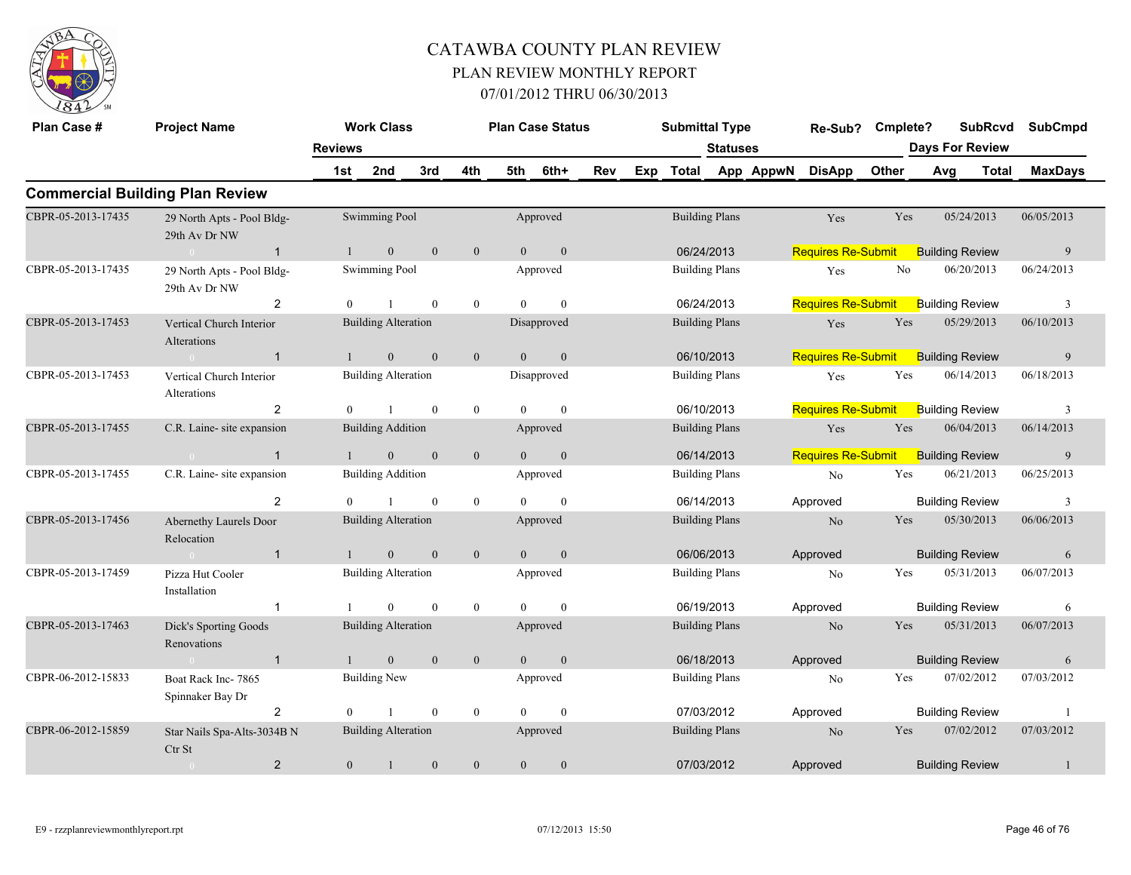

| Plan Case #        | <b>Project Name</b>                         |                | <b>Work Class</b>          |                |                  |                | <b>Plan Case Status</b> |     |     | <b>Submittal Type</b> |                 |           | Re-Sub?                   | Cmplete?       |     | <b>SubRcvd</b>         | <b>SubCmpd</b> |
|--------------------|---------------------------------------------|----------------|----------------------------|----------------|------------------|----------------|-------------------------|-----|-----|-----------------------|-----------------|-----------|---------------------------|----------------|-----|------------------------|----------------|
|                    |                                             | <b>Reviews</b> |                            |                |                  |                |                         |     |     |                       | <b>Statuses</b> |           |                           |                |     | <b>Days For Review</b> |                |
|                    |                                             | 1st            | 2nd                        | 3rd            | 4th              | 5th            | 6th+                    | Rev | Exp | <b>Total</b>          |                 | App AppwN | <b>DisApp</b>             | Other          | Avg | <b>Total</b>           | <b>MaxDays</b> |
|                    | <b>Commercial Building Plan Review</b>      |                |                            |                |                  |                |                         |     |     |                       |                 |           |                           |                |     |                        |                |
| CBPR-05-2013-17435 | 29 North Apts - Pool Bldg-<br>29th Av Dr NW |                | Swimming Pool              |                |                  |                | Approved                |     |     | <b>Building Plans</b> |                 |           | Yes                       | Yes            |     | 05/24/2013             | 06/05/2013     |
|                    | $\overline{1}$<br>$\Omega$                  |                | $\mathbf{0}$               | $\mathbf{0}$   | $\mathbf{0}$     | $\overline{0}$ | $\mathbf{0}$            |     |     | 06/24/2013            |                 |           | <b>Requires Re-Submit</b> |                |     | <b>Building Review</b> | $\overline{9}$ |
| CBPR-05-2013-17435 | 29 North Apts - Pool Bldg-<br>29th Av Dr NW |                | Swimming Pool              |                |                  |                | Approved                |     |     | <b>Building Plans</b> |                 |           | Yes                       | N <sub>o</sub> |     | 06/20/2013             | 06/24/2013     |
|                    | $\overline{2}$                              | $\theta$       |                            | $\overline{0}$ | $\boldsymbol{0}$ | $\theta$       | $\mathbf{0}$            |     |     | 06/24/2013            |                 |           | <b>Requires Re-Submit</b> |                |     | <b>Building Review</b> | 3              |
| CBPR-05-2013-17453 | Vertical Church Interior<br>Alterations     |                | <b>Building Alteration</b> |                |                  |                | Disapproved             |     |     | <b>Building Plans</b> |                 |           | Yes                       | Yes            |     | 05/29/2013             | 06/10/2013     |
|                    | $\overline{1}$<br>$\Omega$                  |                | $\overline{0}$             | $\mathbf{0}$   | $\mathbf{0}$     | $\Omega$       | $\mathbf{0}$            |     |     | 06/10/2013            |                 |           | <b>Requires Re-Submit</b> |                |     | <b>Building Review</b> | 9              |
| CBPR-05-2013-17453 | Vertical Church Interior<br>Alterations     |                | <b>Building Alteration</b> |                |                  |                | Disapproved             |     |     | <b>Building Plans</b> |                 |           | Yes                       | Yes            |     | 06/14/2013             | 06/18/2013     |
|                    | 2                                           | $\overline{0}$ |                            | $\mathbf{0}$   | $\mathbf{0}$     | $\overline{0}$ | $\mathbf{0}$            |     |     | 06/10/2013            |                 |           | <b>Requires Re-Submit</b> |                |     | <b>Building Review</b> | 3              |
| CBPR-05-2013-17455 | C.R. Laine- site expansion                  |                | <b>Building Addition</b>   |                |                  |                | Approved                |     |     | <b>Building Plans</b> |                 |           | Yes                       | Yes            |     | 06/04/2013             | 06/14/2013     |
|                    | $\mathbf{1}$<br>$\sim 0$                    | $\overline{1}$ | $\mathbf{0}$               | $\mathbf{0}$   | $\mathbf{0}$     | $\overline{0}$ | $\boldsymbol{0}$        |     |     | 06/14/2013            |                 |           | <b>Requires Re-Submit</b> |                |     | <b>Building Review</b> | $\overline{9}$ |
| CBPR-05-2013-17455 | C.R. Laine-site expansion                   |                | <b>Building Addition</b>   |                |                  |                | Approved                |     |     | <b>Building Plans</b> |                 |           | No                        | Yes            |     | 06/21/2013             | 06/25/2013     |
|                    | 2                                           | $\Omega$       |                            | $\mathbf{0}$   | $\mathbf{0}$     | $\Omega$       | $\mathbf{0}$            |     |     | 06/14/2013            |                 |           | Approved                  |                |     | <b>Building Review</b> | 3              |
| CBPR-05-2013-17456 | Abernethy Laurels Door<br>Relocation        |                | <b>Building Alteration</b> |                |                  |                | Approved                |     |     | <b>Building Plans</b> |                 |           | $\rm No$                  | Yes            |     | 05/30/2013             | 06/06/2013     |
|                    | $\overline{0}$<br>$\mathbf{1}$              |                | $\overline{0}$             | $\overline{0}$ | $\mathbf{0}$     | $\theta$       | $\mathbf{0}$            |     |     | 06/06/2013            |                 |           | Approved                  |                |     | <b>Building Review</b> | 6              |
| CBPR-05-2013-17459 | Pizza Hut Cooler<br>Installation            |                | <b>Building Alteration</b> |                |                  |                | Approved                |     |     | <b>Building Plans</b> |                 |           | No                        | Yes            |     | 05/31/2013             | 06/07/2013     |
|                    | $\mathbf{1}$                                |                | $\theta$                   | $\mathbf{0}$   | $\mathbf{0}$     | $\Omega$       | $\theta$                |     |     | 06/19/2013            |                 |           | Approved                  |                |     | <b>Building Review</b> | 6              |
| CBPR-05-2013-17463 | Dick's Sporting Goods<br>Renovations        |                | <b>Building Alteration</b> |                |                  |                | Approved                |     |     | <b>Building Plans</b> |                 |           | N <sub>o</sub>            | Yes            |     | 05/31/2013             | 06/07/2013     |
|                    | $\overline{1}$<br>$\sim 0$                  |                | $\mathbf{0}$               | $\mathbf{0}$   | $\mathbf{0}$     | $\overline{0}$ | $\mathbf{0}$            |     |     | 06/18/2013            |                 |           | Approved                  |                |     | <b>Building Review</b> | 6              |
| CBPR-06-2012-15833 | Boat Rack Inc-7865<br>Spinnaker Bay Dr      |                | Building New               |                |                  |                | Approved                |     |     | <b>Building Plans</b> |                 |           | No                        | Yes            |     | 07/02/2012             | 07/03/2012     |
|                    | $\overline{2}$                              | $\theta$       |                            | $\mathbf{0}$   | $\mathbf{0}$     | $\Omega$       | $\mathbf{0}$            |     |     | 07/03/2012            |                 |           | Approved                  |                |     | <b>Building Review</b> | $\overline{1}$ |
| CBPR-06-2012-15859 | Star Nails Spa-Alts-3034B N<br>Ctr St       |                | <b>Building Alteration</b> |                |                  |                | Approved                |     |     | <b>Building Plans</b> |                 |           | N <sub>o</sub>            | Yes            |     | 07/02/2012             | 07/03/2012     |
|                    | $\overline{2}$<br>$\bigcap$                 | $\mathbf{0}$   |                            | $\mathbf{0}$   | $\boldsymbol{0}$ | $\mathbf{0}$   | $\mathbf{0}$            |     |     | 07/03/2012            |                 |           | Approved                  |                |     | <b>Building Review</b> | $\mathbf{1}$   |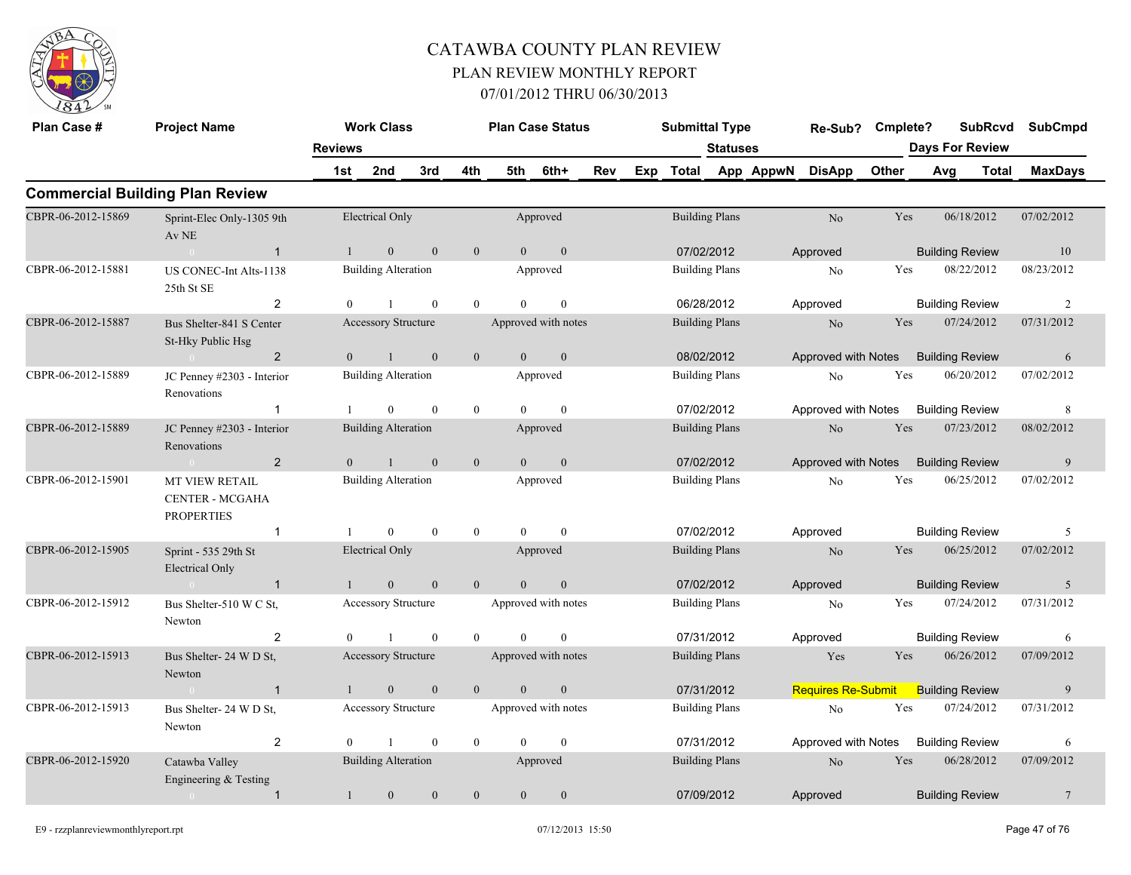

| Plan Case #        | <b>Project Name</b>                                                  |                | <b>Work Class</b>          |              |                  |                | <b>Plan Case Status</b> |     | <b>Submittal Type</b> |                 |           | Re-Sub?                   | Cmplete? |                        |                        | <b>SubRcvd</b> | <b>SubCmpd</b> |
|--------------------|----------------------------------------------------------------------|----------------|----------------------------|--------------|------------------|----------------|-------------------------|-----|-----------------------|-----------------|-----------|---------------------------|----------|------------------------|------------------------|----------------|----------------|
|                    |                                                                      | <b>Reviews</b> |                            |              |                  |                |                         |     |                       | <b>Statuses</b> |           |                           |          | <b>Days For Review</b> |                        |                |                |
|                    |                                                                      | 1st            | 2nd                        | 3rd          | 4th              | 5th            | 6th+                    | Rev | Exp Total             |                 | App AppwN | <b>DisApp</b>             | Other    | Avg                    |                        | Total          | <b>MaxDays</b> |
|                    | <b>Commercial Building Plan Review</b>                               |                |                            |              |                  |                |                         |     |                       |                 |           |                           |          |                        |                        |                |                |
| CBPR-06-2012-15869 | Sprint-Elec Only-1305 9th<br>Av NE                                   |                | <b>Electrical Only</b>     |              |                  |                | Approved                |     | <b>Building Plans</b> |                 |           | No                        | Yes      |                        | 06/18/2012             |                | 07/02/2012     |
|                    | $\overline{1}$<br>$\sim 0$                                           | $\overline{1}$ | $\mathbf{0}$               | $\mathbf{0}$ | $\mathbf{0}$     | $\theta$       | $\mathbf{0}$            |     | 07/02/2012            |                 |           | Approved                  |          |                        | <b>Building Review</b> |                | 10             |
| CBPR-06-2012-15881 | US CONEC-Int Alts-1138<br>25th St SE                                 |                | <b>Building Alteration</b> |              |                  |                | Approved                |     | <b>Building Plans</b> |                 |           | No                        | Yes      |                        | 08/22/2012             |                | 08/23/2012     |
|                    | $\overline{2}$                                                       | $\overline{0}$ | $\mathbf{1}$               | $\mathbf{0}$ | $\mathbf{0}$     | $\Omega$       | $\boldsymbol{0}$        |     | 06/28/2012            |                 |           | Approved                  |          |                        | <b>Building Review</b> |                | $\overline{2}$ |
| CBPR-06-2012-15887 | Bus Shelter-841 S Center<br>St-Hky Public Hsg                        |                | Accessory Structure        |              |                  |                | Approved with notes     |     | <b>Building Plans</b> |                 |           | N <sub>o</sub>            | Yes      |                        | 07/24/2012             |                | 07/31/2012     |
|                    | $\overline{2}$<br>$\sim$ 0                                           | $\Omega$       |                            | $\mathbf{0}$ | $\boldsymbol{0}$ | $\theta$       | $\mathbf{0}$            |     | 08/02/2012            |                 |           | Approved with Notes       |          |                        | <b>Building Review</b> |                | 6              |
| CBPR-06-2012-15889 | JC Penney #2303 - Interior<br>Renovations                            |                | <b>Building Alteration</b> |              |                  |                | Approved                |     | <b>Building Plans</b> |                 |           | No                        | Yes      |                        | 06/20/2012             |                | 07/02/2012     |
|                    | $\mathbf{1}$                                                         |                | $\Omega$                   | $\mathbf{0}$ | $\boldsymbol{0}$ | $\Omega$       | $\mathbf{0}$            |     | 07/02/2012            |                 |           | Approved with Notes       |          |                        | <b>Building Review</b> |                | 8              |
| CBPR-06-2012-15889 | JC Penney #2303 - Interior<br>Renovations                            |                | <b>Building Alteration</b> |              |                  |                | Approved                |     | <b>Building Plans</b> |                 |           | N <sub>o</sub>            | Yes      |                        | 07/23/2012             |                | 08/02/2012     |
|                    | $\overline{2}$<br>$\theta$                                           | $\overline{0}$ | $\mathbf{1}$               | $\mathbf{0}$ | $\mathbf{0}$     | $\mathbf{0}$   | $\boldsymbol{0}$        |     | 07/02/2012            |                 |           | Approved with Notes       |          |                        | <b>Building Review</b> |                | 9              |
| CBPR-06-2012-15901 | <b>MT VIEW RETAIL</b><br><b>CENTER - MCGAHA</b><br><b>PROPERTIES</b> |                | <b>Building Alteration</b> |              |                  |                | Approved                |     | <b>Building Plans</b> |                 |           | No                        | Yes      |                        | 06/25/2012             |                | 07/02/2012     |
|                    | $\mathbf{1}$                                                         |                | $\mathbf{0}$               | $\mathbf{0}$ | $\overline{0}$   | $\theta$       | $\theta$                |     | 07/02/2012            |                 |           | Approved                  |          |                        | <b>Building Review</b> |                | 5              |
| CBPR-06-2012-15905 | Sprint - 535 29th St<br><b>Electrical Only</b>                       |                | <b>Electrical Only</b>     |              |                  |                | Approved                |     | <b>Building Plans</b> |                 |           | No                        | Yes      |                        | 06/25/2012             |                | 07/02/2012     |
|                    | $\overline{1}$<br>$\sim 0$                                           |                | $\mathbf{0}$               | $\mathbf{0}$ | $\overline{0}$   | $\Omega$       | $\boldsymbol{0}$        |     | 07/02/2012            |                 |           | Approved                  |          |                        | <b>Building Review</b> |                | 5              |
| CBPR-06-2012-15912 | Bus Shelter-510 W C St,<br>Newton                                    |                | Accessory Structure        |              |                  |                | Approved with notes     |     | <b>Building Plans</b> |                 |           | No                        | Yes      |                        | 07/24/2012             |                | 07/31/2012     |
|                    | $\overline{2}$                                                       | $\Omega$       |                            | $\mathbf{0}$ | $\theta$         | $\theta$       | $\theta$                |     | 07/31/2012            |                 |           | Approved                  |          |                        | <b>Building Review</b> |                | 6              |
| CBPR-06-2012-15913 | Bus Shelter-24 W D St,<br>Newton                                     |                | <b>Accessory Structure</b> |              |                  |                | Approved with notes     |     | <b>Building Plans</b> |                 |           | Yes                       | Yes      |                        | 06/26/2012             |                | 07/09/2012     |
|                    | $\overline{1}$<br>$\overline{0}$                                     |                | $\mathbf{0}$               | $\mathbf{0}$ | $\mathbf{0}$     | $\overline{0}$ | $\boldsymbol{0}$        |     | 07/31/2012            |                 |           | <b>Requires Re-Submit</b> |          |                        | <b>Building Review</b> |                | 9              |
| CBPR-06-2012-15913 | Bus Shelter-24 W D St.<br>Newton                                     |                | Accessory Structure        |              |                  |                | Approved with notes     |     | <b>Building Plans</b> |                 |           | No                        | Yes      |                        | 07/24/2012             |                | 07/31/2012     |
|                    | $\overline{2}$                                                       | $\Omega$       |                            | $\theta$     | $\theta$         | $\Omega$       | $\theta$                |     | 07/31/2012            |                 |           | Approved with Notes       |          |                        | <b>Building Review</b> |                | 6              |
| CBPR-06-2012-15920 | Catawba Valley<br>Engineering & Testing                              |                | <b>Building Alteration</b> |              |                  |                | Approved                |     | <b>Building Plans</b> |                 |           | N <sub>o</sub>            | Yes      |                        | 06/28/2012             |                | 07/09/2012     |
|                    | $\mathbf{1}$<br>$\overline{0}$                                       |                | $\mathbf{0}$               | $\mathbf{0}$ | $\boldsymbol{0}$ | $\Omega$       | $\mathbf{0}$            |     | 07/09/2012            |                 |           | Approved                  |          |                        | <b>Building Review</b> |                | $\overline{7}$ |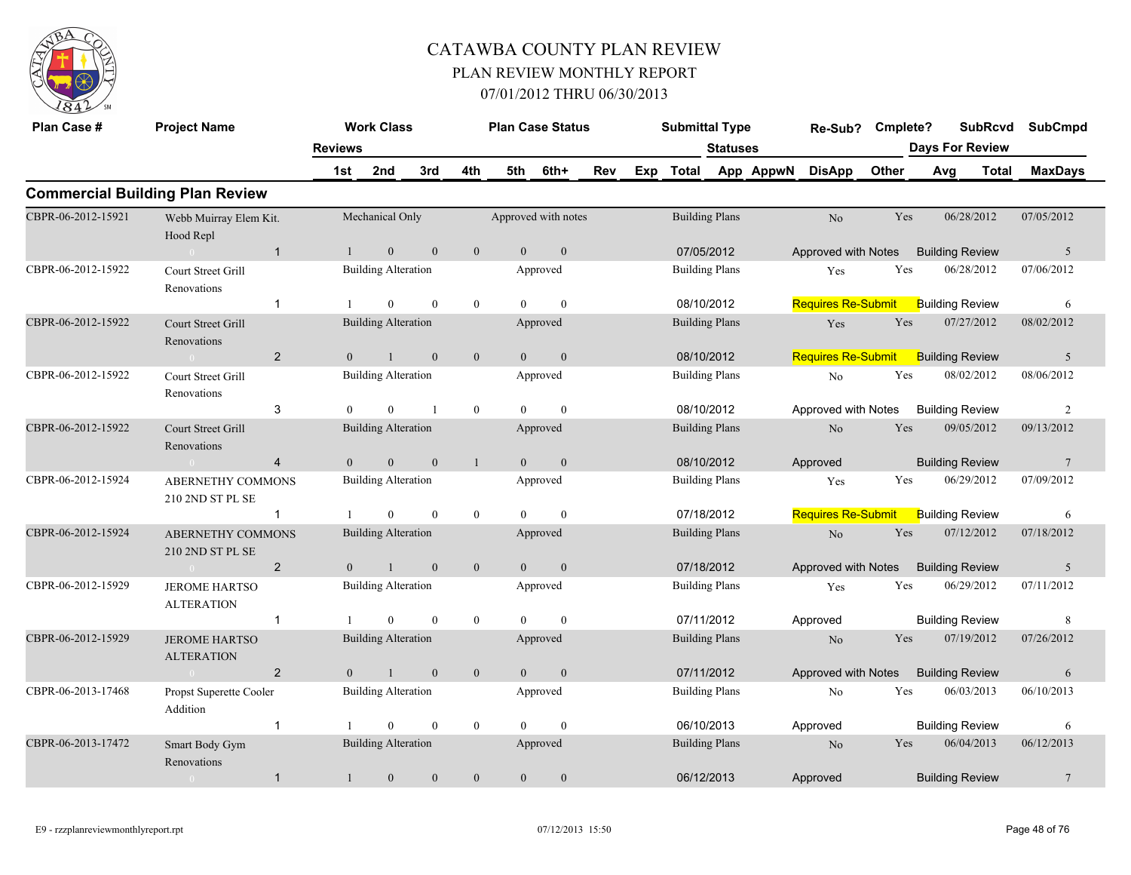

| Plan Case #        | <b>Project Name</b>                          |                       | <b>Work Class</b>          |              |                  | <b>Plan Case Status</b> |                  |     |     | <b>Submittal Type</b> |                 |           | Re-Sub?                   | Cmplete? |     | <b>SubRcvd</b>                  | <b>SubCmpd</b>  |
|--------------------|----------------------------------------------|-----------------------|----------------------------|--------------|------------------|-------------------------|------------------|-----|-----|-----------------------|-----------------|-----------|---------------------------|----------|-----|---------------------------------|-----------------|
|                    |                                              | <b>Reviews</b><br>1st | 2nd                        | 3rd          | 4th              | 5th                     | 6th+             | Rev | Exp | <b>Total</b>          | <b>Statuses</b> | App AppwN | <b>DisApp</b>             | Other    | Avg | <b>Days For Review</b><br>Total | <b>MaxDays</b>  |
|                    | <b>Commercial Building Plan Review</b>       |                       |                            |              |                  |                         |                  |     |     |                       |                 |           |                           |          |     |                                 |                 |
| CBPR-06-2012-15921 | Webb Muirray Elem Kit.<br>Hood Repl          |                       | Mechanical Only            |              |                  | Approved with notes     |                  |     |     | <b>Building Plans</b> |                 |           | No                        | Yes      |     | 06/28/2012                      | 07/05/2012      |
|                    | $\overline{1}$<br>$\bigcap$                  |                       | $\mathbf{0}$               | $\mathbf{0}$ | $\boldsymbol{0}$ | $\overline{0}$          | $\boldsymbol{0}$ |     |     | 07/05/2012            |                 |           | Approved with Notes       |          |     | <b>Building Review</b>          | 5               |
| CBPR-06-2012-15922 | Court Street Grill<br>Renovations            |                       | <b>Building Alteration</b> |              |                  |                         | Approved         |     |     | <b>Building Plans</b> |                 |           | Yes                       | Yes      |     | 06/28/2012                      | 07/06/2012      |
|                    | -1                                           |                       | $\Omega$                   | $\Omega$     | $\mathbf{0}$     | $\Omega$                | $\theta$         |     |     | 08/10/2012            |                 |           | <b>Requires Re-Submit</b> |          |     | <b>Building Review</b>          | 6               |
| CBPR-06-2012-15922 | <b>Court Street Grill</b><br>Renovations     |                       | <b>Building Alteration</b> |              |                  |                         | Approved         |     |     | <b>Building Plans</b> |                 |           | Yes                       | Yes      |     | 07/27/2012                      | 08/02/2012      |
|                    | $\overline{2}$<br>$\sim 0$                   | $\Omega$              | $\mathbf{1}$               | $\theta$     | $\mathbf{0}$     | $\theta$                | $\mathbf{0}$     |     |     | 08/10/2012            |                 |           | <b>Requires Re-Submit</b> |          |     | <b>Building Review</b>          | 5               |
| CBPR-06-2012-15922 | Court Street Grill<br>Renovations            |                       | <b>Building Alteration</b> |              |                  |                         | Approved         |     |     | <b>Building Plans</b> |                 |           | $\rm No$                  | Yes      |     | 08/02/2012                      | 08/06/2012      |
|                    | 3                                            | $\theta$              | $\overline{0}$             |              | $\boldsymbol{0}$ | $\Omega$                | $\mathbf{0}$     |     |     | 08/10/2012            |                 |           | Approved with Notes       |          |     | <b>Building Review</b>          | 2               |
| CBPR-06-2012-15922 | <b>Court Street Grill</b><br>Renovations     |                       | <b>Building Alteration</b> |              |                  |                         | Approved         |     |     | <b>Building Plans</b> |                 |           | No                        | Yes      |     | 09/05/2012                      | 09/13/2012      |
|                    | $\overline{4}$<br>$\overline{0}$             | $\overline{0}$        | $\mathbf{0}$               | $\mathbf{0}$ | $\mathbf{1}$     | $\overline{0}$          | $\boldsymbol{0}$ |     |     | 08/10/2012            |                 |           | Approved                  |          |     | <b>Building Review</b>          | $7\phantom{.0}$ |
| CBPR-06-2012-15924 | ABERNETHY COMMONS<br>210 2ND ST PL SE        |                       | <b>Building Alteration</b> |              |                  |                         | Approved         |     |     | <b>Building Plans</b> |                 |           | Yes                       | Yes      |     | 06/29/2012                      | 07/09/2012      |
|                    | $\mathbf 1$                                  |                       | $\overline{0}$             | $\theta$     | $\boldsymbol{0}$ | $\Omega$                | $\mathbf{0}$     |     |     | 07/18/2012            |                 |           | <b>Requires Re-Submit</b> |          |     | <b>Building Review</b>          | 6               |
| CBPR-06-2012-15924 | <b>ABERNETHY COMMONS</b><br>210 2ND ST PL SE |                       | <b>Building Alteration</b> |              |                  |                         | Approved         |     |     | <b>Building Plans</b> |                 |           | $\rm No$                  | Yes      |     | 07/12/2012                      | 07/18/2012      |
|                    | $\overline{2}$                               | $\theta$              |                            | $\theta$     | $\mathbf{0}$     | $\Omega$                | $\mathbf{0}$     |     |     | 07/18/2012            |                 |           | Approved with Notes       |          |     | <b>Building Review</b>          | 5               |
| CBPR-06-2012-15929 | <b>JEROME HARTSO</b><br><b>ALTERATION</b>    |                       | <b>Building Alteration</b> |              |                  |                         | Approved         |     |     | <b>Building Plans</b> |                 |           | Yes                       | Yes      |     | 06/29/2012                      | 07/11/2012      |
|                    | $\overline{1}$                               |                       | $\theta$                   | $\mathbf{0}$ | $\mathbf{0}$     | $\theta$                | $\mathbf{0}$     |     |     | 07/11/2012            |                 |           | Approved                  |          |     | <b>Building Review</b>          | 8               |
| CBPR-06-2012-15929 | <b>JEROME HARTSO</b><br><b>ALTERATION</b>    |                       | <b>Building Alteration</b> |              |                  |                         | Approved         |     |     | <b>Building Plans</b> |                 |           | N <sub>o</sub>            | Yes      |     | 07/19/2012                      | 07/26/2012      |
|                    | $\overline{2}$<br>$\sim 0$                   | $\overline{0}$        | $\mathbf{1}$               | $\mathbf{0}$ | $\mathbf{0}$     | $\overline{0}$          | $\boldsymbol{0}$ |     |     | 07/11/2012            |                 |           | Approved with Notes       |          |     | <b>Building Review</b>          | 6               |
| CBPR-06-2013-17468 | Propst Superette Cooler<br>Addition          |                       | <b>Building Alteration</b> |              |                  |                         | Approved         |     |     | <b>Building Plans</b> |                 |           | No                        | Yes      |     | 06/03/2013                      | 06/10/2013      |
|                    | $\mathbf{1}$                                 |                       | $\theta$                   | $\mathbf{0}$ | $\mathbf{0}$     | $\Omega$                | $\mathbf{0}$     |     |     | 06/10/2013            |                 |           | Approved                  |          |     | <b>Building Review</b>          | 6               |
| CBPR-06-2013-17472 | Smart Body Gym<br>Renovations                |                       | <b>Building Alteration</b> |              |                  |                         | Approved         |     |     | <b>Building Plans</b> |                 |           | N <sub>o</sub>            | Yes      |     | 06/04/2013                      | 06/12/2013      |
|                    | $\mathbf{1}$<br>$\overline{0}$               | $\mathbf{1}$          | $\mathbf{0}$               | $\mathbf{0}$ | $\boldsymbol{0}$ | $\mathbf{0}$            | $\boldsymbol{0}$ |     |     | 06/12/2013            |                 |           | Approved                  |          |     | <b>Building Review</b>          | $7\phantom{.0}$ |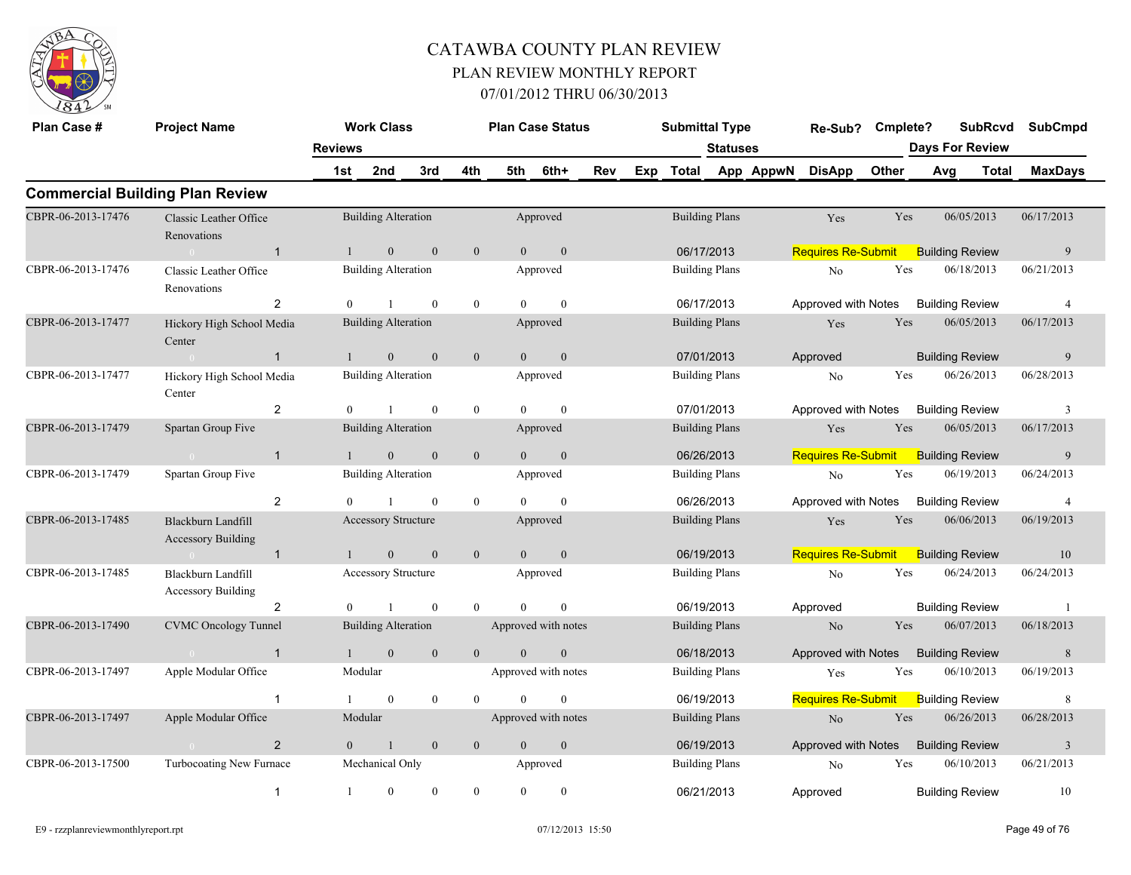

| Plan Case #        | <b>Project Name</b>                             |                | <b>Work Class</b>          |                  |                  | <b>Plan Case Status</b> |              |            | <b>Submittal Type</b> |                       |           | Re-Sub?                   | Cmplete? |                        | <b>SubRcvd</b>         |       | <b>SubCmpd</b> |
|--------------------|-------------------------------------------------|----------------|----------------------------|------------------|------------------|-------------------------|--------------|------------|-----------------------|-----------------------|-----------|---------------------------|----------|------------------------|------------------------|-------|----------------|
|                    |                                                 | <b>Reviews</b> |                            |                  |                  |                         |              |            |                       | <b>Statuses</b>       |           |                           |          | <b>Days For Review</b> |                        |       |                |
|                    |                                                 | 1st            | 2nd                        | 3rd              | 4th              | 5th                     | 6th+         | <b>Rev</b> | Exp Total             |                       | App AppwN | <b>DisApp</b>             | Other    | Avg                    |                        | Total | <b>MaxDays</b> |
|                    | <b>Commercial Building Plan Review</b>          |                |                            |                  |                  |                         |              |            |                       |                       |           |                           |          |                        |                        |       |                |
| CBPR-06-2013-17476 | Classic Leather Office<br>Renovations           |                | <b>Building Alteration</b> |                  |                  |                         | Approved     |            |                       | <b>Building Plans</b> |           | Yes                       | Yes      |                        | 06/05/2013             |       | 06/17/2013     |
|                    | $\overline{1}$<br>$\sim 0$                      | $\mathbf{1}$   | $\mathbf{0}$               | $\theta$         | $\mathbf{0}$     | $\Omega$                | $\mathbf{0}$ |            | 06/17/2013            |                       |           | <b>Requires Re-Submit</b> |          |                        | <b>Building Review</b> |       | 9              |
| CBPR-06-2013-17476 | Classic Leather Office<br>Renovations           |                | <b>Building Alteration</b> |                  |                  |                         | Approved     |            | <b>Building Plans</b> |                       |           | No                        | Yes      |                        | 06/18/2013             |       | 06/21/2013     |
|                    | $\overline{2}$                                  | $\theta$       | $\mathbf{1}$               | $\theta$         | $\mathbf{0}$     | $\Omega$                | $\theta$     |            | 06/17/2013            |                       |           | Approved with Notes       |          |                        | <b>Building Review</b> |       | $\overline{4}$ |
| CBPR-06-2013-17477 | Hickory High School Media<br>Center             |                | <b>Building Alteration</b> |                  |                  |                         | Approved     |            |                       | <b>Building Plans</b> |           | Yes                       | Yes      |                        | 06/05/2013             |       | 06/17/2013     |
|                    | $\overline{1}$<br>$\sim 0$                      |                | $\theta$                   | $\theta$         | $\boldsymbol{0}$ | $\Omega$                | $\theta$     |            | 07/01/2013            |                       |           | Approved                  |          |                        | <b>Building Review</b> |       | 9              |
| CBPR-06-2013-17477 | Hickory High School Media<br>Center             |                | <b>Building Alteration</b> |                  |                  |                         | Approved     |            |                       | <b>Building Plans</b> |           | No                        | Yes      |                        | 06/26/2013             |       | 06/28/2013     |
|                    | 2                                               | $\Omega$       | $\mathbf{1}$               | $\theta$         | $\theta$         | $\Omega$                | $\theta$     |            | 07/01/2013            |                       |           | Approved with Notes       |          |                        | <b>Building Review</b> |       | 3              |
| CBPR-06-2013-17479 | Spartan Group Five                              |                | Building Alteration        |                  |                  |                         | Approved     |            |                       | <b>Building Plans</b> |           | Yes                       | Yes      |                        | 06/05/2013             |       | 06/17/2013     |
|                    | $\overline{1}$<br>$\sim$ 0 $\sim$               |                | $\mathbf{0}$               | $\mathbf{0}$     | $\boldsymbol{0}$ | $\overline{0}$          | $\mathbf{0}$ |            | 06/26/2013            |                       |           | <b>Requires Re-Submit</b> |          |                        | <b>Building Review</b> |       | 9              |
| CBPR-06-2013-17479 | Spartan Group Five                              |                | <b>Building Alteration</b> |                  |                  |                         | Approved     |            |                       | <b>Building Plans</b> |           | No                        | Yes      |                        | 06/19/2013             |       | 06/24/2013     |
|                    | 2                                               | $\Omega$       | $\overline{1}$             | $\theta$         | $\mathbf{0}$     | $\Omega$                | $\theta$     |            | 06/26/2013            |                       |           | Approved with Notes       |          |                        | <b>Building Review</b> |       | $\overline{4}$ |
| CBPR-06-2013-17485 | Blackburn Landfill<br><b>Accessory Building</b> |                | <b>Accessory Structure</b> |                  |                  |                         | Approved     |            |                       | <b>Building Plans</b> |           | Yes                       | Yes      |                        | 06/06/2013             |       | 06/19/2013     |
|                    | $\overline{1}$<br>$\sim$ 0 $\sim$               |                | $\mathbf{0}$               | $\overline{0}$   | $\mathbf{0}$     | $\Omega$                | $\mathbf{0}$ |            | 06/19/2013            |                       |           | <b>Requires Re-Submit</b> |          |                        | <b>Building Review</b> |       | 10             |
| CBPR-06-2013-17485 | Blackburn Landfill<br><b>Accessory Building</b> |                | <b>Accessory Structure</b> |                  |                  |                         | Approved     |            |                       | <b>Building Plans</b> |           | N <sub>o</sub>            | Yes      |                        | 06/24/2013             |       | 06/24/2013     |
|                    | $\overline{2}$                                  | $\theta$       | $\mathbf{1}$               | $\mathbf{0}$     | $\mathbf{0}$     |                         | $\Omega$     |            | 06/19/2013            |                       |           | Approved                  |          |                        | <b>Building Review</b> |       | -1             |
| CBPR-06-2013-17490 | <b>CVMC</b> Oncology Tunnel                     |                | <b>Building Alteration</b> |                  |                  | Approved with notes     |              |            |                       | <b>Building Plans</b> |           | No                        | Yes      |                        | 06/07/2013             |       | 06/18/2013     |
|                    | $\overline{1}$<br>$\sim 0$                      | $\mathbf{1}$   | $\mathbf{0}$               | $\theta$         | $\mathbf{0}$     | $\theta$                | $\mathbf{0}$ |            | 06/18/2013            |                       |           | Approved with Notes       |          |                        | <b>Building Review</b> |       | 8              |
| CBPR-06-2013-17497 | Apple Modular Office                            |                | Modular                    |                  |                  | Approved with notes     |              |            | <b>Building Plans</b> |                       |           | Yes                       | Yes      |                        | 06/10/2013             |       | 06/19/2013     |
|                    | $\overline{1}$                                  |                | $\theta$                   | $\boldsymbol{0}$ | $\theta$         |                         | $\theta$     |            | 06/19/2013            |                       |           | <b>Requires Re-Submit</b> |          |                        | <b>Building Review</b> |       | 8              |
| CBPR-06-2013-17497 | Apple Modular Office                            |                | Modular                    |                  |                  | Approved with notes     |              |            |                       | <b>Building Plans</b> |           | N <sub>o</sub>            | Yes      |                        | 06/26/2013             |       | 06/28/2013     |
|                    | $\overline{2}$                                  | $\overline{0}$ | $\mathbf{1}$               | $\mathbf{0}$     | $\mathbf{0}$     | $\overline{0}$          | $\mathbf{0}$ |            | 06/19/2013            |                       |           | Approved with Notes       |          |                        | <b>Building Review</b> |       | $\overline{3}$ |
| CBPR-06-2013-17500 | Turbocoating New Furnace                        |                | Mechanical Only            |                  |                  |                         | Approved     |            |                       | <b>Building Plans</b> |           | N <sub>o</sub>            | Yes      |                        | 06/10/2013             |       | 06/21/2013     |
|                    | $\overline{1}$                                  | -1             | $\mathbf{0}$               | $\mathbf{0}$     | $\mathbf{0}$     | $\theta$                | $\Omega$     |            | 06/21/2013            |                       |           | Approved                  |          |                        | <b>Building Review</b> |       | 10             |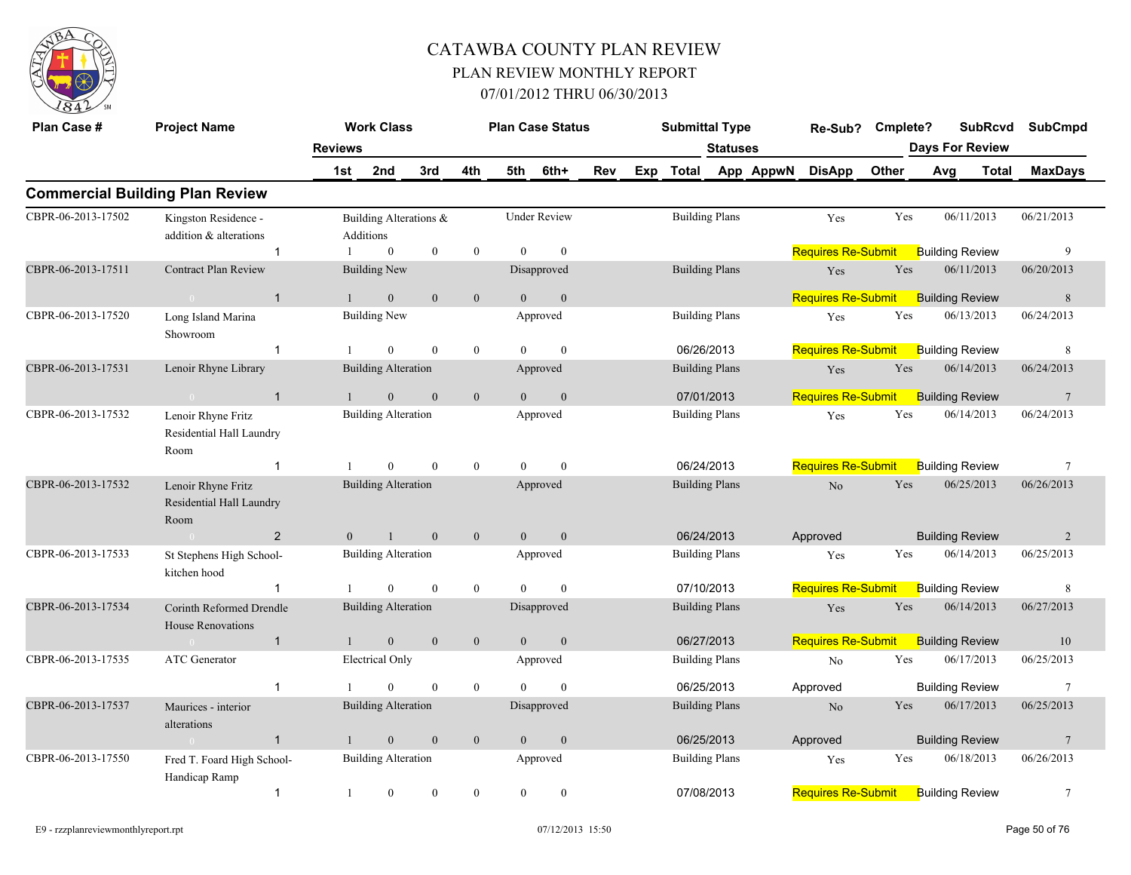

| Plan Case #        | <b>Project Name</b>                                    |                | <b>Work Class</b>                   |                  |                  |                | <b>Plan Case Status</b> |     | <b>Submittal Type</b> |                 |           | Re-Sub?                                   | Cmplete? |     | <b>SubRcvd</b>         | <b>SubCmpd</b>  |
|--------------------|--------------------------------------------------------|----------------|-------------------------------------|------------------|------------------|----------------|-------------------------|-----|-----------------------|-----------------|-----------|-------------------------------------------|----------|-----|------------------------|-----------------|
|                    |                                                        | <b>Reviews</b> |                                     |                  |                  |                |                         |     |                       | <b>Statuses</b> |           |                                           |          |     | <b>Days For Review</b> |                 |
|                    |                                                        | 1st            | 2nd                                 | 3rd              | 4th              | 5th            | 6th+                    | Rev | Exp Total             |                 | App AppwN | <b>DisApp</b>                             | Other    | Avg | <b>Total</b>           | <b>MaxDays</b>  |
|                    | <b>Commercial Building Plan Review</b>                 |                |                                     |                  |                  |                |                         |     |                       |                 |           |                                           |          |     |                        |                 |
| CBPR-06-2013-17502 | Kingston Residence -<br>addition & alterations         |                | Building Alterations &<br>Additions |                  |                  |                | <b>Under Review</b>     |     | <b>Building Plans</b> |                 |           | Yes                                       | Yes      |     | 06/11/2013             | 06/21/2013      |
|                    | $\mathbf{1}$                                           |                | $\boldsymbol{0}$                    | $\boldsymbol{0}$ | $\boldsymbol{0}$ | $\Omega$       | $\boldsymbol{0}$        |     |                       |                 |           | <b>Requires Re-Submit</b>                 |          |     | <b>Building Review</b> | 9               |
| CBPR-06-2013-17511 | Contract Plan Review                                   |                | <b>Building New</b>                 |                  |                  |                | Disapproved             |     | <b>Building Plans</b> |                 |           | Yes                                       | Yes      |     | 06/11/2013             | 06/20/2013      |
|                    | $\overline{1}$<br>$\bigcap$                            |                | $\mathbf{0}$                        | $\mathbf{0}$     | $\mathbf{0}$     | $\overline{0}$ | $\mathbf{0}$            |     |                       |                 |           | <b>Requires Re-Submit</b>                 |          |     | <b>Building Review</b> | $8\phantom{.}8$ |
| CBPR-06-2013-17520 | Long Island Marina<br>Showroom                         |                | <b>Building New</b>                 |                  |                  |                | Approved                |     | <b>Building Plans</b> |                 |           | Yes                                       | Yes      |     | 06/13/2013             | 06/24/2013      |
|                    | -1                                                     |                | $\mathbf{0}$                        | $\mathbf{0}$     | $\mathbf{0}$     | $\theta$       | $\mathbf{0}$            |     | 06/26/2013            |                 |           | <b>Requires Re-Submit</b>                 |          |     | <b>Building Review</b> | $\,8\,$         |
| CBPR-06-2013-17531 | Lenoir Rhyne Library                                   |                | <b>Building Alteration</b>          |                  |                  |                | Approved                |     | <b>Building Plans</b> |                 |           | Yes                                       | Yes      |     | 06/14/2013             | 06/24/2013      |
|                    | $\overline{1}$<br>$\sim 0$                             | $\mathbf{1}$   | $\mathbf{0}$                        | $\mathbf{0}$     | $\mathbf{0}$     | $\overline{0}$ | $\boldsymbol{0}$        |     | 07/01/2013            |                 |           | <b>Requires Re-Submit</b>                 |          |     | <b>Building Review</b> | $7\phantom{.0}$ |
| CBPR-06-2013-17532 | Lenoir Rhyne Fritz<br>Residential Hall Laundry<br>Room |                | <b>Building Alteration</b>          |                  |                  |                | Approved                |     | <b>Building Plans</b> |                 |           | Yes                                       | Yes      |     | 06/14/2013             | 06/24/2013      |
|                    | $\mathbf{1}$                                           |                | $\theta$                            | $\theta$         | $\mathbf{0}$     | $\theta$       | $\theta$                |     | 06/24/2013            |                 |           | <b>Requires Re-Submit</b>                 |          |     | <b>Building Review</b> | $7\phantom{.0}$ |
| CBPR-06-2013-17532 | Lenoir Rhyne Fritz<br>Residential Hall Laundry<br>Room |                | <b>Building Alteration</b>          |                  |                  |                | Approved                |     | <b>Building Plans</b> |                 |           | No                                        | Yes      |     | 06/25/2013             | 06/26/2013      |
|                    | 2<br>$\sim 0$                                          | $\Omega$       | $\overline{1}$                      | $\mathbf{0}$     | $\mathbf{0}$     | $\theta$       | $\mathbf{0}$            |     | 06/24/2013            |                 |           | Approved                                  |          |     | <b>Building Review</b> | 2               |
| CBPR-06-2013-17533 | St Stephens High School-<br>kitchen hood               |                | <b>Building Alteration</b>          |                  |                  |                | Approved                |     | <b>Building Plans</b> |                 |           | Yes                                       | Yes      |     | 06/14/2013             | 06/25/2013      |
|                    | $\overline{1}$                                         |                | $\theta$                            | $\theta$         | $\mathbf{0}$     | $\theta$       | $\theta$                |     | 07/10/2013            |                 |           | <b>Requires Re-Submit</b>                 |          |     | <b>Building Review</b> | $\,8\,$         |
| CBPR-06-2013-17534 | Corinth Reformed Drendle<br><b>House Renovations</b>   |                | <b>Building Alteration</b>          |                  |                  |                | Disapproved             |     | <b>Building Plans</b> |                 |           | Yes                                       | Yes      |     | 06/14/2013             | 06/27/2013      |
|                    | $\overline{1}$                                         |                | $\boldsymbol{0}$                    | $\mathbf{0}$     | $\boldsymbol{0}$ | $\overline{0}$ | $\mathbf{0}$            |     | 06/27/2013            |                 |           | <b>Requires Re-Submit</b>                 |          |     | <b>Building Review</b> | 10              |
| CBPR-06-2013-17535 | <b>ATC</b> Generator                                   |                | <b>Electrical Only</b>              |                  |                  |                | Approved                |     | <b>Building Plans</b> |                 |           | No                                        | Yes      |     | 06/17/2013             | 06/25/2013      |
|                    | $\mathbf{1}$                                           |                | $\mathbf{0}$                        | $\mathbf{0}$     | $\mathbf{0}$     | $\theta$       | $\mathbf{0}$            |     | 06/25/2013            |                 |           | Approved                                  |          |     | <b>Building Review</b> | $7\phantom{.0}$ |
| CBPR-06-2013-17537 | Maurices - interior<br>alterations                     |                | <b>Building Alteration</b>          |                  |                  |                | Disapproved             |     | <b>Building Plans</b> |                 |           | N <sub>o</sub>                            | Yes      |     | 06/17/2013             | 06/25/2013      |
|                    | $\mathbf{1}$<br>$\sim$ 0                               |                | $\mathbf{0}$                        | $\mathbf{0}$     | $\mathbf{0}$     | $\overline{0}$ | $\boldsymbol{0}$        |     | 06/25/2013            |                 |           | Approved                                  |          |     | <b>Building Review</b> | $7\phantom{.0}$ |
| CBPR-06-2013-17550 | Fred T. Foard High School-<br>Handicap Ramp            |                | <b>Building Alteration</b>          |                  |                  |                | Approved                |     | <b>Building Plans</b> |                 |           | Yes                                       | Yes      |     | 06/18/2013             | 06/26/2013      |
|                    | $\mathbf{1}$                                           | 1              | $\mathbf{0}$                        | $\mathbf{0}$     | $\overline{0}$   | $\overline{0}$ | $\mathbf{0}$            |     | 07/08/2013            |                 |           | <b>Requires Re-Submit</b> Building Review |          |     |                        | 7               |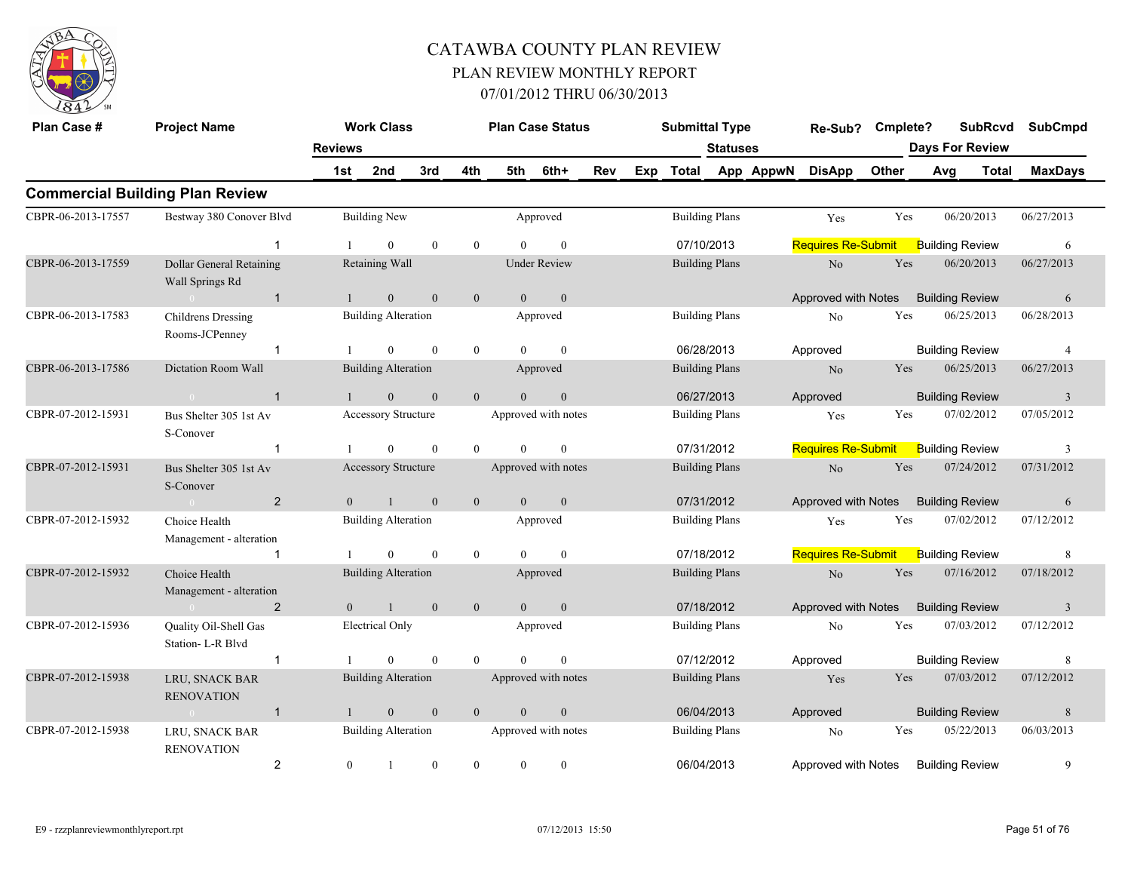

| Plan Case #        | <b>Project Name</b>                         |                | <b>Work Class</b>          |              |                |                | <b>Plan Case Status</b> |     |     | <b>Submittal Type</b> |                 |           | Re-Sub?                             | Cmplete? |     | <b>SubRcvd</b>         |       | <b>SubCmpd</b> |
|--------------------|---------------------------------------------|----------------|----------------------------|--------------|----------------|----------------|-------------------------|-----|-----|-----------------------|-----------------|-----------|-------------------------------------|----------|-----|------------------------|-------|----------------|
|                    |                                             | <b>Reviews</b> |                            |              |                |                |                         |     |     |                       | <b>Statuses</b> |           |                                     |          |     | <b>Days For Review</b> |       |                |
|                    |                                             | 1st            | 2nd                        | 3rd          | 4th            | 5th            | 6th+                    | Rev | Exp | Total                 |                 | App AppwN | <b>DisApp</b>                       | Other    | Avg |                        | Total | <b>MaxDays</b> |
|                    | <b>Commercial Building Plan Review</b>      |                |                            |              |                |                |                         |     |     |                       |                 |           |                                     |          |     |                        |       |                |
| CBPR-06-2013-17557 | Bestway 380 Conover Blvd                    |                | <b>Building New</b>        |              |                |                | Approved                |     |     | <b>Building Plans</b> |                 |           | Yes                                 | Yes      |     | 06/20/2013             |       | 06/27/2013     |
|                    | $\mathbf 1$                                 |                | $\overline{0}$             | $\mathbf{0}$ | $\overline{0}$ | $\Omega$       | $\mathbf{0}$            |     |     | 07/10/2013            |                 |           | <b>Requires Re-Submit</b>           |          |     | <b>Building Review</b> |       | 6              |
| CBPR-06-2013-17559 | Dollar General Retaining<br>Wall Springs Rd |                | Retaining Wall             |              |                |                | <b>Under Review</b>     |     |     | <b>Building Plans</b> |                 |           | $\rm No$                            | Yes      |     | 06/20/2013             |       | 06/27/2013     |
|                    | $\mathbf{1}$<br>$\sim 0$                    | $\mathbf{1}$   | $\mathbf{0}$               | $\mathbf{0}$ | $\mathbf{0}$   | $\mathbf{0}$   | $\mathbf{0}$            |     |     |                       |                 |           | Approved with Notes                 |          |     | <b>Building Review</b> |       | 6              |
| CBPR-06-2013-17583 | Childrens Dressing<br>Rooms-JCPenney        |                | <b>Building Alteration</b> |              |                |                | Approved                |     |     | <b>Building Plans</b> |                 |           | No                                  | Yes      |     | 06/25/2013             |       | 06/28/2013     |
|                    | $\mathbf{1}$                                |                | $\overline{0}$             | $\theta$     | $\overline{0}$ | $\Omega$       | $\theta$                |     |     | 06/28/2013            |                 |           | Approved                            |          |     | <b>Building Review</b> |       | $\overline{4}$ |
| CBPR-06-2013-17586 | Dictation Room Wall                         |                | <b>Building Alteration</b> |              |                |                | Approved                |     |     | <b>Building Plans</b> |                 |           | $\rm No$                            | Yes      |     | 06/25/2013             |       | 06/27/2013     |
|                    | $\mathbf{1}$                                |                | $\theta$                   | $\mathbf{0}$ | $\overline{0}$ | $\Omega$       | $\mathbf{0}$            |     |     | 06/27/2013            |                 |           | Approved                            |          |     | <b>Building Review</b> |       | $\overline{3}$ |
| CBPR-07-2012-15931 | Bus Shelter 305 1st Av<br>S-Conover         |                | <b>Accessory Structure</b> |              |                |                | Approved with notes     |     |     | <b>Building Plans</b> |                 |           | Yes                                 | Yes      |     | 07/02/2012             |       | 07/05/2012     |
|                    | $\mathbf{1}$                                |                | $\theta$                   | $\mathbf{0}$ | $\theta$       | $\Omega$       | $\theta$                |     |     | 07/31/2012            |                 |           | <b>Requires Re-Submit</b>           |          |     | <b>Building Review</b> |       | 3              |
| CBPR-07-2012-15931 | Bus Shelter 305 1st Av<br>S-Conover         |                | <b>Accessory Structure</b> |              |                |                | Approved with notes     |     |     | <b>Building Plans</b> |                 |           | N <sub>o</sub>                      | Yes      |     | 07/24/2012             |       | 07/31/2012     |
|                    | $\overline{2}$                              | $\theta$       | $\mathbf{1}$               | $\mathbf{0}$ | $\overline{0}$ | $\theta$       | $\mathbf{0}$            |     |     | 07/31/2012            |                 |           | Approved with Notes                 |          |     | <b>Building Review</b> |       | 6              |
| CBPR-07-2012-15932 | Choice Health<br>Management - alteration    |                | <b>Building Alteration</b> |              |                |                | Approved                |     |     | <b>Building Plans</b> |                 |           | Yes                                 | Yes      |     | 07/02/2012             |       | 07/12/2012     |
|                    | $\mathbf{1}$                                |                | $\mathbf{0}$               | $\mathbf{0}$ | $\overline{0}$ | $\theta$       | $\mathbf{0}$            |     |     | 07/18/2012            |                 |           | <b>Requires Re-Submit</b>           |          |     | <b>Building Review</b> |       | 8              |
| CBPR-07-2012-15932 | Choice Health<br>Management - alteration    |                | <b>Building Alteration</b> |              |                |                | Approved                |     |     | <b>Building Plans</b> |                 |           | No                                  | Yes      |     | 07/16/2012             |       | 07/18/2012     |
|                    | $\overline{2}$<br>$\sim 0$ and $\sim 0$     | $\theta$       | $\mathbf{1}$               | $\mathbf{0}$ | $\mathbf{0}$   | $\theta$       | $\mathbf{0}$            |     |     | 07/18/2012            |                 |           | Approved with Notes                 |          |     | <b>Building Review</b> |       | $\overline{3}$ |
| CBPR-07-2012-15936 | Quality Oil-Shell Gas<br>Station-L-R Blvd   |                | <b>Electrical Only</b>     |              |                |                | Approved                |     |     | <b>Building Plans</b> |                 |           | No                                  | Yes      |     | 07/03/2012             |       | 07/12/2012     |
|                    | $\mathbf{1}$                                |                | $\overline{0}$             | $\mathbf{0}$ | $\overline{0}$ | $\Omega$       | $\mathbf{0}$            |     |     | 07/12/2012            |                 |           | Approved                            |          |     | <b>Building Review</b> |       | 8              |
| CBPR-07-2012-15938 | LRU, SNACK BAR<br><b>RENOVATION</b>         |                | <b>Building Alteration</b> |              |                |                | Approved with notes     |     |     | <b>Building Plans</b> |                 |           | Yes                                 | Yes      |     | 07/03/2012             |       | 07/12/2012     |
|                    | $\mathbf{1}$<br>$\sim 0$                    | $\mathbf{1}$   | $\overline{0}$             | $\mathbf{0}$ | $\overline{0}$ | $\theta$       | $\mathbf{0}$            |     |     | 06/04/2013            |                 |           | Approved                            |          |     | <b>Building Review</b> |       | 8              |
| CBPR-07-2012-15938 | LRU, SNACK BAR<br><b>RENOVATION</b>         |                | <b>Building Alteration</b> |              |                |                | Approved with notes     |     |     | <b>Building Plans</b> |                 |           | No                                  | Yes      |     | 05/22/2013             |       | 06/03/2013     |
|                    | $\overline{2}$                              | $\mathbf{0}$   | $\mathbf{1}$               | $\mathbf{0}$ | $\overline{0}$ | $\overline{0}$ | $\mathbf{0}$            |     |     | 06/04/2013            |                 |           | Approved with Notes Building Review |          |     |                        |       | 9              |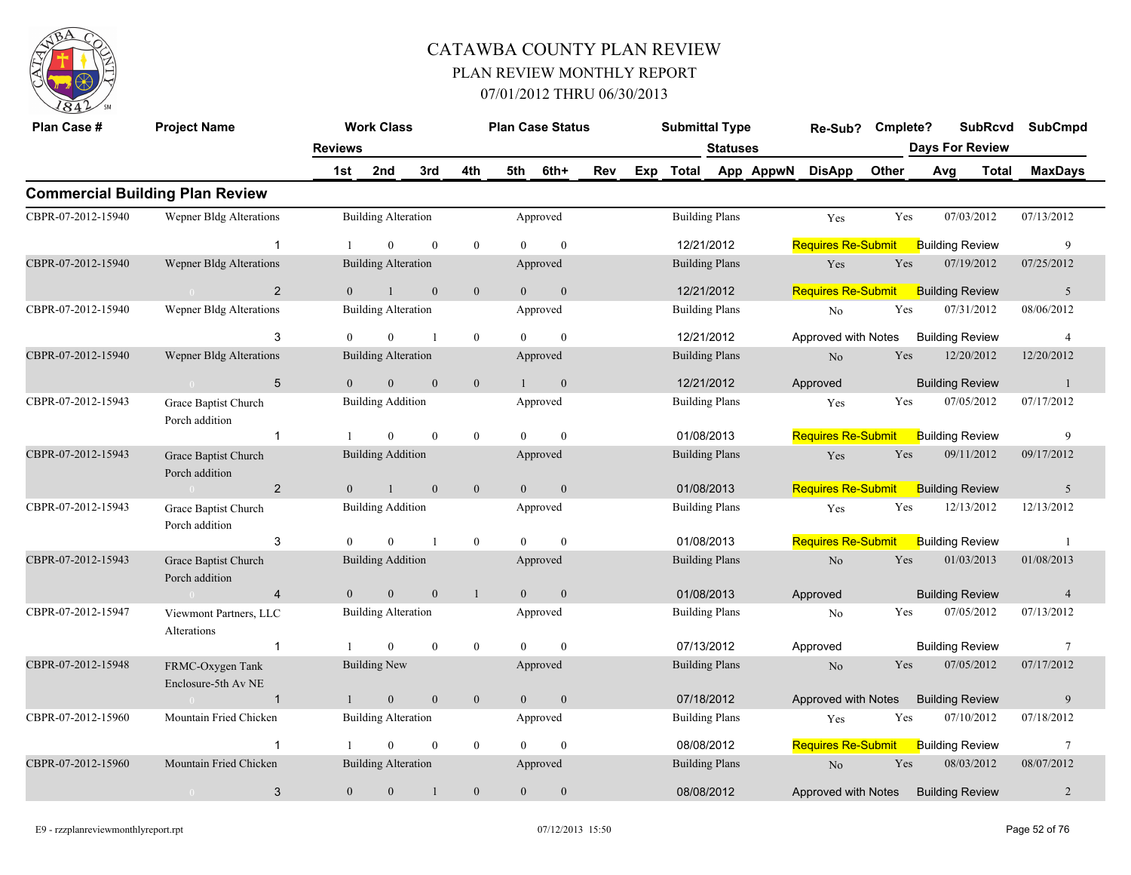

| Plan Case #        | <b>Project Name</b>                     |                | <b>Work Class</b>          |                |                |                        | <b>Plan Case Status</b> |     | <b>Submittal Type</b> |                 |           | Re-Sub?                   | Cmplete?   |                        | <b>SubRcvd</b> | <b>SubCmpd</b>  |
|--------------------|-----------------------------------------|----------------|----------------------------|----------------|----------------|------------------------|-------------------------|-----|-----------------------|-----------------|-----------|---------------------------|------------|------------------------|----------------|-----------------|
|                    |                                         | <b>Reviews</b> |                            |                |                |                        |                         |     |                       | <b>Statuses</b> |           |                           |            | <b>Days For Review</b> |                |                 |
|                    |                                         | 1st            | 2nd                        | 3rd            | 4th            | 5th                    | 6th+                    | Rev | Exp Total             |                 | App AppwN | <b>DisApp</b>             | Other      | Avg                    | <b>Total</b>   | <b>MaxDays</b>  |
|                    | <b>Commercial Building Plan Review</b>  |                |                            |                |                |                        |                         |     |                       |                 |           |                           |            |                        |                |                 |
| CBPR-07-2012-15940 | <b>Wepner Bldg Alterations</b>          |                | <b>Building Alteration</b> |                |                |                        | Approved                |     | <b>Building Plans</b> |                 |           | Yes                       | Yes        | 07/03/2012             |                | 07/13/2012      |
|                    | $\overline{1}$                          |                | $\Omega$                   | $\theta$       | $\theta$       | 0                      | $\theta$                |     | 12/21/2012            |                 |           | <b>Requires Re-Submit</b> |            | <b>Building Review</b> |                | 9               |
| CBPR-07-2012-15940 | Wepner Bldg Alterations                 |                | <b>Building Alteration</b> |                |                |                        | Approved                |     | <b>Building Plans</b> |                 |           | Yes                       | Yes        | 07/19/2012             |                | 07/25/2012      |
|                    | 2                                       | $\theta$       | $\mathbf{1}$               | $\mathbf{0}$   | $\mathbf{0}$   | $\overline{0}$         | $\mathbf{0}$            |     | 12/21/2012            |                 |           | <b>Requires Re-Submit</b> |            | <b>Building Review</b> |                | 5               |
| CBPR-07-2012-15940 | Wepner Bldg Alterations                 |                | <b>Building Alteration</b> |                |                |                        | Approved                |     | <b>Building Plans</b> |                 |           | $\rm No$                  | Yes        | 07/31/2012             |                | 08/06/2012      |
|                    | 3                                       |                | $\Omega$                   | $\mathbf{1}$   | $\overline{0}$ | $\Omega$               | $\theta$                |     | 12/21/2012            |                 |           | Approved with Notes       |            | <b>Building Review</b> |                | $\overline{4}$  |
| CBPR-07-2012-15940 | <b>Wepner Bldg Alterations</b>          |                | <b>Building Alteration</b> |                |                |                        | Approved                |     | <b>Building Plans</b> |                 |           | N <sub>o</sub>            | Yes        | 12/20/2012             |                | 12/20/2012      |
|                    | 5<br>$\sim 0$                           | $\theta$       | $\mathbf{0}$               | $\overline{0}$ | $\overline{0}$ | $\left  \cdot \right $ | $\mathbf{0}$            |     | 12/21/2012            |                 |           | Approved                  |            | <b>Building Review</b> |                | -1              |
| CBPR-07-2012-15943 | Grace Baptist Church<br>Porch addition  |                | <b>Building Addition</b>   |                |                |                        | Approved                |     | <b>Building Plans</b> |                 |           | Yes                       | Yes        | 07/05/2012             |                | 07/17/2012      |
|                    | $\mathbf{1}$                            |                | $\Omega$                   | $\theta$       | $\overline{0}$ | $\Omega$               | $\mathbf{0}$            |     | 01/08/2013            |                 |           | <b>Requires Re-Submit</b> |            | <b>Building Review</b> |                | 9               |
| CBPR-07-2012-15943 | Grace Baptist Church<br>Porch addition  |                | <b>Building Addition</b>   |                |                |                        | Approved                |     | <b>Building Plans</b> |                 |           | Yes                       | Yes        | 09/11/2012             |                | 09/17/2012      |
|                    | $\overline{2}$<br>$\sim 0$              | $\overline{0}$ | $\mathbf{1}$               | $\mathbf{0}$   | $\mathbf{0}$   | $\overline{0}$         | $\mathbf{0}$            |     | 01/08/2013            |                 |           | <b>Requires Re-Submit</b> |            | <b>Building Review</b> |                | $\sqrt{5}$      |
| CBPR-07-2012-15943 | Grace Baptist Church<br>Porch addition  |                | <b>Building Addition</b>   |                |                |                        | Approved                |     | <b>Building Plans</b> |                 |           | Yes                       | Yes        | 12/13/2012             |                | 12/13/2012      |
|                    | 3                                       | $\Omega$       | $\Omega$                   | $\mathbf{1}$   | $\overline{0}$ | $\theta$               | $\mathbf{0}$            |     | 01/08/2013            |                 |           | <b>Requires Re-Submit</b> |            | <b>Building Review</b> |                | -1              |
| CBPR-07-2012-15943 | Grace Baptist Church<br>Porch addition  |                | <b>Building Addition</b>   |                |                |                        | Approved                |     | <b>Building Plans</b> |                 |           | No                        | Yes        | 01/03/2013             |                | 01/08/2013      |
|                    | $\overline{4}$                          | $\theta$       | $\overline{0}$             | $\mathbf{0}$   | $\mathbf{1}$   | $\overline{0}$         | $\mathbf{0}$            |     | 01/08/2013            |                 |           | Approved                  |            | <b>Building Review</b> |                | $\overline{4}$  |
| CBPR-07-2012-15947 | Viewmont Partners, LLC<br>Alterations   |                | <b>Building Alteration</b> |                |                |                        | Approved                |     | <b>Building Plans</b> |                 |           | No                        | Yes        | 07/05/2012             |                | 07/13/2012      |
|                    | $\mathbf{1}$                            |                | $\theta$                   | $\theta$       | $\overline{0}$ | $\Omega$               | $\theta$                |     | 07/13/2012            |                 |           | Approved                  |            | <b>Building Review</b> |                | 7               |
| CBPR-07-2012-15948 | FRMC-Oxygen Tank<br>Enclosure-5th Av NE |                | <b>Building New</b>        |                |                |                        | Approved                |     | <b>Building Plans</b> |                 |           | No                        | <b>Yes</b> | 07/05/2012             |                | 07/17/2012      |
|                    | $\mathbf{1}$                            | $\mathbf{1}$   | $\mathbf{0}$               | $\mathbf{0}$   | $\mathbf{0}$   | $\mathbf{0}$           | $\mathbf{0}$            |     | 07/18/2012            |                 |           | Approved with Notes       |            | <b>Building Review</b> |                | $\overline{9}$  |
| CBPR-07-2012-15960 | Mountain Fried Chicken                  |                | <b>Building Alteration</b> |                |                |                        | Approved                |     | <b>Building Plans</b> |                 |           | Yes                       | Yes        | 07/10/2012             |                | 07/18/2012      |
|                    | $\overline{1}$                          |                | $\theta$                   | $\theta$       | $\theta$       | $\Omega$               | $\theta$                |     | 08/08/2012            |                 |           | <b>Requires Re-Submit</b> |            | <b>Building Review</b> |                | $7\phantom{.0}$ |
| CBPR-07-2012-15960 | Mountain Fried Chicken                  |                | <b>Building Alteration</b> |                |                |                        | Approved                |     | <b>Building Plans</b> |                 |           | $\rm No$                  | Yes        | 08/03/2012             |                | 08/07/2012      |
|                    | 3                                       | $\mathbf{0}$   | $\mathbf{0}$               |                | $\mathbf{0}$   | $\mathbf{0}$           | $\mathbf{0}$            |     | 08/08/2012            |                 |           | Approved with Notes       |            | <b>Building Review</b> |                | $\overline{2}$  |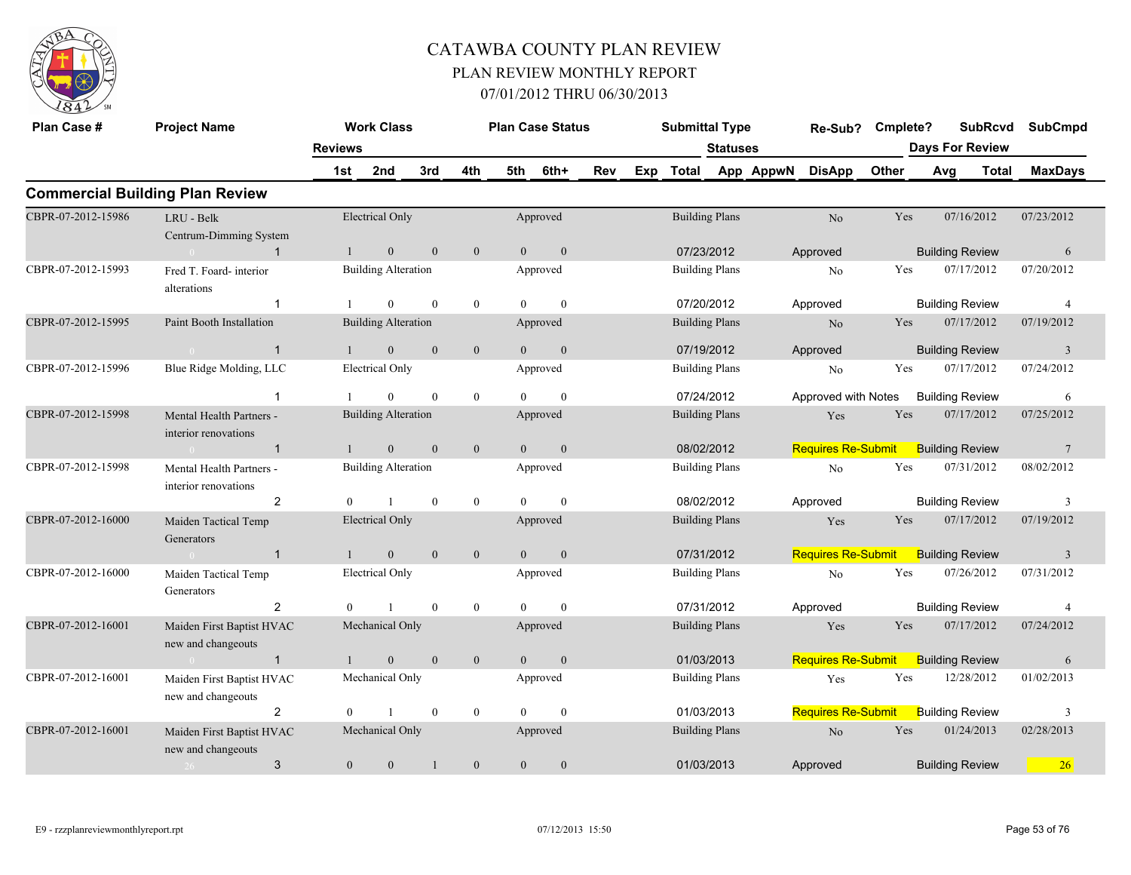

| Plan Case #        | <b>Project Name</b>                                             | <b>Reviews</b> | <b>Work Class</b>          |              |                |                | <b>Plan Case Status</b> |     |     | <b>Submittal Type</b> | Statuses |           | Re-Sub?                   | Cmplete? |     | <b>SubRcvd</b><br><b>Days For Review</b> |            | <b>SubCmpd</b>  |
|--------------------|-----------------------------------------------------------------|----------------|----------------------------|--------------|----------------|----------------|-------------------------|-----|-----|-----------------------|----------|-----------|---------------------------|----------|-----|------------------------------------------|------------|-----------------|
|                    |                                                                 | 1st            | 2nd                        | 3rd          | 4th            | 5th            | 6th+                    | Rev | Exp | Total                 |          | App AppwN | <b>DisApp</b>             | Other    | Avg | Total                                    |            | <b>MaxDays</b>  |
|                    | <b>Commercial Building Plan Review</b>                          |                |                            |              |                |                |                         |     |     |                       |          |           |                           |          |     |                                          |            |                 |
| CBPR-07-2012-15986 | LRU - Belk<br>Centrum-Dimming System                            |                | Electrical Only            |              |                |                | Approved                |     |     | <b>Building Plans</b> |          |           | No                        | Yes      |     | 07/16/2012                               | 07/23/2012 |                 |
|                    | $\mathbf{1}$                                                    |                | $\mathbf{0}$               | $\mathbf{0}$ | $\mathbf{0}$   | $\theta$       | $\overline{0}$          |     |     | 07/23/2012            |          |           | Approved                  |          |     | <b>Building Review</b>                   |            | 6               |
| CBPR-07-2012-15993 | Fred T. Foard-interior<br>alterations                           |                | <b>Building Alteration</b> |              |                |                | Approved                |     |     | <b>Building Plans</b> |          |           | No                        | Yes      |     | 07/17/2012                               | 07/20/2012 |                 |
|                    | $\mathbf{1}$                                                    |                | $\boldsymbol{0}$           | $\mathbf{0}$ | $\mathbf{0}$   | $\theta$       | $\mathbf{0}$            |     |     | 07/20/2012            |          |           | Approved                  |          |     | <b>Building Review</b>                   |            | $\overline{4}$  |
| CBPR-07-2012-15995 | Paint Booth Installation                                        |                | <b>Building Alteration</b> |              |                |                | Approved                |     |     | <b>Building Plans</b> |          |           | N <sub>o</sub>            | Yes      |     | 07/17/2012                               | 07/19/2012 |                 |
|                    | $\overline{1}$<br>$\sim 0$                                      | -1             | $\mathbf{0}$               | $\mathbf{0}$ | $\mathbf{0}$   | $\overline{0}$ | $\mathbf{0}$            |     |     | 07/19/2012            |          |           | Approved                  |          |     | <b>Building Review</b>                   |            | $\mathbf{3}$    |
| CBPR-07-2012-15996 | Blue Ridge Molding, LLC                                         |                | <b>Electrical Only</b>     |              |                |                | Approved                |     |     | <b>Building Plans</b> |          |           | No                        | Yes      |     | 07/17/2012                               | 07/24/2012 |                 |
|                    | $\mathbf{1}$                                                    |                | $\Omega$                   | $\mathbf{0}$ | $\overline{0}$ | $\Omega$       | $\mathbf{0}$            |     |     | 07/24/2012            |          |           | Approved with Notes       |          |     | <b>Building Review</b>                   |            | 6               |
| CBPR-07-2012-15998 | Mental Health Partners -<br>interior renovations                |                | <b>Building Alteration</b> |              |                |                | Approved                |     |     | <b>Building Plans</b> |          |           | Yes                       | Yes      |     | 07/17/2012                               | 07/25/2012 |                 |
|                    | $\overline{1}$<br>$\sim$ 0.000 $\sim$ 0.000 $\sim$ 0.000 $\sim$ |                | $\mathbf{0}$               | $\mathbf{0}$ | $\mathbf{0}$   | $\overline{0}$ | $\mathbf{0}$            |     |     | 08/02/2012            |          |           | <b>Requires Re-Submit</b> |          |     | <b>Building Review</b>                   |            | $7\phantom{.0}$ |
| CBPR-07-2012-15998 | Mental Health Partners -<br>interior renovations                |                | <b>Building Alteration</b> |              |                |                | Approved                |     |     | <b>Building Plans</b> |          |           | No                        | Yes      |     | 07/31/2012                               | 08/02/2012 |                 |
|                    | 2                                                               | $\Omega$       | $\mathbf{1}$               | $\mathbf{0}$ | $\overline{0}$ | $\theta$       | $\mathbf{0}$            |     |     | 08/02/2012            |          |           | Approved                  |          |     | <b>Building Review</b>                   |            | 3               |
| CBPR-07-2012-16000 | Maiden Tactical Temp<br>Generators                              |                | <b>Electrical Only</b>     |              |                |                | Approved                |     |     | <b>Building Plans</b> |          |           | Yes                       | Yes      |     | 07/17/2012                               | 07/19/2012 |                 |
|                    | $\overline{1}$                                                  | $\mathbf{1}$   | $\overline{0}$             | $\theta$     | $\overline{0}$ | $\theta$       | $\mathbf{0}$            |     |     | 07/31/2012            |          |           | <b>Requires Re-Submit</b> |          |     | <b>Building Review</b>                   |            | $\overline{3}$  |
| CBPR-07-2012-16000 | Maiden Tactical Temp<br>Generators                              |                | Electrical Only            |              |                |                | Approved                |     |     | <b>Building Plans</b> |          |           | No                        | Yes      |     | 07/26/2012                               | 07/31/2012 |                 |
|                    | $\overline{2}$                                                  | $\theta$       |                            | $\mathbf{0}$ | $\overline{0}$ | $\theta$       | $\mathbf{0}$            |     |     | 07/31/2012            |          |           | Approved                  |          |     | <b>Building Review</b>                   |            | $\overline{4}$  |
| CBPR-07-2012-16001 | Maiden First Baptist HVAC<br>new and changeouts                 |                | Mechanical Only            |              |                |                | Approved                |     |     | <b>Building Plans</b> |          |           | Yes                       | Yes      |     | 07/17/2012                               | 07/24/2012 |                 |
|                    | $\overline{1}$<br>$\sim 0$ and $\sim 0.00$                      | $\mathbf{1}$   | $\mathbf{0}$               | $\mathbf{0}$ | $\mathbf{0}$   | $\overline{0}$ | $\mathbf{0}$            |     |     | 01/03/2013            |          |           | <b>Requires Re-Submit</b> |          |     | <b>Building Review</b>                   |            | 6               |
| CBPR-07-2012-16001 | Maiden First Baptist HVAC<br>new and changeouts                 |                | Mechanical Only            |              |                |                | Approved                |     |     | <b>Building Plans</b> |          |           | Yes                       | Yes      |     | 12/28/2012                               | 01/02/2013 |                 |
|                    | $\overline{2}$                                                  | $\theta$       | $\mathbf{1}$               | $\mathbf{0}$ | $\overline{0}$ | $\theta$       | $\mathbf{0}$            |     |     | 01/03/2013            |          |           | <b>Requires Re-Submit</b> |          |     | <b>Building Review</b>                   |            | 3               |
| CBPR-07-2012-16001 | Maiden First Baptist HVAC<br>new and changeouts                 |                | Mechanical Only            |              |                |                | Approved                |     |     | <b>Building Plans</b> |          |           | $\rm No$                  | Yes      |     | 01/24/2013                               | 02/28/2013 |                 |
|                    | 3<br>$26 -$                                                     | $\overline{0}$ | $\mathbf{0}$               | $\mathbf{1}$ | $\mathbf{0}$   | $\overline{0}$ | $\mathbf{0}$            |     |     | 01/03/2013            |          |           | Approved                  |          |     | <b>Building Review</b>                   |            | 26              |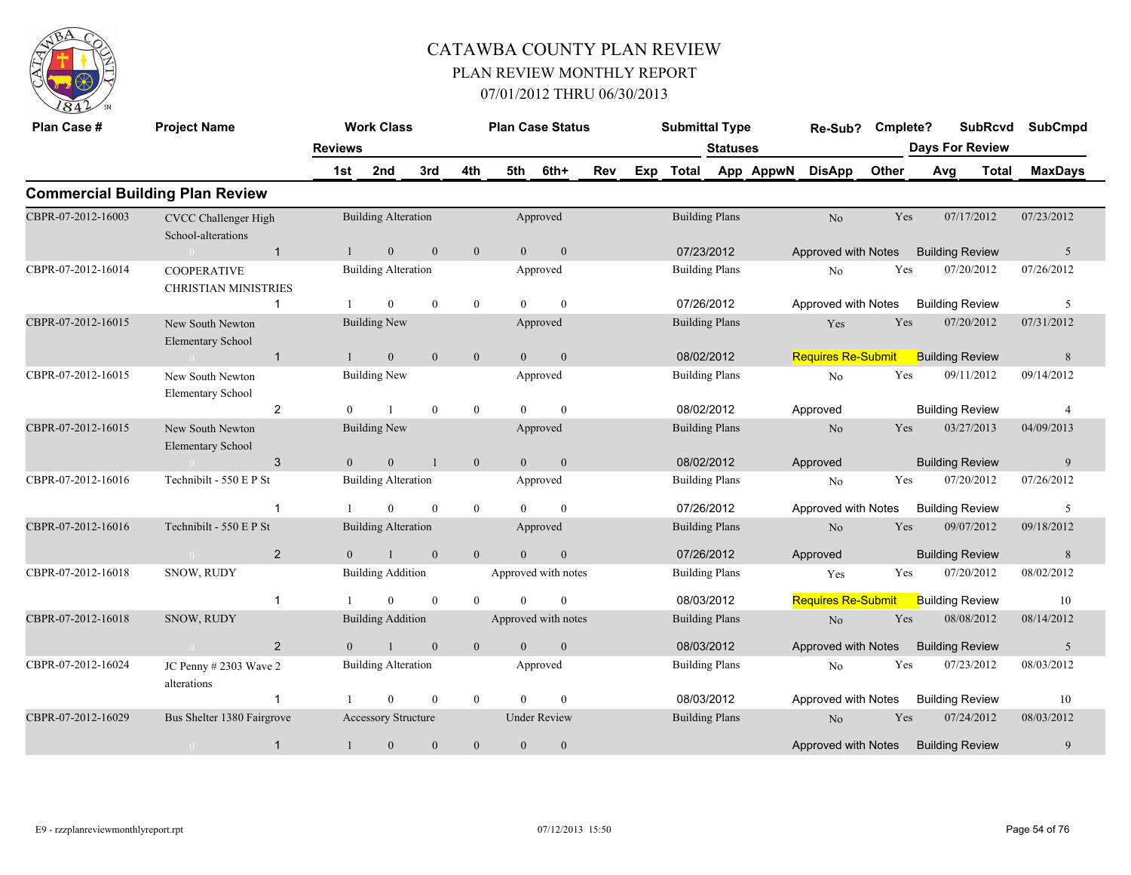

| Plan Case #        | <b>Project Name</b>                               |                | <b>Work Class</b>                    |                |                | <b>Plan Case Status</b>         |                     |                  |     | <b>Submittal Type</b> |                                     |           | Re-Sub?                   | Cmplete?   |     | <b>SubRcvd</b>                       | <b>SubCmpd</b>   |
|--------------------|---------------------------------------------------|----------------|--------------------------------------|----------------|----------------|---------------------------------|---------------------|------------------|-----|-----------------------|-------------------------------------|-----------|---------------------------|------------|-----|--------------------------------------|------------------|
|                    |                                                   | <b>Reviews</b> |                                      |                |                |                                 |                     |                  |     |                       | <b>Statuses</b>                     |           |                           |            |     | <b>Days For Review</b>               |                  |
|                    |                                                   | 1st            | 2nd                                  | 3rd            | 4th            | 5th                             | 6th+                | Rev              | Exp | <b>Total</b>          |                                     | App AppwN | <b>DisApp</b>             | Other      | Avg | <b>Total</b>                         | <b>MaxDays</b>   |
|                    | <b>Commercial Building Plan Review</b>            |                |                                      |                |                |                                 |                     |                  |     |                       |                                     |           |                           |            |     |                                      |                  |
| CBPR-07-2012-16003 | CVCC Challenger High<br>School-alterations        |                | <b>Building Alteration</b>           |                |                |                                 | Approved            |                  |     |                       | <b>Building Plans</b>               |           | N <sub>o</sub>            | <b>Yes</b> |     | 07/17/2012                           | 07/23/2012       |
|                    | $\mathbf{1}$<br>$\sim 0$                          |                | $\mathbf{0}$                         | $\mathbf{0}$   | $\mathbf{0}$   | $\overline{0}$                  |                     | $\mathbf{0}$     |     |                       | 07/23/2012                          |           | Approved with Notes       |            |     | <b>Building Review</b>               | 5                |
| CBPR-07-2012-16014 | <b>COOPERATIVE</b><br><b>CHRISTIAN MINISTRIES</b> |                | <b>Building Alteration</b>           |                |                |                                 | Approved            |                  |     |                       | <b>Building Plans</b>               |           | No                        | Yes        |     | 07/20/2012                           | 07/26/2012       |
|                    | $\overline{1}$                                    |                | $\theta$                             | $\theta$       | $\overline{0}$ | $\Omega$                        |                     | $\theta$         |     |                       | 07/26/2012                          |           | Approved with Notes       |            |     | <b>Building Review</b>               | 5                |
| CBPR-07-2012-16015 | New South Newton<br><b>Elementary School</b>      |                | <b>Building New</b>                  |                |                |                                 | Approved            |                  |     |                       | <b>Building Plans</b>               |           | Yes                       | Yes        |     | 07/20/2012                           | 07/31/2012       |
|                    | $\overline{1}$                                    |                | $\boldsymbol{0}$                     | $\mathbf{0}$   | $\mathbf{0}$   | $\overline{0}$                  |                     | $\boldsymbol{0}$ |     |                       | 08/02/2012                          |           | <b>Requires Re-Submit</b> |            |     | <b>Building Review</b>               | 8                |
| CBPR-07-2012-16015 | New South Newton<br><b>Elementary School</b>      |                | <b>Building New</b>                  |                |                |                                 | Approved            |                  |     |                       | <b>Building Plans</b>               |           | N <sub>o</sub>            | Yes        |     | 09/11/2012                           | 09/14/2012       |
|                    | $\overline{2}$                                    | $\overline{0}$ | $\mathbf{1}$                         | $\mathbf{0}$   | $\mathbf{0}$   | $\overline{0}$                  |                     | $\mathbf{0}$     |     |                       | 08/02/2012                          |           | Approved                  |            |     | <b>Building Review</b>               | 4                |
| CBPR-07-2012-16015 | New South Newton<br><b>Elementary School</b>      |                | <b>Building New</b>                  |                |                |                                 | Approved            |                  |     |                       | <b>Building Plans</b>               |           | N <sub>o</sub>            | Yes        |     | 03/27/2013                           | 04/09/2013       |
|                    | 3<br>$\sim 0$                                     | $\overline{0}$ | $\mathbf{0}$                         | $\overline{1}$ | $\mathbf{0}$   | $\overline{0}$                  |                     | $\mathbf{0}$     |     |                       | 08/02/2012                          |           | Approved                  |            |     | <b>Building Review</b>               | 9                |
| CBPR-07-2012-16016 | Technibilt - 550 E P St                           |                | <b>Building Alteration</b>           |                |                |                                 | Approved            |                  |     |                       | <b>Building Plans</b>               |           | No                        | Yes        |     | 07/20/2012                           | 07/26/2012       |
|                    | -1                                                |                | $\theta$                             | $\theta$       | $\mathbf{0}$   | $\Omega$                        |                     | $\theta$         |     |                       | 07/26/2012                          |           | Approved with Notes       |            |     | <b>Building Review</b>               | 5                |
| CBPR-07-2012-16016 | Technibilt - 550 E P St                           |                | <b>Building Alteration</b>           |                |                |                                 | Approved            |                  |     |                       | <b>Building Plans</b>               |           | N <sub>o</sub>            | Yes        |     | 09/07/2012                           | 09/18/2012       |
|                    | 2<br>$\bigcap$                                    | $\Omega$       | $\overline{1}$                       | $\mathbf{0}$   | $\overline{0}$ | $\theta$                        |                     | $\mathbf{0}$     |     |                       | 07/26/2012                          |           | Approved                  |            |     | <b>Building Review</b>               | 8                |
| CBPR-07-2012-16018 | SNOW, RUDY<br>$\mathbf 1$                         |                | <b>Building Addition</b><br>$\theta$ | $\theta$       | $\theta$       | Approved with notes<br>$\Omega$ |                     | $\theta$         |     |                       | <b>Building Plans</b><br>08/03/2012 |           | Yes                       | Yes        |     | 07/20/2012                           | 08/02/2012<br>10 |
| CBPR-07-2012-16018 | SNOW, RUDY                                        |                |                                      |                |                |                                 |                     |                  |     |                       |                                     |           | <b>Requires Re-Submit</b> | Yes        |     | <b>Building Review</b><br>08/08/2012 | 08/14/2012       |
|                    |                                                   |                | <b>Building Addition</b>             |                |                | Approved with notes             |                     |                  |     |                       | <b>Building Plans</b>               |           | No                        |            |     |                                      |                  |
|                    | 2<br>$\sim 0$                                     | $\theta$       | $\mathbf{1}$                         | $\mathbf{0}$   | $\mathbf{0}$   | $\theta$                        |                     | $\mathbf{0}$     |     |                       | 08/03/2012                          |           | Approved with Notes       |            |     | <b>Building Review</b>               | 5                |
| CBPR-07-2012-16024 | JC Penny # 2303 Wave 2<br>alterations             |                | <b>Building Alteration</b>           |                |                |                                 | Approved            |                  |     |                       | <b>Building Plans</b>               |           | N <sub>o</sub>            | Yes        |     | 07/23/2012                           | 08/03/2012       |
|                    | $\mathbf 1$                                       |                | $\mathbf{0}$                         | $\mathbf{0}$   | $\mathbf{0}$   | $\theta$                        |                     | $\mathbf{0}$     |     |                       | 08/03/2012                          |           | Approved with Notes       |            |     | <b>Building Review</b>               | 10               |
| CBPR-07-2012-16029 | Bus Shelter 1380 Fairgrove                        |                | <b>Accessory Structure</b>           |                |                |                                 | <b>Under Review</b> |                  |     |                       | <b>Building Plans</b>               |           | N <sub>o</sub>            | Yes        |     | 07/24/2012                           | 08/03/2012       |
|                    | $\mathbf{1}$<br>$\overline{0}$                    | 1              | $\mathbf{0}$                         | $\mathbf{0}$   | $\mathbf{0}$   | $\mathbf{0}$                    |                     | $\boldsymbol{0}$ |     |                       |                                     |           | Approved with Notes       |            |     | <b>Building Review</b>               | 9                |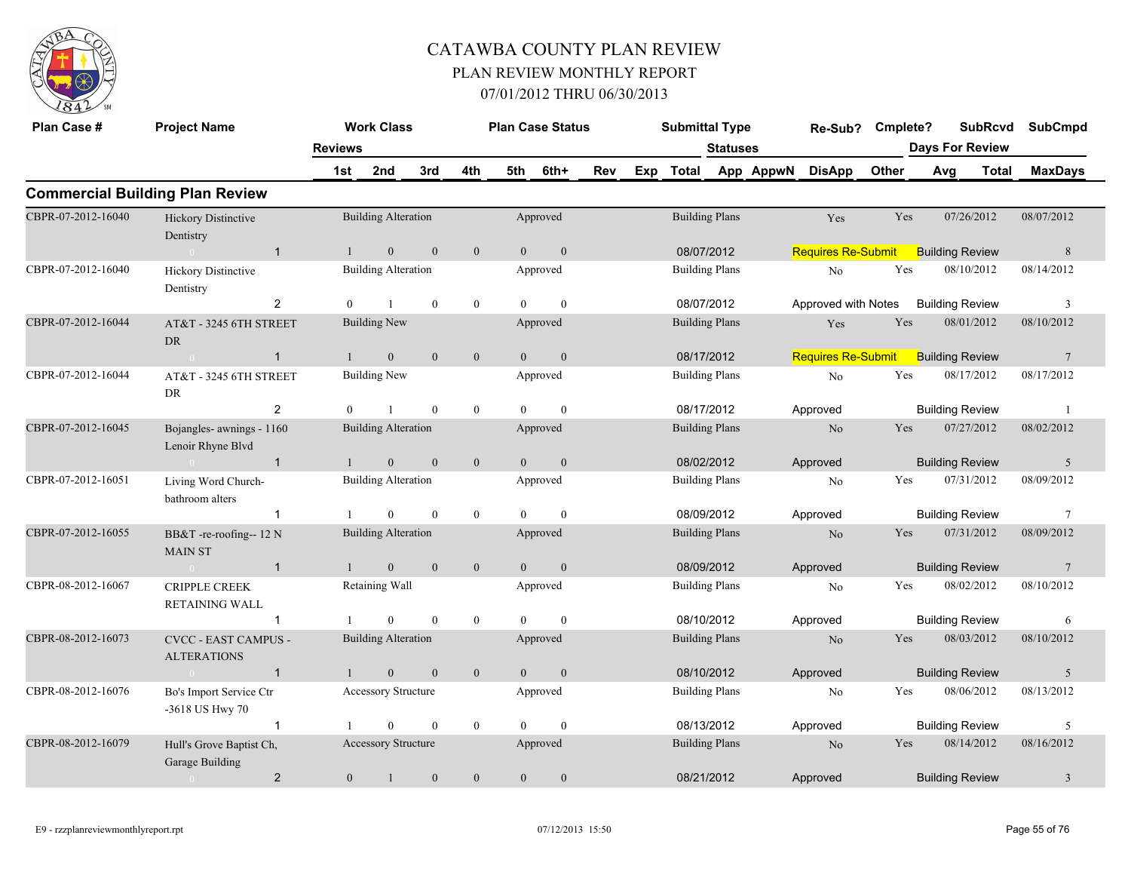

| Plan Case #        | <b>Project Name</b>                               |                | <b>Work Class</b>          |              |                |                | <b>Plan Case Status</b> |     | <b>Submittal Type</b> |                 |           | Re-Sub?                   | Cmplete?   |     |                        | <b>SubRcvd</b> | <b>SubCmpd</b>  |
|--------------------|---------------------------------------------------|----------------|----------------------------|--------------|----------------|----------------|-------------------------|-----|-----------------------|-----------------|-----------|---------------------------|------------|-----|------------------------|----------------|-----------------|
|                    |                                                   | <b>Reviews</b> |                            |              |                |                |                         |     |                       | <b>Statuses</b> |           |                           |            |     | <b>Days For Review</b> |                |                 |
|                    |                                                   | 1st            | 2nd                        | 3rd          | 4th            | 5th            | 6th+                    | Rev | Exp Total             |                 | App AppwN | <b>DisApp</b>             | Other      | Avg |                        | Total          | <b>MaxDays</b>  |
|                    | <b>Commercial Building Plan Review</b>            |                |                            |              |                |                |                         |     |                       |                 |           |                           |            |     |                        |                |                 |
| CBPR-07-2012-16040 | Hickory Distinctive<br>Dentistry                  |                | <b>Building Alteration</b> |              |                |                | Approved                |     | <b>Building Plans</b> |                 |           | Yes                       | Yes        |     | 07/26/2012             |                | 08/07/2012      |
|                    | $\overline{1}$<br>$\sim 0$                        | $\mathbf{1}$   | $\mathbf{0}$               | $\mathbf{0}$ | $\mathbf{0}$   | $\overline{0}$ | $\mathbf{0}$            |     | 08/07/2012            |                 |           | <b>Requires Re-Submit</b> |            |     | <b>Building Review</b> |                | $\,$ 8 $\,$     |
| CBPR-07-2012-16040 | <b>Hickory Distinctive</b><br>Dentistry           |                | <b>Building Alteration</b> |              |                |                | Approved                |     | <b>Building Plans</b> |                 |           | No                        | Yes        |     | 08/10/2012             |                | 08/14/2012      |
|                    | 2                                                 | $\theta$       | $\mathbf{1}$               | $\theta$     | $\overline{0}$ | $\theta$       | $\mathbf{0}$            |     | 08/07/2012            |                 |           | Approved with Notes       |            |     | <b>Building Review</b> |                | 3               |
| CBPR-07-2012-16044 | AT&T - 3245 6TH STREET<br>${\rm DR}$              |                | <b>Building New</b>        |              |                |                | Approved                |     | <b>Building Plans</b> |                 |           | Yes                       | Yes        |     | 08/01/2012             |                | 08/10/2012      |
|                    | $\mathbf{1}$<br>$\sim 0$                          | $\mathbf{1}$   | $\mathbf{0}$               | $\mathbf{0}$ | $\mathbf{0}$   | $\overline{0}$ | $\mathbf{0}$            |     | 08/17/2012            |                 |           | <b>Requires Re-Submit</b> |            |     | <b>Building Review</b> |                | $7\phantom{.0}$ |
| CBPR-07-2012-16044 | AT&T - 3245 6TH STREET<br>DR                      |                | Building New               |              |                |                | Approved                |     | <b>Building Plans</b> |                 |           | No                        | Yes        |     | 08/17/2012             |                | 08/17/2012      |
|                    | $\overline{2}$                                    | $\theta$       | $\overline{1}$             | $\theta$     | $\mathbf{0}$   | $\Omega$       | $\theta$                |     | 08/17/2012            |                 |           | Approved                  |            |     | <b>Building Review</b> |                | $\overline{1}$  |
| CBPR-07-2012-16045 | Bojangles- awnings - 1160<br>Lenoir Rhyne Blvd    |                | <b>Building Alteration</b> |              |                |                | Approved                |     | <b>Building Plans</b> |                 |           | $\rm No$                  | Yes        |     | 07/27/2012             |                | 08/02/2012      |
|                    | $\mathbf{1}$<br>$\sim 0$                          | $\mathbf{1}$   | $\mathbf{0}$               | $\mathbf{0}$ | $\mathbf{0}$   | $\mathbf{0}$   | $\mathbf{0}$            |     | 08/02/2012            |                 |           | Approved                  |            |     | <b>Building Review</b> |                | 5               |
| CBPR-07-2012-16051 | Living Word Church-<br>bathroom alters            |                | <b>Building Alteration</b> |              |                |                | Approved                |     | <b>Building Plans</b> |                 |           | No                        | Yes        |     | 07/31/2012             |                | 08/09/2012      |
|                    | $\mathbf{1}$                                      |                | $\mathbf{0}$               | $\mathbf{0}$ | $\mathbf{0}$   | $\theta$       | $\mathbf{0}$            |     | 08/09/2012            |                 |           | Approved                  |            |     | <b>Building Review</b> |                | 7               |
| CBPR-07-2012-16055 | BB&T -re-roofing-- 12 N<br><b>MAIN ST</b>         |                | <b>Building Alteration</b> |              |                |                | Approved                |     | <b>Building Plans</b> |                 |           | No                        | <b>Yes</b> |     | 07/31/2012             |                | 08/09/2012      |
|                    | $\overline{1}$<br>$\overline{0}$                  |                | $\mathbf{0}$               | $\mathbf{0}$ | $\mathbf{0}$   | $\overline{0}$ | $\mathbf{0}$            |     | 08/09/2012            |                 |           | Approved                  |            |     | <b>Building Review</b> |                | $7\phantom{.0}$ |
| CBPR-08-2012-16067 | <b>CRIPPLE CREEK</b><br><b>RETAINING WALL</b>     |                | Retaining Wall             |              |                |                | Approved                |     | <b>Building Plans</b> |                 |           | No                        | Yes        |     | 08/02/2012             |                | 08/10/2012      |
|                    | -1                                                |                | $\theta$                   | $\theta$     | $\mathbf{0}$   | $\theta$       | $\theta$                |     | 08/10/2012            |                 |           | Approved                  |            |     | <b>Building Review</b> |                | 6               |
| CBPR-08-2012-16073 | <b>CVCC - EAST CAMPUS -</b><br><b>ALTERATIONS</b> |                | <b>Building Alteration</b> |              |                |                | Approved                |     | <b>Building Plans</b> |                 |           | N <sub>o</sub>            | Yes        |     | 08/03/2012             |                | 08/10/2012      |
|                    | $\mathbf{1}$<br>$\sim 0$                          |                | $\mathbf{0}$               | $\mathbf{0}$ | $\mathbf{0}$   | $\overline{0}$ | $\mathbf{0}$            |     | 08/10/2012            |                 |           | Approved                  |            |     | <b>Building Review</b> |                | 5               |
| CBPR-08-2012-16076 | Bo's Import Service Ctr<br>-3618 US Hwy 70        |                | <b>Accessory Structure</b> |              |                |                | Approved                |     | <b>Building Plans</b> |                 |           | No                        | Yes        |     | 08/06/2012             |                | 08/13/2012      |
|                    | $\mathbf{1}$                                      |                | $\theta$                   | $\mathbf{0}$ | $\mathbf{0}$   | $\theta$       | $\mathbf{0}$            |     | 08/13/2012            |                 |           | Approved                  |            |     | <b>Building Review</b> |                | 5               |
| CBPR-08-2012-16079 | Hull's Grove Baptist Ch.<br>Garage Building       |                | Accessory Structure        |              |                |                | Approved                |     | <b>Building Plans</b> |                 |           | N <sub>o</sub>            | <b>Yes</b> |     | 08/14/2012             |                | 08/16/2012      |
|                    | $\overline{2}$<br>$\overline{0}$                  | $\overline{0}$ | $\overline{1}$             | $\mathbf{0}$ | $\mathbf{0}$   | $\overline{0}$ | $\mathbf{0}$            |     | 08/21/2012            |                 |           | Approved                  |            |     | <b>Building Review</b> |                | $\mathfrak{Z}$  |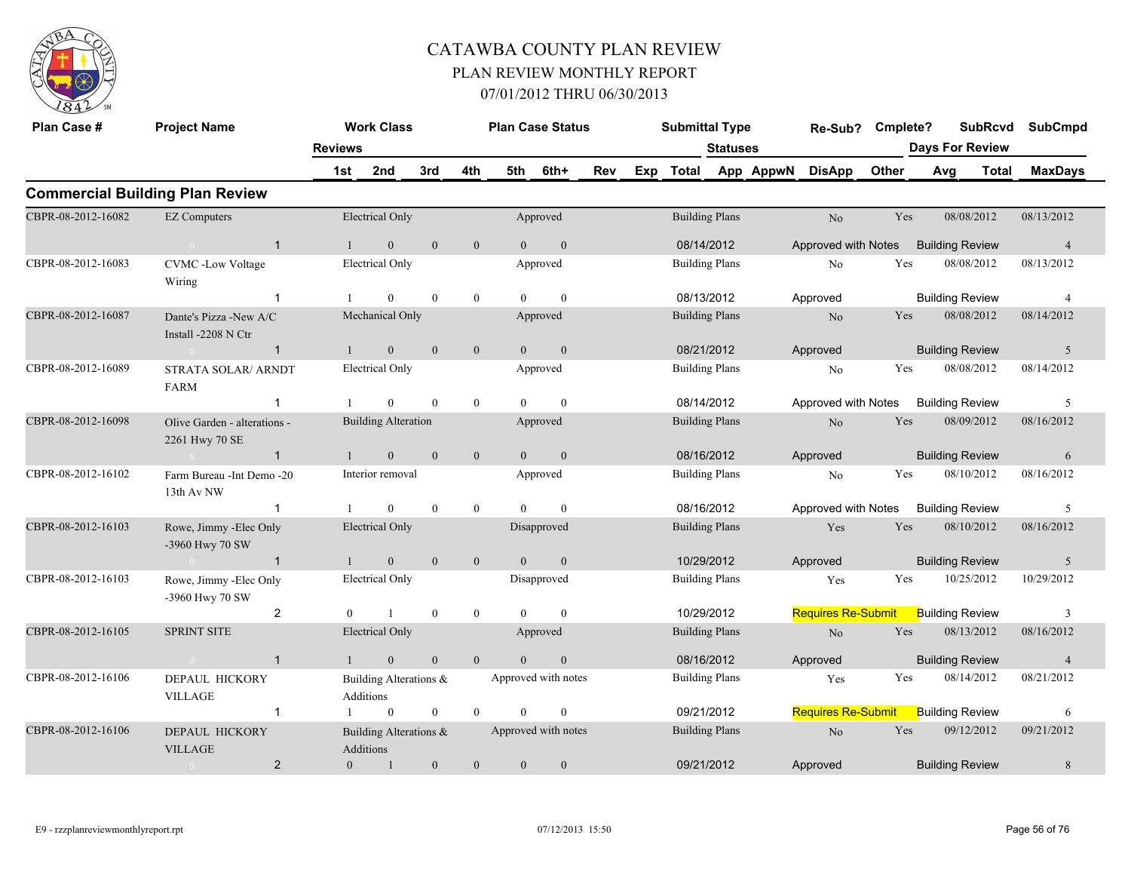

| Plan Case #        | <b>Project Name</b>                            |                | <b>Work Class</b>                   |              |                |                | <b>Plan Case Status</b> |     |     | <b>Submittal Type</b> |                 |           | Re-Sub?                   | Cmplete? | <b>SubRcvd</b>         |       | <b>SubCmpd</b> |
|--------------------|------------------------------------------------|----------------|-------------------------------------|--------------|----------------|----------------|-------------------------|-----|-----|-----------------------|-----------------|-----------|---------------------------|----------|------------------------|-------|----------------|
|                    |                                                | <b>Reviews</b> |                                     |              |                |                |                         |     |     |                       | <b>Statuses</b> |           |                           |          | <b>Days For Review</b> |       |                |
|                    |                                                | 1st            | 2nd                                 | 3rd          | 4th            | 5th            | 6th+                    | Rev | Exp | Total                 |                 | App AppwN | <b>DisApp</b>             | Other    | Avg                    | Total | <b>MaxDays</b> |
|                    | <b>Commercial Building Plan Review</b>         |                |                                     |              |                |                |                         |     |     |                       |                 |           |                           |          |                        |       |                |
| CBPR-08-2012-16082 | <b>EZ Computers</b>                            |                | <b>Electrical Only</b>              |              |                |                | Approved                |     |     | <b>Building Plans</b> |                 |           | N <sub>o</sub>            | Yes      | 08/08/2012             |       | 08/13/2012     |
|                    | $\mathbf{1}$<br>$\sim 0$                       | $\mathbf{1}$   | $\overline{0}$                      | $\mathbf{0}$ | $\mathbf{0}$   | $\overline{0}$ | $\mathbf{0}$            |     |     |                       | 08/14/2012      |           | Approved with Notes       |          | <b>Building Review</b> |       | $\overline{4}$ |
| CBPR-08-2012-16083 | <b>CVMC</b> -Low Voltage<br>Wiring             |                | <b>Electrical Only</b>              |              |                |                | Approved                |     |     | <b>Building Plans</b> |                 |           | No                        | Yes      | 08/08/2012             |       | 08/13/2012     |
|                    | -1                                             |                | $\overline{0}$                      | $\theta$     | $\mathbf{0}$   | $\Omega$       | $\mathbf{0}$            |     |     | 08/13/2012            |                 |           | Approved                  |          | <b>Building Review</b> |       | 4              |
| CBPR-08-2012-16087 | Dante's Pizza -New A/C<br>Install -2208 N Ctr  |                | Mechanical Only                     |              |                |                | Approved                |     |     | <b>Building Plans</b> |                 |           | $\rm No$                  | Yes      | 08/08/2012             |       | 08/14/2012     |
|                    | $\sim 0$<br>$\mathbf{1}$                       | $\mathbf{1}$   | $\overline{0}$                      | $\mathbf{0}$ | $\mathbf{0}$   | $\overline{0}$ | $\mathbf{0}$            |     |     | 08/21/2012            |                 |           | Approved                  |          | <b>Building Review</b> |       | 5              |
| CBPR-08-2012-16089 | <b>STRATA SOLAR/ ARNDT</b><br><b>FARM</b>      |                | <b>Electrical Only</b>              |              |                |                | Approved                |     |     | <b>Building Plans</b> |                 |           | No                        | Yes      | 08/08/2012             |       | 08/14/2012     |
|                    | 1                                              |                | $\theta$                            | $\theta$     | $\mathbf{0}$   | $\Omega$       | $\theta$                |     |     |                       | 08/14/2012      |           | Approved with Notes       |          | <b>Building Review</b> |       | 5              |
| CBPR-08-2012-16098 | Olive Garden - alterations -<br>2261 Hwy 70 SE |                | <b>Building Alteration</b>          |              |                |                | Approved                |     |     | <b>Building Plans</b> |                 |           | $\rm No$                  | Yes      | 08/09/2012             |       | 08/16/2012     |
|                    | $\mathbf{1}$<br>$\sim 0$                       | $\mathbf{1}$   | $\mathbf{0}$                        | $\mathbf{0}$ | $\mathbf{0}$   | $\overline{0}$ | $\boldsymbol{0}$        |     |     | 08/16/2012            |                 |           | Approved                  |          | <b>Building Review</b> |       | 6              |
| CBPR-08-2012-16102 | Farm Bureau - Int Demo - 20<br>13th Av NW      |                | Interior removal                    |              |                |                | Approved                |     |     | <b>Building Plans</b> |                 |           | No                        | Yes      | 08/10/2012             |       | 08/16/2012     |
|                    | $\mathbf{1}$                                   | -1             | $\overline{0}$                      | $\mathbf{0}$ | $\mathbf{0}$   | $\Omega$       | $\mathbf{0}$            |     |     | 08/16/2012            |                 |           | Approved with Notes       |          | <b>Building Review</b> |       | 5              |
| CBPR-08-2012-16103 | Rowe, Jimmy -Elec Only<br>-3960 Hwy 70 SW      |                | <b>Electrical Only</b>              |              |                |                | Disapproved             |     |     | <b>Building Plans</b> |                 |           | Yes                       | Yes      | 08/10/2012             |       | 08/16/2012     |
|                    | $\sim 0$<br>$\overline{1}$                     | $\mathbf{1}$   | $\overline{0}$                      | $\mathbf{0}$ | $\mathbf{0}$   | $\mathbf{0}$   | $\overline{0}$          |     |     | 10/29/2012            |                 |           | Approved                  |          | <b>Building Review</b> |       | 5              |
| CBPR-08-2012-16103 | Rowe, Jimmy -Elec Only<br>-3960 Hwy 70 SW      |                | <b>Electrical Only</b>              |              |                |                | Disapproved             |     |     | <b>Building Plans</b> |                 |           | Yes                       | Yes      | 10/25/2012             |       | 10/29/2012     |
|                    | 2                                              | $\theta$       | $\overline{1}$                      | $\mathbf{0}$ | $\mathbf{0}$   | $\theta$       | $\mathbf{0}$            |     |     | 10/29/2012            |                 |           | <b>Requires Re-Submit</b> |          | <b>Building Review</b> |       | 3              |
| CBPR-08-2012-16105 | <b>SPRINT SITE</b>                             |                | <b>Electrical Only</b>              |              |                |                | Approved                |     |     | <b>Building Plans</b> |                 |           | $\rm No$                  | Yes      | 08/13/2012             |       | 08/16/2012     |
|                    | $\mathbf{1}$<br>$\sim 0$                       | $\mathbf{1}$   | $\mathbf{0}$                        | $\mathbf{0}$ | $\overline{0}$ | $\theta$       | $\mathbf{0}$            |     |     | 08/16/2012            |                 |           | Approved                  |          | <b>Building Review</b> |       | $\overline{4}$ |
| CBPR-08-2012-16106 | <b>DEPAUL HICKORY</b><br><b>VILLAGE</b>        |                | Building Alterations &<br>Additions |              |                |                | Approved with notes     |     |     | <b>Building Plans</b> |                 |           | Yes                       | Yes      | 08/14/2012             |       | 08/21/2012     |
|                    | $\mathbf{1}$                                   |                | $\overline{0}$                      | $\mathbf{0}$ | $\mathbf{0}$   | $\theta$       | $\mathbf{0}$            |     |     | 09/21/2012            |                 |           | <b>Requires Re-Submit</b> |          | <b>Building Review</b> |       | 6              |
| CBPR-08-2012-16106 | DEPAUL HICKORY<br><b>VILLAGE</b>               |                | Building Alterations &<br>Additions |              |                |                | Approved with notes     |     |     | <b>Building Plans</b> |                 |           | No                        | Yes      | 09/12/2012             |       | 09/21/2012     |
|                    | $\overline{2}$<br>$\sim 0$                     | $\theta$       | -1                                  | $\mathbf{0}$ | $\overline{0}$ | $\mathbf{0}$   | $\mathbf{0}$            |     |     | 09/21/2012            |                 |           | Approved                  |          | <b>Building Review</b> |       | $8\phantom{.}$ |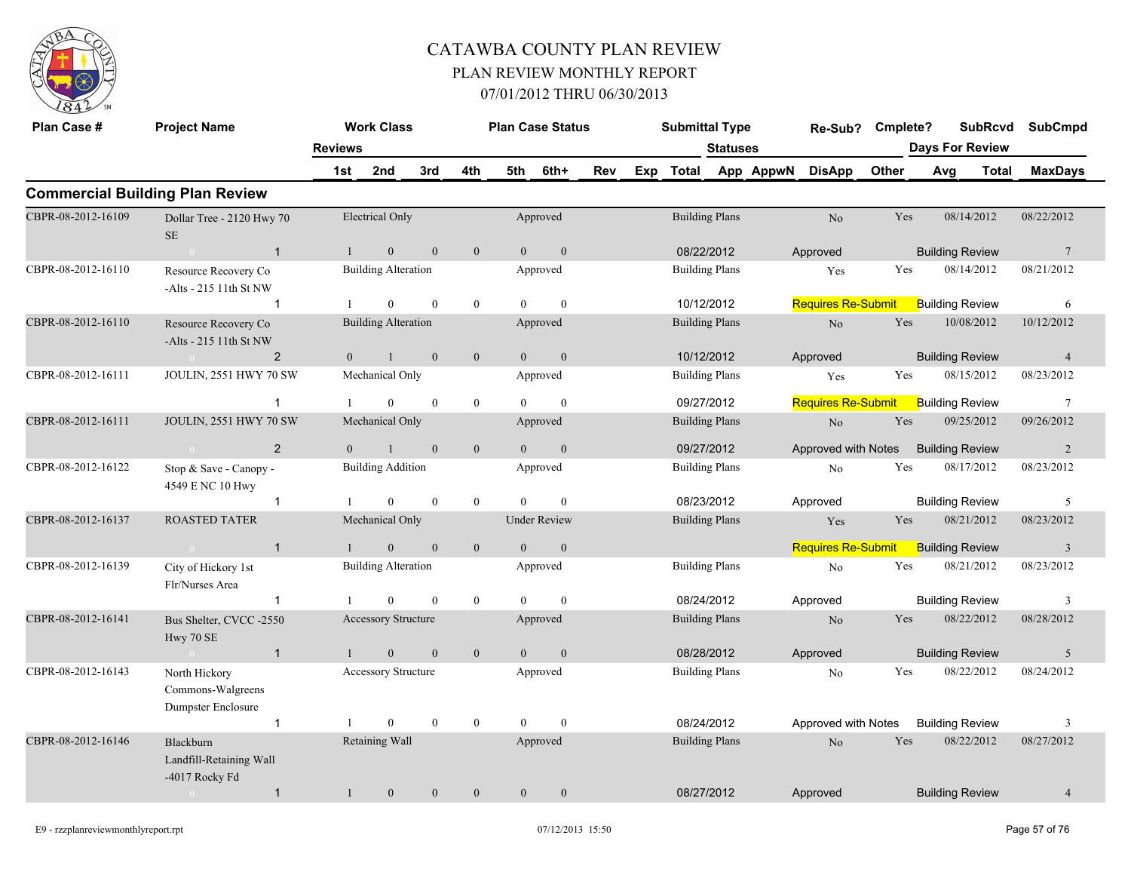

| Plan Case #        | <b>Project Name</b>                                      |                | <b>Work Class</b>          |                  |                  |                | <b>Plan Case Status</b> |     | <b>Submittal Type</b> |                 |                     | Re-Sub?                   | Cmplete?   |                        | <b>SubRcvd</b> | <b>SubCmpd</b>  |
|--------------------|----------------------------------------------------------|----------------|----------------------------|------------------|------------------|----------------|-------------------------|-----|-----------------------|-----------------|---------------------|---------------------------|------------|------------------------|----------------|-----------------|
|                    |                                                          | <b>Reviews</b> |                            |                  |                  |                |                         |     |                       | <b>Statuses</b> |                     |                           |            | <b>Days For Review</b> |                |                 |
|                    |                                                          | 1st            | 2nd                        | 3rd              | 4th              | 5th            | 6th+                    | Rev |                       |                 | Exp Total App AppwN | <b>DisApp</b>             | Other      | Avg                    | Total          | <b>MaxDays</b>  |
|                    | <b>Commercial Building Plan Review</b>                   |                |                            |                  |                  |                |                         |     |                       |                 |                     |                           |            |                        |                |                 |
| CBPR-08-2012-16109 | Dollar Tree - 2120 Hwy 70<br><b>SE</b>                   |                | <b>Electrical Only</b>     |                  |                  |                | Approved                |     | <b>Building Plans</b> |                 |                     | No                        | Yes        | 08/14/2012             |                | 08/22/2012      |
|                    | $\sim 0$<br>$\overline{1}$                               | $\overline{1}$ | $\mathbf{0}$               | $\mathbf{0}$     | $\mathbf{0}$     | $\theta$       | $\boldsymbol{0}$        |     | 08/22/2012            |                 |                     | Approved                  |            | <b>Building Review</b> |                | $7\phantom{.0}$ |
| CBPR-08-2012-16110 | Resource Recovery Co<br>$-A$ lts - 215 11th St NW        |                | <b>Building Alteration</b> |                  |                  |                | Approved                |     | <b>Building Plans</b> |                 |                     | Yes                       | Yes        | 08/14/2012             |                | 08/21/2012      |
|                    | $\mathbf{1}$                                             |                | $\overline{0}$             | $\mathbf{0}$     | $\mathbf{0}$     | $\theta$       | $\mathbf{0}$            |     | 10/12/2012            |                 |                     | <b>Requires Re-Submit</b> |            | <b>Building Review</b> |                | 6               |
| CBPR-08-2012-16110 | Resource Recovery Co<br>$-Alts - 215$ 11th St NW         |                | <b>Building Alteration</b> |                  |                  |                | Approved                |     | <b>Building Plans</b> |                 |                     | N <sub>o</sub>            | Yes        | 10/08/2012             |                | 10/12/2012      |
|                    | $\overline{2}$<br>$\bigcap$                              | $\overline{0}$ | $\mathbf{1}$               | $\mathbf{0}$     | $\mathbf{0}$     | $\overline{0}$ | $\mathbf{0}$            |     | 10/12/2012            |                 |                     | Approved                  |            | <b>Building Review</b> |                | $\overline{4}$  |
| CBPR-08-2012-16111 | JOULIN, 2551 HWY 70 SW                                   |                | Mechanical Only            |                  |                  |                | Approved                |     | <b>Building Plans</b> |                 |                     | Yes                       | Yes        | 08/15/2012             |                | 08/23/2012      |
|                    | $\mathbf{1}$                                             |                | $\Omega$                   | $\mathbf{0}$     | $\bf{0}$         | $\theta$       | $\mathbf{0}$            |     | 09/27/2012            |                 |                     | <b>Requires Re-Submit</b> |            | <b>Building Review</b> |                | $7\phantom{.0}$ |
| CBPR-08-2012-16111 | <b>JOULIN, 2551 HWY 70 SW</b>                            |                | Mechanical Only            |                  |                  |                | Approved                |     | <b>Building Plans</b> |                 |                     | $\rm No$                  | Yes        | 09/25/2012             |                | 09/26/2012      |
|                    | $\overline{2}$<br>$\sim 0$                               | $\Omega$       |                            | $\mathbf{0}$     | $\mathbf{0}$     | $\Omega$       | $\boldsymbol{0}$        |     | 09/27/2012            |                 |                     | Approved with Notes       |            | <b>Building Review</b> |                | 2               |
| CBPR-08-2012-16122 | Stop & Save - Canopy -<br>4549 E NC 10 Hwy               |                | <b>Building Addition</b>   |                  |                  |                | Approved                |     | <b>Building Plans</b> |                 |                     | No                        | Yes        | 08/17/2012             |                | 08/23/2012      |
|                    | $\mathbf{1}$                                             |                | $\theta$                   | $\mathbf{0}$     | $\mathbf{0}$     | $\Omega$       | $\theta$                |     | 08/23/2012            |                 |                     | Approved                  |            | <b>Building Review</b> |                | 5               |
| CBPR-08-2012-16137 | <b>ROASTED TATER</b>                                     |                | Mechanical Only            |                  |                  |                | <b>Under Review</b>     |     | <b>Building Plans</b> |                 |                     | Yes                       | <b>Yes</b> | 08/21/2012             |                | 08/23/2012      |
|                    | $\overline{1}$<br>$\sim 0$                               |                | $\overline{0}$             | $\mathbf{0}$     | $\mathbf{0}$     | $\theta$       | $\mathbf{0}$            |     |                       |                 |                     | <b>Requires Re-Submit</b> |            | <b>Building Review</b> |                | $\overline{3}$  |
| CBPR-08-2012-16139 | City of Hickory 1st<br>Flr/Nurses Area                   |                | <b>Building Alteration</b> |                  |                  |                | Approved                |     | <b>Building Plans</b> |                 |                     | $\rm No$                  | Yes        | 08/21/2012             |                | 08/23/2012      |
|                    | $\mathbf{1}$                                             |                | $\overline{0}$             | $\mathbf{0}$     | $\mathbf{0}$     | $\theta$       | $\mathbf{0}$            |     | 08/24/2012            |                 |                     | Approved                  |            | <b>Building Review</b> |                | $\mathbf{3}$    |
| CBPR-08-2012-16141 | Bus Shelter, CVCC -2550<br>Hwy 70 SE                     |                | <b>Accessory Structure</b> |                  |                  |                | Approved                |     | <b>Building Plans</b> |                 |                     | $\rm No$                  | Yes        | 08/22/2012             |                | 08/28/2012      |
|                    | $\overline{1}$<br>$\sim 0$ and $\sim 0$                  | $\mathbf{1}$   | $\mathbf{0}$               | $\mathbf{0}$     | $\mathbf{0}$     | $\overline{0}$ | $\mathbf{0}$            |     | 08/28/2012            |                 |                     | Approved                  |            | <b>Building Review</b> |                | 5               |
| CBPR-08-2012-16143 | North Hickory<br>Commons-Walgreens<br>Dumpster Enclosure |                | Accessory Structure        |                  |                  |                | Approved                |     | <b>Building Plans</b> |                 |                     | No                        | Yes        | 08/22/2012             |                | 08/24/2012      |
|                    | $\mathbf{1}$                                             |                | $\theta$                   | $\boldsymbol{0}$ | $\boldsymbol{0}$ | $\Omega$       | $\theta$                |     | 08/24/2012            |                 |                     | Approved with Notes       |            | <b>Building Review</b> |                | 3               |
| CBPR-08-2012-16146 | Blackburn<br>Landfill-Retaining Wall<br>-4017 Rocky Fd   |                | Retaining Wall             |                  |                  |                | Approved                |     | <b>Building Plans</b> |                 |                     | N <sub>o</sub>            | Yes        | 08/22/2012             |                | 08/27/2012      |
|                    | $\overline{1}$<br>$\sim 0$                               | $\mathbf{1}$   | $\mathbf{0}$               | $\mathbf{0}$     | $\mathbf{0}$     | $\overline{0}$ | $\mathbf{0}$            |     | 08/27/2012            |                 |                     | Approved                  |            | <b>Building Review</b> |                | $\overline{4}$  |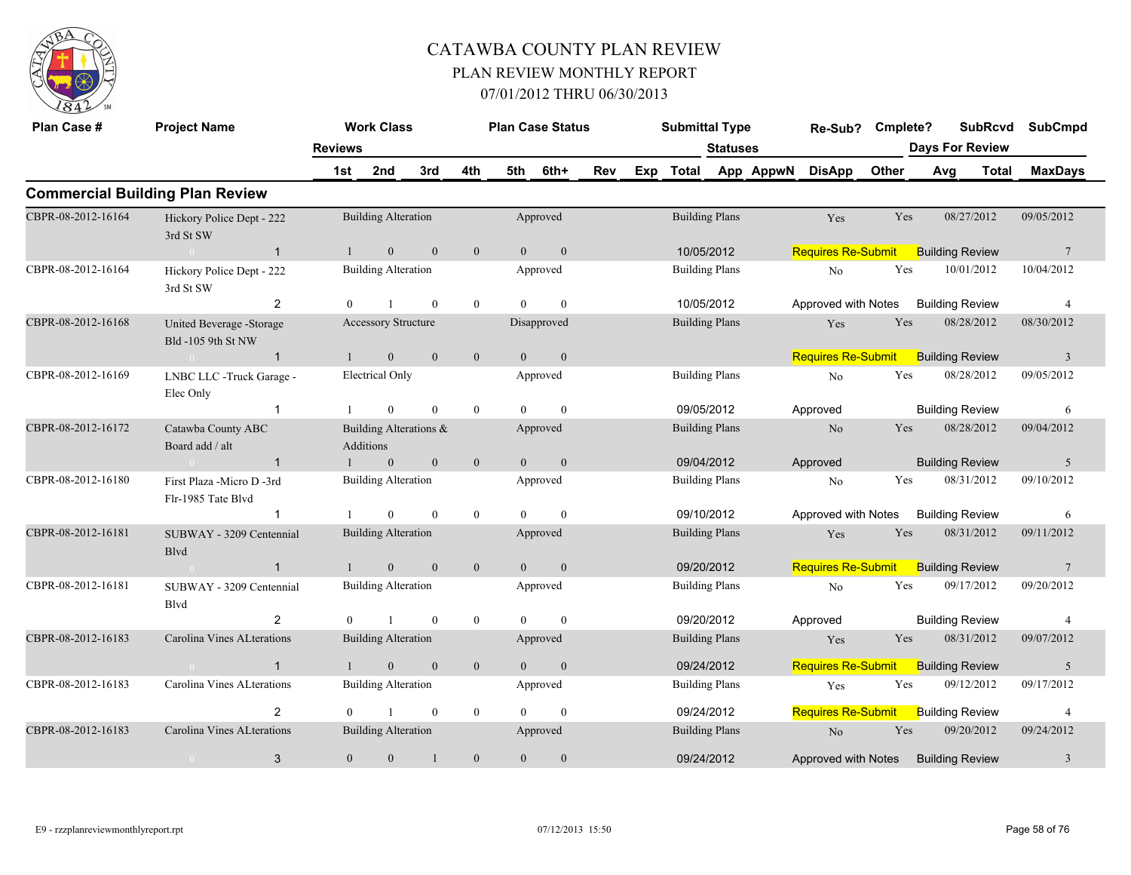

| Plan Case #        | <b>Project Name</b>                             |                | <b>Work Class</b>                   |                |                  | <b>Plan Case Status</b> |                  |     | <b>Submittal Type</b> |                 |           | Re-Sub?                             | Cmplete? |     | <b>SubRcvd</b>         |       | <b>SubCmpd</b>  |
|--------------------|-------------------------------------------------|----------------|-------------------------------------|----------------|------------------|-------------------------|------------------|-----|-----------------------|-----------------|-----------|-------------------------------------|----------|-----|------------------------|-------|-----------------|
|                    |                                                 | <b>Reviews</b> |                                     |                |                  |                         |                  |     |                       | <b>Statuses</b> |           |                                     |          |     | <b>Days For Review</b> |       |                 |
|                    |                                                 | 1st            | 2nd                                 | 3rd            | 4th              | 5th                     | 6th+             | Rev | Exp Total             |                 | App AppwN | <b>DisApp</b>                       | Other    | Avg |                        | Total | <b>MaxDays</b>  |
|                    | <b>Commercial Building Plan Review</b>          |                |                                     |                |                  |                         |                  |     |                       |                 |           |                                     |          |     |                        |       |                 |
| CBPR-08-2012-16164 | Hickory Police Dept - 222<br>3rd St SW          |                | <b>Building Alteration</b>          |                |                  |                         | Approved         |     | <b>Building Plans</b> |                 |           | Yes                                 | Yes      |     | 08/27/2012             |       | 09/05/2012      |
|                    | $\overline{1}$<br>$\overline{0}$                | $\mathbf{1}$   | $\boldsymbol{0}$                    | $\mathbf{0}$   | $\boldsymbol{0}$ | $\overline{0}$          | $\boldsymbol{0}$ |     | 10/05/2012            |                 |           | <b>Requires Re-Submit</b>           |          |     | <b>Building Review</b> |       | $7\phantom{.0}$ |
| CBPR-08-2012-16164 | Hickory Police Dept - 222<br>3rd St SW          |                | <b>Building Alteration</b>          |                |                  |                         | Approved         |     | <b>Building Plans</b> |                 |           | No                                  | Yes      |     | 10/01/2012             |       | 10/04/2012      |
|                    | 2                                               | $\theta$       |                                     | $\mathbf{0}$   | $\bf{0}$         | $\Omega$                | $\mathbf{0}$     |     | 10/05/2012            |                 |           | Approved with Notes                 |          |     | <b>Building Review</b> |       | $\overline{4}$  |
| CBPR-08-2012-16168 | United Beverage -Storage<br>Bld -105 9th St NW  |                | <b>Accessory Structure</b>          |                |                  |                         | Disapproved      |     | <b>Building Plans</b> |                 |           | Yes                                 | Yes      |     | 08/28/2012             |       | 08/30/2012      |
|                    | $\overline{1}$<br>$\Omega$                      |                | $\boldsymbol{0}$                    | $\mathbf{0}$   | $\boldsymbol{0}$ | $\mathbf{0}$            | $\boldsymbol{0}$ |     |                       |                 |           | <b>Requires Re-Submit</b>           |          |     | <b>Building Review</b> |       | $\mathbf{3}$    |
| CBPR-08-2012-16169 | LNBC LLC -Truck Garage -<br>Elec Only           |                | <b>Electrical Only</b>              |                |                  |                         | Approved         |     | <b>Building Plans</b> |                 |           | No                                  | Yes      |     | 08/28/2012             |       | 09/05/2012      |
|                    | $\overline{1}$                                  |                | $\theta$                            | $\theta$       | $\overline{0}$   | $\Omega$                | $\theta$         |     | 09/05/2012            |                 |           | Approved                            |          |     | <b>Building Review</b> |       | 6               |
| CBPR-08-2012-16172 | Catawba County ABC<br>Board add / alt           |                | Building Alterations &<br>Additions |                |                  |                         | Approved         |     | <b>Building Plans</b> |                 |           | N <sub>o</sub>                      | Yes      |     | 08/28/2012             |       | 09/04/2012      |
|                    | $\overline{1}$                                  |                | $\mathbf{0}$                        | $\mathbf{0}$   | $\mathbf{0}$     | $\overline{0}$          | $\mathbf{0}$     |     | 09/04/2012            |                 |           | Approved                            |          |     | <b>Building Review</b> |       | $\sqrt{5}$      |
| CBPR-08-2012-16180 | First Plaza -Micro D -3rd<br>Flr-1985 Tate Blvd |                | <b>Building Alteration</b>          |                |                  |                         | Approved         |     | <b>Building Plans</b> |                 |           | No                                  | Yes      |     | 08/31/2012             |       | 09/10/2012      |
|                    | $\overline{1}$                                  |                | $\theta$                            | $\theta$       | $\mathbf{0}$     | $\Omega$                | $\Omega$         |     | 09/10/2012            |                 |           | Approved with Notes                 |          |     | <b>Building Review</b> |       | 6               |
| CBPR-08-2012-16181 | SUBWAY - 3209 Centennial<br><b>B</b> lvd        |                | <b>Building Alteration</b>          |                |                  |                         | Approved         |     | <b>Building Plans</b> |                 |           | Yes                                 | Yes      |     | 08/31/2012             |       | 09/11/2012      |
|                    | $\overline{1}$<br>$\overline{0}$                |                | $\overline{0}$                      | $\mathbf{0}$   | $\mathbf{0}$     | $\theta$                | $\mathbf{0}$     |     | 09/20/2012            |                 |           | <b>Requires Re-Submit</b>           |          |     | <b>Building Review</b> |       | $7\phantom{.0}$ |
| CBPR-08-2012-16181 | SUBWAY - 3209 Centennial<br>Blvd                |                | <b>Building Alteration</b>          |                |                  |                         | Approved         |     | <b>Building Plans</b> |                 |           | No                                  | Yes      |     | 09/17/2012             |       | 09/20/2012      |
|                    | 2                                               | $\Omega$       |                                     | $\theta$       | $\boldsymbol{0}$ | $\Omega$                | $\theta$         |     | 09/20/2012            |                 |           | Approved                            |          |     | <b>Building Review</b> |       | $\overline{4}$  |
| CBPR-08-2012-16183 | Carolina Vines ALterations                      |                | <b>Building Alteration</b>          |                |                  |                         | Approved         |     | <b>Building Plans</b> |                 |           | Yes                                 | Yes      |     | 08/31/2012             |       | 09/07/2012      |
|                    | $\mathbf{1}$<br>$\bigcap$                       |                | $\overline{0}$                      | $\overline{0}$ | $\mathbf{0}$     | $\overline{0}$          | $\mathbf{0}$     |     | 09/24/2012            |                 |           | <b>Requires Re-Submit</b>           |          |     | <b>Building Review</b> |       | 5               |
| CBPR-08-2012-16183 | Carolina Vines ALterations                      |                | <b>Building Alteration</b>          |                |                  |                         | Approved         |     | <b>Building Plans</b> |                 |           | Yes                                 | Yes      |     | 09/12/2012             |       | 09/17/2012      |
|                    | $\overline{2}$                                  | $\mathbf{0}$   |                                     | $\mathbf{0}$   | $\mathbf{0}$     | $\Omega$                | $\boldsymbol{0}$ |     | 09/24/2012            |                 |           | <b>Requires Re-Submit</b>           |          |     | <b>Building Review</b> |       | $\overline{4}$  |
| CBPR-08-2012-16183 | Carolina Vines ALterations                      |                | <b>Building Alteration</b>          |                |                  |                         | Approved         |     | <b>Building Plans</b> |                 |           | No                                  | Yes      |     | 09/20/2012             |       | 09/24/2012      |
|                    | 3<br>$\bigcirc$ $\bigcirc$                      | $\overline{0}$ | $\mathbf{0}$                        |                | $\mathbf{0}$     | $\overline{0}$          | $\mathbf{0}$     |     | 09/24/2012            |                 |           | Approved with Notes Building Review |          |     |                        |       | 3               |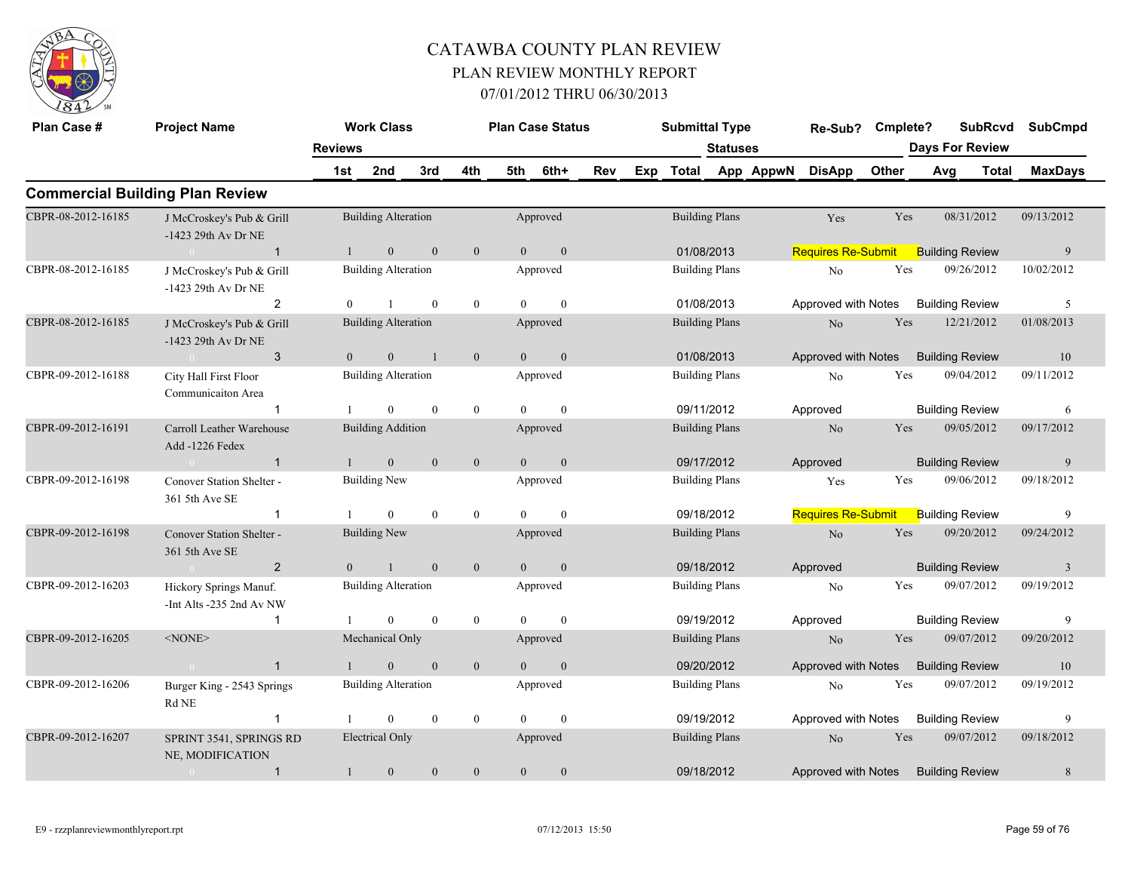

| Plan Case #        | <b>Project Name</b>                                |                | <b>Work Class</b>          |                  |                |                | <b>Plan Case Status</b> |     |     | <b>Submittal Type</b> |                       |           | Re-Sub?                   | Cmplete? |     | <b>SubRcvd</b>         |              | <b>SubCmpd</b> |
|--------------------|----------------------------------------------------|----------------|----------------------------|------------------|----------------|----------------|-------------------------|-----|-----|-----------------------|-----------------------|-----------|---------------------------|----------|-----|------------------------|--------------|----------------|
|                    |                                                    | <b>Reviews</b> |                            |                  |                |                |                         |     |     |                       | <b>Statuses</b>       |           |                           |          |     | <b>Days For Review</b> |              |                |
|                    |                                                    | 1st            | 2nd                        | 3rd              | 4th            | 5th            | 6th+                    | Rev | Exp | <b>Total</b>          |                       | App AppwN | <b>DisApp</b>             | Other    | Avg |                        | <b>Total</b> | <b>MaxDays</b> |
|                    | <b>Commercial Building Plan Review</b>             |                |                            |                  |                |                |                         |     |     |                       |                       |           |                           |          |     |                        |              |                |
| CBPR-08-2012-16185 | J McCroskey's Pub & Grill<br>-1423 29th Av Dr NE   |                | <b>Building Alteration</b> |                  |                |                | Approved                |     |     |                       | <b>Building Plans</b> |           | Yes                       | Yes      |     | 08/31/2012             |              | 09/13/2012     |
|                    | $\overline{1}$                                     |                | $\mathbf{0}$               | $\mathbf{0}$     | $\mathbf{0}$   | $\overline{0}$ | $\mathbf{0}$            |     |     |                       | 01/08/2013            |           | <b>Requires Re-Submit</b> |          |     | <b>Building Review</b> |              | 9              |
| CBPR-08-2012-16185 | J McCroskey's Pub & Grill<br>-1423 29th Av Dr NE   |                | <b>Building Alteration</b> |                  |                |                | Approved                |     |     |                       | <b>Building Plans</b> |           | No                        | Yes      |     | 09/26/2012             |              | 10/02/2012     |
|                    | 2                                                  | $\theta$       |                            | $\mathbf{0}$     | $\mathbf{0}$   | $\theta$       | $\theta$                |     |     | 01/08/2013            |                       |           | Approved with Notes       |          |     | <b>Building Review</b> |              | 5              |
| CBPR-08-2012-16185 | J McCroskey's Pub & Grill<br>-1423 29th Av Dr NE   |                | <b>Building Alteration</b> |                  |                |                | Approved                |     |     |                       | <b>Building Plans</b> |           | No                        | Yes      |     | 12/21/2012             |              | 01/08/2013     |
|                    | 3<br>$\bigcap$                                     | $\Omega$       | $\overline{0}$             | $\overline{1}$   | $\overline{0}$ | $\Omega$       | $\mathbf{0}$            |     |     | 01/08/2013            |                       |           | Approved with Notes       |          |     | <b>Building Review</b> |              | 10             |
| CBPR-09-2012-16188 | City Hall First Floor<br>Communicaiton Area        |                | <b>Building Alteration</b> |                  |                |                | Approved                |     |     |                       | <b>Building Plans</b> |           | No                        | Yes      |     | 09/04/2012             |              | 09/11/2012     |
|                    |                                                    |                | $\theta$                   | $\theta$         | $\overline{0}$ | $\Omega$       | $\theta$                |     |     | 09/11/2012            |                       |           | Approved                  |          |     | <b>Building Review</b> |              | 6              |
| CBPR-09-2012-16191 | Carroll Leather Warehouse<br>Add -1226 Fedex       |                | <b>Building Addition</b>   |                  |                |                | Approved                |     |     | <b>Building Plans</b> |                       |           | N <sub>o</sub>            | Yes      |     | 09/05/2012             |              | 09/17/2012     |
|                    | $\overline{1}$<br>$\sim 0$                         |                | $\overline{0}$             | $\theta$         | $\mathbf{0}$   | $\Omega$       | $\mathbf{0}$            |     |     | 09/17/2012            |                       |           | Approved                  |          |     | <b>Building Review</b> |              | 9              |
| CBPR-09-2012-16198 | Conover Station Shelter -<br>361 5th Ave SE        |                | <b>Building New</b>        |                  |                |                | Approved                |     |     |                       | <b>Building Plans</b> |           | Yes                       | Yes      |     | 09/06/2012             |              | 09/18/2012     |
|                    | $\mathbf 1$                                        |                | $\theta$                   | $\mathbf{0}$     | $\mathbf{0}$   | $\Omega$       | $\mathbf{0}$            |     |     | 09/18/2012            |                       |           | <b>Requires Re-Submit</b> |          |     | <b>Building Review</b> |              | 9              |
| CBPR-09-2012-16198 | Conover Station Shelter -<br>361 5th Ave SE        |                | <b>Building New</b>        |                  |                |                | Approved                |     |     |                       | <b>Building Plans</b> |           | N <sub>o</sub>            | Yes      |     | 09/20/2012             |              | 09/24/2012     |
|                    | $\overline{2}$<br>$\sim 0$                         | $\theta$       | $\mathbf{1}$               | $\theta$         | $\mathbf{0}$   | $\theta$       | $\mathbf{0}$            |     |     | 09/18/2012            |                       |           | Approved                  |          |     | <b>Building Review</b> |              | $\overline{3}$ |
| CBPR-09-2012-16203 | Hickory Springs Manuf.<br>-Int Alts -235 2nd Av NW |                | <b>Building Alteration</b> |                  |                |                | Approved                |     |     |                       | <b>Building Plans</b> |           | N <sub>0</sub>            | Yes      |     | 09/07/2012             |              | 09/19/2012     |
|                    | $\mathbf 1$                                        |                | $\Omega$                   | $\theta$         | $\mathbf{0}$   | $\Omega$       | $\theta$                |     |     | 09/19/2012            |                       |           | Approved                  |          |     | <b>Building Review</b> |              | 9              |
| CBPR-09-2012-16205 | $<$ NONE $>$                                       |                | Mechanical Only            |                  |                |                | Approved                |     |     |                       | <b>Building Plans</b> |           | N <sub>o</sub>            | Yes      |     | 09/07/2012             |              | 09/20/2012     |
|                    | $\overline{1}$<br>$\sim 0$                         |                | $\Omega$                   | $\theta$         | $\mathbf{0}$   | $\Omega$       | $\mathbf{0}$            |     |     | 09/20/2012            |                       |           | Approved with Notes       |          |     | <b>Building Review</b> |              | 10             |
| CBPR-09-2012-16206 | Burger King - 2543 Springs<br>$\rm{Rd}$ $\rm{NE}$  |                | <b>Building Alteration</b> |                  |                |                | Approved                |     |     |                       | <b>Building Plans</b> |           | No                        | Yes      |     | 09/07/2012             |              | 09/19/2012     |
|                    | $\overline{1}$                                     |                | $\overline{0}$             | $\boldsymbol{0}$ | $\bf{0}$       | $\Omega$       | $\mathbf{0}$            |     |     | 09/19/2012            |                       |           | Approved with Notes       |          |     | <b>Building Review</b> |              | 9              |
| CBPR-09-2012-16207 | SPRINT 3541, SPRINGS RD<br>NE, MODIFICATION        |                | <b>Electrical Only</b>     |                  |                |                | Approved                |     |     |                       | <b>Building Plans</b> |           | N <sub>o</sub>            | Yes      |     | 09/07/2012             |              | 09/18/2012     |
|                    | $\mathbf{1}$<br>$\overline{0}$                     |                | $\mathbf{0}$               | $\mathbf{0}$     | $\mathbf{0}$   | $\theta$       | $\mathbf{0}$            |     |     |                       | 09/18/2012            |           | Approved with Notes       |          |     | <b>Building Review</b> |              | 8              |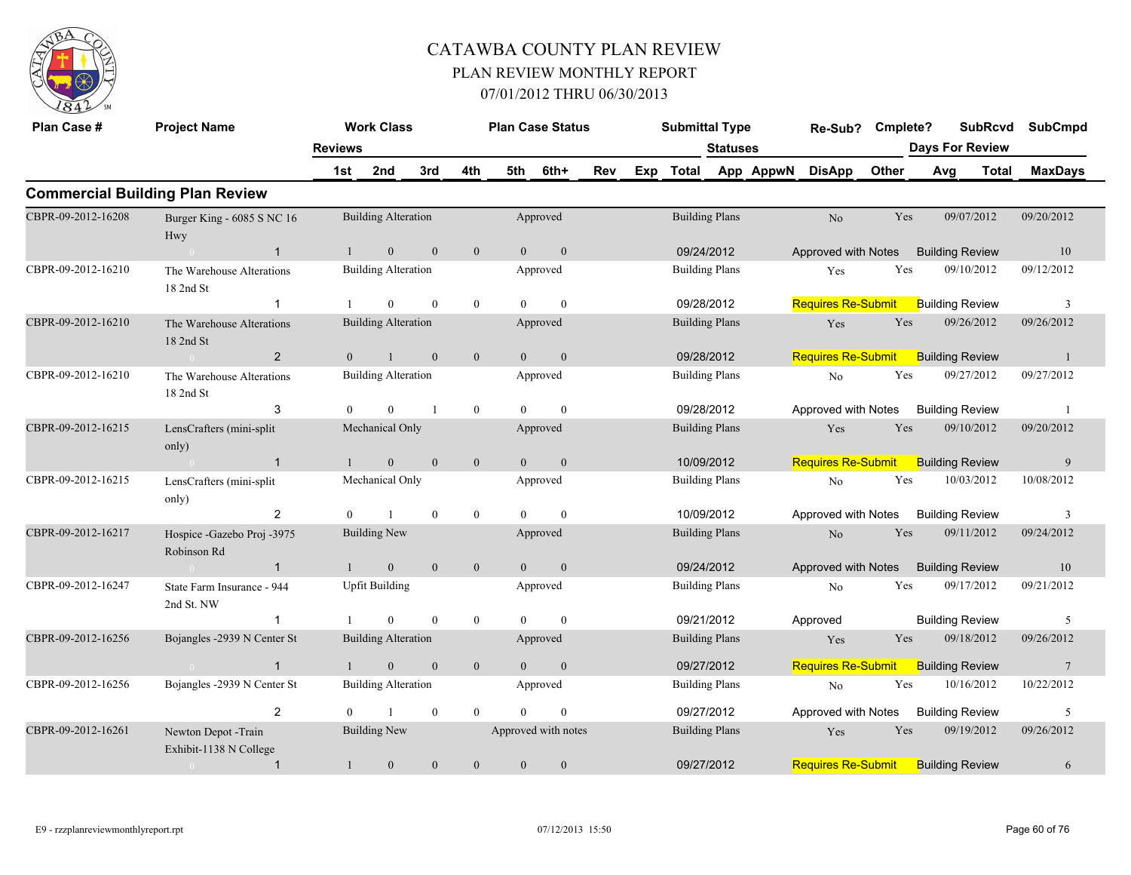

| Plan Case #        | <b>Project Name</b>                           |                | <b>Work Class</b>          |                |                  |                | <b>Plan Case Status</b> |     |     | <b>Submittal Type</b> |                 |           | Re-Sub?                   | Cmplete? |     |                        | <b>SubRcvd</b> | <b>SubCmpd</b>  |
|--------------------|-----------------------------------------------|----------------|----------------------------|----------------|------------------|----------------|-------------------------|-----|-----|-----------------------|-----------------|-----------|---------------------------|----------|-----|------------------------|----------------|-----------------|
|                    |                                               | <b>Reviews</b> |                            |                |                  |                |                         |     |     |                       | <b>Statuses</b> |           |                           |          |     | <b>Days For Review</b> |                |                 |
|                    |                                               | 1st            | 2nd                        | 3rd            | 4th              | 5th            | 6th+                    | Rev | Exp | <b>Total</b>          |                 | App AppwN | <b>DisApp</b>             | Other    | Avg |                        | <b>Total</b>   | <b>MaxDays</b>  |
|                    | <b>Commercial Building Plan Review</b>        |                |                            |                |                  |                |                         |     |     |                       |                 |           |                           |          |     |                        |                |                 |
| CBPR-09-2012-16208 | Burger King - 6085 S NC 16<br>Hwy             |                | <b>Building Alteration</b> |                |                  |                | Approved                |     |     | <b>Building Plans</b> |                 |           | No                        | Yes      |     | 09/07/2012             |                | 09/20/2012      |
|                    | $\mathbf{1}$                                  |                | $\mathbf{0}$               | $\mathbf{0}$   | $\mathbf{0}$     | $\overline{0}$ | $\mathbf{0}$            |     |     | 09/24/2012            |                 |           | Approved with Notes       |          |     | <b>Building Review</b> |                | 10              |
| CBPR-09-2012-16210 | The Warehouse Alterations<br>18 2nd St        |                | <b>Building Alteration</b> |                |                  |                | Approved                |     |     | <b>Building Plans</b> |                 |           | Yes                       | Yes      |     | 09/10/2012             |                | 09/12/2012      |
|                    | -1                                            |                | $\theta$                   | $\theta$       | $\bf{0}$         | $\Omega$       | $\theta$                |     |     | 09/28/2012            |                 |           | <b>Requires Re-Submit</b> |          |     | <b>Building Review</b> |                | 3               |
| CBPR-09-2012-16210 | The Warehouse Alterations<br>18 2nd St        |                | <b>Building Alteration</b> |                |                  |                | Approved                |     |     | <b>Building Plans</b> |                 |           | Yes                       | Yes      |     | 09/26/2012             |                | 09/26/2012      |
|                    | $\overline{2}$<br>$\Omega$                    | $\overline{0}$ | $\overline{1}$             | $\mathbf{0}$   | $\mathbf{0}$     | $\overline{0}$ | $\mathbf{0}$            |     |     | 09/28/2012            |                 |           | <b>Requires Re-Submit</b> |          |     | <b>Building Review</b> |                | $\overline{1}$  |
| CBPR-09-2012-16210 | The Warehouse Alterations<br>18 2nd St        |                | <b>Building Alteration</b> |                |                  |                | Approved                |     |     | <b>Building Plans</b> |                 |           | $\rm No$                  | Yes      |     | 09/27/2012             |                | 09/27/2012      |
|                    | 3                                             | $\theta$       | $\theta$                   | $\overline{1}$ | $\mathbf{0}$     | $\Omega$       | $\theta$                |     |     | 09/28/2012            |                 |           | Approved with Notes       |          |     | <b>Building Review</b> |                | $\overline{1}$  |
| CBPR-09-2012-16215 | LensCrafters (mini-split<br>only)             |                | Mechanical Only            |                |                  |                | Approved                |     |     | <b>Building Plans</b> |                 |           | Yes                       | Yes      |     | 09/10/2012             |                | 09/20/2012      |
|                    | $\overline{1}$                                |                | $\mathbf{0}$               | $\theta$       | $\boldsymbol{0}$ | $\Omega$       | $\mathbf{0}$            |     |     |                       | 10/09/2012      |           | <b>Requires Re-Submit</b> |          |     | <b>Building Review</b> |                | 9               |
| CBPR-09-2012-16215 | LensCrafters (mini-split<br>only)             |                | Mechanical Only            |                |                  |                | Approved                |     |     | <b>Building Plans</b> |                 |           | No                        | Yes      |     | 10/03/2012             |                | 10/08/2012      |
|                    | 2                                             | $\theta$       |                            | $\mathbf{0}$   | $\boldsymbol{0}$ | $\theta$       | $\theta$                |     |     | 10/09/2012            |                 |           | Approved with Notes       |          |     | <b>Building Review</b> |                | 3               |
| CBPR-09-2012-16217 | Hospice - Gazebo Proj - 3975<br>Robinson Rd   |                | <b>Building New</b>        |                |                  |                | Approved                |     |     | <b>Building Plans</b> |                 |           | N <sub>o</sub>            | Yes      |     | 09/11/2012             |                | 09/24/2012      |
|                    | $\mathbf{1}$                                  |                | $\mathbf{0}$               | $\mathbf{0}$   | $\mathbf{0}$     | $\Omega$       | $\theta$                |     |     | 09/24/2012            |                 |           | Approved with Notes       |          |     | <b>Building Review</b> |                | 10              |
| CBPR-09-2012-16247 | State Farm Insurance - 944<br>2nd St. NW      |                | <b>Upfit Building</b>      |                |                  |                | Approved                |     |     | <b>Building Plans</b> |                 |           | No                        | Yes      |     | 09/17/2012             |                | 09/21/2012      |
|                    | $\mathbf{1}$                                  |                | $\mathbf{0}$               | $\mathbf{0}$   | $\boldsymbol{0}$ | $\Omega$       | $\mathbf{0}$            |     |     | 09/21/2012            |                 |           | Approved                  |          |     | <b>Building Review</b> |                | 5               |
| CBPR-09-2012-16256 | Bojangles -2939 N Center St                   |                | <b>Building Alteration</b> |                |                  |                | Approved                |     |     | <b>Building Plans</b> |                 |           | Yes                       | Yes      |     | 09/18/2012             |                | 09/26/2012      |
|                    | $\overline{1}$<br>$\sim$ 0                    | $\mathbf{1}$   | $\mathbf{0}$               | $\mathbf{0}$   | $\mathbf{0}$     | $\overline{0}$ | $\boldsymbol{0}$        |     |     | 09/27/2012            |                 |           | <b>Requires Re-Submit</b> |          |     | <b>Building Review</b> |                | $7\phantom{.0}$ |
| CBPR-09-2012-16256 | Bojangles -2939 N Center St                   |                | <b>Building Alteration</b> |                |                  |                | Approved                |     |     | <b>Building Plans</b> |                 |           | No                        | Yes      |     | 10/16/2012             |                | 10/22/2012      |
|                    | 2                                             |                |                            | $\mathbf{0}$   | $\mathbf{0}$     | $\Omega$       | $\theta$                |     |     | 09/27/2012            |                 |           | Approved with Notes       |          |     | <b>Building Review</b> |                | 5               |
| CBPR-09-2012-16261 | Newton Depot -Train<br>Exhibit-1138 N College |                | <b>Building New</b>        |                |                  |                | Approved with notes     |     |     | <b>Building Plans</b> |                 |           | Yes                       | Yes      |     | 09/19/2012             |                | 09/26/2012      |
|                    | $\overline{1}$<br>$\bigcirc$                  |                | $\mathbf{0}$               | $\mathbf{0}$   | $\mathbf{0}$     | $\mathbf{0}$   | $\mathbf{0}$            |     |     | 09/27/2012            |                 |           | <b>Requires Re-Submit</b> |          |     | <b>Building Review</b> |                | 6               |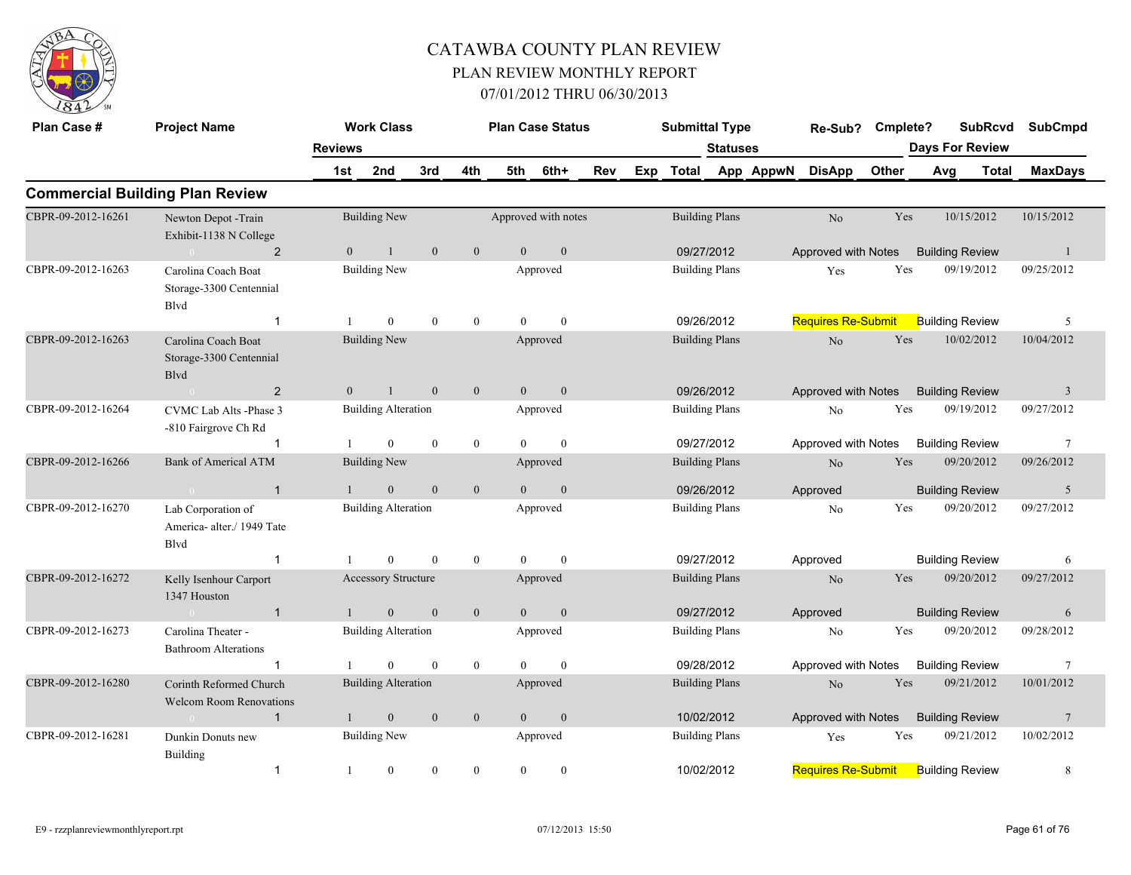

| Plan Case #        | <b>Project Name</b>                                       |                | <b>Work Class</b>          |              |                  | <b>Plan Case Status</b> |                  |     | <b>Submittal Type</b> |                 |           | Re-Sub?                   | Cmplete? |                        | <b>SubRcvd</b> | <b>SubCmpd</b>  |
|--------------------|-----------------------------------------------------------|----------------|----------------------------|--------------|------------------|-------------------------|------------------|-----|-----------------------|-----------------|-----------|---------------------------|----------|------------------------|----------------|-----------------|
|                    |                                                           | <b>Reviews</b> |                            |              |                  |                         |                  |     |                       | <b>Statuses</b> |           |                           |          | <b>Days For Review</b> |                |                 |
|                    |                                                           | 1st            | 2nd                        | 3rd          | 4th              | 5th                     | 6th+             | Rev | Exp Total             |                 | App AppwN | <b>DisApp</b>             | Other    | Avg                    | <b>Total</b>   | <b>MaxDays</b>  |
|                    | <b>Commercial Building Plan Review</b>                    |                |                            |              |                  |                         |                  |     |                       |                 |           |                           |          |                        |                |                 |
| CBPR-09-2012-16261 | Newton Depot -Train<br>Exhibit-1138 N College             |                | <b>Building New</b>        |              |                  | Approved with notes     |                  |     | <b>Building Plans</b> |                 |           | No                        | Yes      |                        | 10/15/2012     | 10/15/2012      |
|                    | 2                                                         | $\overline{0}$ | $\mathbf{1}$               | $\mathbf{0}$ | $\mathbf{0}$     | $\overline{0}$          | $\boldsymbol{0}$ |     | 09/27/2012            |                 |           | Approved with Notes       |          | <b>Building Review</b> |                | -1              |
| CBPR-09-2012-16263 | Carolina Coach Boat<br>Storage-3300 Centennial<br>Blvd    |                | <b>Building New</b>        |              |                  |                         | Approved         |     | <b>Building Plans</b> |                 |           | Yes                       | Yes      |                        | 09/19/2012     | 09/25/2012      |
|                    | $\mathbf{1}$                                              | -1             | $\overline{0}$             | $\mathbf{0}$ | $\overline{0}$   | $\theta$                | $\theta$         |     | 09/26/2012            |                 |           | <b>Requires Re-Submit</b> |          | <b>Building Review</b> |                | 5               |
| CBPR-09-2012-16263 | Carolina Coach Boat<br>Storage-3300 Centennial<br>Blvd    |                | <b>Building New</b>        |              |                  |                         | Approved         |     | <b>Building Plans</b> |                 |           | $\rm No$                  | Yes      |                        | 10/02/2012     | 10/04/2012      |
|                    | 2<br>$\overline{0}$                                       | $\overline{0}$ | $\mathbf{1}$               | $\mathbf{0}$ | $\mathbf{0}$     | $\overline{0}$          | $\mathbf{0}$     |     | 09/26/2012            |                 |           | Approved with Notes       |          | <b>Building Review</b> |                | 3               |
| CBPR-09-2012-16264 | CVMC Lab Alts -Phase 3<br>-810 Fairgrove Ch Rd            |                | <b>Building Alteration</b> |              |                  |                         | Approved         |     | <b>Building Plans</b> |                 |           | N <sub>o</sub>            | Yes      |                        | 09/19/2012     | 09/27/2012      |
|                    | -1                                                        |                | $\overline{0}$             | $\mathbf{0}$ | $\bf{0}$         | $\theta$                | $\mathbf{0}$     |     | 09/27/2012            |                 |           | Approved with Notes       |          | <b>Building Review</b> |                | 7               |
| CBPR-09-2012-16266 | <b>Bank of Americal ATM</b>                               |                | <b>Building New</b>        |              |                  |                         | Approved         |     | <b>Building Plans</b> |                 |           | No                        | Yes      |                        | 09/20/2012     | 09/26/2012      |
|                    | $\overline{1}$                                            |                | $\boldsymbol{0}$           | $\mathbf{0}$ | $\boldsymbol{0}$ | $\Omega$                | $\mathbf{0}$     |     | 09/26/2012            |                 |           | Approved                  |          | <b>Building Review</b> |                | 5               |
| CBPR-09-2012-16270 | Lab Corporation of<br>America- alter./ 1949 Tate<br>Blvd  |                | <b>Building Alteration</b> |              |                  |                         | Approved         |     | <b>Building Plans</b> |                 |           | N <sub>o</sub>            | Yes      |                        | 09/20/2012     | 09/27/2012      |
|                    | $\overline{1}$                                            |                | $\Omega$                   | $\theta$     | $\mathbf{0}$     | $\Omega$                | $\theta$         |     | 09/27/2012            |                 |           | Approved                  |          | <b>Building Review</b> |                | 6               |
| CBPR-09-2012-16272 | Kelly Isenhour Carport<br>1347 Houston                    |                | <b>Accessory Structure</b> |              |                  |                         | Approved         |     | <b>Building Plans</b> |                 |           | N <sub>o</sub>            | Yes      |                        | 09/20/2012     | 09/27/2012      |
|                    | $\overline{1}$<br>$\sim 0$                                | 1              | $\mathbf{0}$               | $\mathbf{0}$ | $\mathbf{0}$     | $\overline{0}$          | $\boldsymbol{0}$ |     | 09/27/2012            |                 |           | Approved                  |          | <b>Building Review</b> |                | 6               |
| CBPR-09-2012-16273 | Carolina Theater -<br><b>Bathroom Alterations</b>         |                | <b>Building Alteration</b> |              |                  |                         | Approved         |     | <b>Building Plans</b> |                 |           | No                        | Yes      |                        | 09/20/2012     | 09/28/2012      |
|                    | -1                                                        |                | $\Omega$                   | $\theta$     | $\mathbf{0}$     | $\Omega$                | $\theta$         |     | 09/28/2012            |                 |           | Approved with Notes       |          | <b>Building Review</b> |                | $\overline{7}$  |
| CBPR-09-2012-16280 | Corinth Reformed Church<br><b>Welcom Room Renovations</b> |                | <b>Building Alteration</b> |              |                  |                         | Approved         |     | <b>Building Plans</b> |                 |           | No                        | Yes      |                        | 09/21/2012     | 10/01/2012      |
|                    | $\overline{1}$<br>$\sim 0$                                |                | $\mathbf{0}$               | $\mathbf{0}$ | $\mathbf{0}$     | $\overline{0}$          | $\boldsymbol{0}$ |     | 10/02/2012            |                 |           | Approved with Notes       |          | <b>Building Review</b> |                | $7\phantom{.0}$ |
| CBPR-09-2012-16281 | Dunkin Donuts new<br>Building                             |                | <b>Building New</b>        |              |                  |                         | Approved         |     | <b>Building Plans</b> |                 |           | Yes                       | Yes      |                        | 09/21/2012     | 10/02/2012      |
|                    | $\mathbf{1}$                                              | -1             | $\boldsymbol{0}$           | $\mathbf{0}$ | $\mathbf{0}$     | $\overline{0}$          | $\boldsymbol{0}$ |     | 10/02/2012            |                 |           | <b>Requires Re-Submit</b> |          | <b>Building Review</b> |                | 8               |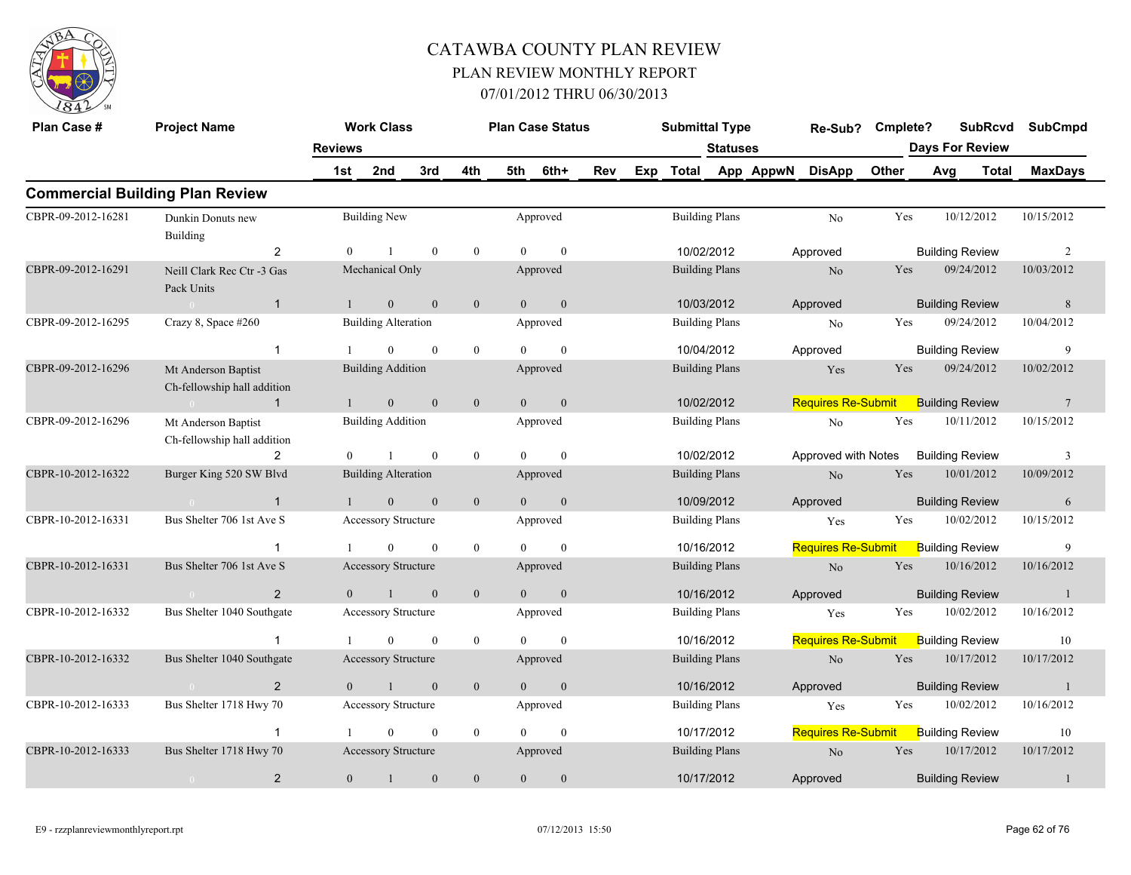

| Plan Case #        | <b>Project Name</b>                                           |                | <b>Work Class</b>          |              |                  |                | <b>Plan Case Status</b> |     | <b>Submittal Type</b> |                 |           | Re-Sub?                   | Cmplete? |     |                        | <b>SubRcvd</b> | <b>SubCmpd</b>  |
|--------------------|---------------------------------------------------------------|----------------|----------------------------|--------------|------------------|----------------|-------------------------|-----|-----------------------|-----------------|-----------|---------------------------|----------|-----|------------------------|----------------|-----------------|
|                    |                                                               | <b>Reviews</b> |                            |              |                  |                |                         |     |                       | <b>Statuses</b> |           |                           |          |     | <b>Days For Review</b> |                |                 |
|                    |                                                               | 1st            | 2nd                        | 3rd          | 4th              | 5th            | 6th+                    | Rev | Exp Total             |                 | App AppwN | <b>DisApp</b>             | Other    | Avg |                        | <b>Total</b>   | <b>MaxDays</b>  |
|                    | <b>Commercial Building Plan Review</b>                        |                |                            |              |                  |                |                         |     |                       |                 |           |                           |          |     |                        |                |                 |
| CBPR-09-2012-16281 | Dunkin Donuts new<br>Building                                 |                | <b>Building New</b>        |              |                  |                | Approved                |     | <b>Building Plans</b> |                 |           | No                        | Yes      |     | 10/12/2012             |                | 10/15/2012      |
|                    | $\overline{2}$                                                | $\theta$       |                            | $\mathbf{0}$ | $\mathbf{0}$     | $\theta$       | $\mathbf{0}$            |     | 10/02/2012            |                 |           | Approved                  |          |     | <b>Building Review</b> |                | 2               |
| CBPR-09-2012-16291 | Neill Clark Rec Ctr -3 Gas<br>Pack Units                      |                | Mechanical Only            |              |                  |                | Approved                |     | <b>Building Plans</b> |                 |           | No                        | Yes      |     | 09/24/2012             |                | 10/03/2012      |
|                    | $\sim 0$<br>$\overline{1}$                                    | $\mathbf{1}$   | $\mathbf{0}$               | $\mathbf{0}$ | $\mathbf{0}$     | $\theta$       | $\mathbf{0}$            |     | 10/03/2012            |                 |           | Approved                  |          |     | <b>Building Review</b> |                | 8               |
| CBPR-09-2012-16295 | Crazy 8, Space #260                                           |                | <b>Building Alteration</b> |              |                  |                | Approved                |     | <b>Building Plans</b> |                 |           | No                        | Yes      |     | 09/24/2012             |                | 10/04/2012      |
|                    | $\mathbf{1}$                                                  |                | $\Omega$                   | $\theta$     | $\mathbf{0}$     | $\Omega$       | $\theta$                |     | 10/04/2012            |                 |           | Approved                  |          |     | <b>Building Review</b> |                | 9               |
| CBPR-09-2012-16296 | Mt Anderson Baptist<br>Ch-fellowship hall addition            |                | <b>Building Addition</b>   |              |                  |                | Approved                |     | <b>Building Plans</b> |                 |           | Yes                       | Yes      |     | 09/24/2012             |                | 10/02/2012      |
|                    | $\mathbf{1}$<br>$\sim$ 0.000 $\sim$ 0.000 $\sim$ 0.000 $\sim$ |                | $\boldsymbol{0}$           | $\mathbf{0}$ | $\mathbf{0}$     | $\overline{0}$ | $\mathbf{0}$            |     | 10/02/2012            |                 |           | <b>Requires Re-Submit</b> |          |     | <b>Building Review</b> |                | $7\phantom{.0}$ |
| CBPR-09-2012-16296 | Mt Anderson Baptist<br>Ch-fellowship hall addition            |                | <b>Building Addition</b>   |              |                  |                | Approved                |     | <b>Building Plans</b> |                 |           | No                        | Yes      |     | 10/11/2012             |                | 10/15/2012      |
|                    | 2                                                             | $\Omega$       |                            | $\theta$     | $\boldsymbol{0}$ | $\Omega$       | $\theta$                |     | 10/02/2012            |                 |           | Approved with Notes       |          |     | <b>Building Review</b> |                | 3               |
| CBPR-10-2012-16322 | Burger King 520 SW Blvd                                       |                | <b>Building Alteration</b> |              |                  |                | Approved                |     | <b>Building Plans</b> |                 |           | $\rm No$                  | Yes      |     | 10/01/2012             |                | 10/09/2012      |
|                    | $\mathbf{1}$<br>$\sim 0$                                      | $\mathbf{1}$   | $\mathbf{0}$               | $\mathbf{0}$ | $\mathbf{0}$     | $\overline{0}$ | $\mathbf{0}$            |     | 10/09/2012            |                 |           | Approved                  |          |     | <b>Building Review</b> |                | 6               |
| CBPR-10-2012-16331 | Bus Shelter 706 1st Ave S                                     |                | <b>Accessory Structure</b> |              |                  |                | Approved                |     | <b>Building Plans</b> |                 |           | Yes                       | Yes      |     | 10/02/2012             |                | 10/15/2012      |
|                    |                                                               |                | $\theta$                   | $\mathbf{0}$ | $\mathbf{0}$     | $\theta$       | $\mathbf{0}$            |     | 10/16/2012            |                 |           | <b>Requires Re-Submit</b> |          |     | <b>Building Review</b> |                | 9               |
| CBPR-10-2012-16331 | Bus Shelter 706 1st Ave S                                     |                | <b>Accessory Structure</b> |              |                  |                | Approved                |     | <b>Building Plans</b> |                 |           | No                        | Yes      |     | 10/16/2012             |                | 10/16/2012      |
|                    | 2<br>$\sim 0$                                                 | $\overline{0}$ | $\mathbf{1}$               | $\mathbf{0}$ | $\mathbf{0}$     | $\mathbf{0}$   | $\mathbf{0}$            |     | 10/16/2012            |                 |           | Approved                  |          |     | <b>Building Review</b> |                | $\mathbf{1}$    |
| CBPR-10-2012-16332 | Bus Shelter 1040 Southgate                                    |                | Accessory Structure        |              |                  |                | Approved                |     | <b>Building Plans</b> |                 |           | Yes                       | Yes      |     | 10/02/2012             |                | 10/16/2012      |
|                    | $\overline{1}$                                                |                | $\theta$                   | $\mathbf{0}$ | $\overline{0}$   | $\theta$       | $\mathbf{0}$            |     | 10/16/2012            |                 |           | <b>Requires Re-Submit</b> |          |     | <b>Building Review</b> |                | 10              |
| CBPR-10-2012-16332 | Bus Shelter 1040 Southgate                                    |                | Accessory Structure        |              |                  |                | Approved                |     | <b>Building Plans</b> |                 |           | No                        | Yes      |     | 10/17/2012             |                | 10/17/2012      |
|                    | $\overline{2}$                                                | $\Omega$       |                            | $\mathbf{0}$ | $\mathbf{0}$     | $\overline{0}$ | $\mathbf{0}$            |     | 10/16/2012            |                 |           | Approved                  |          |     | <b>Building Review</b> |                | -1              |
| CBPR-10-2012-16333 | Bus Shelter 1718 Hwy 70                                       |                | Accessory Structure        |              |                  |                | Approved                |     | <b>Building Plans</b> |                 |           | Yes                       | Yes      |     | 10/02/2012             |                | 10/16/2012      |
|                    | $\mathbf{1}$                                                  |                | $\mathbf{0}$               | $\mathbf{0}$ | $\boldsymbol{0}$ | $\theta$       | $\mathbf{0}$            |     | 10/17/2012            |                 |           | <b>Requires Re-Submit</b> |          |     | <b>Building Review</b> |                | 10              |
| CBPR-10-2012-16333 | Bus Shelter 1718 Hwy 70                                       |                | <b>Accessory Structure</b> |              |                  |                | Approved                |     | <b>Building Plans</b> |                 |           | No                        | Yes      |     | 10/17/2012             |                | 10/17/2012      |
|                    | $\overline{2}$<br>$\overline{0}$                              | $\overline{0}$ | 1                          | $\mathbf{0}$ | $\mathbf{0}$     | $\mathbf{0}$   | $\mathbf{0}$            |     | 10/17/2012            |                 |           | Approved                  |          |     | <b>Building Review</b> |                | $\mathbf{1}$    |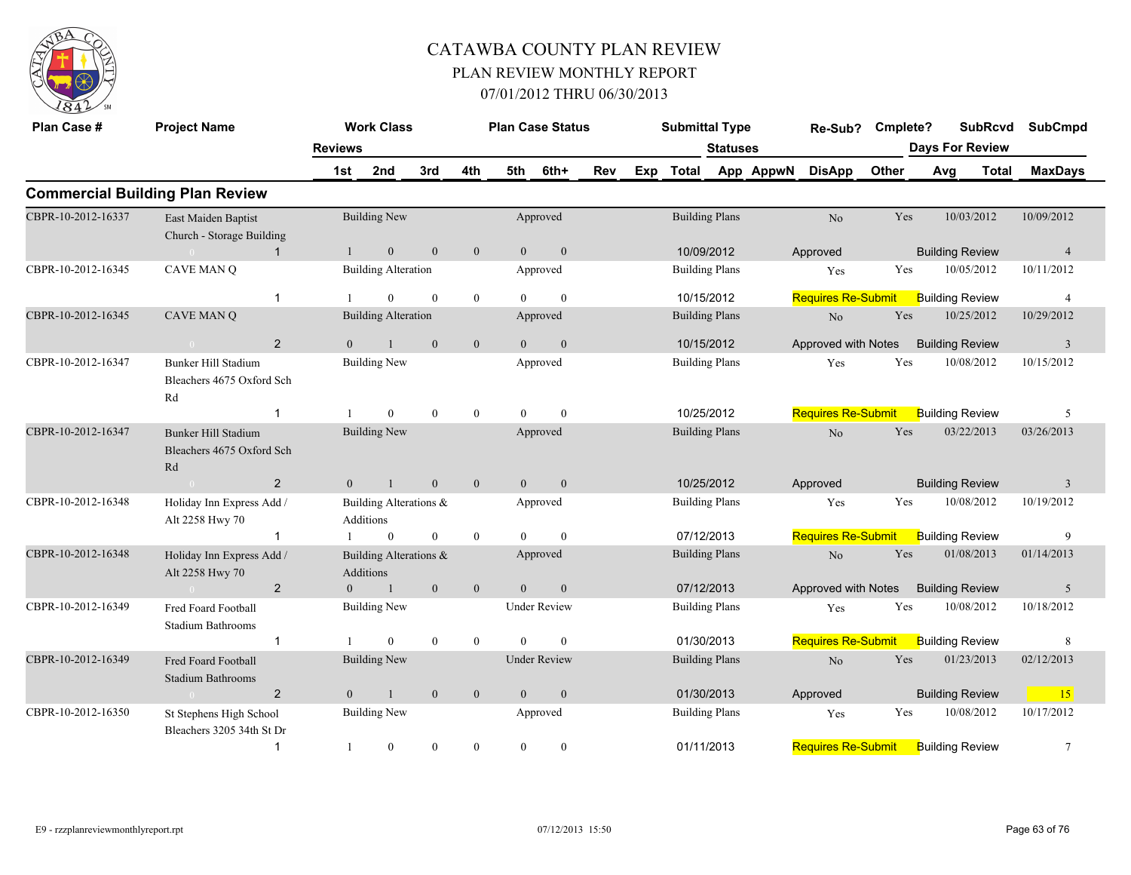

| Plan Case #        | <b>Project Name</b>                                           |                | <b>Work Class</b>                   |              |                  |                | <b>Plan Case Status</b> |     | <b>Submittal Type</b> |                       |           | Re-Sub?                   | Cmplete? |                        | <b>SubRcvd</b> | <b>SubCmpd</b> |
|--------------------|---------------------------------------------------------------|----------------|-------------------------------------|--------------|------------------|----------------|-------------------------|-----|-----------------------|-----------------------|-----------|---------------------------|----------|------------------------|----------------|----------------|
|                    |                                                               | <b>Reviews</b> |                                     |              |                  |                |                         |     |                       | <b>Statuses</b>       |           |                           |          | <b>Days For Review</b> |                |                |
|                    |                                                               | 1st            | 2nd                                 | 3rd          | 4th              | 5th            | 6th+                    | Rev | Exp Total             |                       | App AppwN | <b>DisApp</b>             | Other    | Avg                    | <b>Total</b>   | <b>MaxDays</b> |
|                    | <b>Commercial Building Plan Review</b>                        |                |                                     |              |                  |                |                         |     |                       |                       |           |                           |          |                        |                |                |
| CBPR-10-2012-16337 | East Maiden Baptist<br>Church - Storage Building              |                | <b>Building New</b>                 |              |                  |                | Approved                |     |                       | <b>Building Plans</b> |           | No                        | Yes      |                        | 10/03/2012     | 10/09/2012     |
|                    | $\mathbf{1}$                                                  |                | $\mathbf{0}$                        | $\mathbf{0}$ | $\mathbf{0}$     | $\theta$       | $\mathbf{0}$            |     |                       | 10/09/2012            |           | Approved                  |          | <b>Building Review</b> |                | $\overline{4}$ |
| CBPR-10-2012-16345 | <b>CAVE MAN Q</b>                                             |                | <b>Building Alteration</b>          |              |                  |                | Approved                |     |                       | <b>Building Plans</b> |           | Yes                       | Yes      |                        | 10/05/2012     | 10/11/2012     |
|                    | $\mathbf{1}$                                                  |                | $\mathbf{0}$                        | $\theta$     | $\mathbf{0}$     | $\theta$       | $\theta$                |     |                       | 10/15/2012            |           | <b>Requires Re-Submit</b> |          | <b>Building Review</b> |                | $\overline{4}$ |
| CBPR-10-2012-16345 | CAVE MAN Q                                                    |                | <b>Building Alteration</b>          |              |                  |                | Approved                |     |                       | <b>Building Plans</b> |           | $\rm No$                  | Yes      |                        | 10/25/2012     | 10/29/2012     |
|                    | 2<br>$\overline{0}$                                           | $\Omega$       | $\mathbf{1}$                        | $\mathbf{0}$ | $\mathbf{0}$     | $\overline{0}$ | $\boldsymbol{0}$        |     |                       | 10/15/2012            |           | Approved with Notes       |          | <b>Building Review</b> |                | $\mathfrak{Z}$ |
| CBPR-10-2012-16347 | <b>Bunker Hill Stadium</b><br>Bleachers 4675 Oxford Sch<br>Rd |                | <b>Building New</b>                 |              |                  |                | Approved                |     |                       | <b>Building Plans</b> |           | Yes                       | Yes      |                        | 10/08/2012     | 10/15/2012     |
|                    | -1                                                            |                | $\overline{0}$                      | $\theta$     | $\overline{0}$   | $\theta$       | $\mathbf{0}$            |     |                       | 10/25/2012            |           | <b>Requires Re-Submit</b> |          | <b>Building Review</b> |                | 5              |
| CBPR-10-2012-16347 | Bunker Hill Stadium<br>Bleachers 4675 Oxford Sch<br>Rd        |                | <b>Building New</b>                 |              |                  |                | Approved                |     |                       | <b>Building Plans</b> |           | No                        | Yes      |                        | 03/22/2013     | 03/26/2013     |
|                    | $\overline{2}$<br>$\sim 0$                                    | $\overline{0}$ | $\overline{1}$                      | $\mathbf{0}$ | $\mathbf{0}$     | $\overline{0}$ | $\mathbf{0}$            |     | 10/25/2012            |                       |           | Approved                  |          | <b>Building Review</b> |                | $\overline{3}$ |
| CBPR-10-2012-16348 | Holiday Inn Express Add /<br>Alt 2258 Hwy 70                  |                | Building Alterations &<br>Additions |              |                  |                | Approved                |     |                       | <b>Building Plans</b> |           | Yes                       | Yes      |                        | 10/08/2012     | 10/19/2012     |
|                    | $\mathbf{1}$                                                  |                | $\overline{0}$                      | $\mathbf{0}$ | $\overline{0}$   | $\Omega$       | $\theta$                |     | 07/12/2013            |                       |           | <b>Requires Re-Submit</b> |          | <b>Building Review</b> |                | 9              |
| CBPR-10-2012-16348 | Holiday Inn Express Add /<br>Alt 2258 Hwy 70                  |                | Building Alterations &<br>Additions |              |                  |                | Approved                |     |                       | <b>Building Plans</b> |           | No                        | Yes      |                        | 01/08/2013     | 01/14/2013     |
|                    | 2                                                             | $\overline{0}$ | $\overline{1}$                      | $\mathbf{0}$ | $\mathbf{0}$     | $\overline{0}$ | $\mathbf{0}$            |     | 07/12/2013            |                       |           | Approved with Notes       |          | <b>Building Review</b> |                | 5              |
| CBPR-10-2012-16349 | Fred Foard Football<br>Stadium Bathrooms                      |                | <b>Building New</b>                 |              |                  |                | <b>Under Review</b>     |     |                       | <b>Building Plans</b> |           | Yes                       | Yes      |                        | 10/08/2012     | 10/18/2012     |
|                    | $\mathbf{1}$                                                  |                | $\mathbf{0}$                        | $\bf{0}$     | $\mathbf{0}$     | $\theta$       | $\theta$                |     | 01/30/2013            |                       |           | <b>Requires Re-Submit</b> |          | <b>Building Review</b> |                | 8              |
| CBPR-10-2012-16349 | <b>Fred Foard Football</b><br>Stadium Bathrooms               |                | <b>Building New</b>                 |              |                  |                | <b>Under Review</b>     |     |                       | <b>Building Plans</b> |           | $\rm No$                  | Yes      |                        | 01/23/2013     | 02/12/2013     |
|                    | $\overline{2}$<br>$\overline{0}$                              | $\overline{0}$ | $\mathbf{1}$                        | $\mathbf{0}$ | $\mathbf{0}$     | $\mathbf{0}$   | $\mathbf{0}$            |     |                       | 01/30/2013            |           | Approved                  |          | <b>Building Review</b> |                | 15             |
| CBPR-10-2012-16350 | St Stephens High School<br>Bleachers 3205 34th St Dr          |                | <b>Building New</b>                 |              |                  |                | Approved                |     |                       | <b>Building Plans</b> |           | Yes                       | Yes      |                        | 10/08/2012     | 10/17/2012     |
|                    | $\mathbf 1$                                                   |                | $\boldsymbol{0}$                    | $\mathbf{0}$ | $\boldsymbol{0}$ | $\mathbf{0}$   | $\bf{0}$                |     | 01/11/2013            |                       |           | <b>Requires Re-Submit</b> |          | <b>Building Review</b> |                | $\tau$         |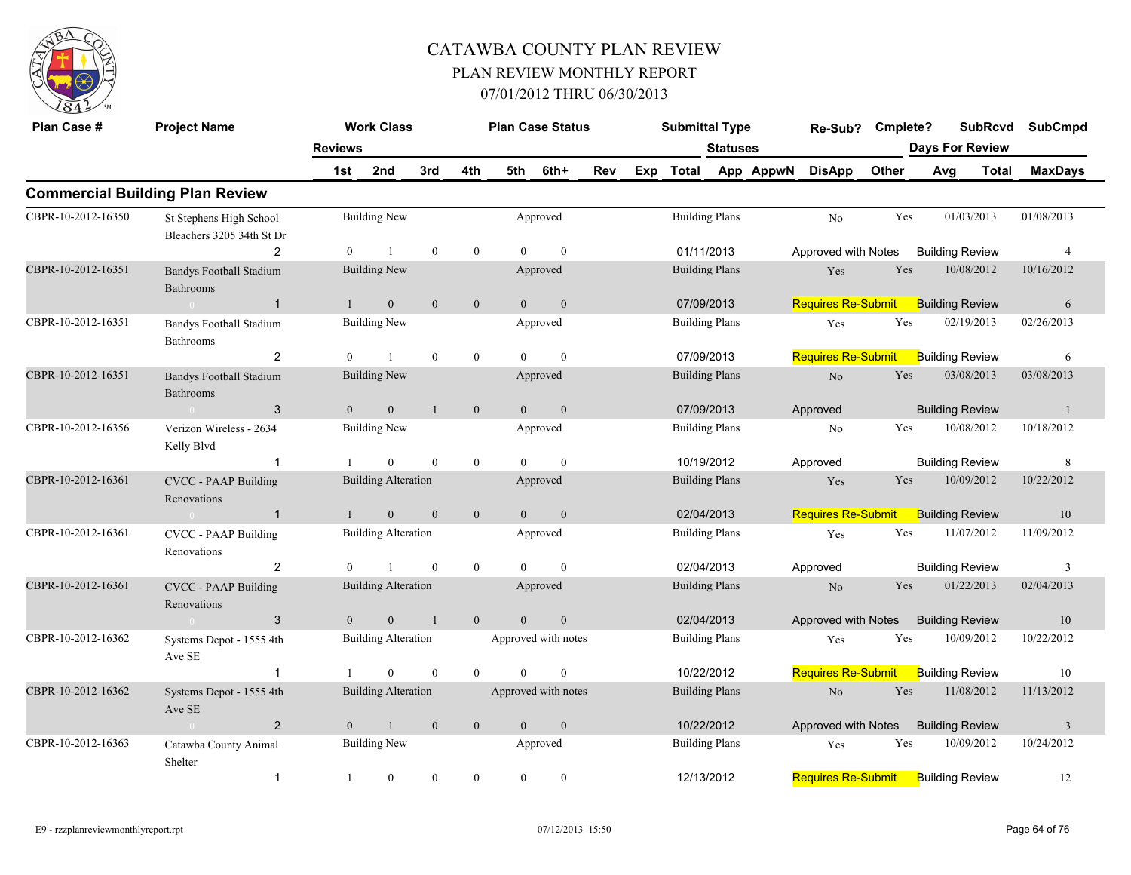

| Plan Case #        | <b>Project Name</b>                                  |                | <b>Work Class</b>          |                |                | <b>Plan Case Status</b> |                |     | <b>Submittal Type</b> |                       |           | Re-Sub? Cmplete?          |       | <b>SubRcvd</b>         |              | <b>SubCmpd</b> |
|--------------------|------------------------------------------------------|----------------|----------------------------|----------------|----------------|-------------------------|----------------|-----|-----------------------|-----------------------|-----------|---------------------------|-------|------------------------|--------------|----------------|
|                    |                                                      | <b>Reviews</b> |                            |                |                |                         |                |     |                       | <b>Statuses</b>       |           |                           |       | <b>Days For Review</b> |              |                |
|                    |                                                      | 1st            | 2nd                        | 3rd            | 4th            | 5th                     | 6th+           | Rev | Exp Total             |                       | App AppwN | <b>DisApp</b>             | Other | Avg                    | <b>Total</b> | <b>MaxDays</b> |
|                    | <b>Commercial Building Plan Review</b>               |                |                            |                |                |                         |                |     |                       |                       |           |                           |       |                        |              |                |
| CBPR-10-2012-16350 | St Stephens High School<br>Bleachers 3205 34th St Dr |                | <b>Building New</b>        |                |                |                         | Approved       |     |                       | <b>Building Plans</b> |           | N <sub>o</sub>            | Yes   | 01/03/2013             |              | 01/08/2013     |
|                    | $\overline{2}$                                       | $\Omega$       | $\overline{1}$             | $\theta$       | $\mathbf{0}$   | $\Omega$                | $\theta$       |     | 01/11/2013            |                       |           | Approved with Notes       |       | <b>Building Review</b> |              | $\overline{4}$ |
| CBPR-10-2012-16351 | <b>Bandys Football Stadium</b><br><b>Bathrooms</b>   |                | <b>Building New</b>        |                |                |                         | Approved       |     |                       | <b>Building Plans</b> |           | Yes                       | Yes   | 10/08/2012             |              | 10/16/2012     |
|                    | $\sim 0$<br>$\mathbf{1}$                             | $\mathbf{1}$   | $\overline{0}$             | $\theta$       | $\mathbf{0}$   | $\overline{0}$          | $\overline{0}$ |     |                       | 07/09/2013            |           | Requires Re-Submit        |       | <b>Building Review</b> |              | 6              |
| CBPR-10-2012-16351 | <b>Bandys Football Stadium</b><br><b>Bathrooms</b>   |                | <b>Building New</b>        |                |                |                         | Approved       |     |                       | <b>Building Plans</b> |           | Yes                       | Yes   | 02/19/2013             |              | 02/26/2013     |
|                    | $\overline{2}$                                       | $\Omega$       | $\mathbf{1}$               | $\mathbf{0}$   | $\mathbf{0}$   | $\Omega$                | $\mathbf{0}$   |     |                       | 07/09/2013            |           | <b>Requires Re-Submit</b> |       | <b>Building Review</b> |              | 6              |
| CBPR-10-2012-16351 | <b>Bandys Football Stadium</b><br>Bathrooms          |                | <b>Building New</b>        |                |                |                         | Approved       |     |                       | <b>Building Plans</b> |           | No                        | Yes   | 03/08/2013             |              | 03/08/2013     |
|                    | 3<br>$\sim 0$                                        | $\overline{0}$ | $\mathbf{0}$               | $\overline{1}$ | $\mathbf{0}$   | $\overline{0}$          | $\mathbf{0}$   |     |                       | 07/09/2013            |           | Approved                  |       | <b>Building Review</b> |              | $\mathbf{1}$   |
| CBPR-10-2012-16356 | Verizon Wireless - 2634<br>Kelly Blvd                |                | <b>Building New</b>        |                |                |                         | Approved       |     |                       | <b>Building Plans</b> |           | No                        | Yes   | 10/08/2012             |              | 10/18/2012     |
|                    |                                                      |                | $\mathbf{0}$               | $\theta$       | $\mathbf{0}$   | $\theta$                | $\mathbf{0}$   |     |                       | 10/19/2012            |           | Approved                  |       | <b>Building Review</b> |              | 8              |
| CBPR-10-2012-16361 | <b>CVCC - PAAP Building</b><br>Renovations           |                | <b>Building Alteration</b> |                |                |                         | Approved       |     |                       | <b>Building Plans</b> |           | Yes                       | Yes   | 10/09/2012             |              | 10/22/2012     |
|                    | $\overline{1}$<br>$\sim 0$                           | $\bigcirc$     | $\mathbf{0}$               | $\mathbf{0}$   | $\mathbf{0}$   | $\overline{0}$          | $\mathbf{0}$   |     |                       | 02/04/2013            |           | <b>Requires Re-Submit</b> |       | <b>Building Review</b> |              | 10             |
| CBPR-10-2012-16361 | <b>CVCC - PAAP Building</b><br>Renovations           |                | <b>Building Alteration</b> |                |                |                         | Approved       |     |                       | <b>Building Plans</b> |           | Yes                       | Yes   | 11/07/2012             |              | 11/09/2012     |
|                    | 2                                                    | $\theta$       |                            | $\theta$       | $\overline{0}$ | $\theta$                | $\mathbf{0}$   |     | 02/04/2013            |                       |           | Approved                  |       | <b>Building Review</b> |              | 3              |
| CBPR-10-2012-16361 | <b>CVCC - PAAP Building</b><br>Renovations           |                | <b>Building Alteration</b> |                |                |                         | Approved       |     |                       | <b>Building Plans</b> |           | No                        | Yes   | 01/22/2013             |              | 02/04/2013     |
|                    | 3<br>$\sim 0$                                        | $\theta$       | $\overline{0}$             | $\overline{1}$ | $\mathbf{0}$   | $\overline{0}$          | $\mathbf{0}$   |     |                       | 02/04/2013            |           | Approved with Notes       |       | <b>Building Review</b> |              | 10             |
| CBPR-10-2012-16362 | Systems Depot - 1555 4th<br>Ave SE                   |                | <b>Building Alteration</b> |                |                | Approved with notes     |                |     |                       | <b>Building Plans</b> |           | Yes                       | Yes   | 10/09/2012             |              | 10/22/2012     |
|                    | $\overline{1}$                                       |                | $\theta$                   | $\theta$       | $\theta$       | $\Omega$                | $\mathbf{0}$   |     |                       | 10/22/2012            |           | <b>Requires Re-Submit</b> |       | <b>Building Review</b> |              | 10             |
| CBPR-10-2012-16362 | Systems Depot - 1555 4th<br>Ave SE                   |                | <b>Building Alteration</b> |                |                | Approved with notes     |                |     |                       | <b>Building Plans</b> |           | N <sub>o</sub>            | Yes   | 11/08/2012             |              | 11/13/2012     |
|                    | $\overline{2}$<br>$\sim$ 0                           | $\overline{0}$ | $\mathbf{1}$               | $\mathbf{0}$   | $\mathbf{0}$   | $\overline{0}$          | $\mathbf{0}$   |     |                       | 10/22/2012            |           | Approved with Notes       |       | <b>Building Review</b> |              | $\overline{3}$ |
| CBPR-10-2012-16363 | Catawba County Animal<br>Shelter                     |                | <b>Building New</b>        |                |                |                         | Approved       |     |                       | <b>Building Plans</b> |           | Yes                       | Yes   | 10/09/2012             |              | 10/24/2012     |
|                    | $\mathbf{1}$                                         | $\overline{1}$ | $\mathbf{0}$               | $\theta$       | $\mathbf{0}$   | $\overline{0}$          | $\mathbf{0}$   |     |                       | 12/13/2012            |           | <b>Requires Re-Submit</b> |       | <b>Building Review</b> |              | 12             |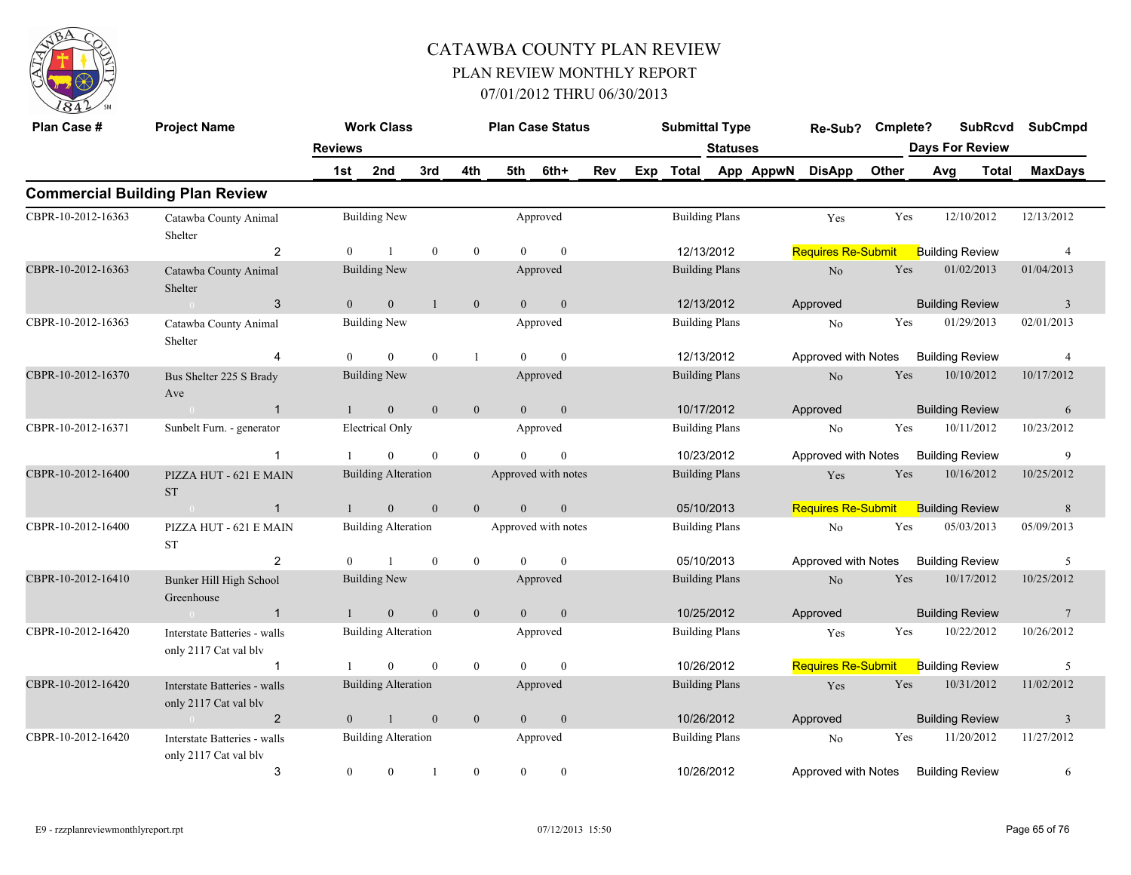

| Plan Case #        | <b>Project Name</b>                                   |                | <b>Work Class</b>          |              |                  |                | <b>Plan Case Status</b> |            |     | <b>Submittal Type</b> |                 |           | Re-Sub?                   | Cmplete? | <b>SubRcvd</b>         |       | <b>SubCmpd</b>          |
|--------------------|-------------------------------------------------------|----------------|----------------------------|--------------|------------------|----------------|-------------------------|------------|-----|-----------------------|-----------------|-----------|---------------------------|----------|------------------------|-------|-------------------------|
|                    |                                                       | <b>Reviews</b> |                            |              |                  |                |                         |            |     |                       | <b>Statuses</b> |           |                           |          | <b>Days For Review</b> |       |                         |
|                    |                                                       | 1st            | 2nd                        | 3rd          | 4th              | 5th            | 6th+                    | <b>Rev</b> | Exp | Total                 |                 | App AppwN | <b>DisApp</b>             | Other    | Avg                    | Total | <b>MaxDays</b>          |
|                    | <b>Commercial Building Plan Review</b>                |                |                            |              |                  |                |                         |            |     |                       |                 |           |                           |          |                        |       |                         |
| CBPR-10-2012-16363 | Catawba County Animal<br>Shelter                      |                | <b>Building New</b>        |              |                  |                | Approved                |            |     | <b>Building Plans</b> |                 |           | Yes                       | Yes      | 12/10/2012             |       | 12/13/2012              |
|                    | 2                                                     | $\Omega$       |                            | $\mathbf{0}$ | $\mathbf{0}$     | $\Omega$       | $\theta$                |            |     | 12/13/2012            |                 |           | <b>Requires Re-Submit</b> |          | <b>Building Review</b> |       | $\overline{4}$          |
| CBPR-10-2012-16363 | Catawba County Animal<br>Shelter                      |                | <b>Building New</b>        |              |                  |                | Approved                |            |     | <b>Building Plans</b> |                 |           | No                        | Yes      | 01/02/2013             |       | 01/04/2013              |
|                    | 3<br>$\sim 0$                                         | $\theta$       | $\overline{0}$             | $\mathbf{1}$ | $\overline{0}$   | $\Omega$       | $\mathbf{0}$            |            |     | 12/13/2012            |                 |           | Approved                  |          | <b>Building Review</b> |       | 3                       |
| CBPR-10-2012-16363 | Catawba County Animal<br>Shelter                      |                | <b>Building New</b>        |              |                  |                | Approved                |            |     | <b>Building Plans</b> |                 |           | No                        | Yes      | 01/29/2013             |       | 02/01/2013              |
|                    | $\boldsymbol{\Delta}$                                 | $\Omega$       | $\theta$                   | $\mathbf{0}$ | $\overline{1}$   | $\theta$       | $\theta$                |            |     | 12/13/2012            |                 |           | Approved with Notes       |          | <b>Building Review</b> |       | $\overline{4}$          |
| CBPR-10-2012-16370 | Bus Shelter 225 S Brady<br>Ave                        |                | <b>Building New</b>        |              |                  |                | Approved                |            |     | <b>Building Plans</b> |                 |           | No                        | Yes      | 10/10/2012             |       | 10/17/2012              |
|                    | $\overline{1}$<br>$\sim 0$                            |                | $\overline{0}$             | $\mathbf{0}$ | $\mathbf{0}$     | $\overline{0}$ | $\mathbf{0}$            |            |     | 10/17/2012            |                 |           | Approved                  |          | <b>Building Review</b> |       | 6                       |
| CBPR-10-2012-16371 | Sunbelt Furn. - generator                             |                | <b>Electrical Only</b>     |              |                  |                | Approved                |            |     | <b>Building Plans</b> |                 |           | No                        | Yes      | 10/11/2012             |       | 10/23/2012              |
|                    |                                                       |                | $\Omega$                   | $\mathbf{0}$ | $\mathbf{0}$     | $\Omega$       | $\theta$                |            |     | 10/23/2012            |                 |           | Approved with Notes       |          | <b>Building Review</b> |       | 9                       |
| CBPR-10-2012-16400 | PIZZA HUT - 621 E MAIN<br><b>ST</b>                   |                | <b>Building Alteration</b> |              |                  |                | Approved with notes     |            |     | <b>Building Plans</b> |                 |           | Yes                       | Yes      | 10/16/2012             |       | 10/25/2012              |
|                    | $\sim 0$<br>$\overline{1}$                            |                | $\overline{0}$             | $\mathbf{0}$ | $\mathbf{0}$     | $\Omega$       | $\boldsymbol{0}$        |            |     | 05/10/2013            |                 |           | <b>Requires Re-Submit</b> |          | <b>Building Review</b> |       | 8                       |
| CBPR-10-2012-16400 | PIZZA HUT - 621 E MAIN<br>ST                          |                | <b>Building Alteration</b> |              |                  |                | Approved with notes     |            |     | <b>Building Plans</b> |                 |           | N <sub>0</sub>            | Yes      | 05/03/2013             |       | 05/09/2013              |
|                    | $\overline{2}$                                        | $\Omega$       |                            | $\mathbf{0}$ | $\mathbf{0}$     | $\Omega$       | $\theta$                |            |     | 05/10/2013            |                 |           | Approved with Notes       |          | <b>Building Review</b> |       | 5                       |
| CBPR-10-2012-16410 | Bunker Hill High School<br>Greenhouse                 |                | Building New               |              |                  |                | Approved                |            |     | <b>Building Plans</b> |                 |           | N <sub>o</sub>            | Yes      | 10/17/2012             |       | 10/25/2012              |
|                    | $\overline{1}$<br>$\sim 0$                            |                | $\mathbf{0}$               | $\theta$     | $\overline{0}$   | $\theta$       | $\mathbf{0}$            |            |     | 10/25/2012            |                 |           | Approved                  |          | <b>Building Review</b> |       | 7                       |
| CBPR-10-2012-16420 | Interstate Batteries - walls<br>only 2117 Cat val blv |                | <b>Building Alteration</b> |              |                  |                | Approved                |            |     | <b>Building Plans</b> |                 |           | Yes                       | Yes      | 10/22/2012             |       | 10/26/2012              |
|                    | $\mathbf 1$                                           |                | $\theta$                   | $\mathbf{0}$ | $\boldsymbol{0}$ | $\Omega$       | $\mathbf{0}$            |            |     | 10/26/2012            |                 |           | <b>Requires Re-Submit</b> |          | <b>Building Review</b> |       | 5                       |
| CBPR-10-2012-16420 | Interstate Batteries - walls<br>only 2117 Cat val blv |                | <b>Building Alteration</b> |              |                  |                | Approved                |            |     | <b>Building Plans</b> |                 |           | Yes                       | Yes      | 10/31/2012             |       | 11/02/2012              |
|                    | $\overline{2}$<br>0 <sup>1</sup>                      | $\theta$       | $\mathbf{1}$               | $\mathbf{0}$ | $\mathbf{0}$     | $\theta$       | $\boldsymbol{0}$        |            |     | 10/26/2012            |                 |           | Approved                  |          | <b>Building Review</b> |       | $\overline{\mathbf{3}}$ |
| CBPR-10-2012-16420 | Interstate Batteries - walls<br>only 2117 Cat val blv |                | <b>Building Alteration</b> |              |                  |                | Approved                |            |     | <b>Building Plans</b> |                 |           | No                        | Yes      | 11/20/2012             |       | 11/27/2012              |
|                    | 3                                                     | $\overline{0}$ | $\overline{0}$             |              | $\mathbf{0}$     | $\theta$       | $\mathbf{0}$            |            |     | 10/26/2012            |                 |           | Approved with Notes       |          | <b>Building Review</b> |       | 6                       |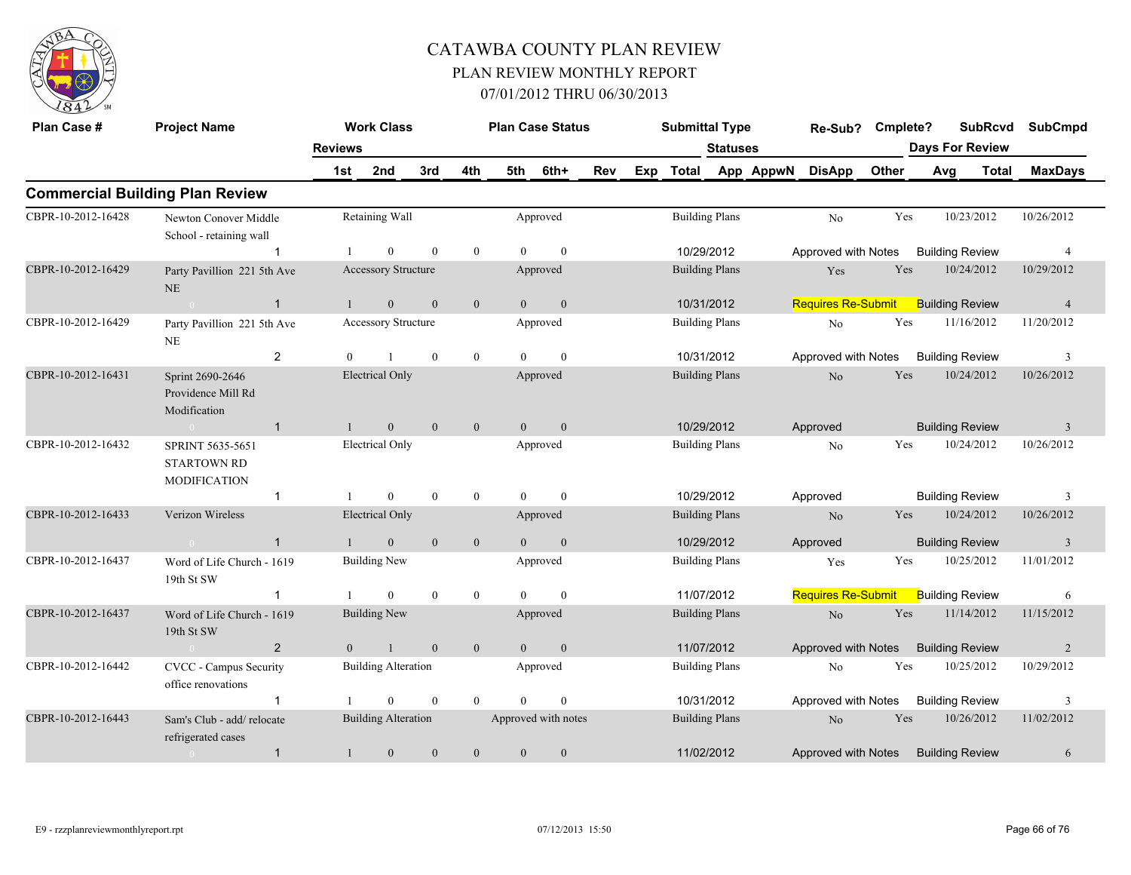

| Plan Case #        | <b>Project Name</b>                                           |                | <b>Work Class</b>          |                  |              |                | <b>Plan Case Status</b> |     |     | <b>Submittal Type</b> |                 |           | Re-Sub?                   | Cmplete? |     | <b>SubRcvd</b>         | <b>SubCmpd</b> |
|--------------------|---------------------------------------------------------------|----------------|----------------------------|------------------|--------------|----------------|-------------------------|-----|-----|-----------------------|-----------------|-----------|---------------------------|----------|-----|------------------------|----------------|
|                    |                                                               | <b>Reviews</b> |                            |                  |              |                |                         |     |     |                       | <b>Statuses</b> |           |                           |          |     | <b>Days For Review</b> |                |
|                    |                                                               | 1st            | 2nd                        | 3rd              | 4th          | 5th            | 6th+                    | Rev | Exp | <b>Total</b>          |                 | App AppwN | <b>DisApp</b>             | Other    | Avg | <b>Total</b>           | <b>MaxDays</b> |
|                    | <b>Commercial Building Plan Review</b>                        |                |                            |                  |              |                |                         |     |     |                       |                 |           |                           |          |     |                        |                |
| CBPR-10-2012-16428 | Newton Conover Middle<br>School - retaining wall              |                | Retaining Wall             |                  |              |                | Approved                |     |     | <b>Building Plans</b> |                 |           | No                        | Yes      |     | 10/23/2012             | 10/26/2012     |
|                    |                                                               |                | $\mathbf{0}$               | $\mathbf{0}$     | $\mathbf{0}$ | $\Omega$       | $\theta$                |     |     | 10/29/2012            |                 |           | Approved with Notes       |          |     | <b>Building Review</b> | $\overline{4}$ |
| CBPR-10-2012-16429 | Party Pavillion 221 5th Ave<br>NE                             |                | Accessory Structure        |                  |              |                | Approved                |     |     | <b>Building Plans</b> |                 |           | Yes                       | Yes      |     | 10/24/2012             | 10/29/2012     |
|                    | $\mathbf{1}$<br>$\Omega$                                      | $\mathbf{1}$   | $\mathbf{0}$               | $\mathbf{0}$     | $\mathbf{0}$ | $\overline{0}$ | $\boldsymbol{0}$        |     |     | 10/31/2012            |                 |           | <b>Requires Re-Submit</b> |          |     | <b>Building Review</b> | $\overline{4}$ |
| CBPR-10-2012-16429 | Party Pavillion 221 5th Ave<br>NE                             |                | Accessory Structure        |                  |              |                | Approved                |     |     | <b>Building Plans</b> |                 |           | No                        | Yes      |     | 11/16/2012             | 11/20/2012     |
|                    | $\overline{2}$                                                | $\overline{0}$ |                            | $\mathbf{0}$     | $\mathbf{0}$ | $\overline{0}$ | $\mathbf{0}$            |     |     | 10/31/2012            |                 |           | Approved with Notes       |          |     | <b>Building Review</b> | $\mathbf{3}$   |
| CBPR-10-2012-16431 | Sprint 2690-2646<br>Providence Mill Rd<br>Modification        |                | <b>Electrical Only</b>     |                  |              |                | Approved                |     |     | <b>Building Plans</b> |                 |           | N <sub>o</sub>            | Yes      |     | 10/24/2012             | 10/26/2012     |
|                    | $\mathbf{1}$                                                  | $\mathbf{1}$   | $\theta$                   | $\theta$         | $\mathbf{0}$ | $\theta$       | $\mathbf{0}$            |     |     | 10/29/2012            |                 |           | Approved                  |          |     | <b>Building Review</b> | 3              |
| CBPR-10-2012-16432 | SPRINT 5635-5651<br><b>STARTOWN RD</b><br><b>MODIFICATION</b> |                | <b>Electrical Only</b>     |                  |              |                | Approved                |     |     | <b>Building Plans</b> |                 |           | No                        | Yes      |     | 10/24/2012             | 10/26/2012     |
|                    | $\mathbf{1}$                                                  |                | $\Omega$                   | $\mathbf{0}$     | $\mathbf{0}$ | $\theta$       | $\Omega$                |     |     | 10/29/2012            |                 |           | Approved                  |          |     | <b>Building Review</b> | 3              |
| CBPR-10-2012-16433 | Verizon Wireless                                              |                | <b>Electrical Only</b>     |                  |              |                | Approved                |     |     | <b>Building Plans</b> |                 |           | N <sub>o</sub>            | Yes      |     | 10/24/2012             | 10/26/2012     |
|                    | $\overline{1}$                                                |                | $\mathbf{0}$               | $\mathbf{0}$     | $\mathbf{0}$ | $\overline{0}$ | $\mathbf{0}$            |     |     | 10/29/2012            |                 |           | Approved                  |          |     | <b>Building Review</b> | $\overline{3}$ |
| CBPR-10-2012-16437 | Word of Life Church - 1619<br>19th St SW                      |                | <b>Building New</b>        |                  |              |                | Approved                |     |     | <b>Building Plans</b> |                 |           | Yes                       | Yes      |     | 10/25/2012             | 11/01/2012     |
|                    | $\overline{1}$                                                |                | $\Omega$                   | $\mathbf{0}$     | $\mathbf{0}$ | $\Omega$       | $\theta$                |     |     | 11/07/2012            |                 |           | <b>Requires Re-Submit</b> |          |     | <b>Building Review</b> | 6              |
| CBPR-10-2012-16437 | Word of Life Church - 1619<br>19th St SW                      |                | <b>Building New</b>        |                  |              |                | Approved                |     |     | <b>Building Plans</b> |                 |           | $\rm No$                  | Yes      |     | 11/14/2012             | 11/15/2012     |
|                    | $\overline{2}$<br>$\bigcap$                                   | $\overline{0}$ |                            | $\mathbf{0}$     | $\mathbf{0}$ | $\overline{0}$ | $\mathbf{0}$            |     |     | 11/07/2012            |                 |           | Approved with Notes       |          |     | <b>Building Review</b> | $\overline{2}$ |
| CBPR-10-2012-16442 | CVCC - Campus Security<br>office renovations                  |                | <b>Building Alteration</b> |                  |              |                | Approved                |     |     | <b>Building Plans</b> |                 |           | No                        | Yes      |     | 10/25/2012             | 10/29/2012     |
|                    | $\mathbf{1}$                                                  |                | $\mathbf{0}$               | $\mathbf{0}$     | $\mathbf{0}$ | $\theta$       | $\mathbf{0}$            |     |     | 10/31/2012            |                 |           | Approved with Notes       |          |     | <b>Building Review</b> | 3              |
| CBPR-10-2012-16443 | Sam's Club - add/relocate<br>refrigerated cases               |                | <b>Building Alteration</b> |                  |              |                | Approved with notes     |     |     | <b>Building Plans</b> |                 |           | $\rm No$                  | Yes      |     | 10/26/2012             | 11/02/2012     |
|                    | $\mathbf{1}$<br>$\bigcap$                                     | $\mathbf{1}$   | $\boldsymbol{0}$           | $\boldsymbol{0}$ | $\mathbf{0}$ | $\mathbf{0}$   | $\boldsymbol{0}$        |     |     | 11/02/2012            |                 |           | Approved with Notes       |          |     | <b>Building Review</b> | 6              |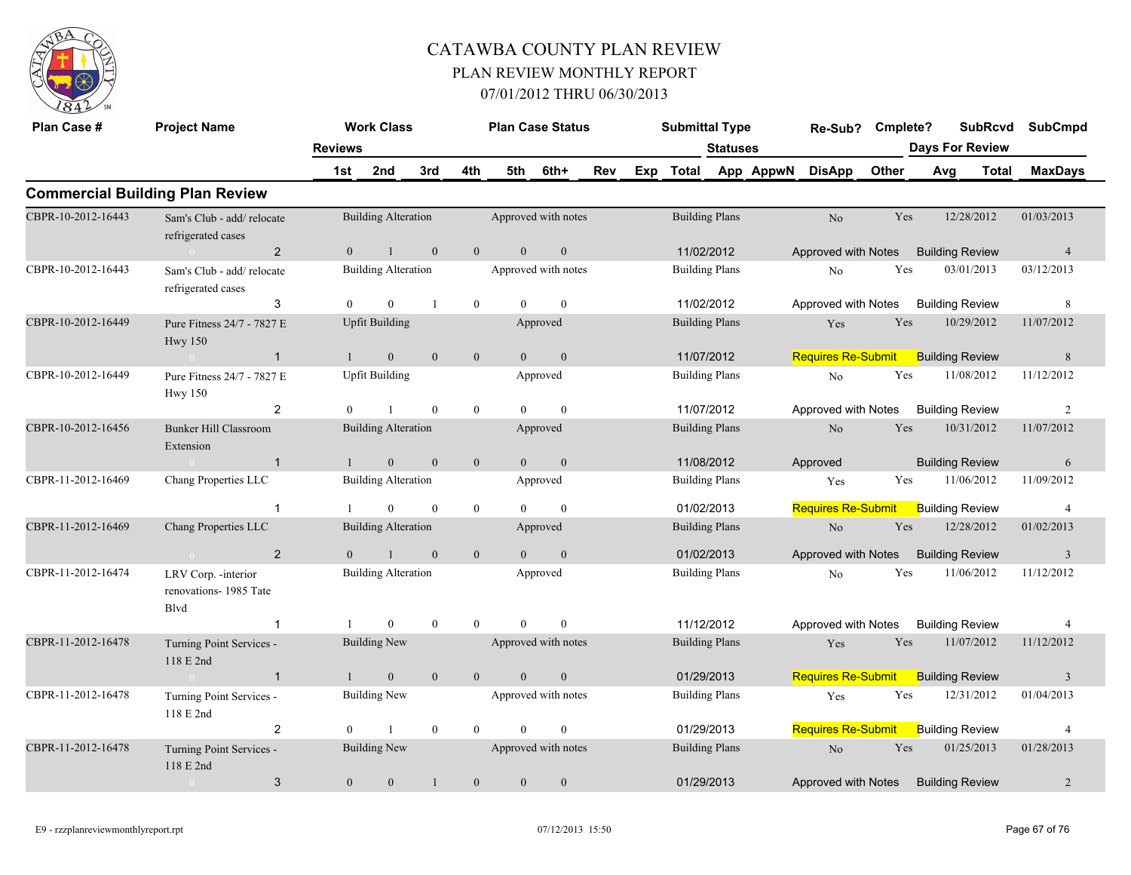

| Plan Case #        | <b>Project Name</b>                                   |                       | <b>Work Class</b>          |                |                  |                | <b>Plan Case Status</b> |     |     | <b>Submittal Type</b> |                 |           | Re-Sub?                             | Cmplete? |     | <b>SubRcvd</b>                  | <b>SubCmpd</b>          |
|--------------------|-------------------------------------------------------|-----------------------|----------------------------|----------------|------------------|----------------|-------------------------|-----|-----|-----------------------|-----------------|-----------|-------------------------------------|----------|-----|---------------------------------|-------------------------|
|                    |                                                       | <b>Reviews</b><br>1st | 2nd                        | 3rd            | 4th              | 5th            | 6th+                    | Rev | Exp | <b>Total</b>          | <b>Statuses</b> | App AppwN | <b>DisApp</b>                       | Other    | Avg | <b>Days For Review</b><br>Total | <b>MaxDays</b>          |
|                    | <b>Commercial Building Plan Review</b>                |                       |                            |                |                  |                |                         |     |     |                       |                 |           |                                     |          |     |                                 |                         |
| CBPR-10-2012-16443 | Sam's Club - add/ relocate<br>refrigerated cases      |                       | <b>Building Alteration</b> |                |                  |                | Approved with notes     |     |     | <b>Building Plans</b> |                 |           | No                                  | Yes      |     | 12/28/2012                      | 01/03/2013              |
|                    | $\overline{2}$<br>$\sim 0$                            | $\overline{0}$        | $\overline{1}$             | $\mathbf{0}$   | $\overline{0}$   | $\overline{0}$ | $\mathbf{0}$            |     |     | 11/02/2012            |                 |           | Approved with Notes                 |          |     | <b>Building Review</b>          | $\overline{4}$          |
| CBPR-10-2012-16443 | Sam's Club - add/ relocate<br>refrigerated cases      |                       | <b>Building Alteration</b> |                |                  |                | Approved with notes     |     |     | <b>Building Plans</b> |                 |           | No                                  | Yes      |     | 03/01/2013                      | 03/12/2013              |
|                    | 3                                                     | $\theta$              | $\mathbf{0}$               | $\overline{1}$ | $\mathbf{0}$     | $\theta$       | $\mathbf{0}$            |     |     | 11/02/2012            |                 |           | Approved with Notes                 |          |     | <b>Building Review</b>          | 8                       |
| CBPR-10-2012-16449 | Pure Fitness 24/7 - 7827 E<br><b>Hwy 150</b>          |                       | <b>Upfit Building</b>      |                |                  |                | Approved                |     |     | <b>Building Plans</b> |                 |           | Yes                                 | Yes      |     | 10/29/2012                      | 11/07/2012              |
|                    | $\overline{1}$<br>$\sim 0$                            | $\mathbf{1}$          | $\mathbf{0}$               | $\mathbf{0}$   | $\mathbf{0}$     | $\theta$       | $\boldsymbol{0}$        |     |     | 11/07/2012            |                 |           | <b>Requires Re-Submit</b>           |          |     | <b>Building Review</b>          | $\,8\,$                 |
| CBPR-10-2012-16449 | Pure Fitness 24/7 - 7827 E<br><b>Hwy 150</b>          |                       | <b>Upfit Building</b>      |                |                  |                | Approved                |     |     | <b>Building Plans</b> |                 |           | No                                  | Yes      |     | 11/08/2012                      | 11/12/2012              |
|                    | $\overline{2}$                                        | $\Omega$              |                            | $\theta$       | $\overline{0}$   | $\Omega$       | $\theta$                |     |     | 11/07/2012            |                 |           | Approved with Notes                 |          |     | <b>Building Review</b>          | 2                       |
| CBPR-10-2012-16456 | <b>Bunker Hill Classroom</b><br>Extension             |                       | <b>Building Alteration</b> |                |                  |                | Approved                |     |     | <b>Building Plans</b> |                 |           | No                                  | Yes      |     | 10/31/2012                      | 11/07/2012              |
|                    | $\overline{1}$<br>$\sim$ 0                            | $\mathbf{1}$          | $\mathbf{0}$               | $\mathbf{0}$   | $\mathbf{0}$     | $\overline{0}$ | $\mathbf{0}$            |     |     | 11/08/2012            |                 |           | Approved                            |          |     | <b>Building Review</b>          | 6                       |
| CBPR-11-2012-16469 | Chang Properties LLC                                  |                       | <b>Building Alteration</b> |                |                  |                | Approved                |     |     | <b>Building Plans</b> |                 |           | Yes                                 | Yes      |     | 11/06/2012                      | 11/09/2012              |
|                    | $\overline{1}$                                        |                       | $\theta$                   | $\mathbf{0}$   | $\overline{0}$   | $\theta$       | $\theta$                |     |     | 01/02/2013            |                 |           | <b>Requires Re-Submit</b>           |          |     | <b>Building Review</b>          | $\overline{4}$          |
| CBPR-11-2012-16469 | Chang Properties LLC                                  |                       | <b>Building Alteration</b> |                |                  |                | Approved                |     |     | <b>Building Plans</b> |                 |           | No                                  | Yes      |     | 12/28/2012                      | 01/02/2013              |
|                    | $\overline{2}$<br>$\sim 0$                            | $\overline{0}$        | $\mathbf{1}$               | $\mathbf{0}$   | $\mathbf{0}$     | $\overline{0}$ | $\boldsymbol{0}$        |     |     | 01/02/2013            |                 |           | Approved with Notes                 |          |     | <b>Building Review</b>          | $\overline{\mathbf{3}}$ |
| CBPR-11-2012-16474 | LRV Corp. - interior<br>renovations-1985 Tate<br>Blvd |                       | <b>Building Alteration</b> |                |                  |                | Approved                |     |     | <b>Building Plans</b> |                 |           | No                                  | Yes      |     | 11/06/2012                      | 11/12/2012              |
|                    | $\overline{1}$                                        |                       | $\overline{0}$             | $\mathbf{0}$   | $\mathbf{0}$     | $\Omega$       | $\theta$                |     |     | 11/12/2012            |                 |           | Approved with Notes                 |          |     | <b>Building Review</b>          | 4                       |
| CBPR-11-2012-16478 | Turning Point Services -<br>118 E 2nd                 |                       | <b>Building New</b>        |                |                  |                | Approved with notes     |     |     | <b>Building Plans</b> |                 |           | Yes                                 | Yes      |     | 11/07/2012                      | 11/12/2012              |
|                    | $\overline{1}$<br>$\sim 0$                            | $\mathbf{1}$          | $\mathbf{0}$               | $\mathbf{0}$   | $\overline{0}$   | $\Omega$       | $\mathbf{0}$            |     |     | 01/29/2013            |                 |           | <b>Requires Re-Submit</b>           |          |     | <b>Building Review</b>          | $\overline{3}$          |
| CBPR-11-2012-16478 | Turning Point Services -<br>118 E 2nd                 |                       | <b>Building New</b>        |                |                  |                | Approved with notes     |     |     | <b>Building Plans</b> |                 |           | Yes                                 | Yes      |     | 12/31/2012                      | 01/04/2013              |
|                    | 2                                                     | $\Omega$              | $\mathbf{1}$               | $\mathbf{0}$   | $\theta$         | $\Omega$       | $\Omega$                |     |     | 01/29/2013            |                 |           | <b>Requires Re-Submit</b>           |          |     | <b>Building Review</b>          | $\overline{4}$          |
| CBPR-11-2012-16478 | Turning Point Services -<br>118 E 2nd                 |                       | <b>Building New</b>        |                |                  |                | Approved with notes     |     |     | <b>Building Plans</b> |                 |           | $\rm No$                            | Yes      |     | 01/25/2013                      | 01/28/2013              |
|                    | 3<br>$\overline{0}$                                   | $\overline{0}$        | $\mathbf{0}$               | $\mathbf{1}$   | $\boldsymbol{0}$ | $\mathbf{0}$   | $\mathbf{0}$            |     |     | 01/29/2013            |                 |           | Approved with Notes Building Review |          |     |                                 | $\overline{2}$          |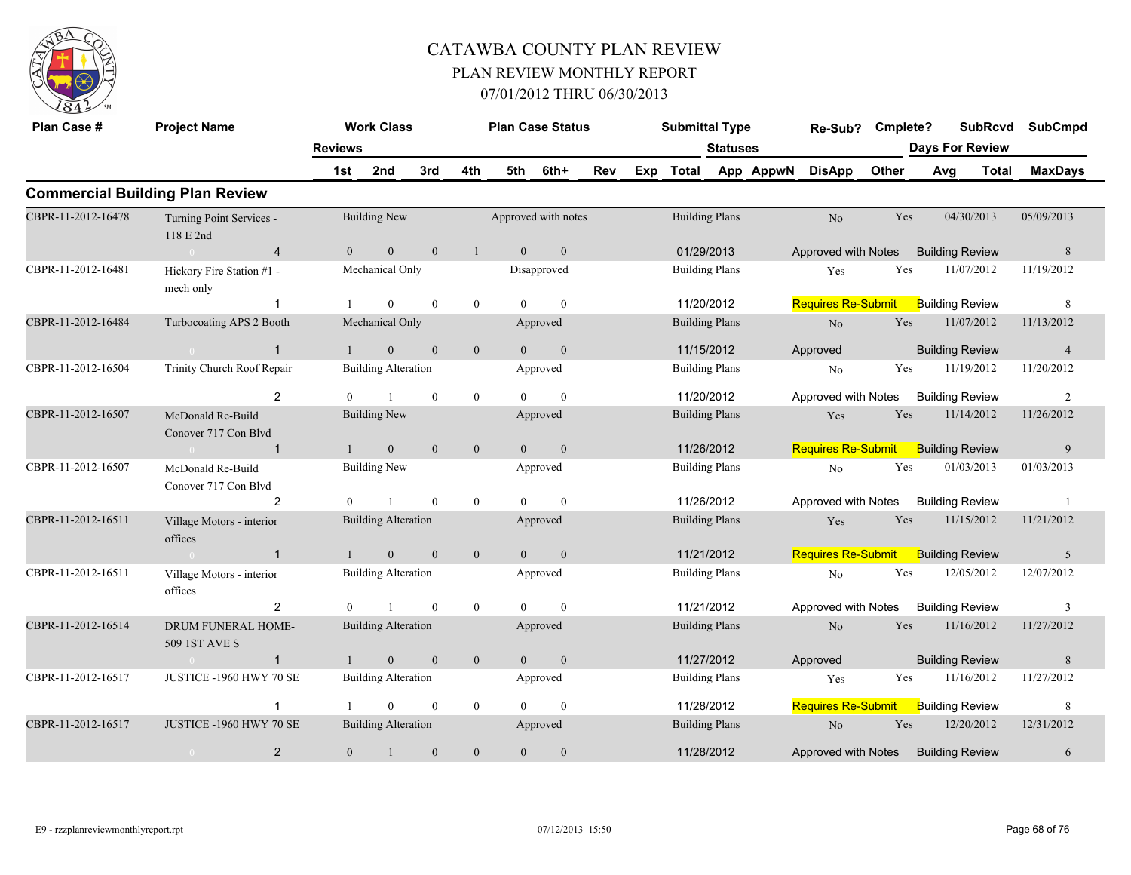

| Plan Case #        | <b>Project Name</b>                       |                | <b>Work Class</b>          |              |                |                | <b>Plan Case Status</b> |     |     | <b>Submittal Type</b> |                 |           | Re-Sub?                   | Cmplete?     |     | <b>SubRcvd</b>         |            | <b>SubCmpd</b>  |
|--------------------|-------------------------------------------|----------------|----------------------------|--------------|----------------|----------------|-------------------------|-----|-----|-----------------------|-----------------|-----------|---------------------------|--------------|-----|------------------------|------------|-----------------|
|                    |                                           | <b>Reviews</b> |                            |              |                |                |                         |     |     |                       | <b>Statuses</b> |           |                           |              |     | <b>Days For Review</b> |            |                 |
|                    |                                           | 1st            | 2nd                        | 3rd          | 4th            | 5th            | 6th+                    | Rev | Exp | Total                 |                 | App AppwN | <b>DisApp</b>             | <b>Other</b> | Avg | Total                  |            | <b>MaxDays</b>  |
|                    | <b>Commercial Building Plan Review</b>    |                |                            |              |                |                |                         |     |     |                       |                 |           |                           |              |     |                        |            |                 |
| CBPR-11-2012-16478 | Turning Point Services -<br>118 E 2nd     |                | <b>Building New</b>        |              |                |                | Approved with notes     |     |     | <b>Building Plans</b> |                 |           | N <sub>o</sub>            | Yes          |     | 04/30/2013             | 05/09/2013 |                 |
|                    | $\overline{4}$                            | $\overline{0}$ | $\boldsymbol{0}$           | $\mathbf{0}$ | $\mathbf{1}$   | $\theta$       | $\mathbf{0}$            |     |     | 01/29/2013            |                 |           | Approved with Notes       |              |     | <b>Building Review</b> |            | $8\phantom{.}8$ |
| CBPR-11-2012-16481 | Hickory Fire Station #1 -<br>mech only    |                | Mechanical Only            |              |                |                | Disapproved             |     |     | <b>Building Plans</b> |                 |           | Yes                       | Yes          |     | 11/07/2012             | 11/19/2012 |                 |
|                    | $\mathbf 1$                               |                | $\mathbf{0}$               | $\mathbf{0}$ | $\overline{0}$ | $\Omega$       | $\theta$                |     |     | 11/20/2012            |                 |           | <b>Requires Re-Submit</b> |              |     | <b>Building Review</b> |            | 8               |
| CBPR-11-2012-16484 | Turbocoating APS 2 Booth                  |                | Mechanical Only            |              |                |                | Approved                |     |     | <b>Building Plans</b> |                 |           | N <sub>o</sub>            | Yes          |     | 11/07/2012             | 11/13/2012 |                 |
|                    | $\mathbf{1}$<br>$\sim 0$                  | $\mathbf{1}$   | $\overline{0}$             | $\mathbf{0}$ | $\mathbf{0}$   | $\theta$       | $\mathbf{0}$            |     |     | 11/15/2012            |                 |           | Approved                  |              |     | <b>Building Review</b> |            | $\overline{4}$  |
| CBPR-11-2012-16504 | Trinity Church Roof Repair                |                | <b>Building Alteration</b> |              |                |                | Approved                |     |     | <b>Building Plans</b> |                 |           | No                        | Yes          |     | 11/19/2012             | 11/20/2012 |                 |
|                    | 2                                         | $\Omega$       | $\mathbf{1}$               | $\theta$     | $\overline{0}$ | $\Omega$       | $\theta$                |     |     | 11/20/2012            |                 |           | Approved with Notes       |              |     | <b>Building Review</b> |            | 2               |
| CBPR-11-2012-16507 | McDonald Re-Build<br>Conover 717 Con Blvd |                | <b>Building New</b>        |              |                |                | Approved                |     |     | <b>Building Plans</b> |                 |           | Yes                       | Yes          |     | 11/14/2012             | 11/26/2012 |                 |
|                    | $\mathbf{1}$<br>$\sim 0$                  | $\mathbf{1}$   | $\mathbf{0}$               | $\mathbf{0}$ | $\mathbf{0}$   | $\overline{0}$ | $\mathbf{0}$            |     |     | 11/26/2012            |                 |           | <b>Requires Re-Submit</b> |              |     | <b>Building Review</b> |            | 9               |
| CBPR-11-2012-16507 | McDonald Re-Build<br>Conover 717 Con Blvd |                | <b>Building New</b>        |              |                |                | Approved                |     |     | <b>Building Plans</b> |                 |           | N <sub>o</sub>            | Yes          |     | 01/03/2013             | 01/03/2013 |                 |
|                    | 2                                         | $\theta$       |                            | $\theta$     | $\overline{0}$ | $\Omega$       | $\theta$                |     |     | 11/26/2012            |                 |           | Approved with Notes       |              |     | <b>Building Review</b> |            | $\overline{1}$  |
| CBPR-11-2012-16511 | Village Motors - interior<br>offices      |                | <b>Building Alteration</b> |              |                |                | Approved                |     |     | <b>Building Plans</b> |                 |           | Yes                       | Yes          |     | 11/15/2012             | 11/21/2012 |                 |
|                    | $\sim 0$<br>$\mathbf{1}$                  | $\mathbf{1}$   | $\mathbf{0}$               | $\mathbf{0}$ | $\overline{0}$ | $\overline{0}$ | $\mathbf{0}$            |     |     | 11/21/2012            |                 |           | <b>Requires Re-Submit</b> |              |     | <b>Building Review</b> |            | 5               |
| CBPR-11-2012-16511 | Village Motors - interior<br>offices      |                | <b>Building Alteration</b> |              |                |                | Approved                |     |     | <b>Building Plans</b> |                 |           | No                        | Yes          |     | 12/05/2012             | 12/07/2012 |                 |
|                    | $\overline{2}$                            | $\theta$       | $\mathbf{1}$               | $\mathbf{0}$ | $\overline{0}$ | $\Omega$       | $\overline{0}$          |     |     | 11/21/2012            |                 |           | Approved with Notes       |              |     | <b>Building Review</b> |            | 3               |
| CBPR-11-2012-16514 | DRUM FUNERAL HOME-<br>509 1ST AVE S       |                | <b>Building Alteration</b> |              |                |                | Approved                |     |     | <b>Building Plans</b> |                 |           | No                        | Yes          |     | 11/16/2012             | 11/27/2012 |                 |
|                    | $\mathbf{1}$<br>$\sim 0$                  |                | $\overline{0}$             | $\mathbf{0}$ | $\mathbf{0}$   | $\overline{0}$ | $\mathbf{0}$            |     |     | 11/27/2012            |                 |           | Approved                  |              |     | <b>Building Review</b> |            | $8\phantom{.}$  |
| CBPR-11-2012-16517 | JUSTICE - 1960 HWY 70 SE                  |                | <b>Building Alteration</b> |              |                |                | Approved                |     |     | <b>Building Plans</b> |                 |           | Yes                       | Yes          |     | 11/16/2012             | 11/27/2012 |                 |
|                    | $\mathbf{1}$                              |                | $\mathbf{0}$               | $\mathbf{0}$ | $\overline{0}$ | $\theta$       | $\mathbf{0}$            |     |     | 11/28/2012            |                 |           | <b>Requires Re-Submit</b> |              |     | <b>Building Review</b> |            | 8               |
| CBPR-11-2012-16517 | JUSTICE -1960 HWY 70 SE                   |                | <b>Building Alteration</b> |              |                |                | Approved                |     |     | <b>Building Plans</b> |                 |           | N <sub>o</sub>            | Yes          |     | 12/20/2012             | 12/31/2012 |                 |
|                    | $\overline{2}$<br>$\sim 0$                | $\overline{0}$ | $\mathbf{1}$               | $\mathbf{0}$ | $\mathbf{0}$   | $\overline{0}$ | $\boldsymbol{0}$        |     |     | 11/28/2012            |                 |           | Approved with Notes       |              |     | <b>Building Review</b> |            | 6               |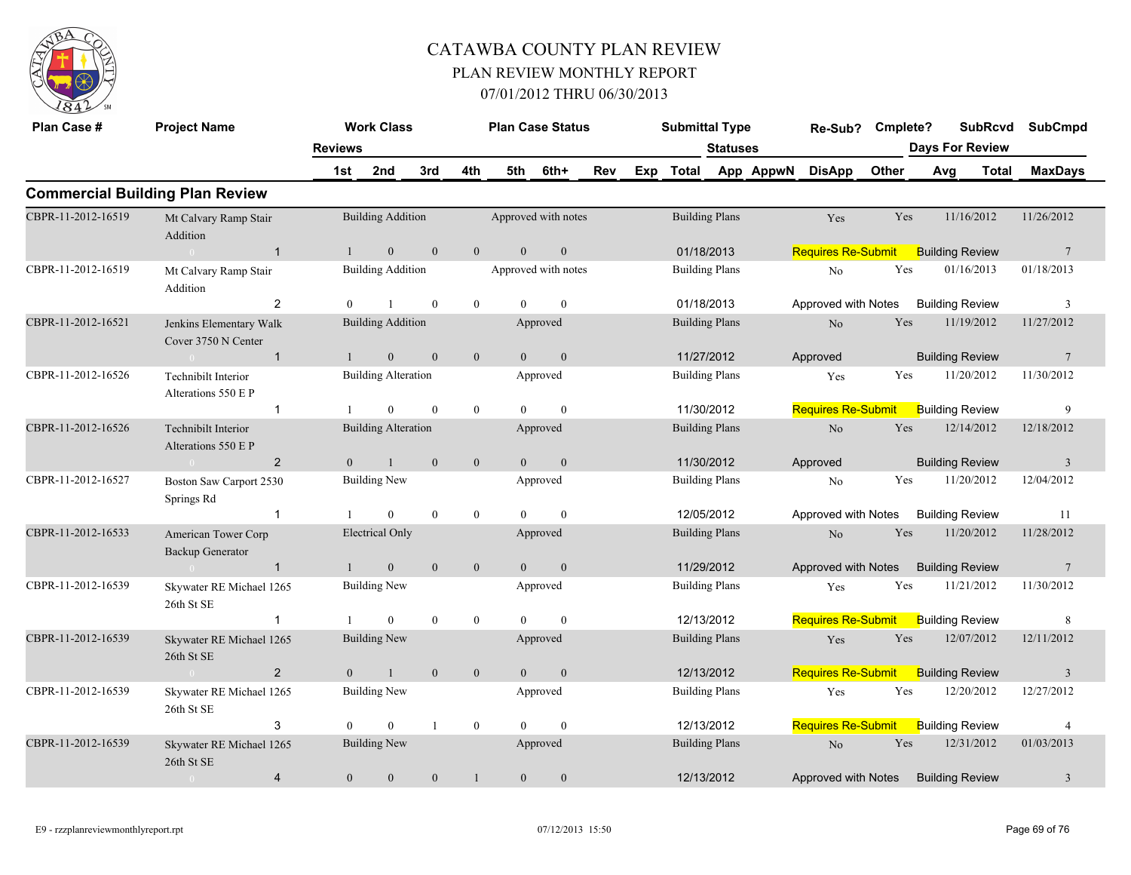

| Plan Case #        | <b>Project Name</b>                            |                | <b>Work Class</b>          |              |              | <b>Plan Case Status</b> |                  |     |     | <b>Submittal Type</b> |                       |           | Re-Sub?                   | Cmplete? |     |                        | <b>SubRcvd</b> | <b>SubCmpd</b>  |
|--------------------|------------------------------------------------|----------------|----------------------------|--------------|--------------|-------------------------|------------------|-----|-----|-----------------------|-----------------------|-----------|---------------------------|----------|-----|------------------------|----------------|-----------------|
|                    |                                                | <b>Reviews</b> |                            |              |              |                         |                  |     |     |                       | <b>Statuses</b>       |           |                           |          |     | <b>Days For Review</b> |                |                 |
|                    |                                                | 1st            | 2nd                        | 3rd          | 4th          | 5th                     | 6th+             | Rev | Exp | Total                 |                       | App AppwN | <b>DisApp</b>             | Other    | Avg |                        | <b>Total</b>   | <b>MaxDays</b>  |
|                    | <b>Commercial Building Plan Review</b>         |                |                            |              |              |                         |                  |     |     |                       |                       |           |                           |          |     |                        |                |                 |
| CBPR-11-2012-16519 | Mt Calvary Ramp Stair<br>Addition              |                | <b>Building Addition</b>   |              |              | Approved with notes     |                  |     |     |                       | <b>Building Plans</b> |           | Yes                       | Yes      |     | 11/16/2012             |                | 11/26/2012      |
|                    | $\overline{1}$<br>$\bigcap$                    |                | $\mathbf{0}$               | $\mathbf{0}$ | $\mathbf{0}$ | $\mathbf{0}$            | $\boldsymbol{0}$ |     |     | 01/18/2013            |                       |           | <b>Requires Re-Submit</b> |          |     | <b>Building Review</b> |                | $7\phantom{.0}$ |
| CBPR-11-2012-16519 | Mt Calvary Ramp Stair<br>Addition              |                | <b>Building Addition</b>   |              |              | Approved with notes     |                  |     |     |                       | <b>Building Plans</b> |           | $\rm No$                  | Yes      |     | 01/16/2013             |                | 01/18/2013      |
|                    | 2                                              | $\Omega$       |                            | $\theta$     | $\mathbf{0}$ | $\Omega$                | $\mathbf{0}$     |     |     |                       | 01/18/2013            |           | Approved with Notes       |          |     | <b>Building Review</b> |                | 3               |
| CBPR-11-2012-16521 | Jenkins Elementary Walk<br>Cover 3750 N Center |                | <b>Building Addition</b>   |              |              |                         | Approved         |     |     | <b>Building Plans</b> |                       |           | No                        | Yes      |     | 11/19/2012             |                | 11/27/2012      |
|                    | $\overline{1}$<br>$\sim$ 0 $\sim$              | $\mathbf{1}$   | $\mathbf{0}$               | $\theta$     | $\mathbf{0}$ | $\theta$                | $\mathbf{0}$     |     |     |                       | 11/27/2012            |           | Approved                  |          |     | <b>Building Review</b> |                | $7\phantom{.0}$ |
| CBPR-11-2012-16526 | Technibilt Interior<br>Alterations 550 E P     |                | <b>Building Alteration</b> |              |              |                         | Approved         |     |     | <b>Building Plans</b> |                       |           | Yes                       | Yes      |     | 11/20/2012             |                | 11/30/2012      |
|                    | $\overline{1}$                                 |                | $\theta$                   | $\Omega$     | $\mathbf{0}$ | $\Omega$                | $\theta$         |     |     | 11/30/2012            |                       |           | <b>Requires Re-Submit</b> |          |     | <b>Building Review</b> |                | 9               |
| CBPR-11-2012-16526 | Technibilt Interior<br>Alterations 550 E P     |                | <b>Building Alteration</b> |              |              |                         | Approved         |     |     | <b>Building Plans</b> |                       |           | No                        | Yes      |     | 12/14/2012             |                | 12/18/2012      |
|                    | $\overline{2}$<br>$\sim 0$                     | $\overline{0}$ | $\mathbf{1}$               | $\mathbf{0}$ | $\mathbf{0}$ | $\overline{0}$          | $\boldsymbol{0}$ |     |     | 11/30/2012            |                       |           | Approved                  |          |     | <b>Building Review</b> |                | $\mathbf{3}$    |
| CBPR-11-2012-16527 | Boston Saw Carport 2530<br>Springs Rd          |                | Building New               |              |              |                         | Approved         |     |     | <b>Building Plans</b> |                       |           | No                        | Yes      |     | 11/20/2012             |                | 12/04/2012      |
|                    | $\overline{1}$                                 |                | $\theta$                   | $\theta$     | $\mathbf{0}$ | $\Omega$                | $\theta$         |     |     |                       | 12/05/2012            |           | Approved with Notes       |          |     | <b>Building Review</b> |                | 11              |
| CBPR-11-2012-16533 | American Tower Corp<br>Backup Generator        |                | <b>Electrical Only</b>     |              |              |                         | Approved         |     |     | <b>Building Plans</b> |                       |           | No                        | Yes      |     | 11/20/2012             |                | 11/28/2012      |
|                    | $\overline{1}$<br>$\theta$                     |                | $\mathbf{0}$               | $\mathbf{0}$ | $\mathbf{0}$ | $\overline{0}$          | $\mathbf{0}$     |     |     |                       | 11/29/2012            |           | Approved with Notes       |          |     | <b>Building Review</b> |                | $7\phantom{.0}$ |
| CBPR-11-2012-16539 | Skywater RE Michael 1265<br>26th St SE         |                | <b>Building New</b>        |              |              |                         | Approved         |     |     | <b>Building Plans</b> |                       |           | Yes                       | Yes      |     | 11/21/2012             |                | 11/30/2012      |
|                    | $\overline{1}$                                 |                | $\theta$                   | $\theta$     | $\mathbf{0}$ | $\Omega$                | $\theta$         |     |     |                       | 12/13/2012            |           | <b>Requires Re-Submit</b> |          |     | <b>Building Review</b> |                | 8               |
| CBPR-11-2012-16539 | Skywater RE Michael 1265<br>26th St SE         |                | <b>Building New</b>        |              |              |                         | Approved         |     |     | <b>Building Plans</b> |                       |           | Yes                       | Yes      |     | 12/07/2012             |                | 12/11/2012      |
|                    | $\overline{2}$<br>$\sim 0$                     | $\overline{0}$ | $\overline{1}$             | $\mathbf{0}$ | $\mathbf{0}$ | $\overline{0}$          | $\boldsymbol{0}$ |     |     |                       | 12/13/2012            |           | Requires Re-Submit        |          |     | <b>Building Review</b> |                | $\overline{3}$  |
| CBPR-11-2012-16539 | Skywater RE Michael 1265<br>26th St SE         |                | <b>Building New</b>        |              |              |                         | Approved         |     |     | <b>Building Plans</b> |                       |           | Yes                       | Yes      |     | 12/20/2012             |                | 12/27/2012      |
|                    | 3                                              | $\Omega$       | $\theta$                   |              | $\mathbf{0}$ | $\Omega$                | $\theta$         |     |     |                       | 12/13/2012            |           | <b>Requires Re-Submit</b> |          |     | <b>Building Review</b> |                | $\overline{4}$  |
| CBPR-11-2012-16539 | Skywater RE Michael 1265<br>26th St SE         |                | <b>Building New</b>        |              |              |                         | Approved         |     |     | <b>Building Plans</b> |                       |           | $\rm No$                  | Yes      |     | 12/31/2012             |                | 01/03/2013      |
|                    | $\overline{4}$<br>$\overline{0}$               | $\mathbf{0}$   | $\boldsymbol{0}$           | $\mathbf{0}$ | $\mathbf{1}$ | $\mathbf{0}$            | $\boldsymbol{0}$ |     |     |                       | 12/13/2012            |           | Approved with Notes       |          |     | <b>Building Review</b> |                | $\mathfrak{Z}$  |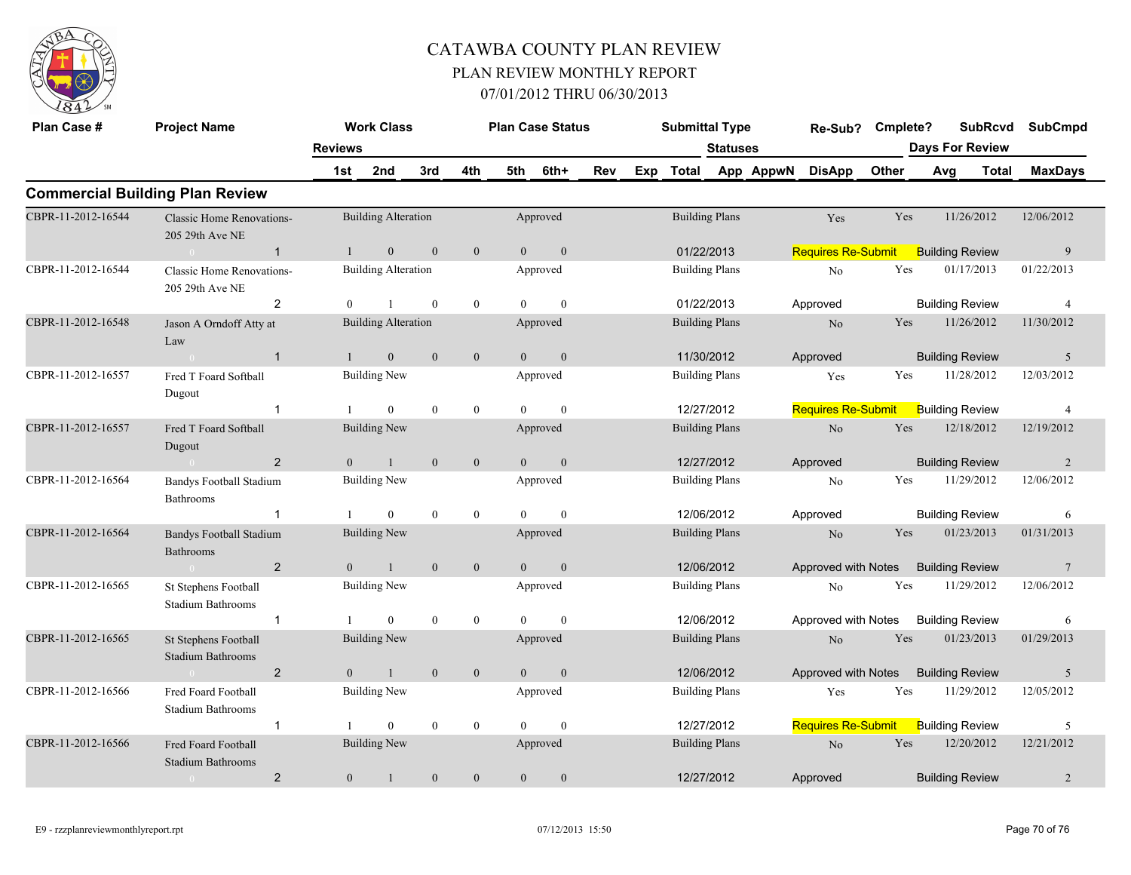

| Plan Case #        | <b>Project Name</b>                                 |                | <b>Work Class</b>          |                  |                  |                | <b>Plan Case Status</b> |            |     | <b>Submittal Type</b> |                 |           | Re-Sub?                   | Cmplete?     |     | <b>SubRcvd</b>         | <b>SubCmpd</b> |
|--------------------|-----------------------------------------------------|----------------|----------------------------|------------------|------------------|----------------|-------------------------|------------|-----|-----------------------|-----------------|-----------|---------------------------|--------------|-----|------------------------|----------------|
|                    |                                                     | <b>Reviews</b> |                            |                  |                  |                |                         |            |     |                       | <b>Statuses</b> |           |                           |              |     | <b>Days For Review</b> |                |
|                    |                                                     | 1st            | 2nd                        | 3rd              | 4th              | 5th            | 6th+                    | <b>Rev</b> | Exp | Total                 |                 | App AppwN | <b>DisApp</b>             | <b>Other</b> | Avg | <b>Total</b>           | <b>MaxDays</b> |
|                    | <b>Commercial Building Plan Review</b>              |                |                            |                  |                  |                |                         |            |     |                       |                 |           |                           |              |     |                        |                |
| CBPR-11-2012-16544 | <b>Classic Home Renovations-</b><br>205 29th Ave NE |                | <b>Building Alteration</b> |                  |                  |                | Approved                |            |     | <b>Building Plans</b> |                 |           | Yes                       | Yes          |     | 11/26/2012             | 12/06/2012     |
|                    | $\overline{1}$<br>$\overline{0}$                    | $\mathbf{1}$   | $\mathbf{0}$               | $\mathbf{0}$     | $\mathbf{0}$     | $\overline{0}$ | $\boldsymbol{0}$        |            |     | 01/22/2013            |                 |           | <b>Requires Re-Submit</b> |              |     | <b>Building Review</b> | 9              |
| CBPR-11-2012-16544 | <b>Classic Home Renovations-</b><br>205 29th Ave NE |                | <b>Building Alteration</b> |                  |                  |                | Approved                |            |     | <b>Building Plans</b> |                 |           | $\rm No$                  | Yes          |     | 01/17/2013             | 01/22/2013     |
|                    | $\overline{2}$                                      | $\Omega$       | $\mathbf{1}$               | $\theta$         | $\bf{0}$         | $\Omega$       | $\theta$                |            |     | 01/22/2013            |                 |           | Approved                  |              |     | <b>Building Review</b> | $\overline{4}$ |
| CBPR-11-2012-16548 | Jason A Orndoff Atty at<br>Law                      |                | <b>Building Alteration</b> |                  |                  |                | Approved                |            |     | <b>Building Plans</b> |                 |           | No                        | Yes          |     | 11/26/2012             | 11/30/2012     |
|                    | $\overline{1}$<br>$\sim 0$                          | $\overline{1}$ | $\mathbf{0}$               | $\mathbf{0}$     | $\mathbf{0}$     | $\overline{0}$ | $\boldsymbol{0}$        |            |     | 11/30/2012            |                 |           | Approved                  |              |     | <b>Building Review</b> | 5              |
| CBPR-11-2012-16557 | Fred T Foard Softball<br>Dugout                     |                | <b>Building New</b>        |                  |                  |                | Approved                |            |     | <b>Building Plans</b> |                 |           | Yes                       | Yes          |     | 11/28/2012             | 12/03/2012     |
|                    |                                                     |                | $\theta$                   | $\mathbf{0}$     | $\mathbf{0}$     | $\Omega$       | $\theta$                |            |     | 12/27/2012            |                 |           | <b>Requires Re-Submit</b> |              |     | <b>Building Review</b> | 4              |
| CBPR-11-2012-16557 | Fred T Foard Softball<br>Dugout                     |                | <b>Building New</b>        |                  |                  |                | Approved                |            |     | <b>Building Plans</b> |                 |           | N <sub>o</sub>            | Yes          |     | 12/18/2012             | 12/19/2012     |
|                    | $\overline{2}$<br>$\sim 0$                          | $\overline{0}$ | $\mathbf{1}$               | $\mathbf{0}$     | $\mathbf{0}$     | $\overline{0}$ | $\boldsymbol{0}$        |            |     | 12/27/2012            |                 |           | Approved                  |              |     | <b>Building Review</b> | $\overline{2}$ |
| CBPR-11-2012-16564 | <b>Bandys Football Stadium</b><br>Bathrooms         |                | <b>Building New</b>        |                  |                  |                | Approved                |            |     | <b>Building Plans</b> |                 |           | No                        | Yes          |     | 11/29/2012             | 12/06/2012     |
|                    | $\overline{1}$                                      |                | $\mathbf{0}$               | $\mathbf{0}$     | $\mathbf{0}$     | $\theta$       | $\mathbf{0}$            |            |     | 12/06/2012            |                 |           | Approved                  |              |     | <b>Building Review</b> | 6              |
| CBPR-11-2012-16564 | <b>Bandys Football Stadium</b><br>Bathrooms         |                | <b>Building New</b>        |                  |                  |                | Approved                |            |     | <b>Building Plans</b> |                 |           | N <sub>o</sub>            | Yes          |     | 01/23/2013             | 01/31/2013     |
|                    | 2<br>$\bigcap$                                      | $\Omega$       | $\mathbf{1}$               | $\mathbf{0}$     | $\mathbf{0}$     | $\theta$       | $\mathbf{0}$            |            |     | 12/06/2012            |                 |           | Approved with Notes       |              |     | <b>Building Review</b> | 7              |
| CBPR-11-2012-16565 | St Stephens Football<br><b>Stadium Bathrooms</b>    |                | <b>Building New</b>        |                  |                  |                | Approved                |            |     | <b>Building Plans</b> |                 |           | N <sub>o</sub>            | Yes          |     | 11/29/2012             | 12/06/2012     |
|                    | $\overline{1}$                                      |                | $\overline{0}$             | $\mathbf{0}$     | $\mathbf{0}$     | $\theta$       | $\mathbf{0}$            |            |     | 12/06/2012            |                 |           | Approved with Notes       |              |     | <b>Building Review</b> | 6              |
| CBPR-11-2012-16565 | St Stephens Football<br><b>Stadium Bathrooms</b>    |                | <b>Building New</b>        |                  |                  |                | Approved                |            |     | <b>Building Plans</b> |                 |           | N <sub>o</sub>            | Yes          |     | 01/23/2013             | 01/29/2013     |
|                    | $\overline{2}$<br>$\bigcap$                         | $\theta$       | $\mathbf{1}$               | $\mathbf{0}$     | $\mathbf{0}$     | $\theta$       | $\mathbf{0}$            |            |     | 12/06/2012            |                 |           | Approved with Notes       |              |     | <b>Building Review</b> | 5              |
| CBPR-11-2012-16566 | Fred Foard Football<br>Stadium Bathrooms            |                | <b>Building New</b>        |                  |                  |                | Approved                |            |     | <b>Building Plans</b> |                 |           | Yes                       | Yes          |     | 11/29/2012             | 12/05/2012     |
|                    | $\mathbf{1}$                                        |                | $\overline{0}$             | $\mathbf{0}$     | $\bf{0}$         | $\theta$       | $\mathbf{0}$            |            |     | 12/27/2012            |                 |           | <b>Requires Re-Submit</b> |              |     | <b>Building Review</b> | 5              |
| CBPR-11-2012-16566 | Fred Foard Football<br><b>Stadium Bathrooms</b>     |                | <b>Building New</b>        |                  |                  |                | Approved                |            |     | <b>Building Plans</b> |                 |           | N <sub>o</sub>            | Yes          |     | 12/20/2012             | 12/21/2012     |
|                    | $\overline{2}$<br>$\overline{0}$                    | $\mathbf{0}$   | $\mathbf{1}$               | $\boldsymbol{0}$ | $\boldsymbol{0}$ | $\overline{0}$ | $\mathbf{0}$            |            |     | 12/27/2012            |                 |           | Approved                  |              |     | <b>Building Review</b> | $\overline{2}$ |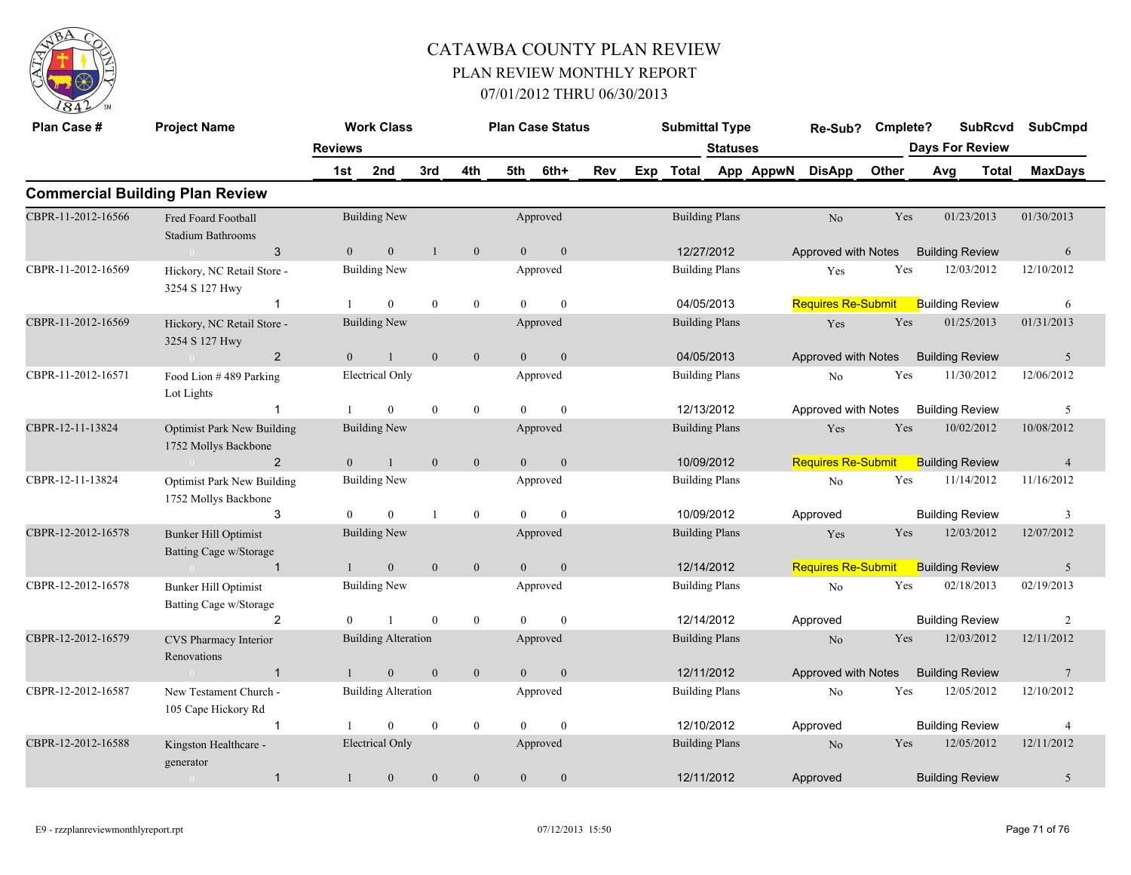

| Plan Case #        | <b>Project Name</b>                                       |                | <b>Work Class</b>          |              |                  |                | <b>Plan Case Status</b> |     | <b>Submittal Type</b> |                       |           | Re-Sub? Cmplete?          |            |                        | <b>SubRcvd</b> | <b>SubCmpd</b>  |
|--------------------|-----------------------------------------------------------|----------------|----------------------------|--------------|------------------|----------------|-------------------------|-----|-----------------------|-----------------------|-----------|---------------------------|------------|------------------------|----------------|-----------------|
|                    |                                                           | <b>Reviews</b> |                            |              |                  |                |                         |     |                       | <b>Statuses</b>       |           |                           |            | <b>Days For Review</b> |                |                 |
|                    |                                                           | 1st            | 2nd                        | 3rd          | 4th              | 5th            | 6th+                    | Rev | Exp Total             |                       | App AppwN | <b>DisApp</b>             | Other      | Avg                    | Total          | <b>MaxDays</b>  |
|                    | <b>Commercial Building Plan Review</b>                    |                |                            |              |                  |                |                         |     |                       |                       |           |                           |            |                        |                |                 |
| CBPR-11-2012-16566 | Fred Foard Football<br><b>Stadium Bathrooms</b>           |                | <b>Building New</b>        |              |                  |                | Approved                |     |                       | <b>Building Plans</b> |           | No                        | Yes        | 01/23/2013             |                | 01/30/2013      |
|                    | 3<br>$\sim 0$                                             | $\overline{0}$ | $\mathbf{0}$               | $\mathbf{1}$ | $\overline{0}$   | $\overline{0}$ | $\mathbf{0}$            |     |                       | 12/27/2012            |           | Approved with Notes       |            | <b>Building Review</b> |                | 6               |
| CBPR-11-2012-16569 | Hickory, NC Retail Store -<br>3254 S 127 Hwy              |                | <b>Building New</b>        |              |                  |                | Approved                |     | <b>Building Plans</b> |                       |           | Yes                       | Yes        | 12/03/2012             |                | 12/10/2012      |
|                    | $\mathbf{1}$                                              |                | $\theta$                   | $\theta$     | $\overline{0}$   | $\theta$       | $\mathbf{0}$            |     |                       | 04/05/2013            |           | <b>Requires Re-Submit</b> |            | <b>Building Review</b> |                | 6               |
| CBPR-11-2012-16569 | Hickory, NC Retail Store -<br>3254 S 127 Hwy              |                | Building New               |              |                  |                | Approved                |     |                       | <b>Building Plans</b> |           | Yes                       | Yes        | 01/25/2013             |                | 01/31/2013      |
|                    | $\sim 0$ and $\sim 0$<br>$\overline{2}$                   | $\Omega$       | $\mathbf{1}$               | $\mathbf{0}$ | $\mathbf{0}$     | $\theta$       | $\mathbf{0}$            |     |                       | 04/05/2013            |           | Approved with Notes       |            | <b>Building Review</b> |                | 5               |
| CBPR-11-2012-16571 | Food Lion #489 Parking<br>Lot Lights                      |                | <b>Electrical Only</b>     |              |                  |                | Approved                |     |                       | <b>Building Plans</b> |           | No                        | Yes        | 11/30/2012             |                | 12/06/2012      |
|                    |                                                           |                | $\theta$                   | $\theta$     | $\mathbf{0}$     | $\Omega$       | $\theta$                |     |                       | 12/13/2012            |           | Approved with Notes       |            | <b>Building Review</b> |                | 5               |
| CBPR-12-11-13824   | <b>Optimist Park New Building</b><br>1752 Mollys Backbone |                | <b>Building New</b>        |              |                  |                | Approved                |     | <b>Building Plans</b> |                       |           | Yes                       | Yes        | 10/02/2012             |                | 10/08/2012      |
|                    | $\overline{2}$<br>$\sim 0$                                | $\mathbf{0}$   | $\mathbf{1}$               | $\mathbf{0}$ | $\mathbf{0}$     | $\mathbf{0}$   | $\mathbf{0}$            |     | 10/09/2012            |                       |           | <b>Requires Re-Submit</b> |            | <b>Building Review</b> |                | $\overline{4}$  |
| CBPR-12-11-13824   | <b>Optimist Park New Building</b><br>1752 Mollys Backbone |                | <b>Building New</b>        |              |                  |                | Approved                |     | <b>Building Plans</b> |                       |           | No                        | Yes        | 11/14/2012             |                | 11/16/2012      |
|                    | 3                                                         | $\Omega$       | $\mathbf{0}$               |              | $\mathbf{0}$     | $\theta$       | $\mathbf{0}$            |     | 10/09/2012            |                       |           | Approved                  |            | <b>Building Review</b> |                | 3               |
| CBPR-12-2012-16578 | <b>Bunker Hill Optimist</b><br>Batting Cage w/Storage     |                | <b>Building New</b>        |              |                  |                | Approved                |     |                       | <b>Building Plans</b> |           | Yes                       | <b>Yes</b> | 12/03/2012             |                | 12/07/2012      |
|                    | $\overline{1}$<br>$\sim 0$ and $\sim 0$                   |                | $\overline{0}$             | $\mathbf{0}$ | $\mathbf{0}$     | $\overline{0}$ | $\mathbf{0}$            |     | 12/14/2012            |                       |           | <b>Requires Re-Submit</b> |            | <b>Building Review</b> |                | 5               |
| CBPR-12-2012-16578 | <b>Bunker Hill Optimist</b><br>Batting Cage w/Storage     |                | <b>Building New</b>        |              |                  |                | Approved                |     | <b>Building Plans</b> |                       |           | No                        | Yes        | 02/18/2013             |                | 02/19/2013      |
|                    | $\overline{2}$                                            |                |                            | $\theta$     | $\theta$         | $\theta$       | $\theta$                |     |                       | 12/14/2012            |           | Approved                  |            | <b>Building Review</b> |                | 2               |
| CBPR-12-2012-16579 | CVS Pharmacy Interior<br>Renovations                      |                | <b>Building Alteration</b> |              |                  |                | Approved                |     | <b>Building Plans</b> |                       |           | N <sub>o</sub>            | Yes        | 12/03/2012             |                | 12/11/2012      |
|                    | $\overline{1}$<br>$\sim 0$                                | $\mathbf{1}$   | $\mathbf{0}$               | $\mathbf{0}$ | $\mathbf{0}$     | $\overline{0}$ | $\mathbf{0}$            |     | 12/11/2012            |                       |           | Approved with Notes       |            | <b>Building Review</b> |                | $7\phantom{.0}$ |
| CBPR-12-2012-16587 | New Testament Church -<br>105 Cape Hickory Rd             |                | <b>Building Alteration</b> |              |                  |                | Approved                |     |                       | <b>Building Plans</b> |           | No                        | Yes        | 12/05/2012             |                | 12/10/2012      |
|                    | $\mathbf{1}$                                              |                | $\theta$                   | $\mathbf{0}$ | $\boldsymbol{0}$ | $\theta$       | $\mathbf{0}$            |     | 12/10/2012            |                       |           | Approved                  |            | <b>Building Review</b> |                | $\overline{4}$  |
| CBPR-12-2012-16588 | Kingston Healthcare -<br>generator                        |                | Electrical Only            |              |                  |                | Approved                |     | <b>Building Plans</b> |                       |           | No                        | Yes        | 12/05/2012             |                | 12/11/2012      |
|                    | $\mathbf{1}$<br>$\overline{0}$                            | $\mathbf{1}$   | $\boldsymbol{0}$           | $\theta$     | $\boldsymbol{0}$ | $\overline{0}$ | $\boldsymbol{0}$        |     | 12/11/2012            |                       |           | Approved                  |            | <b>Building Review</b> |                | 5               |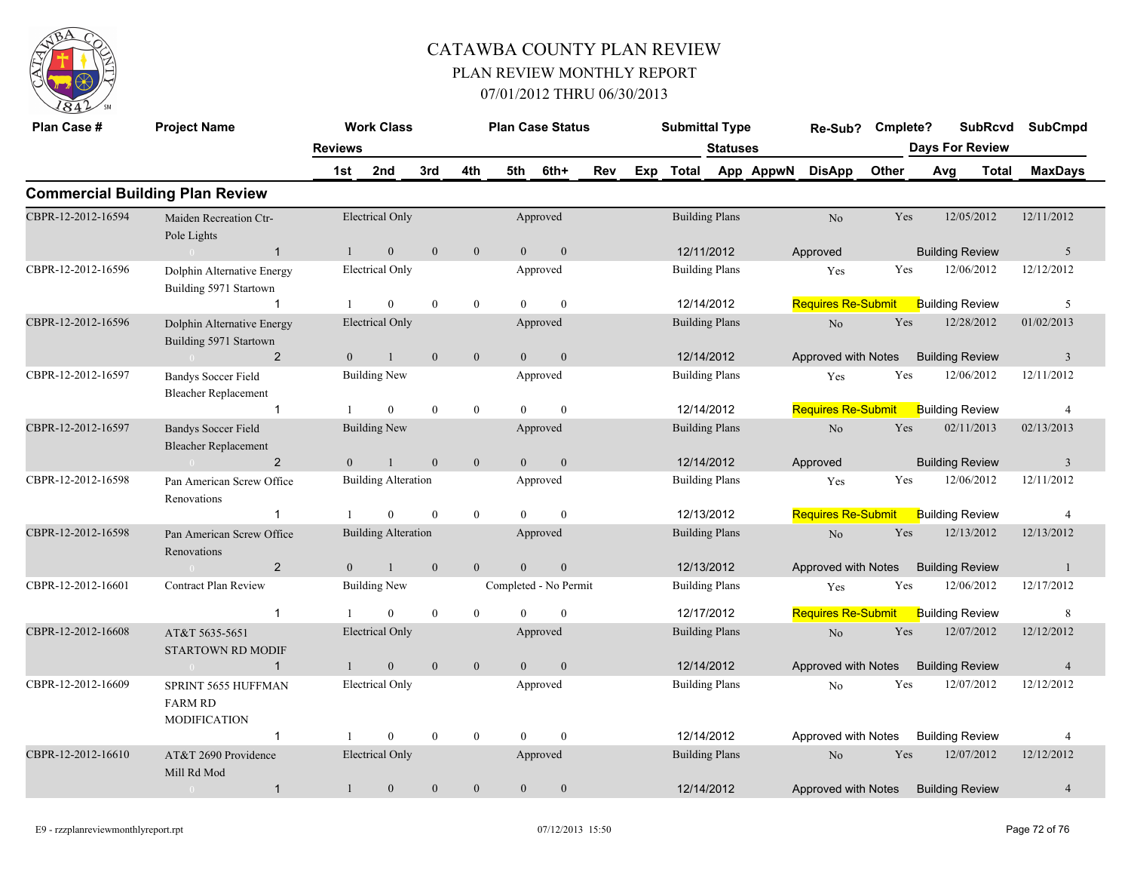

| Plan Case #        | <b>Project Name</b>                                          |                | <b>Work Class</b>          |                |                  |                | <b>Plan Case Status</b> |            | <b>Submittal Type</b> |                       |           | Re-Sub?                   | Cmplete? |                        |                        | <b>SubRcvd</b> | <b>SubCmpd</b> |
|--------------------|--------------------------------------------------------------|----------------|----------------------------|----------------|------------------|----------------|-------------------------|------------|-----------------------|-----------------------|-----------|---------------------------|----------|------------------------|------------------------|----------------|----------------|
|                    |                                                              | <b>Reviews</b> |                            |                |                  |                |                         |            |                       | <b>Statuses</b>       |           |                           |          | <b>Days For Review</b> |                        |                |                |
|                    |                                                              | 1st            | 2nd                        | 3rd            | 4th              | 5th            | 6th+                    | <b>Rev</b> | Exp Total             |                       | App AppwN | <b>DisApp</b>             | Other    | Avg                    |                        | Total          | <b>MaxDays</b> |
|                    | <b>Commercial Building Plan Review</b>                       |                |                            |                |                  |                |                         |            |                       |                       |           |                           |          |                        |                        |                |                |
| CBPR-12-2012-16594 | Maiden Recreation Ctr-<br>Pole Lights                        |                | <b>Electrical Only</b>     |                |                  |                | Approved                |            | <b>Building Plans</b> |                       |           | N <sub>o</sub>            | Yes      |                        | 12/05/2012             |                | 12/11/2012     |
|                    | $\sim$ 0 $^{\circ}$<br>$\overline{1}$                        | $\overline{1}$ | $\mathbf{0}$               | $\mathbf{0}$   | $\mathbf{0}$     | $\theta$       | $\mathbf{0}$            |            | 12/11/2012            |                       |           | Approved                  |          |                        | <b>Building Review</b> |                | 5              |
| CBPR-12-2012-16596 | Dolphin Alternative Energy<br>Building 5971 Startown         |                | <b>Electrical Only</b>     |                |                  |                | Approved                |            | <b>Building Plans</b> |                       |           | Yes                       | Yes      |                        | 12/06/2012             |                | 12/12/2012     |
|                    | $\mathbf{1}$                                                 | -1             | $\overline{0}$             | $\theta$       | $\mathbf{0}$     | $\Omega$       | $\theta$                |            | 12/14/2012            |                       |           | <b>Requires Re-Submit</b> |          |                        | <b>Building Review</b> |                | 5              |
| CBPR-12-2012-16596 | Dolphin Alternative Energy<br>Building 5971 Startown         |                | <b>Electrical Only</b>     |                |                  |                | Approved                |            | <b>Building Plans</b> |                       |           | $\rm No$                  | Yes      |                        | 12/28/2012             |                | 01/02/2013     |
|                    | 2<br>$\sim 0$                                                | $\overline{0}$ | $\mathbf{1}$               | $\mathbf{0}$   | $\mathbf{0}$     | $\theta$       | $\mathbf{0}$            |            | 12/14/2012            |                       |           | Approved with Notes       |          |                        | <b>Building Review</b> |                | $\overline{3}$ |
| CBPR-12-2012-16597 | Bandys Soccer Field<br><b>Bleacher Replacement</b>           |                | <b>Building New</b>        |                |                  |                | Approved                |            | <b>Building Plans</b> |                       |           | Yes                       | Yes      |                        | 12/06/2012             |                | 12/11/2012     |
|                    | $\mathbf{1}$                                                 |                | $\theta$                   | $\theta$       | $\mathbf{0}$     | $\theta$       | $\mathbf{0}$            |            | 12/14/2012            |                       |           | <b>Requires Re-Submit</b> |          |                        | <b>Building Review</b> |                | $\overline{4}$ |
| CBPR-12-2012-16597 | <b>Bandys Soccer Field</b><br><b>Bleacher Replacement</b>    |                | <b>Building New</b>        |                |                  |                | Approved                |            | <b>Building Plans</b> |                       |           | $\rm No$                  | Yes      |                        | 02/11/2013             |                | 02/13/2013     |
|                    | $\overline{2}$<br>$\bigcap$                                  | $\Omega$       | $\mathbf{1}$               | $\mathbf{0}$   | $\mathbf{0}$     | $\theta$       | $\mathbf{0}$            |            | 12/14/2012            |                       |           | Approved                  |          |                        | <b>Building Review</b> |                | $\overline{3}$ |
| CBPR-12-2012-16598 | Pan American Screw Office<br>Renovations                     |                | <b>Building Alteration</b> |                |                  |                | Approved                |            | <b>Building Plans</b> |                       |           | Yes                       | Yes      |                        | 12/06/2012             |                | 12/11/2012     |
|                    |                                                              |                | $\theta$                   | $\theta$       | $\boldsymbol{0}$ | $\theta$       | $\theta$                |            | 12/13/2012            |                       |           | <b>Requires Re-Submit</b> |          |                        | <b>Building Review</b> |                | $\overline{4}$ |
| CBPR-12-2012-16598 | Pan American Screw Office<br>Renovations                     |                | <b>Building Alteration</b> |                |                  |                | Approved                |            | <b>Building Plans</b> |                       |           | No                        | Yes      |                        | 12/13/2012             |                | 12/13/2012     |
|                    | 2                                                            | $\overline{0}$ | $\mathbf{1}$               | $\mathbf{0}$   | $\mathbf{0}$     | $\Omega$       | $\mathbf{0}$            |            | 12/13/2012            |                       |           | Approved with Notes       |          |                        | <b>Building Review</b> |                | -1             |
| CBPR-12-2012-16601 | <b>Contract Plan Review</b>                                  |                | <b>Building New</b>        |                |                  |                | Completed - No Permit   |            | <b>Building Plans</b> |                       |           | Yes                       | Yes      |                        | 12/06/2012             |                | 12/17/2012     |
|                    | $\overline{1}$                                               |                | $\overline{0}$             | $\theta$       | $\mathbf{0}$     | $\theta$       | $\mathbf{0}$            |            | 12/17/2012            |                       |           | <b>Requires Re-Submit</b> |          |                        | <b>Building Review</b> |                | 8              |
| CBPR-12-2012-16608 | AT&T 5635-5651<br><b>STARTOWN RD MODIF</b>                   |                | <b>Electrical Only</b>     |                |                  |                | Approved                |            | <b>Building Plans</b> |                       |           | No                        | Yes      |                        | 12/07/2012             |                | 12/12/2012     |
|                    | $\mathbf{1}$<br>$\bigcap$                                    |                | $\mathbf{0}$               | $\overline{0}$ | $\mathbf{0}$     | $\overline{0}$ | $\mathbf{0}$            |            | 12/14/2012            |                       |           | Approved with Notes       |          |                        | <b>Building Review</b> |                | $\overline{4}$ |
| CBPR-12-2012-16609 | SPRINT 5655 HUFFMAN<br><b>FARM RD</b><br><b>MODIFICATION</b> |                | <b>Electrical Only</b>     |                |                  |                | Approved                |            | <b>Building Plans</b> |                       |           | N <sub>0</sub>            | Yes      |                        | 12/07/2012             |                | 12/12/2012     |
|                    | $\overline{1}$                                               |                | $\theta$                   | $\mathbf{0}$   | $\mathbf{0}$     | $\theta$       | $\mathbf{0}$            |            | 12/14/2012            |                       |           | Approved with Notes       |          |                        | <b>Building Review</b> |                | 4              |
| CBPR-12-2012-16610 | AT&T 2690 Providence<br>Mill Rd Mod                          |                | <b>Electrical Only</b>     |                |                  |                | Approved                |            |                       | <b>Building Plans</b> |           | N <sub>o</sub>            | Yes      |                        | 12/07/2012             |                | 12/12/2012     |
|                    | $\mathbf{1}$<br>$\overline{0}$                               | 1              | $\mathbf{0}$               | $\mathbf{0}$   | $\boldsymbol{0}$ | $\mathbf{0}$   | $\boldsymbol{0}$        |            | 12/14/2012            |                       |           | Approved with Notes       |          |                        | <b>Building Review</b> |                | $\overline{4}$ |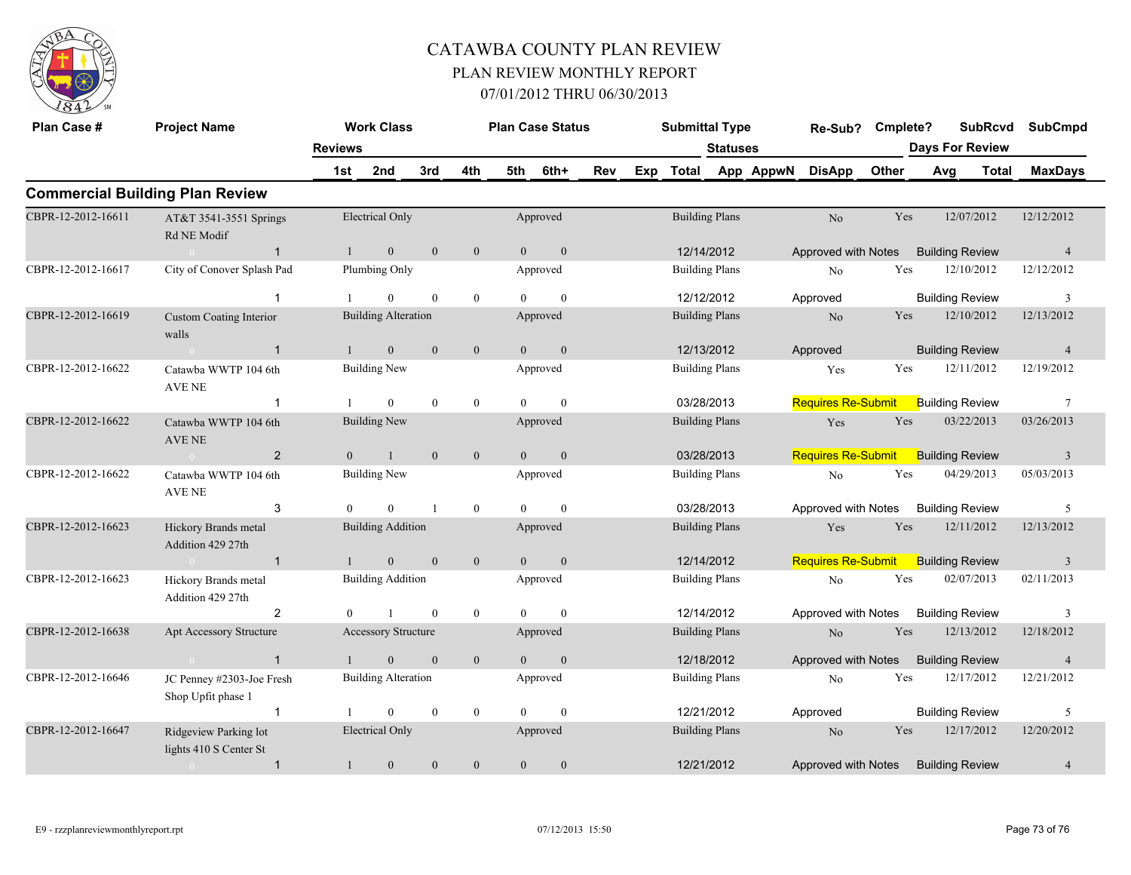

| Plan Case #        | <b>Project Name</b>                             | <b>Work Class</b> |                            |                | <b>Plan Case Status</b> |                |                | <b>Submittal Type</b> |                 |              | Re-Sub?               |           | <b>SubRcvd</b><br>Cmplete? |                        |     | <b>SubCmpd</b>         |              |                 |  |
|--------------------|-------------------------------------------------|-------------------|----------------------------|----------------|-------------------------|----------------|----------------|-----------------------|-----------------|--------------|-----------------------|-----------|----------------------------|------------------------|-----|------------------------|--------------|-----------------|--|
|                    |                                                 | <b>Reviews</b>    |                            |                |                         |                |                |                       | <b>Statuses</b> |              |                       |           |                            | <b>Days For Review</b> |     |                        |              |                 |  |
|                    |                                                 | 1st               | 2nd                        | 3rd            | 4th                     | 5th            | 6th+           | Rev                   | Exp             | <b>Total</b> |                       | App AppwN | <b>DisApp</b>              | Other                  | Avg |                        | <b>Total</b> | <b>MaxDays</b>  |  |
|                    | <b>Commercial Building Plan Review</b>          |                   |                            |                |                         |                |                |                       |                 |              |                       |           |                            |                        |     |                        |              |                 |  |
| CBPR-12-2012-16611 | AT&T 3541-3551 Springs<br>Rd NE Modif           |                   | <b>Electrical Only</b>     |                |                         |                | Approved       |                       |                 |              | <b>Building Plans</b> |           | No                         | Yes                    |     | 12/07/2012             |              | 12/12/2012      |  |
|                    | $\overline{1}$                                  | $\mathbf{1}$      | $\overline{0}$             | $\mathbf{0}$   | $\mathbf{0}$            | $\overline{0}$ | $\mathbf{0}$   |                       |                 |              | 12/14/2012            |           | Approved with Notes        |                        |     | <b>Building Review</b> |              | $\overline{4}$  |  |
| CBPR-12-2012-16617 | City of Conover Splash Pad                      |                   | Plumbing Only              |                |                         |                | Approved       |                       |                 |              | <b>Building Plans</b> |           | No                         | Yes                    |     | 12/10/2012             |              | 12/12/2012      |  |
|                    | $\mathbf{1}$                                    |                   | $\overline{0}$             | $\theta$       | $\overline{0}$          | $\theta$       | $\theta$       |                       |                 |              | 12/12/2012            |           | Approved                   |                        |     | <b>Building Review</b> |              | 3               |  |
| CBPR-12-2012-16619 | <b>Custom Coating Interior</b><br>walls         |                   | <b>Building Alteration</b> |                |                         |                | Approved       |                       |                 |              | <b>Building Plans</b> |           | $\rm No$                   | Yes                    |     | 12/10/2012             |              | 12/13/2012      |  |
|                    | $\sim 0$<br>$\mathbf{1}$                        | $\mathbf{1}$      | $\overline{0}$             | $\overline{0}$ | $\mathbf{0}$            | $\overline{0}$ | $\mathbf{0}$   |                       |                 |              | 12/13/2012            |           | Approved                   |                        |     | <b>Building Review</b> |              | $\overline{4}$  |  |
| CBPR-12-2012-16622 | Catawba WWTP 104 6th<br>AVE NE                  |                   | <b>Building New</b>        |                |                         |                | Approved       |                       |                 |              | <b>Building Plans</b> |           | Yes                        | Yes                    |     | 12/11/2012             |              | 12/19/2012      |  |
|                    | $\mathbf 1$                                     |                   | $\overline{0}$             | $\mathbf{0}$   | $\overline{0}$          | $\theta$       | $\mathbf{0}$   |                       |                 | 03/28/2013   |                       |           | <b>Requires Re-Submit</b>  |                        |     | <b>Building Review</b> |              | $7\phantom{.0}$ |  |
| CBPR-12-2012-16622 | Catawba WWTP 104 6th<br>AVE NE                  |                   | <b>Building New</b>        |                |                         |                | Approved       |                       |                 |              | <b>Building Plans</b> |           | Yes                        | Yes                    |     | 03/22/2013             |              | 03/26/2013      |  |
|                    | $\overline{2}$<br>$\sim 0$                      | $\overline{0}$    | $\mathbf{1}$               | $\overline{0}$ | $\mathbf{0}$            | $\mathbf{0}$   | $\mathbf{0}$   |                       |                 | 03/28/2013   |                       |           | <b>Requires Re-Submit</b>  |                        |     | <b>Building Review</b> |              | $\overline{3}$  |  |
| CBPR-12-2012-16622 | Catawba WWTP 104 6th<br>AVE NE                  |                   | <b>Building New</b>        |                |                         |                | Approved       |                       |                 |              | <b>Building Plans</b> |           | No                         | Yes                    |     | 04/29/2013             |              | 05/03/2013      |  |
|                    | 3                                               | $\Omega$          | $\overline{0}$             |                | $\mathbf{0}$            | $\Omega$       | $\mathbf{0}$   |                       |                 | 03/28/2013   |                       |           | Approved with Notes        |                        |     | <b>Building Review</b> |              | 5               |  |
| CBPR-12-2012-16623 | Hickory Brands metal<br>Addition 429 27th       |                   | <b>Building Addition</b>   |                |                         |                | Approved       |                       |                 |              | <b>Building Plans</b> |           | Yes                        | Yes                    |     | 12/11/2012             |              | 12/13/2012      |  |
|                    | $\sim 0$<br>$\mathbf{1}$                        | $\mathbf{1}$      | $\overline{0}$             | $\mathbf{0}$   | $\mathbf{0}$            | $\mathbf{0}$   | $\mathbf{0}$   |                       |                 |              | 12/14/2012            |           | <b>Requires Re-Submit</b>  |                        |     | <b>Building Review</b> |              | $\overline{3}$  |  |
| CBPR-12-2012-16623 | Hickory Brands metal<br>Addition 429 27th       |                   | <b>Building Addition</b>   |                |                         |                | Approved       |                       |                 |              | <b>Building Plans</b> |           | No                         | Yes                    |     | 02/07/2013             |              | 02/11/2013      |  |
|                    | 2                                               | $\theta$          | $\overline{1}$             | $\mathbf{0}$   | $\overline{0}$          | $\Omega$       | $\theta$       |                       |                 |              | 12/14/2012            |           | Approved with Notes        |                        |     | <b>Building Review</b> |              | 3               |  |
| CBPR-12-2012-16638 | Apt Accessory Structure                         |                   | <b>Accessory Structure</b> |                |                         |                | Approved       |                       |                 |              | <b>Building Plans</b> |           | $\rm No$                   | Yes                    |     | 12/13/2012             |              | 12/18/2012      |  |
|                    | $\overline{1}$                                  | $\mathbf{1}$      | $\overline{0}$             | $\mathbf{0}$   | $\overline{0}$          | $\Omega$       | $\mathbf{0}$   |                       |                 |              | 12/18/2012            |           | Approved with Notes        |                        |     | <b>Building Review</b> |              | $\overline{4}$  |  |
| CBPR-12-2012-16646 | JC Penney #2303-Joe Fresh<br>Shop Upfit phase 1 |                   | <b>Building Alteration</b> |                |                         |                | Approved       |                       |                 |              | <b>Building Plans</b> |           | No                         | Yes                    |     | 12/17/2012             |              | 12/21/2012      |  |
|                    | $\mathbf{1}$                                    |                   | $\overline{0}$             | $\mathbf{0}$   | $\mathbf{0}$            | $\theta$       | $\overline{0}$ |                       |                 |              | 12/21/2012            |           | Approved                   |                        |     | <b>Building Review</b> |              | 5               |  |
| CBPR-12-2012-16647 | Ridgeview Parking lot<br>lights 410 S Center St |                   | <b>Electrical Only</b>     |                |                         |                | Approved       |                       |                 |              | <b>Building Plans</b> |           | N <sub>o</sub>             | Yes                    |     | 12/17/2012             |              | 12/20/2012      |  |
|                    | $\mathbf{1}$                                    | $\mathbf{1}$      | $\mathbf{0}$               | $\mathbf{0}$   | $\overline{0}$          | $\mathbf{0}$   | $\mathbf{0}$   |                       |                 |              | 12/21/2012            |           | Approved with Notes        |                        |     | <b>Building Review</b> |              | $\overline{4}$  |  |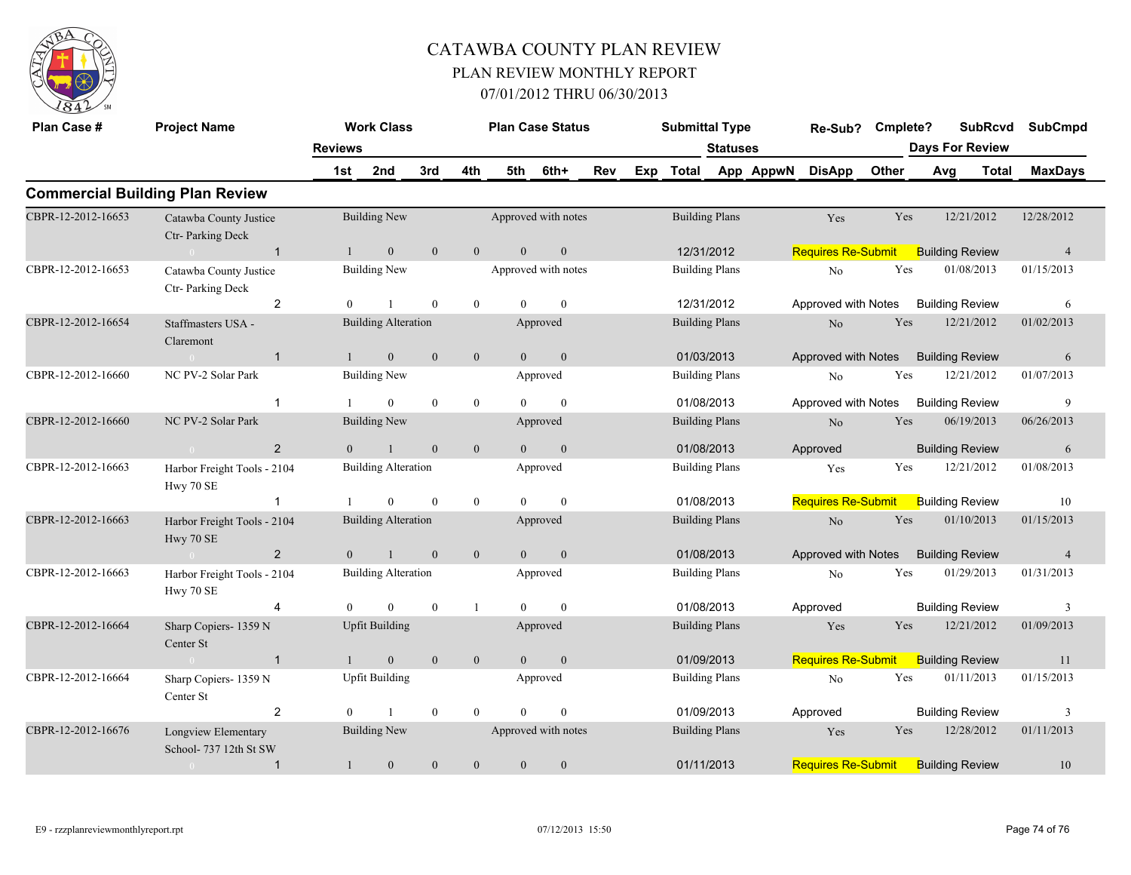

| Plan Case #                            | <b>Project Name</b>                           |                | <b>Work Class</b>          |              |                  |                     | <b>Plan Case Status</b> |     |                       | <b>Submittal Type</b> |  |           | Re-Sub?                   | Cmplete?               |                     | <b>SubRcvd</b>         | <b>SubCmpd</b> |  |
|----------------------------------------|-----------------------------------------------|----------------|----------------------------|--------------|------------------|---------------------|-------------------------|-----|-----------------------|-----------------------|--|-----------|---------------------------|------------------------|---------------------|------------------------|----------------|--|
|                                        |                                               | <b>Reviews</b> |                            |              |                  |                     |                         |     | <b>Statuses</b>       |                       |  |           |                           | <b>Days For Review</b> |                     |                        |                |  |
|                                        |                                               | 1st            | 2nd<br>3rd                 |              | 4th              | 5th                 | 6th+                    | Rev | Exp                   | Total                 |  | App AppwN | <b>DisApp</b>             | Other                  | Avg<br><b>Total</b> |                        | <b>MaxDays</b> |  |
| <b>Commercial Building Plan Review</b> |                                               |                |                            |              |                  |                     |                         |     |                       |                       |  |           |                           |                        |                     |                        |                |  |
| CBPR-12-2012-16653                     | Catawba County Justice<br>Ctr- Parking Deck   |                | <b>Building New</b>        |              |                  |                     | Approved with notes     |     |                       | <b>Building Plans</b> |  |           | Yes                       | Yes                    |                     | 12/21/2012             | 12/28/2012     |  |
|                                        | $\overline{1}$                                |                | $\mathbf{0}$               | $\mathbf{0}$ | $\mathbf{0}$     | $\overline{0}$      | $\boldsymbol{0}$        |     |                       | 12/31/2012            |  |           | <b>Requires Re-Submit</b> |                        |                     | <b>Building Review</b> | $\overline{4}$ |  |
| CBPR-12-2012-16653                     | Catawba County Justice<br>Ctr- Parking Deck   |                | <b>Building New</b>        |              |                  | Approved with notes |                         |     | <b>Building Plans</b> |                       |  | No        |                           | Yes<br>01/08/2013      |                     | 01/15/2013             |                |  |
|                                        | 2                                             | $\Omega$       |                            | $\mathbf{0}$ | $\mathbf{0}$     | $\Omega$            | $\mathbf{0}$            |     |                       | 12/31/2012            |  |           | Approved with Notes       |                        |                     | <b>Building Review</b> | 6              |  |
| CBPR-12-2012-16654                     | Staffmasters USA -<br>Claremont               |                | <b>Building Alteration</b> |              |                  |                     | Approved                |     |                       | <b>Building Plans</b> |  |           | $\rm No$                  | Yes                    |                     | 12/21/2012             | 01/02/2013     |  |
|                                        | $\overline{1}$<br>$\Omega$                    |                | $\overline{0}$             | $\mathbf{0}$ | $\mathbf{0}$     | $\overline{0}$      | $\mathbf{0}$            |     |                       | 01/03/2013            |  |           | Approved with Notes       |                        |                     | <b>Building Review</b> | 6              |  |
| CBPR-12-2012-16660                     | NC PV-2 Solar Park                            |                | <b>Building New</b>        |              |                  |                     | Approved                |     |                       | <b>Building Plans</b> |  |           | No                        | Yes                    |                     | 12/21/2012             | 01/07/2013     |  |
|                                        | $\mathbf{1}$                                  |                | $\theta$                   | $\theta$     | $\overline{0}$   | $\Omega$            | $\theta$                |     |                       | 01/08/2013            |  |           | Approved with Notes       |                        |                     | <b>Building Review</b> | 9              |  |
| CBPR-12-2012-16660                     | NC PV-2 Solar Park                            |                | <b>Building New</b>        |              |                  |                     | Approved                |     |                       | <b>Building Plans</b> |  |           | No                        | Yes                    |                     | 06/19/2013             | 06/26/2013     |  |
|                                        | 2                                             | $\Omega$       | $\mathbf{1}$               | $\Omega$     | $\mathbf{0}$     | $\Omega$            | $\mathbf{0}$            |     |                       | 01/08/2013            |  |           | Approved                  |                        |                     | <b>Building Review</b> | 6              |  |
| CBPR-12-2012-16663                     | Harbor Freight Tools - 2104<br>Hwy 70 SE      |                | <b>Building Alteration</b> |              |                  |                     | Approved                |     |                       | <b>Building Plans</b> |  |           | Yes                       | Yes                    |                     | 12/21/2012             | 01/08/2013     |  |
|                                        | $\mathbf{1}$                                  |                | $\theta$                   | $\theta$     | $\boldsymbol{0}$ | $\theta$            | $\mathbf{0}$            |     |                       | 01/08/2013            |  |           | <b>Requires Re-Submit</b> |                        |                     | <b>Building Review</b> | 10             |  |
| CBPR-12-2012-16663                     | Harbor Freight Tools - 2104<br>Hwy 70 SE      |                | <b>Building Alteration</b> |              |                  |                     | Approved                |     |                       | <b>Building Plans</b> |  |           | $\rm No$                  | Yes                    |                     | 01/10/2013             | 01/15/2013     |  |
|                                        | $\overline{2}$<br>$\sim 0$                    | $\Omega$       | $\overline{1}$             | $\Omega$     | $\mathbf{0}$     | $\overline{0}$      | $\mathbf{0}$            |     |                       | 01/08/2013            |  |           | Approved with Notes       |                        |                     | <b>Building Review</b> | $\overline{4}$ |  |
| CBPR-12-2012-16663                     | Harbor Freight Tools - 2104<br>Hwy 70 SE      |                | <b>Building Alteration</b> |              |                  |                     | Approved                |     |                       | <b>Building Plans</b> |  |           | $\rm No$                  | Yes                    |                     | 01/29/2013             | 01/31/2013     |  |
|                                        | $\overline{4}$                                | $\theta$       | $\Omega$                   | $\theta$     | $\mathbf{1}$     | $\Omega$            | $\theta$                |     |                       | 01/08/2013            |  |           | Approved                  |                        |                     | <b>Building Review</b> | 3              |  |
| CBPR-12-2012-16664                     | Sharp Copiers-1359 N<br>Center St             |                | <b>Upfit Building</b>      |              |                  |                     | Approved                |     |                       | <b>Building Plans</b> |  |           | Yes                       | Yes                    |                     | 12/21/2012             | 01/09/2013     |  |
|                                        | $\mathbf{1}$<br>$\sim 0$                      |                | $\mathbf{0}$               | $\mathbf{0}$ | $\mathbf{0}$     | $\overline{0}$      | $\mathbf{0}$            |     |                       | 01/09/2013            |  |           | Requires Re-Submit        |                        |                     | <b>Building Review</b> | 11             |  |
| CBPR-12-2012-16664                     | Sharp Copiers-1359 N<br>Center St             |                | <b>Upfit Building</b>      |              |                  |                     | Approved                |     |                       | <b>Building Plans</b> |  |           | No                        | Yes                    |                     | 01/11/2013             | 01/15/2013     |  |
|                                        | $\overline{2}$                                | $\theta$       |                            | $\mathbf{0}$ | $\theta$         | $\theta$            | $\mathbf{0}$            |     |                       | 01/09/2013            |  |           | Approved                  |                        |                     | <b>Building Review</b> | 3              |  |
| CBPR-12-2012-16676                     | Longview Elementary<br>School- 737 12th St SW |                | <b>Building New</b>        |              |                  |                     | Approved with notes     |     |                       | <b>Building Plans</b> |  |           | Yes                       | Yes                    |                     | 12/28/2012             | 01/11/2013     |  |
|                                        | $\mathbf{1}$<br>$\overline{0}$                | $\mathbf{1}$   | $\overline{0}$             | $\theta$     | $\overline{0}$   | $\overline{0}$      | $\mathbf{0}$            |     |                       | 01/11/2013            |  |           | <b>Requires Re-Submit</b> |                        |                     | <b>Building Review</b> | 10             |  |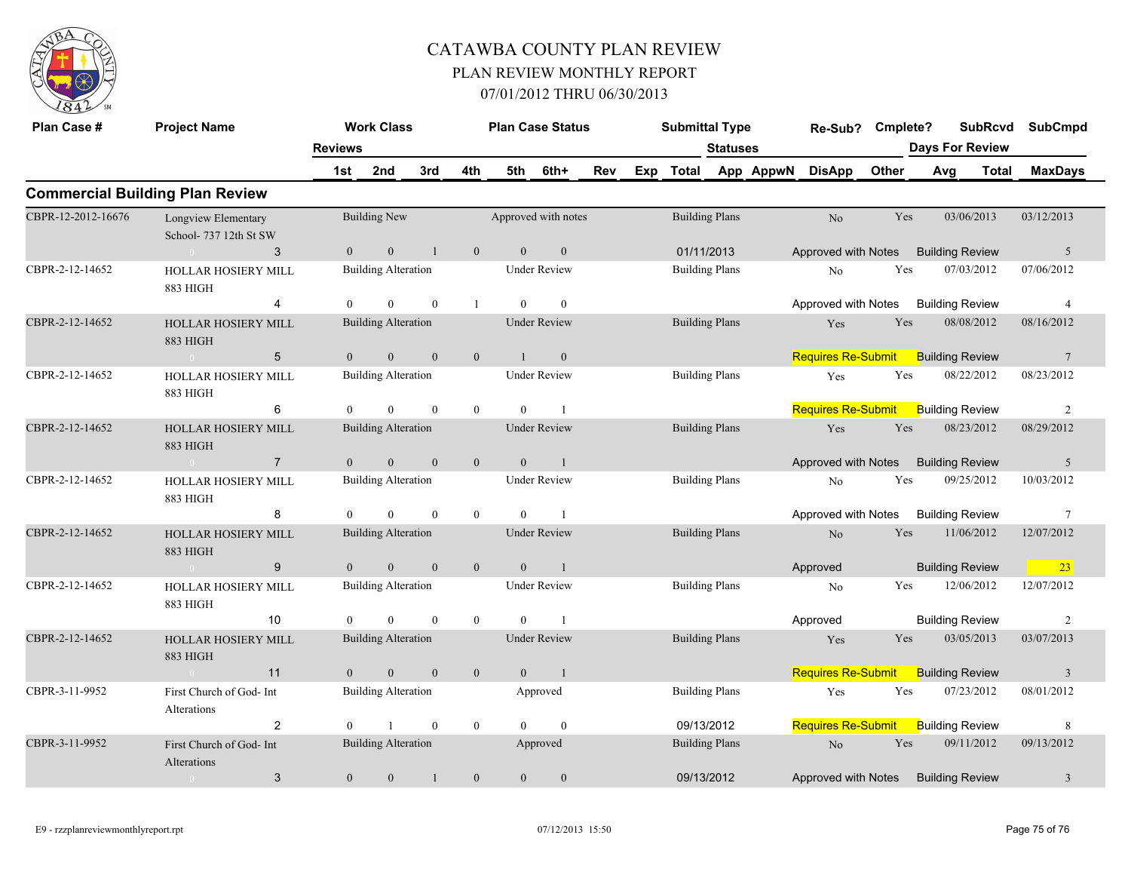

| Plan Case #        | <b>Project Name</b>                           | <b>Work Class</b> |                            |                | <b>Plan Case Status</b> |                | <b>Submittal Type</b> |     |                       | Re-Sub? Cmplete?      |                     |                                           |       |                        | SubRcvd SubCmpd        |              |                |
|--------------------|-----------------------------------------------|-------------------|----------------------------|----------------|-------------------------|----------------|-----------------------|-----|-----------------------|-----------------------|---------------------|-------------------------------------------|-------|------------------------|------------------------|--------------|----------------|
|                    |                                               | <b>Reviews</b>    |                            |                |                         |                |                       |     |                       | <b>Statuses</b>       |                     |                                           |       | <b>Days For Review</b> |                        |              |                |
|                    |                                               | 1st               | 2nd                        | 3rd            | 4th                     | 5th            | 6th+                  | Rev |                       |                       | Exp Total App AppwN | <b>DisApp</b>                             | Other |                        | Avg                    | <b>Total</b> | <b>MaxDays</b> |
|                    | <b>Commercial Building Plan Review</b>        |                   |                            |                |                         |                |                       |     |                       |                       |                     |                                           |       |                        |                        |              |                |
| CBPR-12-2012-16676 | Longview Elementary<br>School- 737 12th St SW |                   | <b>Building New</b>        |                |                         |                | Approved with notes   |     | <b>Building Plans</b> |                       |                     | No                                        | Yes   |                        | 03/06/2013             |              | 03/12/2013     |
|                    | 3<br>$\sim 0$                                 | $\overline{0}$    | $\mathbf{0}$               | -1             | $\mathbf{0}$            | $\overline{0}$ | $\mathbf{0}$          |     |                       | 01/11/2013            |                     | Approved with Notes Building Review       |       |                        |                        |              | $5^{\circ}$    |
| CBPR-2-12-14652    | <b>HOLLAR HOSIERY MILL</b><br>883 HIGH        |                   | <b>Building Alteration</b> |                |                         |                | <b>Under Review</b>   |     | <b>Building Plans</b> |                       |                     | No                                        | Yes   |                        | 07/03/2012             |              | 07/06/2012     |
|                    | 4                                             | $\theta$          | $\theta$                   | $\theta$       | $\mathbf{1}$            | $\theta$       | $\theta$              |     |                       |                       |                     | Approved with Notes Building Review       |       |                        |                        |              | $\overline{4}$ |
| CBPR-2-12-14652    | <b>HOLLAR HOSIERY MILL</b><br>883 HIGH        |                   | <b>Building Alteration</b> |                |                         |                | <b>Under Review</b>   |     | <b>Building Plans</b> |                       |                     | Yes                                       | Yes   |                        | 08/08/2012             |              | 08/16/2012     |
|                    | $5\overline{)}$<br>$\sim 0$ and $\sim 0$      | $\overline{0}$    | $\overline{0}$             | $\mathbf{0}$   | $\overline{0}$          | $\overline{1}$ | $\overline{0}$        |     |                       |                       |                     | <b>Requires Re-Submit</b>                 |       |                        | <b>Building Review</b> |              | $\overline{7}$ |
| CBPR-2-12-14652    | HOLLAR HOSIERY MILL<br>883 HIGH               |                   | <b>Building Alteration</b> |                |                         |                | <b>Under Review</b>   |     | <b>Building Plans</b> |                       |                     | Yes                                       | Yes   |                        | 08/22/2012             |              | 08/23/2012     |
|                    | 6                                             | $\theta$          | $\theta$                   | $\theta$       | $\mathbf{0}$            | $\theta$       | $\overline{1}$        |     |                       |                       |                     | <b>Requires Re-Submit</b> Building Review |       |                        |                        |              | 2              |
| CBPR-2-12-14652    | <b>HOLLAR HOSIERY MILL</b><br><b>883 HIGH</b> |                   | <b>Building Alteration</b> |                |                         |                | <b>Under Review</b>   |     | <b>Building Plans</b> |                       |                     | Yes                                       | Yes   |                        | 08/23/2012             |              | 08/29/2012     |
|                    | $\sim 0$<br>$\overline{7}$                    | $\overline{0}$    | $\overline{0}$             | $\mathbf{0}$   | $\mathbf{0}$            | $\overline{0}$ | $\overline{1}$        |     |                       |                       |                     | Approved with Notes Building Review       |       |                        |                        |              | $\overline{5}$ |
| CBPR-2-12-14652    | HOLLAR HOSIERY MILL<br>883 HIGH               |                   | <b>Building Alteration</b> |                |                         |                | <b>Under Review</b>   |     |                       | <b>Building Plans</b> |                     | N <sub>0</sub>                            | Yes   |                        | 09/25/2012             |              | 10/03/2012     |
|                    | 8                                             | $\theta$          | $\theta$                   | $\theta$       | $\mathbf{0}$            | $\theta$       | $\overline{1}$        |     |                       |                       |                     | Approved with Notes                       |       |                        | <b>Building Review</b> |              | 7              |
| CBPR-2-12-14652    | <b>HOLLAR HOSIERY MILL</b><br><b>883 HIGH</b> |                   | <b>Building Alteration</b> |                |                         |                | <b>Under Review</b>   |     | <b>Building Plans</b> |                       |                     | No                                        | Yes   |                        | 11/06/2012             |              | 12/07/2012     |
|                    | 9<br>$\sim 0$                                 | $\overline{0}$    | $\mathbf{0}$               | $\mathbf{0}$   | $\mathbf{0}$            | $\overline{0}$ | $\blacksquare$        |     |                       |                       |                     | Approved                                  |       |                        | <b>Building Review</b> |              | $\boxed{23}$   |
| CBPR-2-12-14652    | <b>HOLLAR HOSIERY MILL</b><br>883 HIGH        |                   | <b>Building Alteration</b> |                |                         |                | <b>Under Review</b>   |     |                       | <b>Building Plans</b> |                     | No                                        | Yes   |                        | 12/06/2012             |              | 12/07/2012     |
|                    | 10                                            | $\theta$          | $\theta$                   | $\mathbf{0}$   | $\mathbf{0}$            | $\theta$       | $\overline{1}$        |     |                       |                       |                     | Approved                                  |       |                        | <b>Building Review</b> |              | 2              |
| CBPR-2-12-14652    | HOLLAR HOSIERY MILL<br><b>883 HIGH</b>        |                   | <b>Building Alteration</b> |                |                         |                | <b>Under Review</b>   |     | <b>Building Plans</b> |                       |                     | Yes                                       | Yes   |                        | 03/05/2013             |              | 03/07/2013     |
|                    | $\sim 0$ and $\sim$<br>11                     | $\overline{0}$    | $\mathbf{0}$               | $\overline{0}$ | $\mathbf{0}$            | $\overline{0}$ | $\sim$ 1              |     |                       |                       |                     | Requires Re-Submit Building Review        |       |                        |                        |              | $\overline{3}$ |
| CBPR-3-11-9952     | First Church of God- Int<br>Alterations       |                   | <b>Building Alteration</b> |                |                         |                | Approved              |     | <b>Building Plans</b> |                       |                     | Yes                                       | Yes   |                        | 07/23/2012             |              | 08/01/2012     |
|                    | $\overline{2}$                                | $\Omega$          | $\overline{1}$             | $\mathbf{0}$   | $\mathbf{0}$            | $\Omega$       | $\theta$              |     | 09/13/2012            |                       |                     | Requires Re-Submit Building Review        |       |                        |                        |              | 8              |
| CBPR-3-11-9952     | First Church of God- Int<br>Alterations       |                   | Building Alteration        |                |                         |                | Approved              |     | <b>Building Plans</b> |                       |                     | No                                        | Yes   |                        | 09/11/2012             |              | 09/13/2012     |
|                    | $\mathbf{3}$<br>$\sim 0$                      | $\overline{0}$    | $\mathbf{0}$               | -1             | $\mathbf{0}$            | $\overline{0}$ | $\mathbf{0}$          |     | 09/13/2012            |                       |                     | Approved with Notes Building Review       |       |                        |                        |              | $\overline{3}$ |